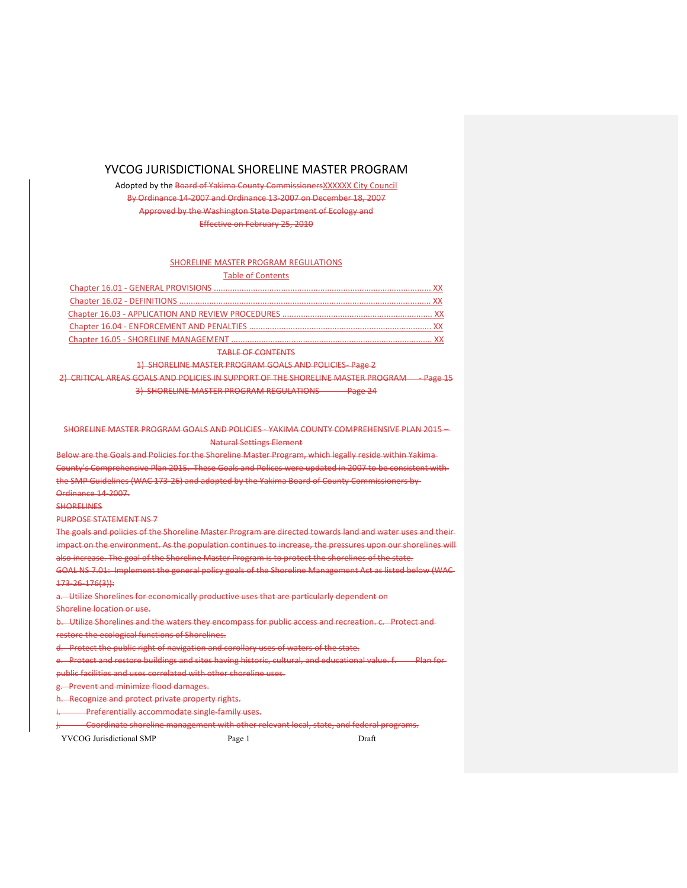# YVCOG JURISDICTIONAL SHORELINE MASTER PROGRAM

Adopted by the Board of Yakima County CommissionersXXXXXX City Council By Ordinance 14‐2007 and Ordinance 13‐2007 on December 18, 2007 Approved by the Washington State Department of Ecology and Effective on February 25, 2010

# SHORELINE MASTER PROGRAM REGULATIONS

# Table of Contents

| <b>TABLE OF CONTENTS</b> |  |
|--------------------------|--|

1) SHORELINE MASTER PROGRAM GOALS AND POLICIES - Page 2

2) CRITICAL AREAS GOALS AND POLICIES IN SUPPORT OF THE SHORELINE MASTER PROGRAM - Page 15 3) SHORELINE MASTER PROGRAM REGULATIONS Page 24

SHORELINE MASTER PROGRAM GOALS AND POLICIES ‐ YAKIMA COUNTY COMPREHENSIVE PLAN 2015 – Natural Settings Element

Below are the Goals and Policies for the Shoreline Master Program, which legally reside within Yakima County's Comprehensive Plan 2015. These Goals and Polices were updated in 2007 to be consistent with the SMP Guidelines (WAC 173-26) and adopted by the Yakima Board of County Commissioners by Ordinance 14‐2007.

**SHORELINES** 

PURPOSE STATEMENT NS 7

The goals and policies of the Shoreline Master Program are directed towards land and water uses and their impact on the environment. As the population continues to increase, the pressures upon our shorelines will also increase. The goal of the Shoreline Master Program is to protect the shorelines of the state.

GOAL NS 7.01: Implement the general policy goals of the Shoreline Management Act as listed below (WAC 173‐26‐176(3)):

a. Utilize Shorelines for economically productive uses that are particularly dependent on

Shoreline location or use.

Utilize Shorelines and the waters they encompass for public access and recreation. c. Protect and restore the ecological functions of Shorelines.

d. Protect the public right of navigation and corollary uses of waters of the state.

e. Protect and restore buildings and sites having historic, cultural, and educational value. f. Plan for public facilities and uses correlated with other shoreline uses.

g. Prevent and minimize flood damages.

h. Recognize and protect private property rights.

**Preferentially accommodate single-family uses.** 

j. Coordinate shoreline management with other relevant local, state, and federal programs.

YVCOG Jurisdictional SMP Page 1 Draft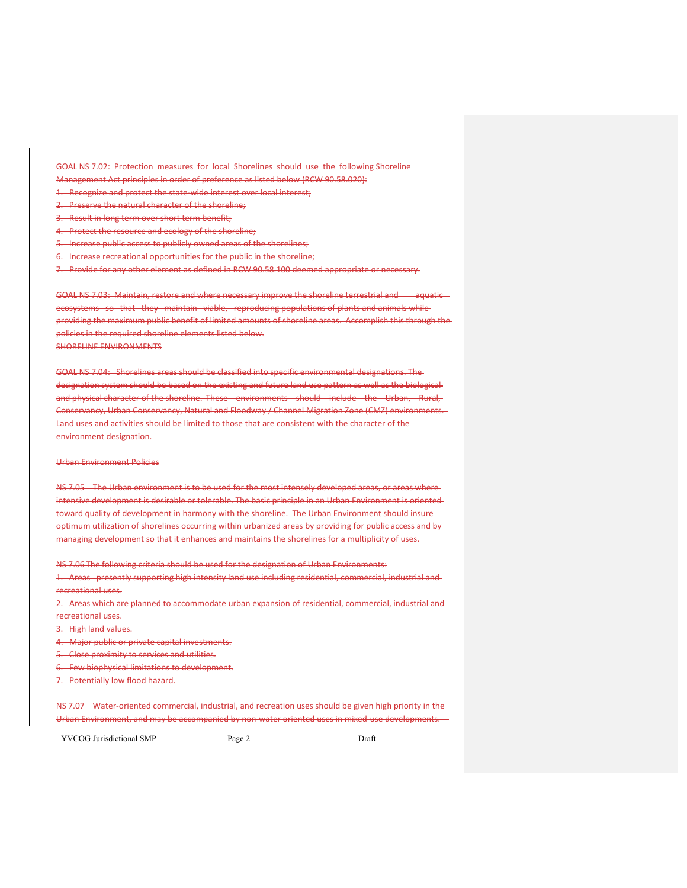GOAL NS 7.02: Protection measures for local Shorelines should use the following Shoreline

- Management Act principles in order of preference as listed below (RCW 90.58.020):
- 1. Recognize and protect the state wide interest over local interest;
- 2. Preserve the natural character of the shoreline;
- 3. Result in long term over short term benefit;
- 4. Protect the resource and ecology of the shoreline;
- 5. Increase public access to publicly owned areas of the shorelines;
- 6. Increase recreational opportunities for the public in the shoreline;
- 7. Provide for any other element as defined in RCW 90.58.100 deemed appropriate or necessary.

GOAL NS 7.03: Maintain, restore and where necessary improve the shoreline terrestrial and aquatic ecosystems so that they maintain viable, reproducing populations of plants and animals whileproviding the maximum public benefit of limited amounts of shoreline areas. Accomplish this through the policies in the required shoreline elements listed below. SHORELINE ENVIRONMENTS

GOAL NS 7.04: Shorelines areas should be classified into specific environmental designations. The designation system should be based on the existing and future land use pattern as well as the biological and physical character of the shoreline. These environments should include the Urban, Rural, Conservancy, Urban Conservancy, Natural and Floodway / Channel Migration Zone (CMZ) environments. Land uses and activities should be limited to those that are consistent with the character of the environment designation.

# Urban Environment Policies

NS 7.05 The Urban environment is to be used for the most intensely developed areas, or areas whereintensive development is desirable or tolerable. The basic principle in an Urban Environment is oriented toward quality of development in harmony with the shoreline. The Urban Environment should insureoptimum utilization of shorelines occurring within urbanized areas by providing for public access and by managing development so that it enhances and maintains the shorelines for a multiplicity of uses.

NS 7.06 The following criteria should be used for the designation of Urban Environments:

1. Areas presently supporting high intensity land use including residential, commercial, industrial and recreational uses.

2. Areas which are planned to accommodate urban expansion of residential, commercial, industrial and recreational uses.

3. High land values.

- 4. Major public or private capital investments.
- 5. Close proximity to services and utilities.

6. Few biophysical limitations to development.

7. Potentially low flood hazard.

NS 7.07 Water‐oriented commercial, industrial, and recreation uses should be given high priority in the Urban Environment, and may be accompanied by non water oriented uses in mixed-use developments.

YVCOG Jurisdictional SMP Page 2 Draft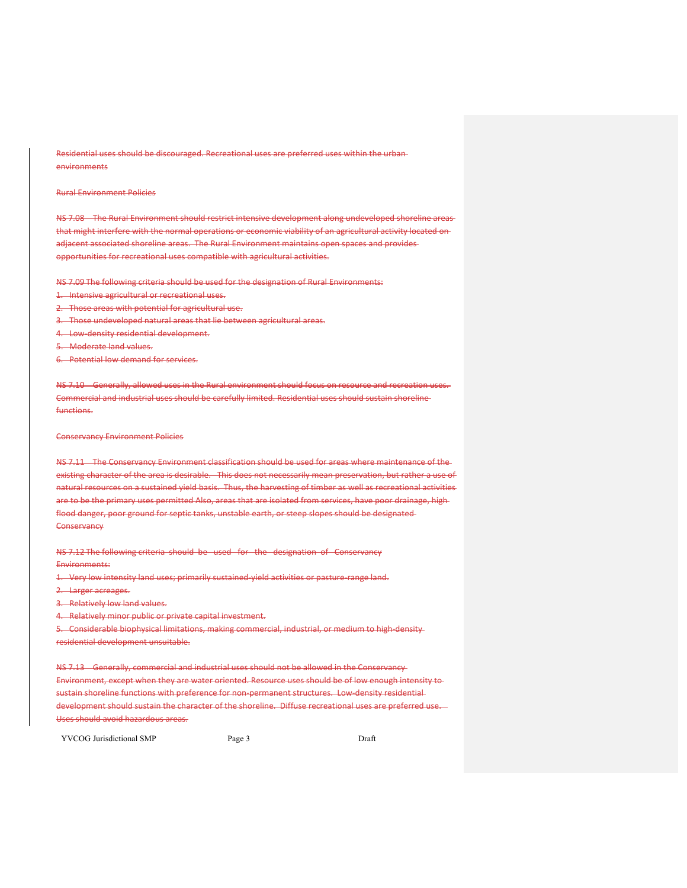Residential uses should be discouraged. Recreational uses are preferred uses within the urban environments

# Rural Environment Policies

NS 7.08 The Rural Environment should restrict intensive development along undeveloped shoreline areas that might interfere with the normal operations or economic viability of an agricultural activity located on adjacent associated shoreline areas. The Rural Environment maintains open spaces and provides opportunities for recreational uses compatible with agricultural activities.

NS 7.09 The following criteria should be used for the designation of Rural Environments:

- 1. Intensive agricultural or recreational uses.
- 2. Those areas with potential for agricultural use.
- 3. Those undeveloped natural areas that lie between agricultural areas.
- 4. Low-density residential development.
- 5. Moderate land values.
- 6. Potential low demand for services.

NS 7.10 Generally, allowed uses in the Rural environment should focus on resource and recreation uses. Commercial and industrial uses should be carefully limited. Residential uses should sustain shoreline functions.

#### Conservancy Environment Policies

NS 7.11 The Conservancy Environment classification should be used for areas where maintenance of the existing character of the area is desirable. This does not necessarily mean preservation, but rather a use of natural resources on a sustained yield basis. Thus, the harvesting of timber as well as recreational activities are to be the primary uses permitted Also, areas that are isolated from services, have poor drainage, high flood danger, poor ground for septic tanks, unstable earth, or steep slopes should be designated **Conservancy** 

NS 7.12 The following criteria should be used for the designation of Conservancy Environments:

1. Very low intensity land uses; primarily sustained yield activities or pasture range land.

- 2. Larger acreages.
- **Relatively low land values.**
- 4. Relatively minor public or private capital investment.

5. Considerable biophysical limitations, making commercial, industrial, or medium to high-densityresidential development unsuitable.

NS 7.13 Generally, commercial and industrial uses should not be allowed in the Conservancy Environment, except when they are water oriented. Resource uses should be of low enough intensity to sustain shoreline functions with preference for non-permanent structures. Low density residential development should sustain the character of the shoreline. Diffuse recreational uses are preferred use Uses should avoid hazardous areas.

YVCOG Jurisdictional SMP Page 3 Draft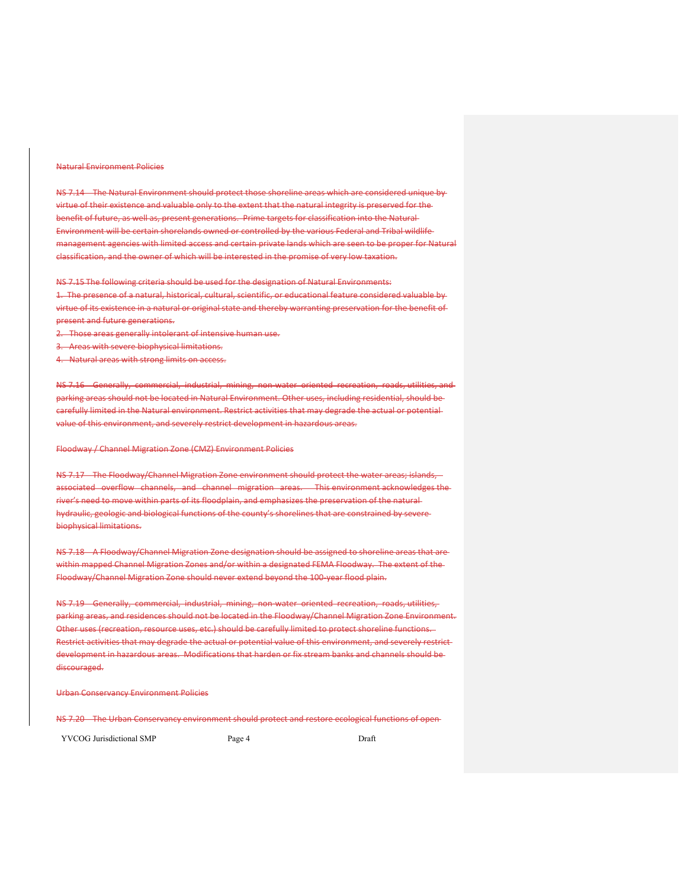#### Natural Environment Policies

NS 7.14 The Natural Environment should protect those shoreline areas which are considered unique by virtue of their existence and valuable only to the extent that the natural integrity is preserved for the benefit of future, as well as, present generations. Prime targets for classification into the Natural Environment will be certain shorelands owned or controlled by the various Federal and Tribal wildlife management agencies with limited access and certain private lands which are seen to be proper for Natural classification, and the owner of which will be interested in the promise of very low taxation.

NS 7.15 The following criteria should be used for the designation of Natural Environments:

1. The presence of a natural, historical, cultural, scientific, or educational feature considered valuable by virtue of its existence in a natural or original state and thereby warranting preservation for the benefit of present and future generations.

2. Those areas generally intolerant of intensive human use.

Areas with severe biophysical limitations.

4. Natural areas with strong limits on access.

NS 7.16 Generally, commercial, industrial, mining, non water oriented recreation, roads, utilities, and parking areas should not be located in Natural Environment. Other uses, including residential, should be carefully limited in the Natural environment. Restrict activities that may degrade the actual or potential value of this environment, and severely restrict development in hazardous areas.

Floodway / Channel Migration Zone (CMZ) Environment Policies

NS 7.17 The Floodway/Channel Migration Zone environment should protect the water areas; islands, associated overflow channels, and channel migration areas. This environment acknowledges the river's need to move within parts of its floodplain, and emphasizes the preservation of the natural hydraulic, geologic and biological functions of the county's shorelines that are constrained by severe biophysical limitations.

NS 7.18 A Floodway/Channel Migration Zone designation should be assigned to shoreline areas that are within mapped Channel Migration Zones and/or within a designated FEMA Floodway. The extent of the Floodway/Channel Migration Zone should never extend beyond the 100‐year flood plain.

NS 7.19 Generally, commercial, industrial, mining, non water oriented recreation, roads, utilities, parking areas, and residences should not be located in the Floodway/Channel Migration Zone Environment. Other uses (recreation, resource uses, etc.) should be carefully limited to protect shoreline functions. Restrict activities that may degrade the actual or potential value of this environment, and severely restrict development in hazardous areas. Modifications that harden or fix stream banks and channels should be discouraged.

#### Urban Conservancy Environment Policies

NS 7.20 The Urban Conservancy environment should protect and restore ecological functions of open

YVCOG Jurisdictional SMP Page 4 Draft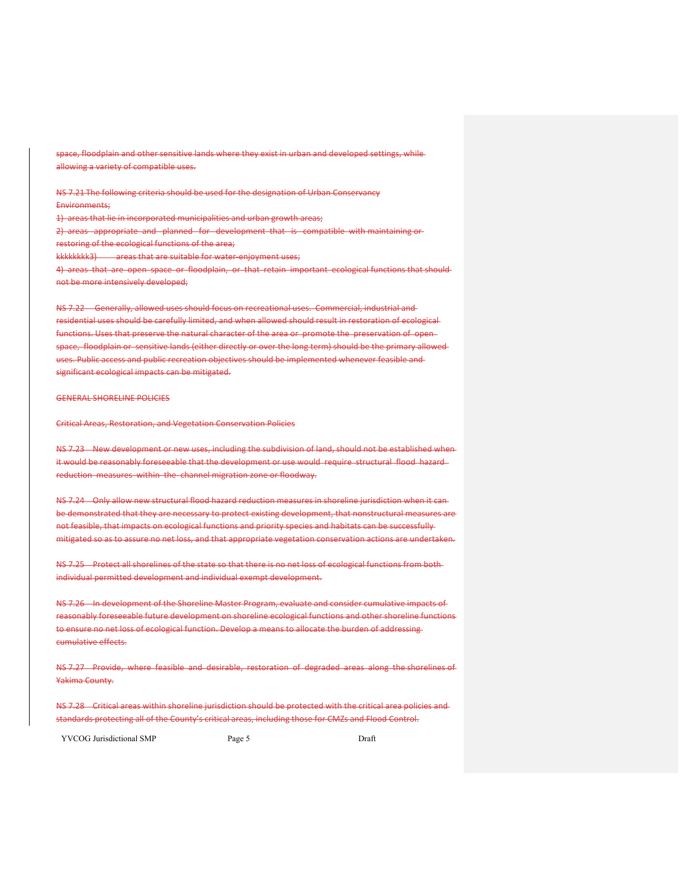space, floodplain and other sensitive lands where they exist in urban and developed settings, while allowing a variety of compatible uses.

NS 7.21 The following criteria should be used for the designation of Urban Conservancy Environments; 1) areas that lie in incorporated municipalities and urban growth areas; 2) areas appropriate and planned for development that is compatible with maintaining or restoring of the ecological functions of the area;

kkkkkkkk3) areas that are suitable for water-enjoyment uses;

4) areas that are open space or floodplain, or that retain important ecological functions that should not be more intensively developed;

NS 7.22 Generally, allowed uses should focus on recreational uses. Commercial, industrial and residential uses should be carefully limited, and when allowed should result in restoration of ecological functions. Uses that preserve the natural character of the area or promote the preservation of open space, floodplain or sensitive lands (either directly or over the long term) should be the primary allowed uses. Public access and public recreation objectives should be implemented whenever feasible and significant ecological impacts can be mitigated.

## GENERAL SHORELINE POLICIES

Critical Areas, Restoration, and Vegetation Conservation Policies

NS 7.23 New development or new uses, including the subdivision of land, should not be established when it would be reasonably foreseeable that the development or use would require structural flood hazard reduction measures within the channel migration zone or floodway.

NS 7.24 Only allow new structural flood hazard reduction measures in shoreline jurisdiction when it can be demonstrated that they are necessary to protect existing development, that nonstructural measures are not feasible, that impacts on ecological functions and priority species and habitats can be successfully mitigated so as to assure no net loss, and that appropriate vegetation conservation actions are undertaken.

NS 7.25 Protect all shorelines of the state so that there is no net loss of ecological functions from both individual permitted development and individual exempt development.

NS 7.26 In development of the Shoreline Master Program, evaluate and consider cumulative impacts of reasonably foreseeable future development on shoreline ecological functions and other shoreline functions to ensure no net loss of ecological function. Develop a means to allocate the burden of addressing cumulative effects.

NS 7.27 Provide, where feasible and desirable, restoration of degraded areas along the shorelines of Yakima County.

NS 7.28 Critical areas within shoreline jurisdiction should be protected with the critical area policies and standards protecting all of the County's critical areas, including those for CMZs and Flood Control.

YVCOG Jurisdictional SMP Page 5 Draft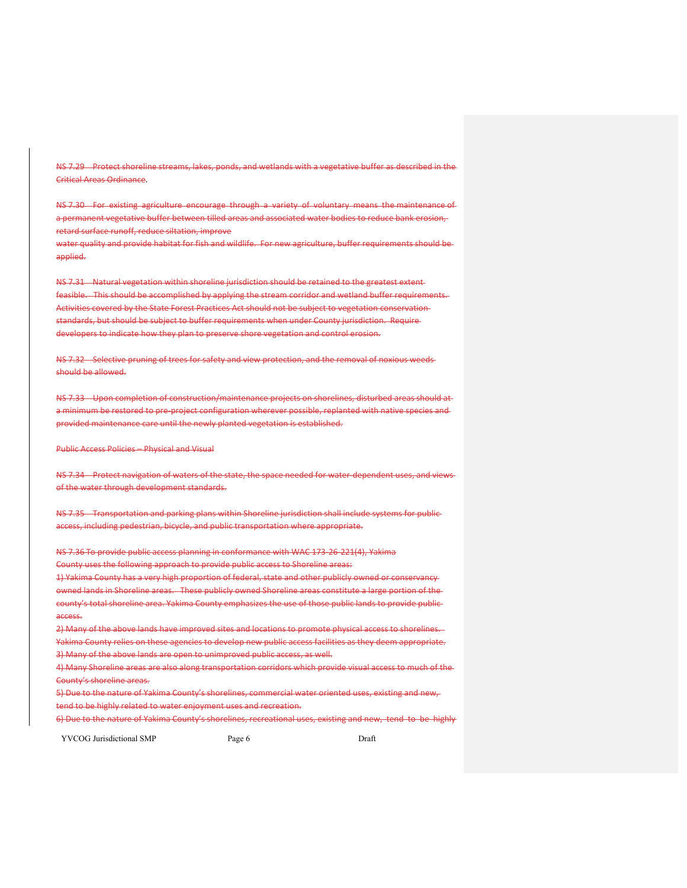NS 7.29 Protect shoreline streams, lakes, ponds, and wetlands with a vegetative buffer as described in the Critical Areas Ordinance.

NS 7.30 For existing agriculture encourage through a variety of voluntary means the maintenance of a permanent vegetative buffer between tilled areas and associated water bodies to reduce bank erosion, retard surface runoff, reduce siltation, improve

water quality and provide habitat for fish and wildlife. For new agriculture, buffer requirements should be applied.

NS 7.31 Natural vegetation within shoreline jurisdiction should be retained to the greatest extent feasible. This should be accomplished by applying the stream corridor and wetland buffer requirements. Activities covered by the State Forest Practices Act should not be subject to vegetation conservation standards, but should be subject to buffer requirements when under County jurisdiction. Require developers to indicate how they plan to preserve shore vegetation and control erosion.

NS 7.32 Selective pruning of trees for safety and view protection, and the removal of noxious weedsshould be allowed.

NS 7.33 Upon completion of construction/maintenance projects on shorelines, disturbed areas should at a minimum be restored to pre-project configuration wherever possible, replanted with native species and provided maintenance care until the newly planted vegetation is established.

Public Access Policies – Physical and Visual

NS 7.34 Protect navigation of waters of the state, the space needed for water-dependent uses, and viewsof the water through development standards.

NS 7.35 - Transportation and parking plans within Shoreline jurisdiction shall include systems for publicaccess, including pedestrian, bicycle, and public transportation where appropriate.

NS 7.36 To provide public access planning in conformance with WAC 173‐26‐221(4), Yakima County uses the following approach to provide public access to Shoreline areas: 1) Yakima County has a very high proportion of federal, state and other publicly owned or conservancy owned lands in Shoreline areas. These publicly owned Shoreline areas constitute a large portion of the county's total shoreline area. Yakima County emphasizes the use of those public lands to provide public access.

2) Many of the above lands have improved sites and locations to promote physical access to shorelines. Yakima County relies on these agencies to develop new public access facilities as they deem appropriate. 3) Many of the above lands are open to unimproved public access, as well.

4) Many Shoreline areas are also along transportation corridors which provide visual access to much of the County's shoreline areas.

5) Due to the nature of Yakima County's shorelines, commercial water oriented uses, existing and new, tend to be highly related to water enjoyment uses and recreation.

6) Due to the nature of Yakima County's shorelines, recreational uses, existing and new, tend to be highly

YVCOG Jurisdictional SMP Page 6 Draft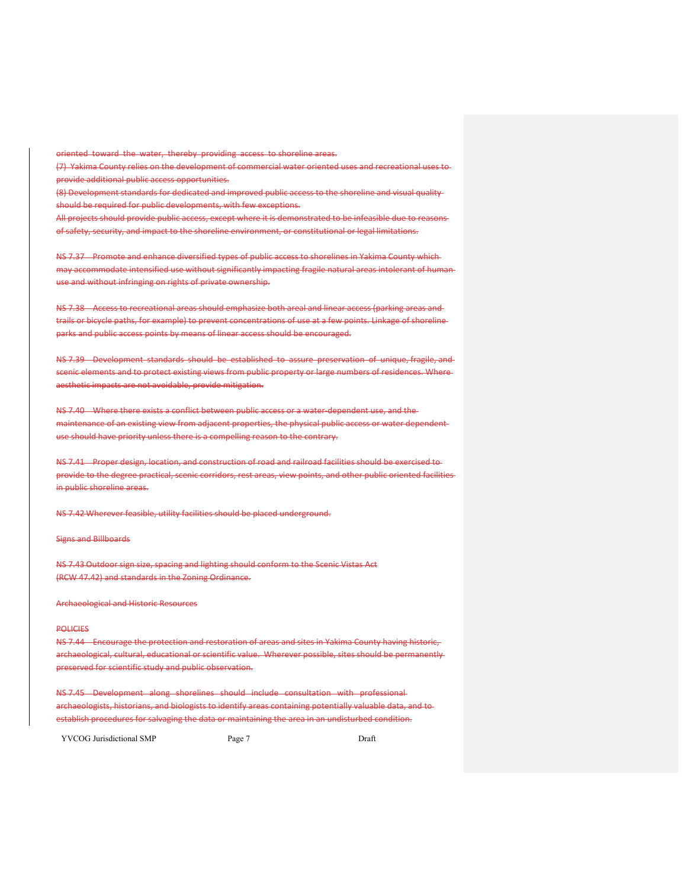oriented toward the water, thereby providing access to shoreline areas.

(7) Yakima County relies on the development of commercial water oriented uses and recreational uses to provide additional public access opportunities.

(8) Development standards for dedicated and improved public access to the shoreline and visual quality should be required for public developments, with few exceptions.

All projects should provide public access, except where it is demonstrated to be infeasible due to reasons of safety, security, and impact to the shoreline environment, or constitutional or legal limitations.

NS 7.37 Promote and enhance diversified types of public access to shorelines in Yakima County which may accommodate intensified use without significantly impacting fragile natural areas intolerant of human use and without infringing on rights of private ownership.

NS 7.38 Access to recreational areas should emphasize both areal and linear access (parking areas and trails or bicycle paths, for example) to prevent concentrations of use at a few points. Linkage of shoreline parks and public access points by means of linear access should be encouraged.

NS 7.39 Development standards should be established to assure preservation of unique, fragile, and scenic elements and to protect existing views from public property or large numbers of residences. Where aesthetic impacts are not avoidable, provide mitigation.

NS 7.40 Where there exists a conflict between public access or a water-dependent use, and the maintenance of an existing view from adjacent properties, the physical public access or water dependent use should have priority unless there is a compelling reason to the contrary.

NS 7.41 Proper design, location, and construction of road and railroad facilities should be exercised to provide to the degree practical, scenic corridors, rest areas, view points, and other public oriented facilities in public shoreline areas.

NS 7.42 Wherever feasible, utility facilities should be placed underground.

Signs and Billboards

NS 7.43 Outdoor sign size, spacing and lighting should conform to the Scenic Vistas Act (RCW 47.42) and standards in the Zoning Ordinance.

Archaeological and Historic Resources

## **POLICIES**

NS 7.44 Encourage the protection and restoration of areas and sites in Yakima County having historic, archaeological, cultural, educational or scientific value. Wherever possible, sites should be permanently preserved for scientific study and public observation.

NS 7.45 Development along shorelines should include consultation with professional archaeologists, historians, and biologists to identify areas containing potentially valuable data, and to establish procedures for salvaging the data or maintaining the area in an undisturbed condition.

YVCOG Jurisdictional SMP Page 7 Page 7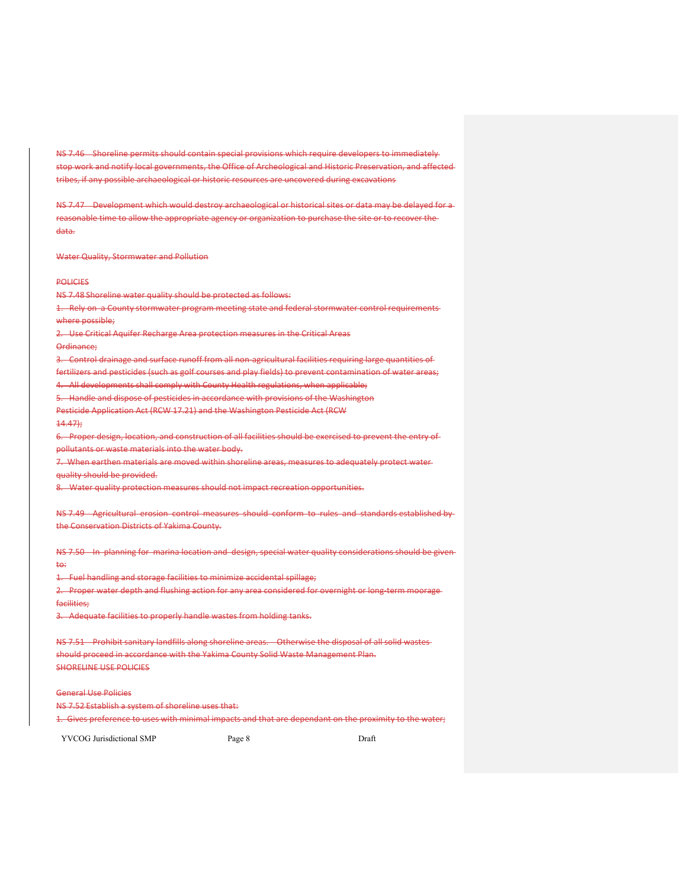NS 7.46 Shoreline permits should contain special provisions which require developers to immediately stop work and notify local governments, the Office of Archeological and Historic Preservation, and affected tribes, if any possible archaeological or historic resources are uncovered during excavations

NS 7.47 Development which would destroy archaeological or historical sites or data may be delayed for areasonable time to allow the appropriate agency or organization to purchase the site or to recover the data.

Water Quality, Stormwater and Pollution

**POLICIES** 

NS 7.48 Shoreline water quality should be protected as follows:

Rely on a County stormwater program meeting state and federal stormwater control requirements where possible:

2. Use Critical Aquifer Recharge Area protection measures in the Critical Areas

Ordinance;

3. Control drainage and surface runoff from all non-agricultural facilities requiring large quantities of

fertilizers and pesticides (such as golf courses and play fields) to prevent contamination of water areas;

4. All developments shall comply with County Health regulations, when applicable;

5. Handle and dispose of pesticides in accordance with provisions of the Washington

Pesticide Application Act (RCW 17.21) and the Washington Pesticide Act (RCW

 $14.47$ 

6. Proper design, location, and construction of all facilities should be exercised to prevent the entry of

pollutants or waste materials into the water body.

When earthen materials are moved within shoreline areas, measures to adequately protect water-

quality should be provided.

8. Water quality protection measures should not impact recreation opportunities.

NS 7.49 Agricultural erosion control measures should conform to rules and standards established by the Conservation Districts of Yakima County.

NS 7.50 In planning for marina location and design, special water quality considerations should be given to:

1. Fuel handling and storage facilities to minimize accidental spillage;

2. Proper water depth and flushing action for any area considered for overnight or long-term mooragefacilities;

3. Adequate facilities to properly handle wastes from holding tanks.

NS 7.51 Prohibit sanitary landfills along shoreline areas. Otherwise the disposal of all solid wastes should proceed in accordance with the Yakima County Solid Waste Management Plan. SHORELINE USE POLICIES

General Use Policies

NS 7.52 Establish a system of shoreline uses that:

1. Gives preference to uses with minimal impacts and that are dependant on the proximity to the water;

YVCOG Jurisdictional SMP Page 8 Draft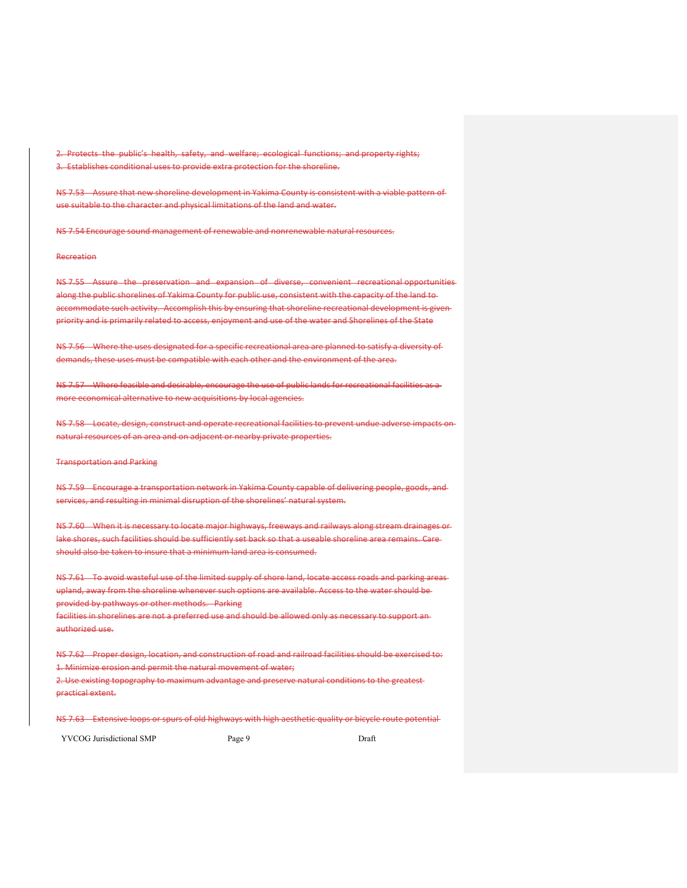Protects the public's health, safety, and welfare; ecological functions; and property rights; 3. Establishes conditional uses to provide extra protection for the shoreline.

NS 7.53 Assure that new shoreline development in Yakima County is consistent with a viable pattern of use suitable to the character and physical limitations of the land and water.

NS 7.54 Encourage sound management of renewable and nonrenewable natural resources.

# Recreation

NS 7.55 Assure the preservation and expansion of diverse, convenient recreational opportunities along the public shorelines of Yakima County for public use, consistent with the capacity of the land toaccommodate such activity. Accomplish this by ensuring that shoreline recreational development is given priority and is primarily related to access, enjoyment and use of the water and Shorelines of the State

NS 7.56 Where the uses designated for a specific recreational area are planned to satisfy a diversity of demands, these uses must be compatible with each other and the environment of the area.

NS 7.57 Where feasible and desirable, encourage the use of public lands for recreational facilities as a more economical alternative to new acquisitions by local agencies.

NS 7.58 Locate, design, construct and operate recreational facilities to prevent undue adverse impacts on natural resources of an area and on adjacent or nearby private properties.

Transportation and Parking

NS 7.59 Encourage a transportation network in Yakima County capable of delivering people, goods, and services, and resulting in minimal disruption of the shorelines' natural system.

NS 7.60 When it is necessary to locate major highways, freeways and railways along stream drainages or lake shores, such facilities should be sufficiently set back so that a useable shoreline area remains. Care should also be taken to insure that a minimum land area is consumed.

NS 7.61 To avoid wasteful use of the limited supply of shore land, locate access roads and parking areasupland, away from the shoreline whenever such options are available. Access to the water should be provided by pathways or other methods. Parking

facilities in shorelines are not a preferred use and should be allowed only as necessary to support an authorized use.

NS 7.62 Proper design, location, and construction of road and railroad facilities should be exercised to: 1. Minimize erosion and permit the natural movement of water;

2. Use existing topography to maximum advantage and preserve natural conditions to the greatest practical extent.

NS 7.63 Extensive loops or spurs of old highways with high aesthetic quality or bicycle route potential

YVCOG Jurisdictional SMP Page 9 Draft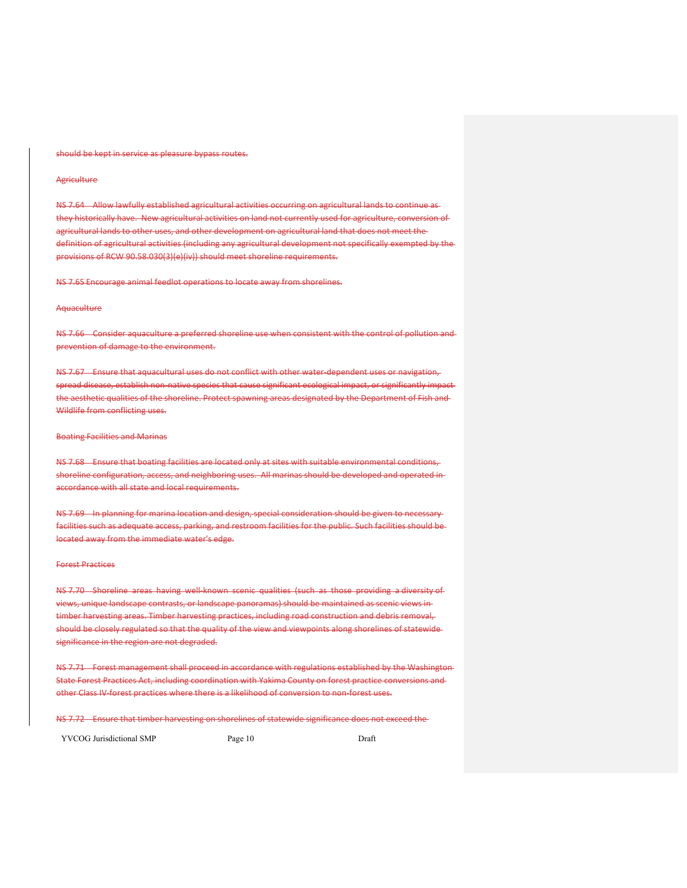#### should be kept in service as pleasure bypass routes.

## **Agriculture**

NS 7.64 Allow lawfully established agricultural activities occurring on agricultural lands to continue as they historically have. New agricultural activities on land not currently used for agriculture, conversion of agricultural lands to other uses, and other development on agricultural land that does not meet the definition of agricultural activities (including any agricultural development not specifically exempted by the provisions of RCW 90.58.030(3)(e)(iv)) should meet shoreline requirements.

NS 7.65 Encourage animal feedlot operations to locate away from shorelines.

#### **Aquaculture**

NS 7.66 Consider aquaculture a preferred shoreline use when consistent with the control of pollution and prevention of damage to the environment.

NS 7.67 Ensure that aquacultural uses do not conflict with other water dependent uses or navigation, spread disease, establish non-native species that cause significant ecological impact, or significantly impactthe aesthetic qualities of the shoreline. Protect spawning areas designated by the Department of Fish and Wildlife from conflicting uses.

#### Boating Facilities and Marinas

NS 7.68 Ensure that boating facilities are located only at sites with suitable environmental conditions, shoreline configuration, access, and neighboring uses. All marinas should be developed and operated in accordance with all state and local requirements.

NS 7.69 In planning for marina location and design, special consideration should be given to necessary facilities such as adequate access, parking, and restroom facilities for the public. Such facilities should be located away from the immediate water's edge.

#### Forest Practices

NS 7.70 Shoreline areas having well-known scenic qualities (such as those providing a diversity of views, unique landscape contrasts, or landscape panoramas) should be maintained as scenic views in timber harvesting areas. Timber harvesting practices, including road construction and debris removal, should be closely regulated so that the quality of the view and viewpoints along shorelines of statewide significance in the region are not degraded.

NS 7.71 Forest management shall proceed in accordance with regulations established by the Washington-State Forest Practices Act, including coordination with Yakima County on forest practice conversions and other Class IV‐forest practices where there is a likelihood of conversion to non‐forest uses.

NS 7.72 Ensure that timber harvesting on shorelines of statewide significance does not exceed the

YVCOG Jurisdictional SMP Page 10 Page 10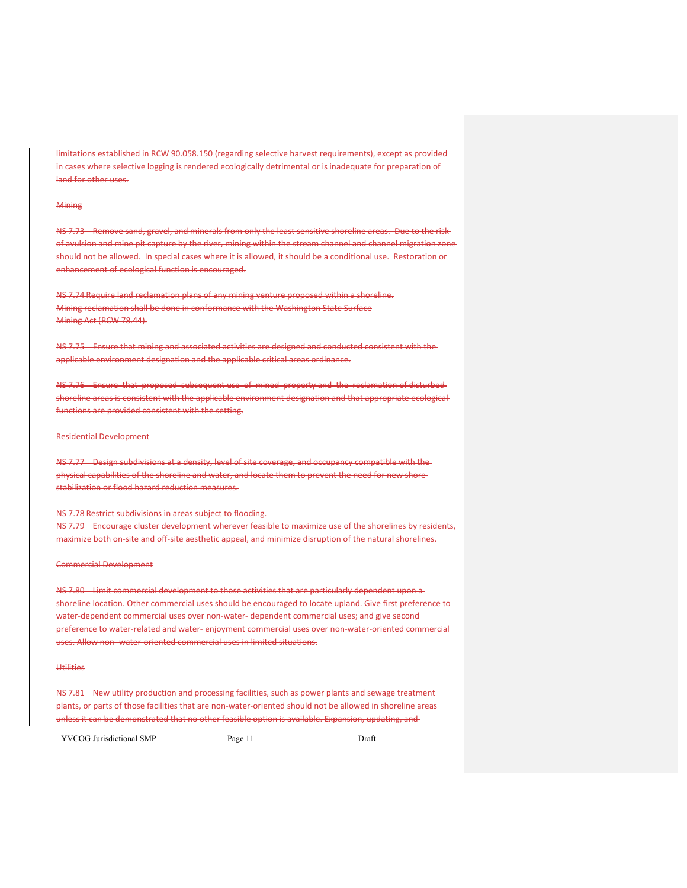nitations established in RCW 90.058.150 (regarding selective harvest requirements), except as providedin cases where selective logging is rendered ecologically detrimental or is inadequate for preparation of land for other uses.

### **Mining**

NS 7.73 Remove sand, gravel, and minerals from only the least sensitive shoreline areas. Due to the risk of avulsion and mine pit capture by the river, mining within the stream channel and channel migration zone should not be allowed. In special cases where it is allowed, it should be a conditional use. Restoration or enhancement of ecological function is encouraged.

NS 7.74 Require land reclamation plans of any mining venture proposed within a shoreline. Mining reclamation shall be done in conformance with the Washington State Surface Mining Act (RCW 78.44).

NS 7.75 Ensure that mining and associated activities are designed and conducted consistent with the applicable environment designation and the applicable critical areas ordinance.

NS 7.76 Ensure that proposed subsequent use of mined property and the reclamation of disturbed shoreline areas is consistent with the applicable environment designation and that appropriate ecological functions are provided consistent with the setting.

#### Residential Development

NS 7.77 Design subdivisions at a density, level of site coverage, and occupancy compatible with the physical capabilities of the shoreline and water, and locate them to prevent the need for new shore stabilization or flood hazard reduction measures.

NS 7.78 Restrict subdivisions in areas subject to flooding. NS 7.79 Encourage cluster development wherever feasible to maximize use of the shorelines by residents, maximize both on‐site and off‐site aesthetic appeal, and minimize disruption of the natural shorelines.

#### Commercial Development

NS 7.80 Limit commercial development to those activities that are particularly dependent upon a shoreline location. Other commercial uses should be encouraged to locate upland. Give first preference to water-dependent commercial uses over non-water-dependent commercial uses; and give secondpreference to water related and water–enjoyment commercial uses over non-water-oriented commercialuses. Allow non-water-oriented commercial uses in limited situations.

# Utilities

NS 7.81 New utility production and processing facilities, such as power plants and sewage treatment plants, or parts of those facilities that are non‐water‐oriented should not be allowed in shoreline areas unless it can be demonstrated that no other feasible option is available. Expansion, updating, and

YVCOG Jurisdictional SMP Page 11 Draft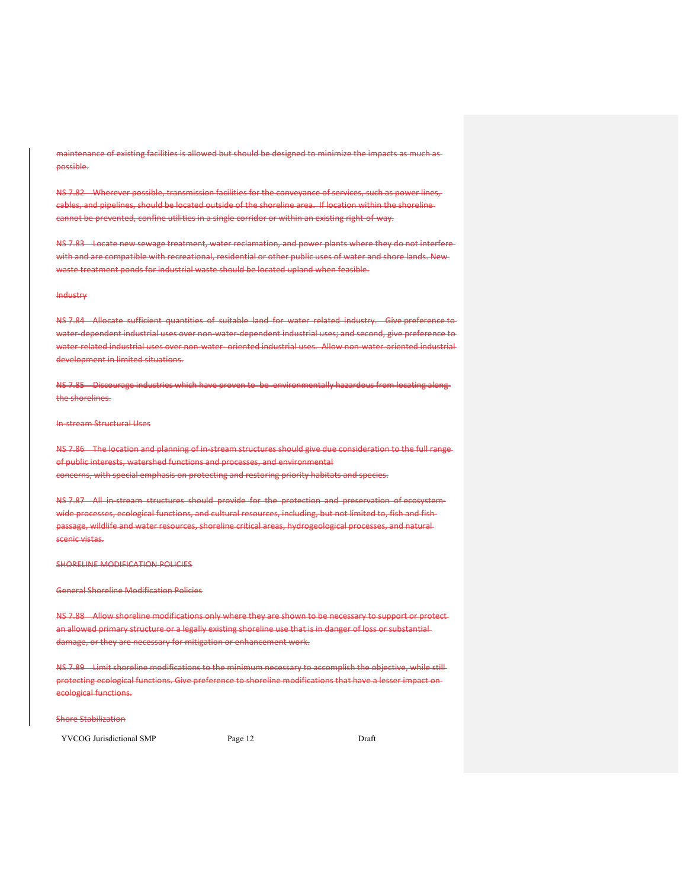maintenance of existing facilities is allowed but should be designed to minimize the impacts as much as possible.

NS 7.82 Wherever possible, transmission facilities for the conveyance of services, such as power lines, cables, and pipelines, should be located outside of the shoreline area. If location within the shoreline cannot be prevented, confine utilities in a single corridor or within an existing right of way.

NS 7.83 Locate new sewage treatment, water reclamation, and power plants where they do not interfere with and are compatible with recreational, residential or other public uses of water and shore lands. New waste treatment ponds for industrial waste should be located upland when feasible.

# Industry

NS 7.84 Allocate sufficient quantities of suitable land for water related industry. Give preference to water dependent industrial uses over non water dependent industrial uses; and second, give preference to water related industrial uses over non-water-oriented industrial uses. Allow non-water-oriented industrial development in limited situations.

NS 7.85 Discourage industries which have proven to be environmentally hazardous from locating along the shorelines.

## In‐stream Structural Uses

NS 7.86 The location and planning of in‐stream structures should give due consideration to the full range of public interests, watershed functions and processes, and environmental concerns, with special emphasis on protecting and restoring priority habitats and species.

NS 7.87 All in stream structures should provide for the protection and preservation of ecosystemwide processes, ecological functions, and cultural resources, including, but not limited to, fish and fish passage, wildlife and water resources, shoreline critical areas, hydrogeological processes, and natural scenic vistas.

#### SHORELINE MODIFICATION POLICIES

General Shoreline Modification Policies

NS 7.88 Allow shoreline modifications only where they are shown to be necessary to support or protect an allowed primary structure or a legally existing shoreline use that is in danger of loss or substantial damage, or they are necessary for mitigation or enhancement work.

NS 7.89 Limit shoreline modifications to the minimum necessary to accomplish the objective, while still protecting ecological functions. Give preference to shoreline modifications that have a lesser impact on ecological functions.

#### Shore Stabilization

YVCOG Jurisdictional SMP Page 12 Draft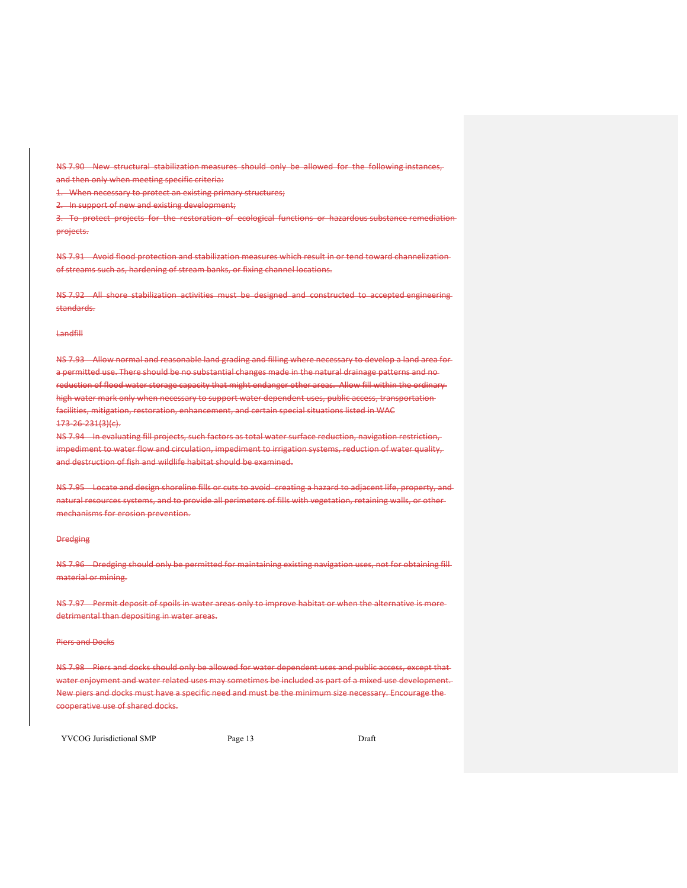NS 7.90 New structural stabilization measures should only be allowed for the following instances, and then only when meeting specific criteria:

1. When necessary to protect an existing primary structures;

2. In support of new and existing development;

3. To protect projects for the restoration of ecological functions or hazardous substance remediation projects.

NS 7.91 Avoid flood protection and stabilization measures which result in or tend toward channelization of streams such as, hardening of stream banks, or fixing channel locations.

NS 7.92 All shore stabilization activities must be designed and constructed to accepted engineering standards.

# Landfill

NS 7.93 Allow normal and reasonable land grading and filling where necessary to develop a land area for a permitted use. There should be no substantial changes made in the natural drainage patterns and noreduction of flood water storage capacity that might endanger other areas. Allow fill within the ordinary high water mark only when necessary to support water dependent uses, public access, transportation facilities, mitigation, restoration, enhancement, and certain special situations listed in WAC 173‐26‐231(3)(c).

NS 7.94 In evaluating fill projects, such factors as total water surface reduction, navigation restriction, impediment to water flow and circulation, impediment to irrigation systems, reduction of water quality, and destruction of fish and wildlife habitat should be examined.

NS 7.95 Locate and design shoreline fills or cuts to avoid creating a hazard to adjacent life, property, and natural resources systems, and to provide all perimeters of fills with vegetation, retaining walls, or other mechanisms for erosion prevention.

#### **Dredging**

NS 7.96 Dredging should only be permitted for maintaining existing navigation uses, not for obtaining fill material or mining.

NS 7.97 Permit deposit of spoils in water areas only to improve habitat or when the alternative is moredetrimental than depositing in water areas.

#### Piers and Docks

NS 7.98 Piers and docks should only be allowed for water dependent uses and public access, except that water enjoyment and water related uses may sometimes be included as part of a mixed use development. New piers and docks must have a specific need and must be the minimum size necessary. Encourage the cooperative use of shared docks.

YVCOG Jurisdictional SMP Page 13 Draft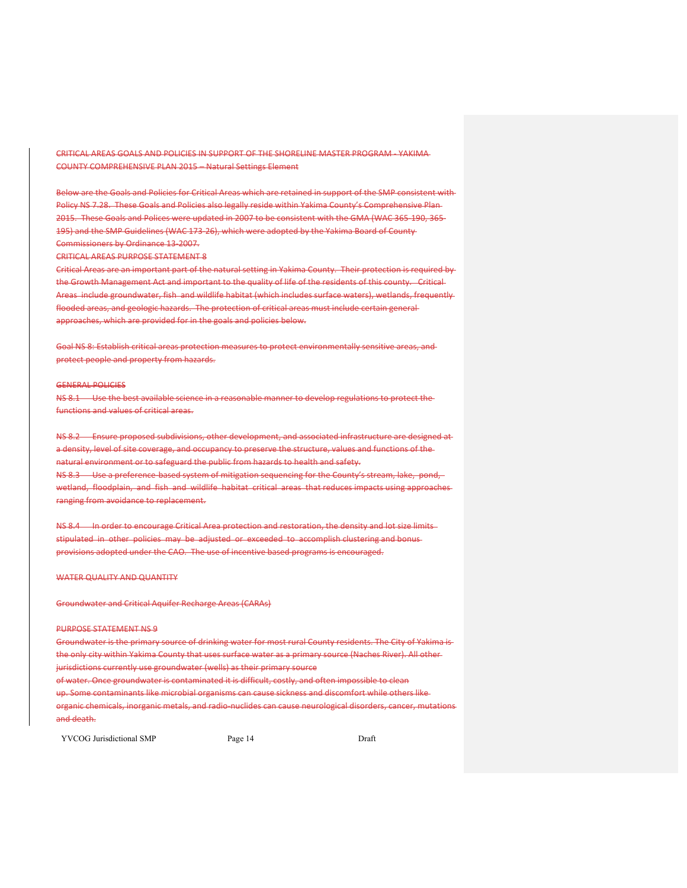CRITICAL AREAS GOALS AND POLICIES IN SUPPORT OF THE SHORELINE MASTER PROGRAM ‐ YAKIMA COUNTY COMPREHENSIVE PLAN 2015 – Natural Settings Element

Below are the Goals and Policies for Critical Areas which are retained in support of the SMP consistent with Policy NS 7.28. These Goals and Policies also legally reside within Yakima County's Comprehensive Plan 2015. These Goals and Polices were updated in 2007 to be consistent with the GMA (WAC 365‐190, 365‐ 195) and the SMP Guidelines (WAC 173‐26), which were adopted by the Yakima Board of County Commissioners by Ordinance 13‐2007.

CRITICAL AREAS PURPOSE STATEMENT 8

Critical Areas are an important part of the natural setting in Yakima County. Their protection is required by the Growth Management Act and important to the quality of life of the residents of this county. Critical Areas include groundwater, fish and wildlife habitat (which includes surface waters), wetlands, frequently flooded areas, and geologic hazards. The protection of critical areas must include certain general approaches, which are provided for in the goals and policies below.

Goal NS 8: Establish critical areas protection measures to protect environmentally sensitive areas, and protect people and property from hazards.

#### GENERAL POLICIES

NS 8.1 Use the best available science in a reasonable manner to develop regulations to protect the functions and values of critical areas.

NS 8.2 Ensure proposed subdivisions, other development, and associated infrastructure are designed at a density, level of site coverage, and occupancy to preserve the structure, values and functions of the natural environment or to safeguard the public from hazards to health and safety. NS 8.3 Use a preference-based system of mitigation sequencing for the County's stream, lake, pond, wetland, floodplain, and fish and wildlife habitat critical areas that reduces impacts using approaches ranging from avoidance to replacement.

NS 8.4 In order to encourage Critical Area protection and restoration, the density and lot size limits stipulated in other policies may be adjusted or exceeded to accomplish clustering and bonus provisions adopted under the CAO. The use of incentive based programs is encouraged.

## WATER QUALITY AND QUANTITY

Groundwater and Critical Aquifer Recharge Areas (CARAs)

# PURPOSE STATEMENT NS 9

Groundwater is the primary source of drinking water for most rural County residents. The City of Yakima is the only city within Yakima County that uses surface water as a primary source (Naches River). All other jurisdictions currently use groundwater (wells) as their primary source of water. Once groundwater is contaminated it is difficult, costly, and often impossible to clean up. Some contaminants like microbial organisms can cause sickness and discomfort while others like

organic chemicals, inorganic metals, and radio‐nuclides can cause neurological disorders, cancer, mutations and death.

YVCOG Jurisdictional SMP Page 14 Draft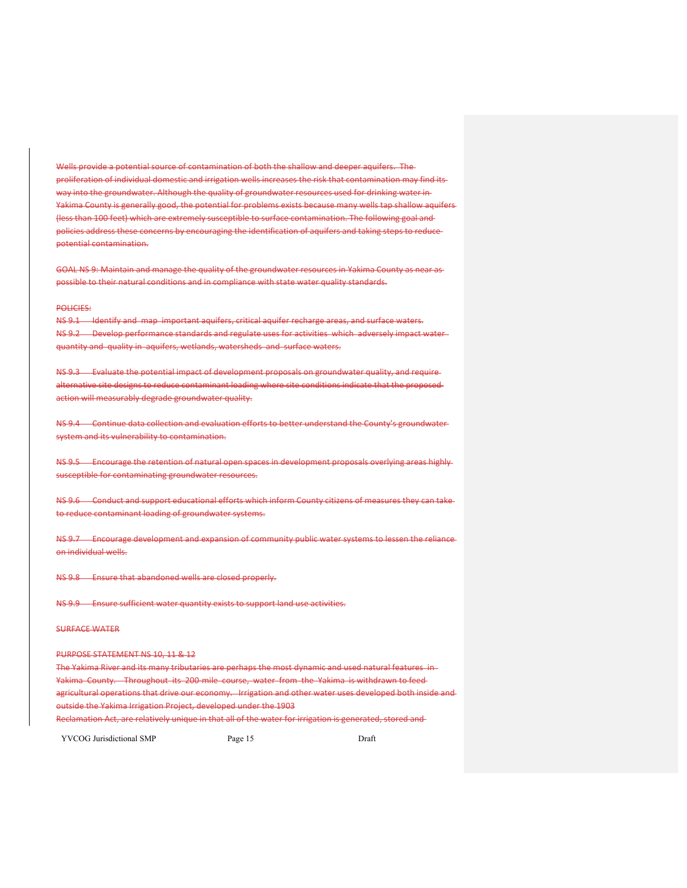Wells provide a potential source of contamination of both the shallow and deeper aquifers. The proliferation of individual domestic and irrigation wells increases the risk that contamination may find its way into the groundwater. Although the quality of groundwater resources used for drinking water in Yakima County is generally good, the potential for problems exists because many wells tap shallow aquifers (less than 100 feet) which are extremely susceptible to surface contamination. The following goal and policies address these concerns by encouraging the identification of aquifers and taking steps to reduce potential contamination.

GOAL NS 9: Maintain and manage the quality of the groundwater resources in Yakima County as near as possible to their natural conditions and in compliance with state water quality standards.

#### POLICIES:

NS 9.1 Identify and map important aquifers, critical aquifer recharge areas, and surface waters. NS 9.2 Develop performance standards and regulate uses for activities which adversely impact waterquantity and quality in aquifers, wetlands, watersheds and surface waters.

NS 9.3 Evaluate the potential impact of development proposals on groundwater quality, and requirealternative site designs to reduce contaminant loading where site conditions indicate that the proposed action will measurably degrade groundwater quality.

NS 9.4 Continue data collection and evaluation efforts to better understand the County's groundwater system and its vulnerability to contamination.

NS 9.5 Encourage the retention of natural open spaces in development proposals overlying areas highly susceptible for contaminating groundwater resources.

NS 9.6 Conduct and support educational efforts which inform County citizens of measures they can take to reduce contaminant loading of groundwater systems.

NS 9.7 Encourage development and expansion of community public water systems to lessen the reliance on individual wells.

NS 9.8 Ensure that abandoned wells are closed properly.

NS 9.9 Ensure sufficient water quantity exists to support land use activities.

## SURFACE WATER

# PURPOSE STATEMENT NS 10, 11 & 12

The Yakima River and its many tributaries are perhaps the most dynamic and used natural features in Yakima County. Throughout its 200 mile course, water from the Yakima is withdrawn to feed agricultural operations that drive our economy. Irrigation and other water uses developed both inside and outside the Yakima Irrigation Project, developed under the 1903 Reclamation Act, are relatively unique in that all of the water for irrigation is generated, stored and

YVCOG Jurisdictional SMP Page 15 Page 15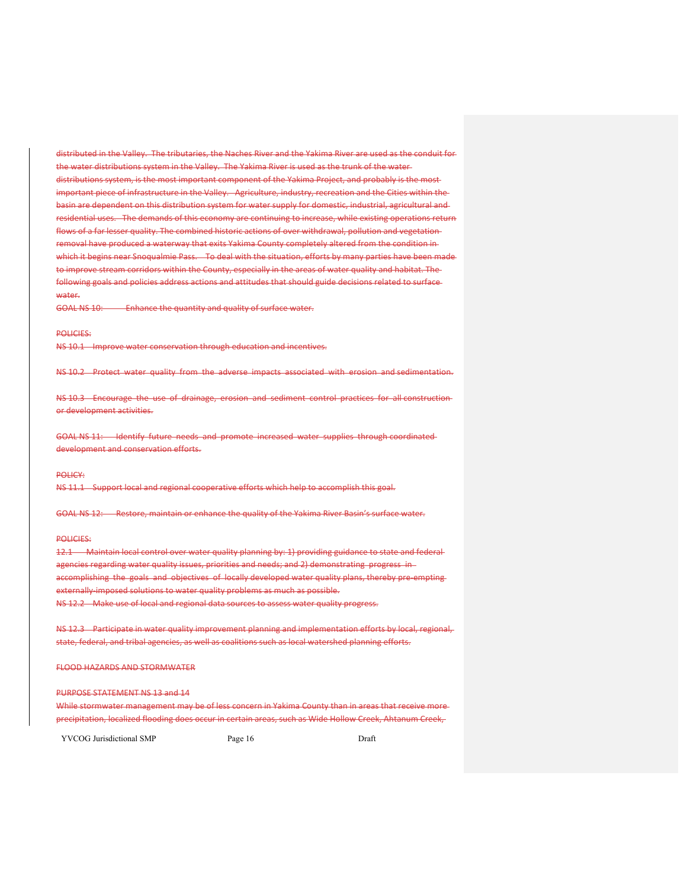distributed in the Valley. The tributaries, the Naches River and the Yakima River are used as the conduit for the water distributions system in the Valley. The Yakima River is used as the trunk of the water distributions system, is the most important component of the Yakima Project, and probably is the most important piece of infrastructure in the Valley. Agriculture, industry, recreation and the Cities within the basin are dependent on this distribution system for water supply for domestic, industrial, agricultural and residential uses. The demands of this economy are continuing to increase, while existing operations return flows of a far lesser quality. The combined historic actions of over withdrawal, pollution and vegetation removal have produced a waterway that exits Yakima County completely altered from the condition in which it begins near Snoqualmie Pass. To deal with the situation, efforts by many parties have been made to improve stream corridors within the County, especially in the areas of water quality and habitat. The following goals and policies address actions and attitudes that should guide decisions related to surface water.

GOAL NS 10: Enhance the quantity and quality of surface water.

## POLICIES:

NS 10.1 Improve water conservation through education and incentives.

NS 10.2 Protect water quality from the adverse impacts associated with erosion and sedimentation.

NS 10.3 Encourage the use of drainage, erosion and sediment control practices for all construction or development activities.

GOAL NS 11: Identify future needs and promote increased water supplies through coordinated development and conservation efforts.

# POLICY:

NS 11.1 Support local and regional cooperative efforts which help to accomplish this goal.

GOAL NS 12: Restore, maintain or enhance the quality of the Yakima River Basin's surface water.

### POLICIES:

12.1 Maintain local control over water quality planning by: 1) providing guidance to state and federal agencies regarding water quality issues, priorities and needs; and 2) demonstrating progress in accomplishing the goals and objectives of locally developed water quality plans, thereby pre-emptingexternally-imposed solutions to water quality problems as much as possible. NS 12.2 Make use of local and regional data sources to assess water quality progress.

NS 12.3 Participate in water quality improvement planning and implementation efforts by local, regional, state, federal, and tribal agencies, as well as coalitions such as local watershed planning efforts.

FLOOD HAZARDS AND STORMWATER

#### PURPOSE STATEMENT NS 13 and 14

While stormwater management may be of less concern in Yakima County than in areas that receive more precipitation, localized flooding does occur in certain areas, such as Wide Hollow Creek, Ahtanum Creek,

YVCOG Jurisdictional SMP Page 16 Page 16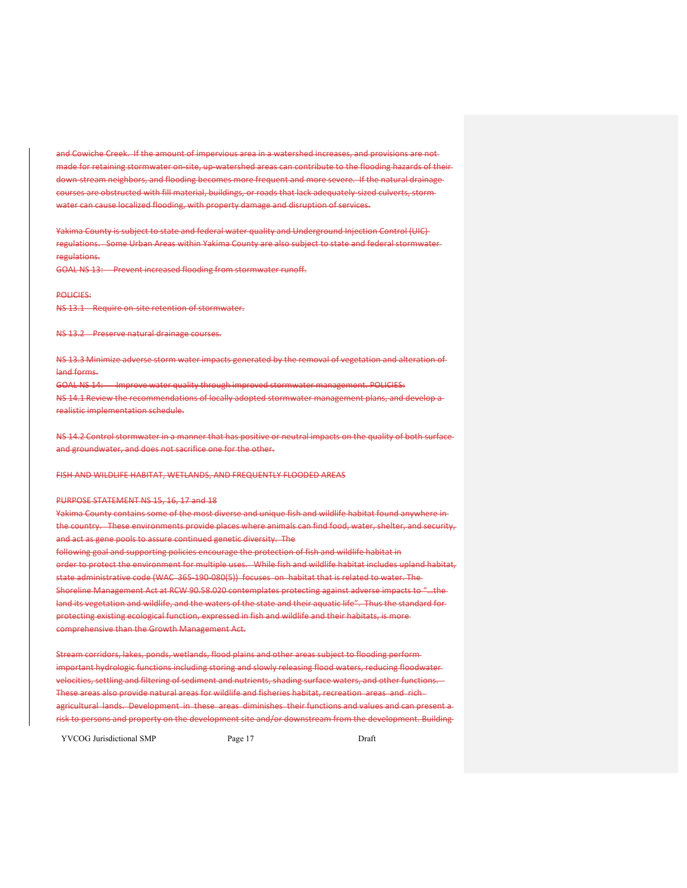and Cowiche Creek. If the amount of impervious area in a watershed increases, and provisions are not made for retaining stormwater on site, up watershed areas can contribute to the flooding hazards of theirdown-stream neighbors, and flooding becomes more frequent and more severe. If the natural drainagecourses are obstructed with fill material, buildings, or roads that lack adequately-sized culverts, stormwater can cause localized flooding, with property damage and disruption of services.

Yakima County is subject to state and federal water quality and Underground Injection Control (UIC) regulations. Some Urban Areas within Yakima County are also subject to state and federal stormwater regulations.

GOAL NS 13: Prevent increased flooding from stormwater runoff.

# POLICIES:

NS 13.1 Require on-site retention of stormwater.

NS 13.2 Preserve natural drainage courses.

NS 13.3 Minimize adverse storm water impacts generated by the removal of vegetation and alteration of land forms.

GOAL NS 14: Improve water quality through improved stormwater management. POLICIES:

NS 14.1 Review the recommendations of locally adopted stormwater management plans, and develop a realistic implementation schedule.

NS 14.2 Control stormwater in a manner that has positive or neutral impacts on the quality of both surface and groundwater, and does not sacrifice one for the other.

FISH AND WILDLIFE HABITAT, WETLANDS, AND FREQUENTLY FLOODED AREAS

PURPOSE STATEMENT NS 15, 16, 17 and 18

Yakima County contains some of the most diverse and unique fish and wildlife habitat found anywhere in the country. These environments provide places where animals can find food, water, shelter, and security, and act as gene pools to assure continued genetic diversity. The following goal and supporting policies encourage the protection of fish and wildlife habitat in order to protect the environment for multiple uses. While fish and wildlife habitat includes upland habitat, state administrative code (WAC 365-190-080(5)) focuses on habitat that is related to water. The Shoreline Management Act at RCW 90.58.020 contemplates protecting against adverse impacts to "…the land its vegetation and wildlife, and the waters of the state and their aquatic life". Thus the standard forprotecting existing ecological function, expressed in fish and wildlife and their habitats, is more comprehensive than the Growth Management Act.

Stream corridors, lakes, ponds, wetlands, flood plains and other areas subject to flooding perform important hydrologic functions including storing and slowly releasing flood waters, reducing floodwater velocities, settling and filtering of sediment and nutrients, shading surface waters, and other functions. These areas also provide natural areas for wildlife and fisheries habitat, recreation areas and rich agricultural lands. Development in these areas diminishes their functions and values and can present a risk to persons and property on the development site and/or downstream from the development. Building

YVCOG Jurisdictional SMP Page 17 Page 17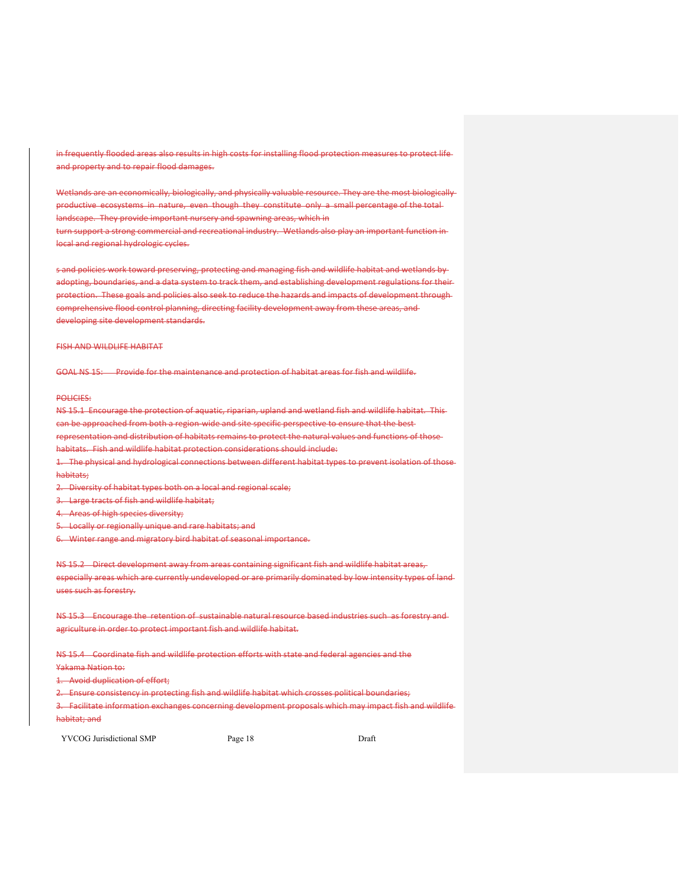in frequently flooded areas also results in high costs for installing flood protection measures to protect life and property and to repair flood damages.

Wetlands are an economically, biologically, and physically valuable resource. They are the most biologically productive ecosystems in nature, even though they constitute only a small percentage of the total landscape. They provide important nursery and spawning areas, which in turn support a strong commercial and recreational industry. Wetlands also play an important function in local and regional hydrologic cycles.

s and policies work toward preserving, protecting and managing fish and wildlife habitat and wetlands by adopting, boundaries, and a data system to track them, and establishing development regulations for their protection. These goals and policies also seek to reduce the hazards and impacts of development through comprehensive flood control planning, directing facility development away from these areas, and developing site development standards.

# FISH AND WILDLIFE HABITAT

GOAL NS 15: Provide for the maintenance and protection of habitat areas for fish and wildlife.

#### POLICIES:

habitats;

NS 15.1 Encourage the protection of aquatic, riparian, upland and wetland fish and wildlife habitat. This can be approached from both a region-wide and site specific perspective to ensure that the bestrepresentation and distribution of habitats remains to protect the natural values and functions of those habitats. Fish and wildlife habitat protection considerations should include: 1. The physical and hydrological connections between different habitat types to prevent isolation of those

2. Diversity of habitat types both on a local and regional scale;

3. Large tracts of fish and wildlife habitat;

4. Areas of high species diversity;

5. Locally or regionally unique and rare habitats; and

6. Winter range and migratory bird habitat of seasonal importance.

NS 15.2 Direct development away from areas containing significant fish and wildlife habitat areas, especially areas which are currently undeveloped or are primarily dominated by low intensity types of land uses such as forestry.

NS 15.3 Encourage the retention of sustainable natural resource based industries such as forestry and agriculture in order to protect important fish and wildlife habitat.

NS 15.4 Coordinate fish and wildlife protection efforts with state and federal agencies and the Yakama Nation to:

Avoid duplication of effort;

2. Ensure consistency in protecting fish and wildlife habitat which crosses political boundaries;

3. Facilitate information exchanges concerning development proposals which may impact fish and wildlife habitat; and

YVCOG Jurisdictional SMP Page 18 Page 18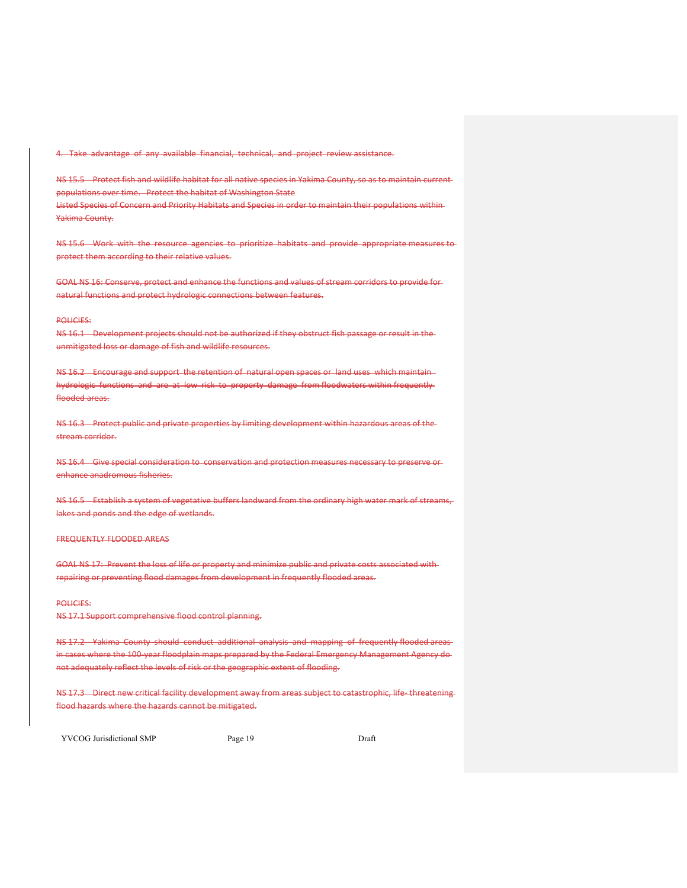4. Take advantage of any available financial, technical, and project review assistance.

NS 15.5 Protect fish and wildlife habitat for all native species in Yakima County, so as to maintain current populations over time. Protect the habitat of Washington State Listed Species of Concern and Priority Habitats and Species in order to maintain their populations within Yakima County.

NS 15.6 Work with the resource agencies to prioritize habitats and provide appropriate measures to protect them according to their relative values.

GOAL NS 16: Conserve, protect and enhance the functions and values of stream corridors to provide for natural functions and protect hydrologic connections between features.

# POLICIES:

NS 16.1 Development projects should not be authorized if they obstruct fish passage or result in the unmitigated loss or damage of fish and wildlife resources.

NS 16.2 Encourage and support the retention of natural open spaces or land uses which maintainhydrologic functions and are at low risk to property damage from floodwaters within frequently flooded areas.

NS 16.3 Protect public and private properties by limiting development within hazardous areas of the stream corridor.

NS 16.4 Give special consideration to conservation and protection measures necessary to preserve or enhance anadromous fisheries.

NS 16.5 Establish a system of vegetative buffers landward from the ordinary high water mark of streams, lakes and ponds and the edge of wetlands.

### FREQUENTLY FLOODED AREAS

GOAL NS 17: Prevent the loss of life or property and minimize public and private costs associated with repairing or preventing flood damages from development in frequently flooded areas.

# POLICIES:

NS 17.1 Support comprehensive flood control planning.

NS 17.2 Yakima County should conduct additional analysis and mapping of frequently flooded areasin cases where the 100-year floodplain maps prepared by the Federal Emergency Management Agency donot adequately reflect the levels of risk or the geographic extent of flooding.

NS 17.3 Direct new critical facility development away from areas subject to catastrophic, life–threateningflood hazards where the hazards cannot be mitigated.

YVCOG Jurisdictional SMP Page 19 Page 19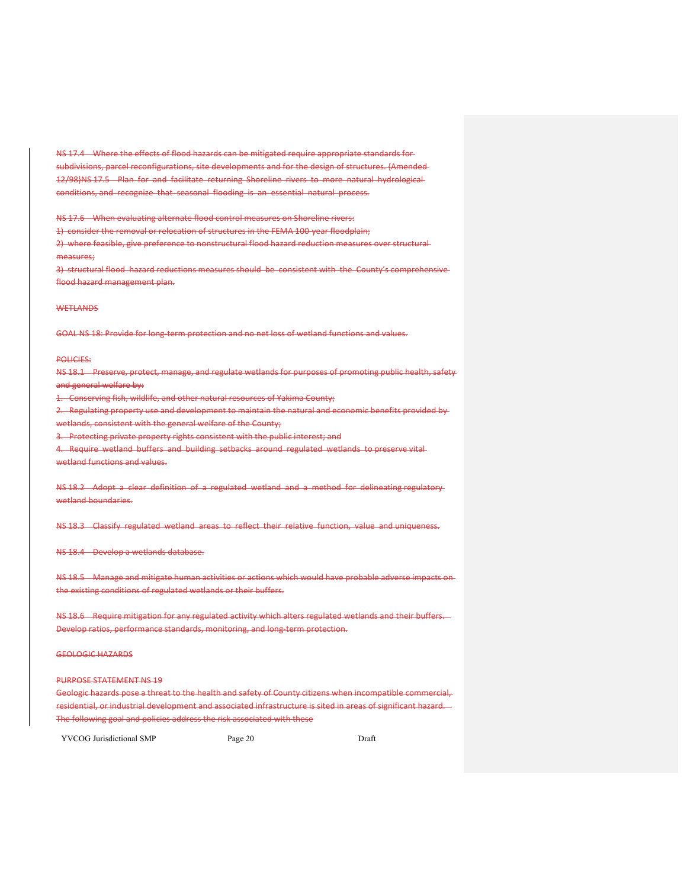NS 17.4 Where the effects of flood hazards can be mitigated require appropriate standards forsubdivisions, parcel reconfigurations, site developments and for the design of structures. {Amended 12/98}NS 17.5 Plan for and facilitate returning Shoreline rivers to more natural hydrological conditions, and recognize that seasonal flooding is an essential natural process.

NS 17.6 When evaluating alternate flood control measures on Shoreline rivers:

1) consider the removal or relocation of structures in the FEMA 100-year floodplain;

2) where feasible, give preference to nonstructural flood hazard reduction measures over structural measures;

3) structural flood hazard reductions measures should be consistent with the County's comprehensive flood hazard management plan.

# **WETLANDS**

GOAL NS 18: Provide for long-term protection and no net loss of wetland functions and values.

#### POLICIES:

NS 18.1 Preserve, protect, manage, and regulate wetlands for purposes of promoting public health, safety and general welfare by:

1. Conserving fish, wildlife, and other natural resources of Yakima County;

2. Regulating property use and development to maintain the natural and economic benefits provided bywetlands, consistent with the general welfare of the County;

3. Protecting private property rights consistent with the public interest; and

4. Require wetland buffers and building setbacks around regulated wetlands to preserve vital

wetland functions and values.

NS 18.2 Adopt a clear definition of a regulated wetland and a method for delineating regulatory wetland boundaries.

NS 18.3 Classify regulated wetland areas to reflect their relative function, value and uniqueness.

NS 18.4 Develop a wetlands database.

NS 18.5 Manage and mitigate human activities or actions which would have probable adverse impacts on the existing conditions of regulated wetlands or their buffers.

NS 18.6 Require mitigation for any regulated activity which alters regulated wetlands and their buffers. Develop ratios, performance standards, monitoring, and long‐term protection.

GEOLOGIC HAZARDS

#### PURPOSE STATEMENT NS 19

Geologic hazards pose a threat to the health and safety of County citizens when incompatible commercial, residential, or industrial development and associated infrastructure is sited in areas of significant hazard. The following goal and policies address the risk associated with these

YVCOG Jurisdictional SMP Page 20 Draft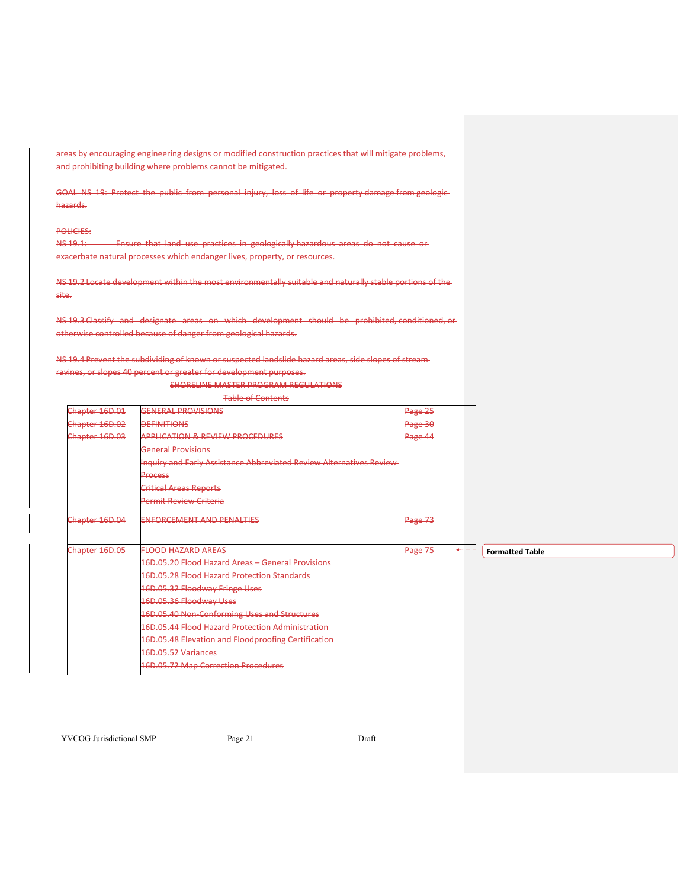areas by encouraging engineering designs or modified construction practices that will mitigate problems, and prohibiting building where problems cannot be mitigated.

GOAL NS 19: Protect the public from personal injury, loss of life or property damage from geologichazards.

## POLICIES:

NS 19.1: Ensure that land use practices in geologically hazardous areas do not cause or exacerbate natural processes which endanger lives, property, or resources.

NS 19.2 Locate development within the most environmentally suitable and naturally stable portions of the site.

NS 19.3 Classify and designate areas on which development should be prohibited, conditioned, or otherwise controlled because of danger from geological hazards.

NS 19.4 Prevent the subdividing of known or suspected landslide hazard areas, side slopes of stream ravines, or slopes 40 percent or greater for development purposes.

SHORELINE MASTER PROGRAM REGULATIONS

| <b>Table of Contents</b> |                                                                             |         |                |
|--------------------------|-----------------------------------------------------------------------------|---------|----------------|
| Chapter 16D.01           | GENERAL PROVISIONS                                                          | Page 25 |                |
| Chapter 16D.02           | <b>DEFINITIONS</b>                                                          | Page 30 |                |
| Chapter 16D.03           | <b>APPLICATION &amp; REVIEW PROCEDURES</b>                                  | Page 44 |                |
|                          | <b>General Provisions</b>                                                   |         |                |
|                          | <b>Inquiry and Early Assistance Abbreviated Review Alternatives Review-</b> |         |                |
|                          | Process                                                                     |         |                |
|                          | <b>Critical Areas Reports</b>                                               |         |                |
|                          | <b>Permit Review Criteria</b>                                               |         |                |
| Chapter 16D.04           | <b>ENFORCEMENT AND PENALTIES</b>                                            | Page 73 |                |
| Chapter 16D.05           | <b>FLOOD HAZARD AREAS</b>                                                   | Page 75 | $\leftarrow -$ |
|                          | 16D.05.20 Flood Hazard Areas - General Provisions                           |         |                |
|                          | 16D.05.28 Flood Hazard Protection Standards                                 |         |                |
|                          | 16D.05.32 Floodway Fringe Uses                                              |         |                |
|                          | 16D.05.36 Floodway Uses                                                     |         |                |
|                          | 16D.05.40 Non-Conforming Uses and Structures                                |         |                |
|                          | 16D.05.44 Flood Hazard Protection Administration                            |         |                |
|                          | 16D.05.48 Elevation and Floodproofing Certification                         |         |                |
|                          | 16D.05.52 Variances                                                         |         |                |
|                          | 16D.05.72 Map Correction Procedures                                         |         |                |
|                          |                                                                             |         |                |

YVCOG Jurisdictional SMP Page 21 Draft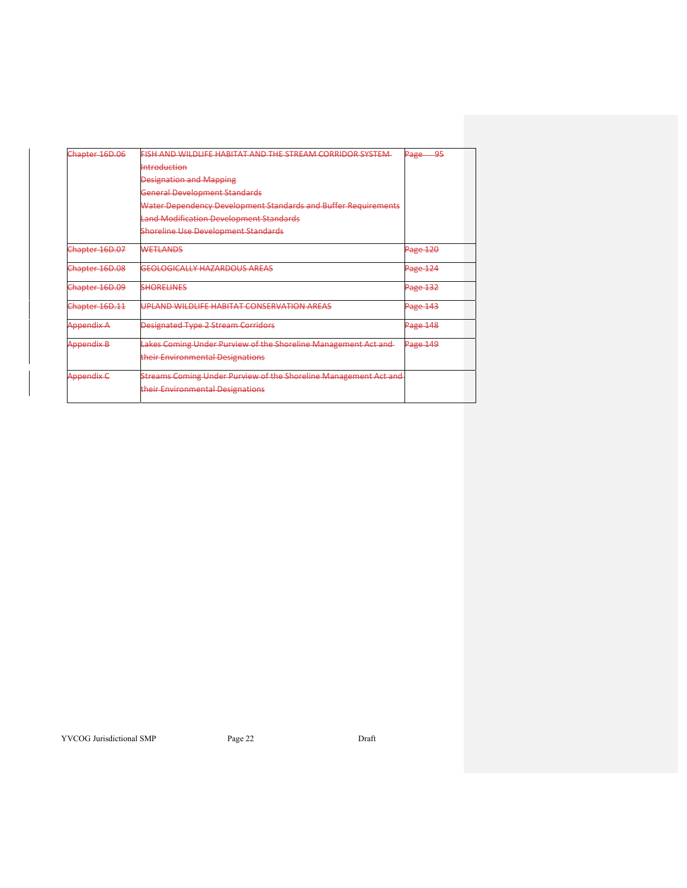| Chapter 16D.06    | FISH AND WILDLIFE HABITAT AND THE STREAM CORRIDOR SYSTEM-        | $\Omega$<br><del>Page</del> |
|-------------------|------------------------------------------------------------------|-----------------------------|
|                   | Introduction                                                     |                             |
|                   | <b>Designation and Mapping</b>                                   |                             |
|                   | <b>General Development Standards</b>                             |                             |
|                   | Water Dependency Development Standards and Buffer Requirements   |                             |
|                   | <b>Land Modification Development Standards</b>                   |                             |
|                   | <b>Shoreline Use Development Standards</b>                       |                             |
| Chapter 16D.07    | <b>WETLANDS</b>                                                  | Page 120                    |
| Chapter 16D.08    | <b>GEOLOGICALLY HAZARDOUS AREAS</b>                              | Page 124                    |
| Chapter 16D.09    | <b>SHORELINES</b>                                                | Page 132                    |
| Chapter 16D.11    | UPLAND WILDLIFE HABITAT CONSERVATION AREAS                       | <b>Page 143</b>             |
| Appendix A        | <b>Designated Type 2 Stream Corridors</b>                        | Page 148                    |
| <b>Appendix B</b> | Lakes Coming Under Purview of the Shoreline Management Act and-  | Page 149                    |
|                   | their Environmental Designations                                 |                             |
| Appendix C        | Streams Coming Under Purview of the Shoreline Management Act and |                             |
|                   | their Environmental Designations                                 |                             |
|                   |                                                                  |                             |

YVCOG Jurisdictional SMP Page 22 Draft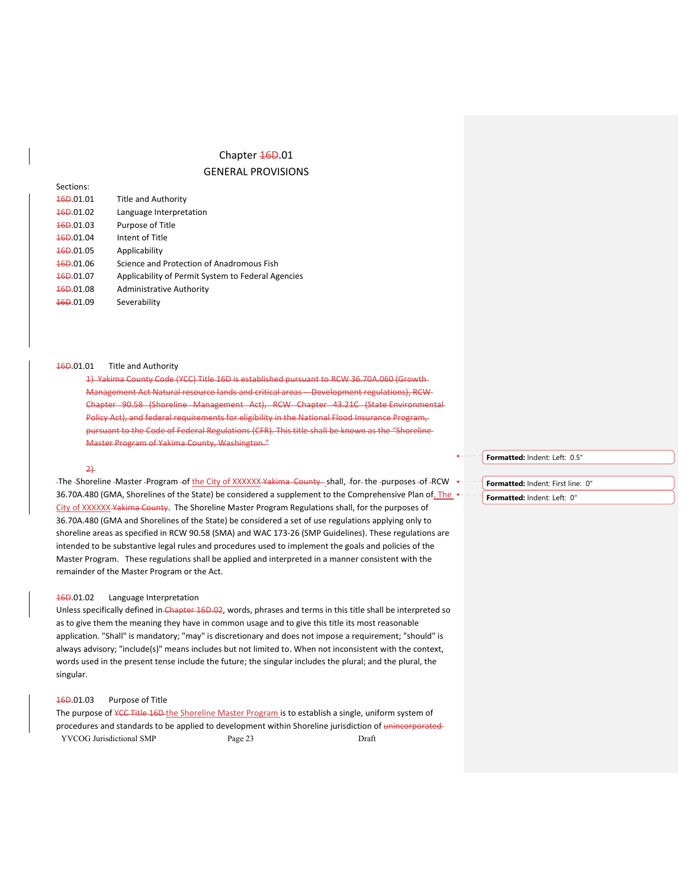# Chapter 46D.01

# GENERAL PROVISIONS

| 46D.01.01 | <b>Title and Authority</b>                         |
|-----------|----------------------------------------------------|
| 460.01.02 | Language Interpretation                            |
| 46D.01.03 | Purpose of Title                                   |
| 16D.01.04 | Intent of Title                                    |
| 160.01.05 | Applicability                                      |
| 160.01.06 | Science and Protection of Anadromous Fish          |
| 46D.01.07 | Applicability of Permit System to Federal Agencies |
| 160.01.08 | Administrative Authority                           |
| 160.01.09 | Severability                                       |
|           |                                                    |

#### 16D.01.01 Title and Authority

1) Yakima County Code (YCC) Title 16D is established pursuant to RCW 36.70A.060 (Growth Management Act Natural resource lands and critical areas ‐‐ Development regulations), RCW Chapter 90.58 (Shoreline Management Act), RCW Chapter 43.21C (State Environmental Policy Act), and federal requirements for eligibility in the National Flood Insurance Program, pursuant to the Code of Federal Regulations (CFR). This title shall be known as the "Shoreline Master Program of Yakima County, Washington."

# 2)

Sections:

-The -Shoreline -Master -Program -of the City of XXXXXX-Yakima County shall, -for-the -purposes -of -RCW  $\leftarrow$  -36.70A.480 (GMA, Shorelines of the State) be considered a supplement to the Comprehensive Plan of. The City of XXXXXX Yakima County. The Shoreline Master Program Regulations shall, for the purposes of 36.70A.480 (GMA and Shorelines of the State) be considered a set of use regulations applying only to shoreline areas as specified in RCW 90.58 (SMA) and WAC 173‐26 (SMP Guidelines). These regulations are intended to be substantive legal rules and procedures used to implement the goals and policies of the Master Program. These regulations shall be applied and interpreted in a manner consistent with the remainder of the Master Program or the Act.

# 16D.01.02 Language Interpretation

Unless specifically defined in Chapter 16D.02, words, phrases and terms in this title shall be interpreted so as to give them the meaning they have in common usage and to give this title its most reasonable application. "Shall" is mandatory; "may" is discretionary and does not impose a requirement; "should" is always advisory; "include(s)" means includes but not limited to. When not inconsistent with the context, words used in the present tense include the future; the singular includes the plural; and the plural, the singular.

# 16D.01.03 Purpose of Title

YVCOG Jurisdictional SMP Page 23 Draft The purpose of ¥CC Title 16D the Shoreline Master Program is to establish a single, uniform system of procedures and standards to be applied to development within Shoreline jurisdiction of unincorporated **Formatted:** Indent: Left: 0.5"

**Formatted:** Indent: First line: 0" **Formatted:** Indent: Left: 0"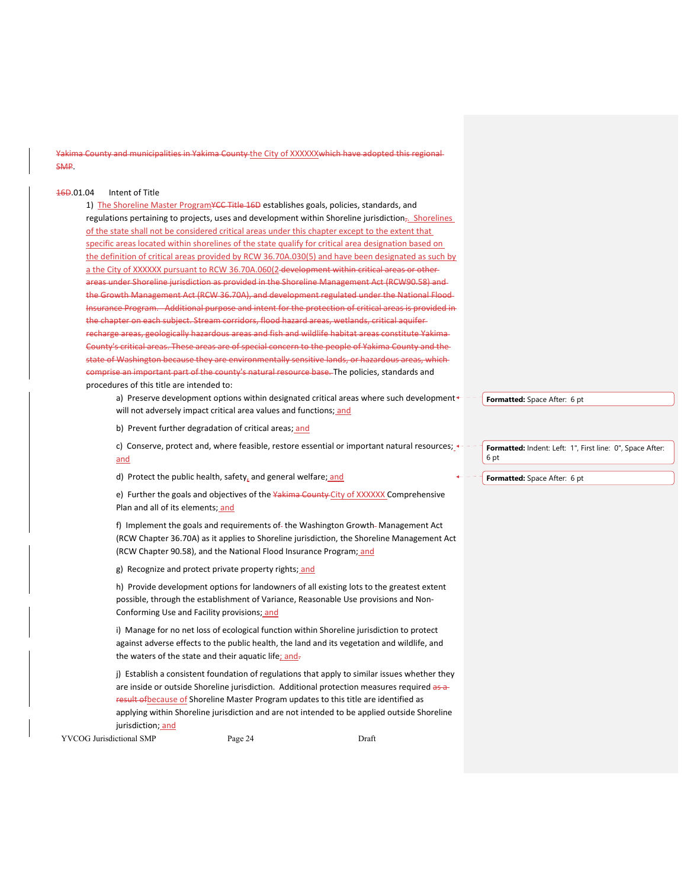nty and municipalities in Yakima County the City of XXXXXXwhich have adopted this regional SMP.

# 16D.01.04 Intent of Title

1) The Shoreline Master Program¥CC Title 16D establishes goals, policies, standards, and regulations pertaining to projects, uses and development within Shoreline jurisdiction<sub>7</sub>. Shorelines of the state shall not be considered critical areas under this chapter except to the extent that specific areas located within shorelines of the state qualify for critical area designation based on the definition of critical areas provided by RCW 36.70A.030(5) and have been designated as such by a the City of XXXXXX pursuant to RCW 36.70A.060(2-development within critical areas or otherareas under Shoreline jurisdiction as provided in the Shoreline Management Act (RCW90.58) and the Growth Management Act (RCW 36.70A), and development regulated under the National Flood ance Program. Additional purpose and intent for the protection of critical areas is provided in the chapter on each subject. Stream corridors, flood hazard areas, wetlands, critical aquifer areas, geologically hazardous areas and fish and wildlife habitat areas constitute Yaki County's critical areas. These areas are of special concern to the people of Yakima County and the state of Washington because they are environmentally sensitive lands, or hazardous areas, which comprise an important part of the county's natural resource base. The policies, standards and procedures of this title are intended to:

a) Preserve development options within designated critical areas where such development $\leftarrow$ will not adversely impact critical area values and functions; and

b) Prevent further degradation of critical areas; and

c) Conserve, protect and, where feasible, restore essential or important natural resources;  $\leftarrow$ and

d) Protect the public health, safety, and general welfare; and

e) Further the goals and objectives of the Yakima County City of XXXXXX Comprehensive Plan and all of its elements; and

f) Implement the goals and requirements of-the Washington Growth-Management Act (RCW Chapter 36.70A) as it applies to Shoreline jurisdiction, the Shoreline Management Act (RCW Chapter 90.58), and the National Flood Insurance Program; and

g) Recognize and protect private property rights; and

h) Provide development options for landowners of all existing lots to the greatest extent possible, through the establishment of Variance, Reasonable Use provisions and Non‐ Conforming Use and Facility provisions; and

i) Manage for no net loss of ecological function within Shoreline jurisdiction to protect against adverse effects to the public health, the land and its vegetation and wildlife, and the waters of the state and their aquatic life; and-

j) Establish a consistent foundation of regulations that apply to similar issues whether they are inside or outside Shoreline jurisdiction. Additional protection measures required as a result of because of Shoreline Master Program updates to this title are identified as applying within Shoreline jurisdiction and are not intended to be applied outside Shoreline jurisdiction; and

YVCOG Jurisdictional SMP Page 24 Draft

**Formatted:** Space After: 6 pt

**Formatted:** Indent: Left: 1", First line: 0", Space After: 6 pt

**Formatted:** Space After: 6 pt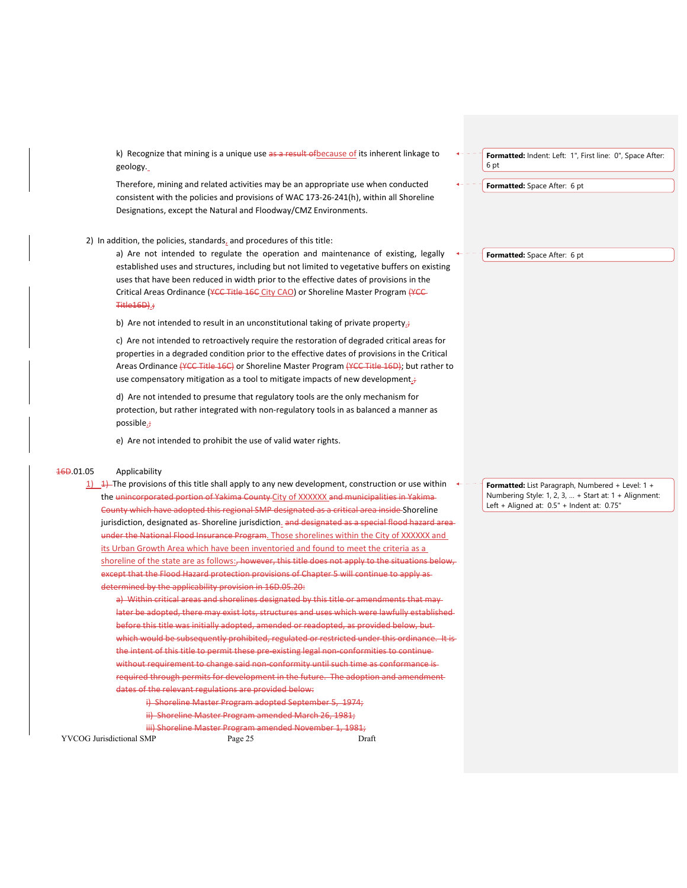k) Recognize that mining is a unique use as a result of because of its inherent linkage to geology.

Therefore, mining and related activities may be an appropriate use when conducted consistent with the policies and provisions of WAC 173‐26‐241(h), within all Shoreline Designations, except the Natural and Floodway/CMZ Environments.

# 2) In addition, the policies, standards, and procedures of this title:

a) Are not intended to regulate the operation and maintenance of existing, legally established uses and structures, including but not limited to vegetative buffers on existing uses that have been reduced in width prior to the effective dates of provisions in the Critical Areas Ordinance (YCC Title 16C City CAO) or Shoreline Master Program (YCC-Title16D).;

b) Are not intended to result in an unconstitutional taking of private property $\dot{r}$ 

c) Are not intended to retroactively require the restoration of degraded critical areas for properties in a degraded condition prior to the effective dates of provisions in the Critical Areas Ordinance (YCC Title 16C) or Shoreline Master Program (YCC Title 16D); but rather to use compensatory mitigation as a tool to mitigate impacts of new development<sub>i</sub>;

d) Are not intended to presume that regulatory tools are the only mechanism for protection, but rather integrated with non‐regulatory tools in as balanced a manner as possible.;

e) Are not intended to prohibit the use of valid water rights.

# 16D.01.05 Applicability

1)  $\rightarrow$  The provisions of this title shall apply to any new development, construction or use within the unincorporated portion of Yakima County City of XXXXXX and municipalities in Yakima County which have adopted this regional SMP designated as a critical area inside Shoreline jurisdiction, designated as- Shoreline jurisdiction. and designated as a special flood ha: under the National Flood Insurance Program. Those shorelines within the City of XXXXXX and its Urban Growth Area which have been inventoried and found to meet the criteria as a shoreline of the state are as follows:, however, this title does not apply to the situations below, except that the Flood Hazard protection provisions of Chapter 5 will continue to apply as determined by the applicability provision in 16D.05.20:

a) Within critical areas and shorelines designated by this title or amendments that may later be adopted, there may exist lots, structures and uses which were lawfully established before this title was initially adopted, amended or readopted, as provided below, but which would be subsequently prohibited, regulated or restricted under this ordinance. It is the intent of this title to permit these pre-existing legal non-conformities to continuewithout requirement to change said non-conformity until such time as conformance isrequired through permits for development in the future. The adoption and amendment dates of the relevant regulations are provided below:

i) Shoreline Master Program adopted September 5, 1974; ii) Shoreline Master Program amended March 26, 1981;

iii) Shoreline Master Program amended November 1, 1981;

YVCOG Jurisdictional SMP Page 25 Draft

**Formatted:** Indent: Left: 1", First line: 0", Space After: 6 pt

**Formatted:** Space After: 6 pt

**Formatted:** Space After: 6 pt

**Formatted:** List Paragraph, Numbered + Level: 1 + Numbering Style: 1, 2, 3, … + Start at: 1 + Alignment: Left + Aligned at: 0.5" + Indent at: 0.75"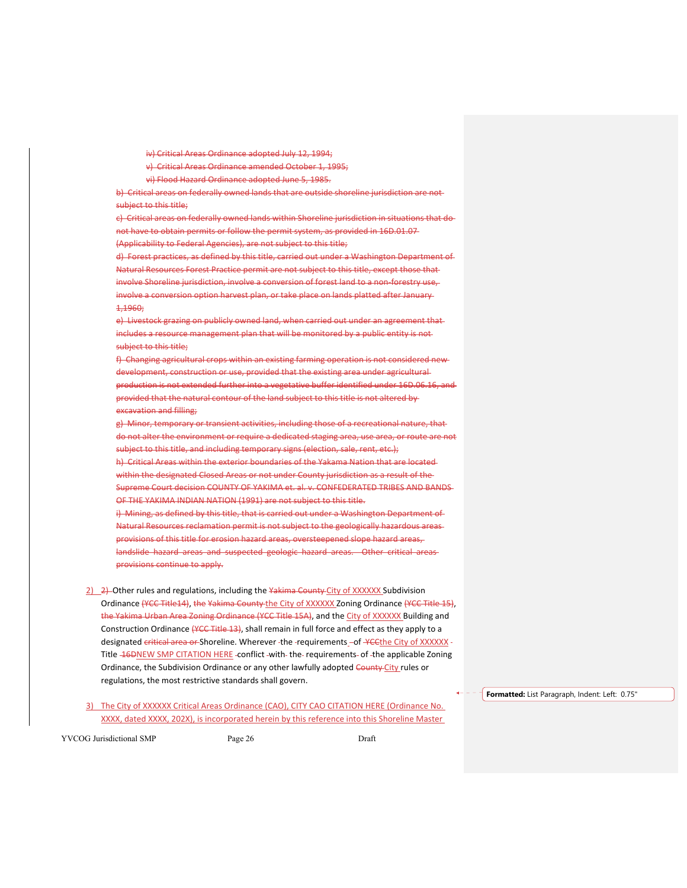iv) Critical Areas Ordinance adopted July 12, 1994;

v) Critical Areas Ordinance amended October 1, 1995;

vi) Flood Hazard Ordinance adopted June 5, 1985.

b) Critical areas on federally owned lands that are outside shoreline jurisdiction are not subject to this title;

c) Critical areas on federally owned lands within Shoreline jurisdiction in situations that do not have to obtain permits or follow the permit system, as provided in 16D.01.07

(Applicability to Federal Agencies), are not subject to this title;

d) Forest practices, as defined by this title, carried out under a Washington Department of Natural Resources Forest Practice permit are not subject to this title, except those that involve Shoreline jurisdiction, involve a conversion of forest land to a non‐forestry use, involve a conversion option harvest plan, or take place on lands platted after January 1,1960;

e) Livestock grazing on publicly owned land, when carried out under an agreement thatincludes a resource management plan that will be monitored by a public entity is not subject to this title;

f) Changing agricultural crops within an existing farming operation is not considered new development, construction or use, provided that the existing area under agricultural production is not extended further into a vegetative buffer identified under 16D.06.16, and provided that the natural contour of the land subject to this title is not altered by excavation and filling;

g) Minor, temporary or transient activities, including those of a recreational nature, that do not alter the environment or require a dedicated staging area, use area, or route are not subject to this title, and including temporary signs (election, sale, rent, etc.); h) Critical Areas within the exterior boundaries of the Yakama Nation that are located within the designated Closed Areas or not under County jurisdiction as a result of the Supreme Court decision COUNTY OF YAKIMA et. al. v. CONFEDERATED TRIBES AND BANDS OF THE YAKIMA INDIAN NATION (1991) are not subject to this title. i) Mining, as defined by this title, that is carried out under a Washington Department of Natural Resources reclamation permit is not subject to the geologically hazardous areas provisions of this title for erosion hazard areas, oversteepened slope hazard areas, landslide hazard areas and suspected geologic hazard areas. Other critical areas-

provisions continue to apply.

2) 2) Other rules and regulations, including the Yakima County City of XXXXXX Subdivision Ordinance (YCC Title14), the Yakima County the City of XXXXXX Zoning Ordinance (YCC Title 15), the Yakima Urban Area Zoning Ordinance (YCC Title 15A), and the City of XXXXXX Building and Construction Ordinance (YCC Title 13), shall remain in full force and effect as they apply to a designated critical area or Shoreline. Wherever -the -requirements -of YCCthe City of XXXXXX -Title **16DNEW SMP CITATION HERE -conflict -with**-the-requirements- of -the applicable Zoning Ordinance, the Subdivision Ordinance or any other lawfully adopted County City rules or regulations, the most restrictive standards shall govern.

3) The City of XXXXXX Critical Areas Ordinance (CAO), CITY CAO CITATION HERE (Ordinance No. XXXX, dated XXXX, 202X), is incorporated herein by this reference into this Shoreline Master

YVCOG Jurisdictional SMP Page 26 Draft

**Formatted:** List Paragraph, Indent: Left: 0.75"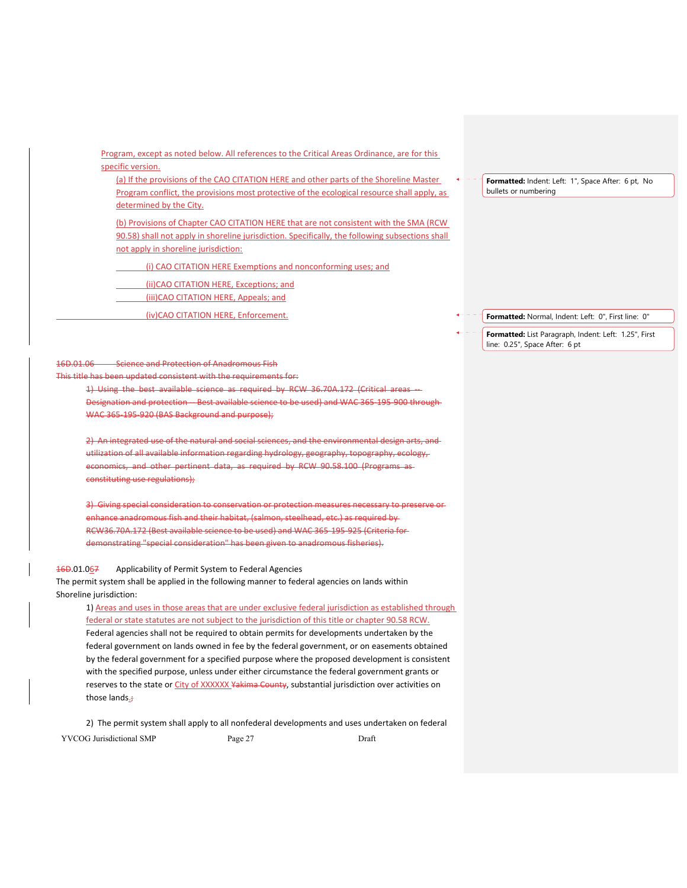Program, except as noted below. All references to the Critical Areas Ordinance, are for this specific version.

(a) If the provisions of the CAO CITATION HERE and other parts of the Shoreline Master Program conflict, the provisions most protective of the ecological resource shall apply, as determined by the City.

(b) Provisions of Chapter CAO CITATION HERE that are not consistent with the SMA (RCW 90.58) shall not apply in shoreline jurisdiction. Specifically, the following subsections shall not apply in shoreline jurisdiction:

(i) CAO CITATION HERE Exemptions and nonconforming uses; and

(ii)CAO CITATION HERE, Exceptions; and

(iii)CAO CITATION HERE, Appeals; and

(iv)CAO CITATION HERE, Enforcement.

# 16D.01.06 Science and Protection of Anadromous Fish

This title has been updated consistent with the requirements for:

1) Using the best available science as required by RCW 36.70A.172 (Critical areas

Designation and protection -- Best available science to be used) and WAC 365-195-900 through WAC 365-195-920 (BAS Background and purpose);

2) An integrated use of the natural and social sciences, and the environmental design arts, and utilization of all available information regarding hydrology, geography, topography, ecology, economics, and other pertinent data, as required by RCW 90.58.100 (Programs as constituting use regulations);

3) Giving special consideration to conservation or protection measures necessary to preserve or enhance anadromous fish and their habitat, (salmon, steelhead, etc.) as required by RCW36.70A.172 (Best available science to be used) and WAC 365‐195‐925 (Criteria for demonstrating "special consideration" has been given to anadromous fisheries).

# 16D.01.067 Applicability of Permit System to Federal Agencies

The permit system shall be applied in the following manner to federal agencies on lands within Shoreline jurisdiction:

1) Areas and uses in those areas that are under exclusive federal jurisdiction as established through federal or state statutes are not subject to the jurisdiction of this title or chapter 90.58 RCW. Federal agencies shall not be required to obtain permits for developments undertaken by the federal government on lands owned in fee by the federal government, or on easements obtained by the federal government for a specified purpose where the proposed development is consistent with the specified purpose, unless under either circumstance the federal government grants or reserves to the state or City of XXXXXX Yakima County, substantial jurisdiction over activities on those lands

YVCOG Jurisdictional SMP Page 27 Draft 2) The permit system shall apply to all nonfederal developments and uses undertaken on federal Formatted: Indent: Left: 1", Space After: 6 pt, No bullets or numbering

**Formatted:** Normal, Indent: Left: 0", First line: 0"

**Formatted:** List Paragraph, Indent: Left: 1.25", First line: 0.25", Space After: 6 pt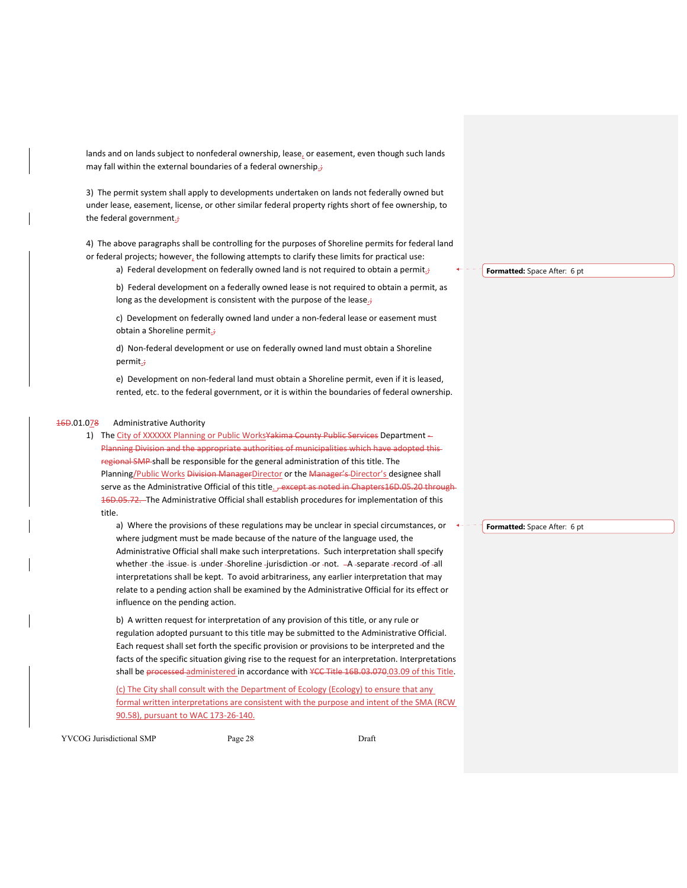lands and on lands subject to nonfederal ownership, lease, or easement, even though such lands may fall within the external boundaries of a federal ownership.;

3) The permit system shall apply to developments undertaken on lands not federally owned but under lease, easement, license, or other similar federal property rights short of fee ownership, to the federal government.;

4) The above paragraphs shall be controlling for the purposes of Shoreline permits for federal land or federal projects; however, the following attempts to clarify these limits for practical use:

a) Federal development on federally owned land is not required to obtain a permit. $\dot{\tau}$ 

b) Federal development on a federally owned lease is not required to obtain a permit, as long as the development is consistent with the purpose of the lease $\dot{\vec{r}}$ 

c) Development on federally owned land under a non‐federal lease or easement must obtain a Shoreline permit.;

d) Non‐federal development or use on federally owned land must obtain a Shoreline permit.;

e) Development on non-federal land must obtain a Shoreline permit, even if it is leased, rented, etc. to the federal government, or it is within the boundaries of federal ownership.

# 16D.01.078 Administrative Authority

1) The City of XXXXXX Planning or Public Works Yakima County Public Services Department -Planning Division and the appropriate authorities of municipalities which have regional SMP shall be responsible for the general administration of this title. The Planning/Public Works Division ManagerDirector or the Manager's Director's designee shall serve as the Administrative Official of this title. , except as noted in Chapters16D.05.20 through 16D.05.72. The Administrative Official shall establish procedures for implementation of this title.

a) Where the provisions of these regulations may be unclear in special circumstances, or where judgment must be made because of the nature of the language used, the Administrative Official shall make such interpretations. Such interpretation shall specify whether -the -issue- is -under -Shoreline -jurisdiction -or -not. -A -separate -record -of -all interpretations shall be kept. To avoid arbitrariness, any earlier interpretation that may relate to a pending action shall be examined by the Administrative Official for its effect or influence on the pending action.

b) A written request for interpretation of any provision of this title, or any rule or regulation adopted pursuant to this title may be submitted to the Administrative Official. Each request shall set forth the specific provision or provisions to be interpreted and the facts of the specific situation giving rise to the request for an interpretation. Interpretations shall be processed-administered in accordance with YCC Title 16B.03.070.03.09 of this Title.

(c) The City shall consult with the Department of Ecology (Ecology) to ensure that any formal written interpretations are consistent with the purpose and intent of the SMA (RCW 90.58), pursuant to WAC 173-26-140.

YVCOG Jurisdictional SMP Page 28 Draft

**Formatted:** Space After: 6 pt

**Formatted:** Space After: 6 pt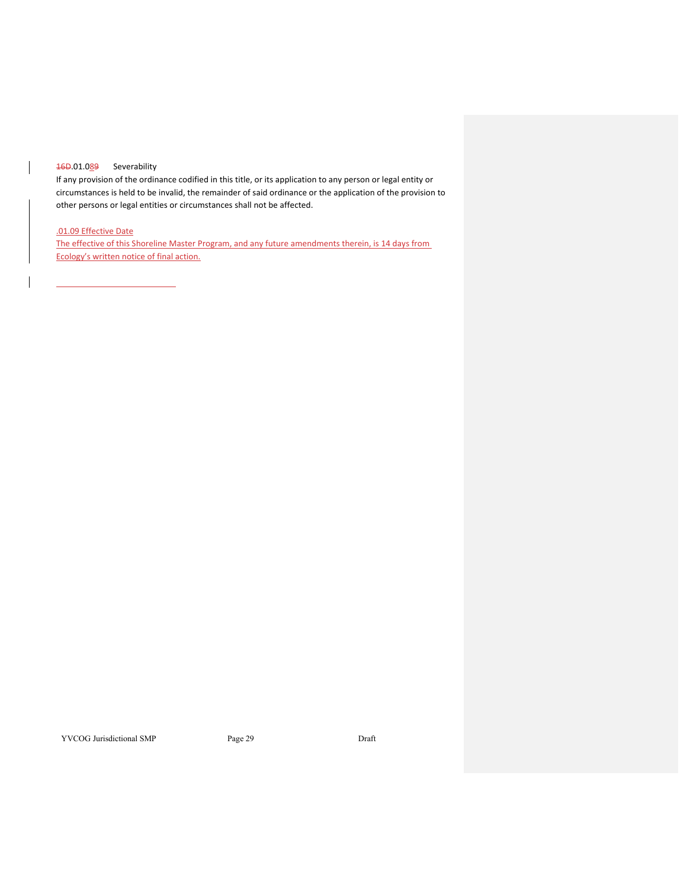# 16D.01.089 Severability

<u> 1990 - Johann Barbara, martxa eta politikar</u>

If any provision of the ordinance codified in this title, or its application to any person or legal entity or circumstances is held to be invalid, the remainder of said ordinance or the application of the provision to other persons or legal entities or circumstances shall not be affected.

# .01.09 Effective Date

The effective of this Shoreline Master Program, and any future amendments therein, is 14 days from Ecology's written notice of final action.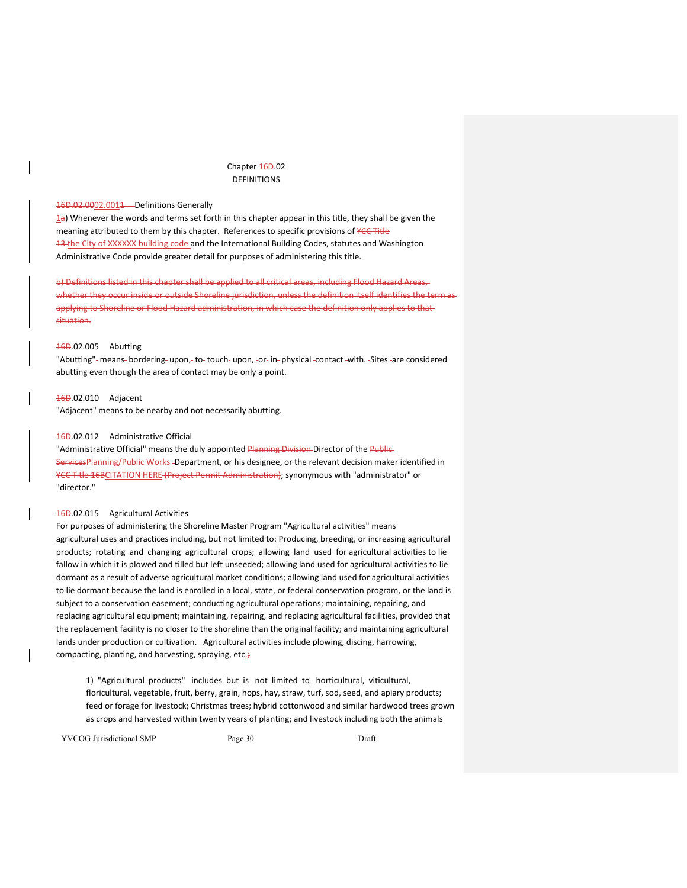# Chapter-16D.02 DEFINITIONS

# 16D.02.0002.0011 - Definitions Generally

1a) Whenever the words and terms set forth in this chapter appear in this title, they shall be given the meaning attributed to them by this chapter. References to specific provisions of YCC Title 13-the City of XXXXXX building code and the International Building Codes, statutes and Washington Administrative Code provide greater detail for purposes of administering this title.

b) Definitions listed in this chapter shall be applied to all critical areas, including Flood Hazard Areas, whether they occur inside or outside Shoreline jurisdiction, unless the definition itself identifies the term as applying to Shoreline or Flood Hazard administration, in which case the definition only applies to that situation.

# 16D.02.005 Abutting

"Abutting" - means-bordering- upon, - to-touch- upon, -or- in-physical -contact -with. -Sites -are considered abutting even though the area of contact may be only a point.

#### 16D.02.010 Adjacent

"Adjacent" means to be nearby and not necessarily abutting.

# 16D.02.012 Administrative Official

"Administrative Official" means the duly appointed Planning Division Director of the Public ServicesPlanning/Public Works -Department, or his designee, or the relevant decision maker identified in YCC Title 16BCITATION HERE (Project Permit Administration); synonymous with "administrator" or "director."

# 16D.02.015 Agricultural Activities

For purposes of administering the Shoreline Master Program "Agricultural activities" means agricultural uses and practices including, but not limited to: Producing, breeding, or increasing agricultural products; rotating and changing agricultural crops; allowing land used for agricultural activities to lie fallow in which it is plowed and tilled but left unseeded; allowing land used for agricultural activities to lie dormant as a result of adverse agricultural market conditions; allowing land used for agricultural activities to lie dormant because the land is enrolled in a local, state, or federal conservation program, or the land is subject to a conservation easement; conducting agricultural operations; maintaining, repairing, and replacing agricultural equipment; maintaining, repairing, and replacing agricultural facilities, provided that the replacement facility is no closer to the shoreline than the original facility; and maintaining agricultural lands under production or cultivation. Agricultural activities include plowing, discing, harrowing, compacting, planting, and harvesting, spraying, etc.;

1) "Agricultural products" includes but is not limited to horticultural, viticultural, floricultural, vegetable, fruit, berry, grain, hops, hay, straw, turf, sod, seed, and apiary products; feed or forage for livestock; Christmas trees; hybrid cottonwood and similar hardwood trees grown as crops and harvested within twenty years of planting; and livestock including both the animals

YVCOG Jurisdictional SMP Page 30 Draft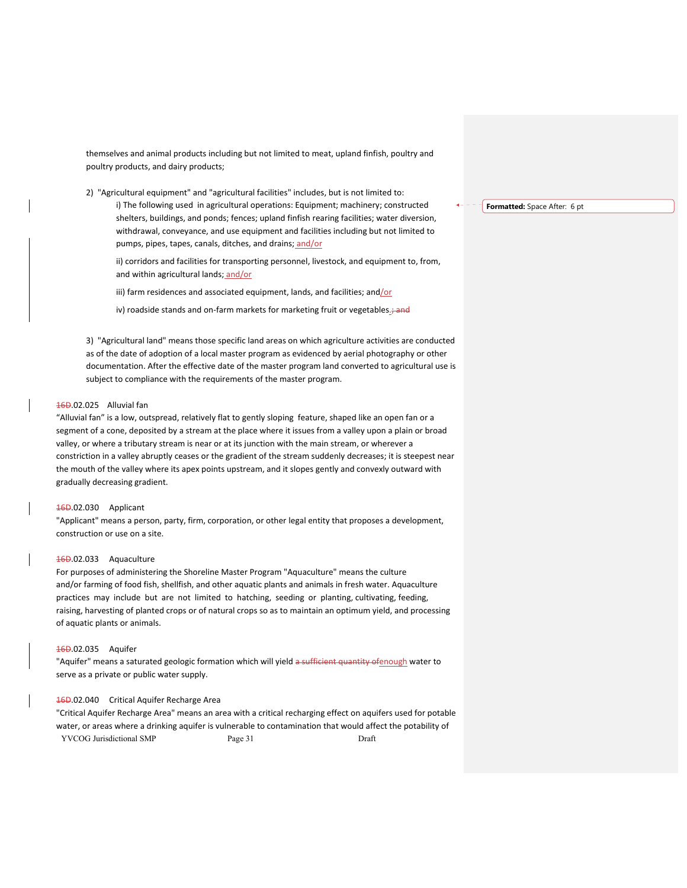themselves and animal products including but not limited to meat, upland finfish, poultry and poultry products, and dairy products;

2) "Agricultural equipment" and "agricultural facilities" includes, but is not limited to:

i) The following used in agricultural operations: Equipment; machinery; constructed shelters, buildings, and ponds; fences; upland finfish rearing facilities; water diversion, withdrawal, conveyance, and use equipment and facilities including but not limited to pumps, pipes, tapes, canals, ditches, and drains; and/or

ii) corridors and facilities for transporting personnel, livestock, and equipment to, from, and within agricultural lands; and/or

iii) farm residences and associated equipment, lands, and facilities; and/or

iv) roadside stands and on-farm markets for marketing fruit or vegetables.; and

3) "Agricultural land" means those specific land areas on which agriculture activities are conducted as of the date of adoption of a local master program as evidenced by aerial photography or other documentation. After the effective date of the master program land converted to agricultural use is subject to compliance with the requirements of the master program.

# 16D.02.025 Alluvial fan

"Alluvial fan" is a low, outspread, relatively flat to gently sloping feature, shaped like an open fan or a segment of a cone, deposited by a stream at the place where it issues from a valley upon a plain or broad valley, or where a tributary stream is near or at its junction with the main stream, or wherever a constriction in a valley abruptly ceases or the gradient of the stream suddenly decreases; it is steepest near the mouth of the valley where its apex points upstream, and it slopes gently and convexly outward with gradually decreasing gradient.

# 16D.02.030 Applicant

"Applicant" means a person, party, firm, corporation, or other legal entity that proposes a development, construction or use on a site.

#### 16D.02.033 Aquaculture

For purposes of administering the Shoreline Master Program "Aquaculture" means the culture and/or farming of food fish, shellfish, and other aquatic plants and animals in fresh water. Aquaculture practices may include but are not limited to hatching, seeding or planting, cultivating, feeding, raising, harvesting of planted crops or of natural crops so as to maintain an optimum yield, and processing of aquatic plants or animals.

## 16D.02.035 Aquifer

"Aquifer" means a saturated geologic formation which will yield a sufficient quantity ofenough water to serve as a private or public water supply.

## 16D.02.040 Critical Aquifer Recharge Area

YVCOG Jurisdictional SMP Page 31 Draft "Critical Aquifer Recharge Area" means an area with a critical recharging effect on aquifers used for potable water, or areas where a drinking aquifer is vulnerable to contamination that would affect the potability of

**Formatted:** Space After: 6 pt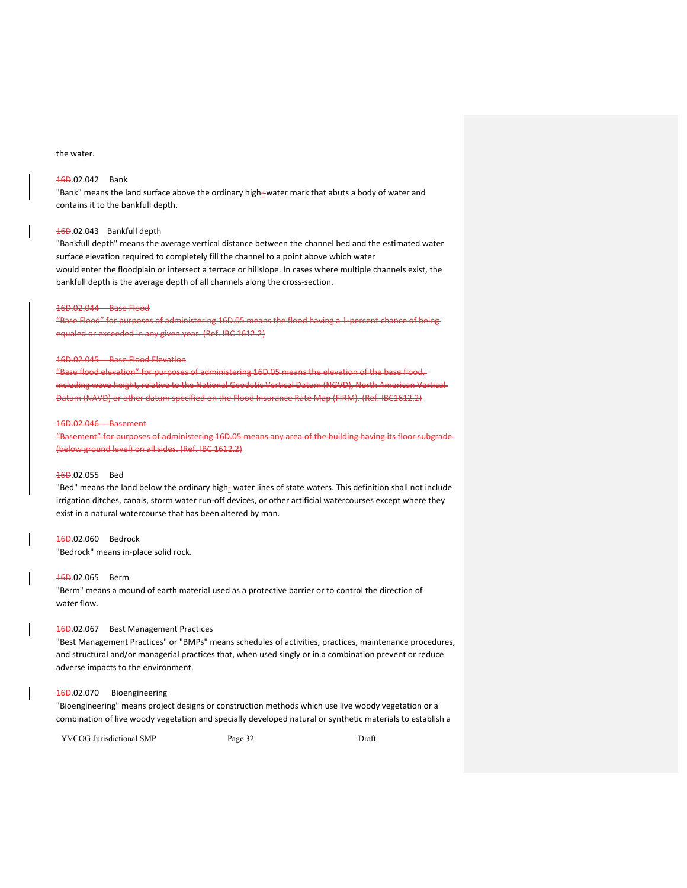# the water.

# 16D.02.042 Bank

"Bank" means the land surface above the ordinary high-water mark that abuts a body of water and contains it to the bankfull depth.

## 16D.02.043 Bankfull depth

"Bankfull depth" means the average vertical distance between the channel bed and the estimated water surface elevation required to completely fill the channel to a point above which water would enter the floodplain or intersect a terrace or hillslope. In cases where multiple channels exist, the bankfull depth is the average depth of all channels along the cross‐section.

#### 16D.02.044 Base Flood

"Base Flood" for purposes of administering 16D.05 means the flood having a 1‐percent chance of being equaled or exceeded in any given year. (Ref. IBC 1612.2)

#### 16D.02.045 Base Flood Elevation

"Base flood elevation" for purposes of administering 16D.05 means the elevation of the base flood, including wave height, relative to the National Geodetic Vertical Datum (NGVD), North American Vertical Datum (NAVD) or other datum specified on the Flood Insurance Rate Map (FIRM). (Ref. IBC1612.2)

#### 16D.02.046 Basement

"Basement" for purposes of administering 16D.05 means any area of the building having its floor subgrade (below ground level) on all sides. (Ref. IBC 1612.2)

## 16D.02.055 Bed

"Bed" means the land below the ordinary high- water lines of state waters. This definition shall not include irrigation ditches, canals, storm water run-off devices, or other artificial watercourses except where they exist in a natural watercourse that has been altered by man.

# 16D.02.060 Bedrock

"Bedrock" means in‐place solid rock.

# 16D.02.065 Berm

"Berm" means a mound of earth material used as a protective barrier or to control the direction of water flow.

# 16D.02.067 Best Management Practices

"Best Management Practices" or "BMPs" means schedules of activities, practices, maintenance procedures, and structural and/or managerial practices that, when used singly or in a combination prevent or reduce adverse impacts to the environment.

# 16D.02.070 Bioengineering

"Bioengineering" means project designs or construction methods which use live woody vegetation or a combination of live woody vegetation and specially developed natural or synthetic materials to establish a

YVCOG Jurisdictional SMP Page 32 Draft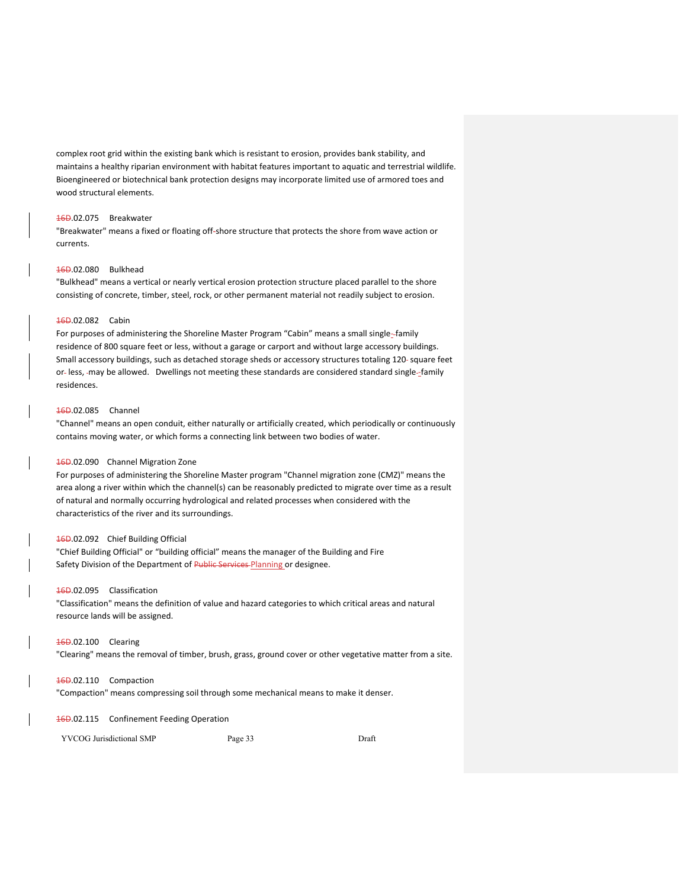complex root grid within the existing bank which is resistant to erosion, provides bank stability, and maintains a healthy riparian environment with habitat features important to aquatic and terrestrial wildlife. Bioengineered or biotechnical bank protection designs may incorporate limited use of armored toes and wood structural elements.

## 16D.02.075 Breakwater

"Breakwater" means a fixed or floating off‐shore structure that protects the shore from wave action or currents.

# 16D.02.080 Bulkhead

"Bulkhead" means a vertical or nearly vertical erosion protection structure placed parallel to the shore consisting of concrete, timber, steel, rock, or other permanent material not readily subject to erosion.

# 16D.02.082 Cabin

For purposes of administering the Shoreline Master Program "Cabin" means a small single-family residence of 800 square feet or less, without a garage or carport and without large accessory buildings. Small accessory buildings, such as detached storage sheds or accessory structures totaling 120-square feet or- less, -may be allowed. Dwellings not meeting these standards are considered standard single--family residences.

#### 16D.02.085 Channel

"Channel" means an open conduit, either naturally or artificially created, which periodically or continuously contains moving water, or which forms a connecting link between two bodies of water.

## 16D.02.090 Channel Migration Zone

For purposes of administering the Shoreline Master program "Channel migration zone (CMZ)" means the area along a river within which the channel(s) can be reasonably predicted to migrate over time as a result of natural and normally occurring hydrological and related processes when considered with the characteristics of the river and its surroundings.

### 16D.02.092 Chief Building Official

"Chief Building Official" or "building official" means the manager of the Building and Fire Safety Division of the Department of Public Services Planning or designee.

## 16D.02.095 Classification

"Classification" means the definition of value and hazard categories to which critical areas and natural resource lands will be assigned.

# 16D.02.100 Clearing

"Clearing" means the removal of timber, brush, grass, ground cover or other vegetative matter from a site.

## 16D.02.110 Compaction

"Compaction" means compressing soil through some mechanical means to make it denser.

#### 16D.02.115 Confinement Feeding Operation

YVCOG Jurisdictional SMP Page 33 Draft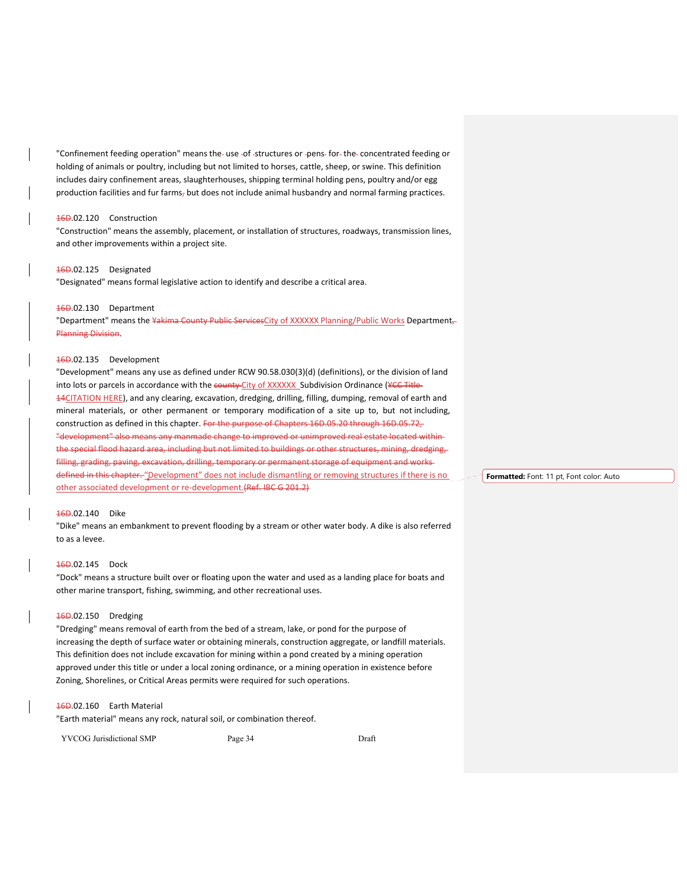"Confinement feeding operation" means the- use -of -structures or -pens- for- the- concentrated feeding or holding of animals or poultry, including but not limited to horses, cattle, sheep, or swine. This definition includes dairy confinement areas, slaughterhouses, shipping terminal holding pens, poultry and/or egg production facilities and fur farms, but does not include animal husbandry and normal farming practices.

#### 16D.02.120 Construction

"Construction" means the assembly, placement, or installation of structures, roadways, transmission lines, and other improvements within a project site.

# 16D.02.125 Designated

"Designated" means formal legislative action to identify and describe a critical area.

## 16D.02.130 Department

"Department" means the Yakima County Public ServicesCity of XXXXXX Planning/Public Works Department, Planning Division.

# 16D.02.135 Development

"Development" means any use as defined under RCW 90.58.030(3)(d) (definitions), or the division of land into lots or parcels in accordance with the county City of XXXXXX Subdivision Ordinance (YCC Title-14CITATION HERE), and any clearing, excavation, dredging, drilling, filling, dumping, removal of earth and mineral materials, or other permanent or temporary modification of a site up to, but not including, construction as defined in this chapter. For the purpose of Chapters 16D.05.20 through 16D.05.72, "development" also means any manmade change to improved or unimproved real estate located within the special flood hazard area, including but not limited to buildings or other structures, mining, dredging, filling, grading, paving, excavation, drilling, temporary or permanent storage of equipment and worksdefined in this chapter. "Development" does not include dismantling or removing structures if there is no other associated development or re‐development.(Ref. IBC G 201.2)

# 16D.02.140 Dike

"Dike" means an embankment to prevent flooding by a stream or other water body. A dike is also referred to as a levee.

#### 16D.02.145 Dock

"Dock" means a structure built over or floating upon the water and used as a landing place for boats and other marine transport, fishing, swimming, and other recreational uses.

# 16D.02.150 Dredging

"Dredging" means removal of earth from the bed of a stream, lake, or pond for the purpose of increasing the depth of surface water or obtaining minerals, construction aggregate, or landfill materials. This definition does not include excavation for mining within a pond created by a mining operation approved under this title or under a local zoning ordinance, or a mining operation in existence before Zoning, Shorelines, or Critical Areas permits were required for such operations.

### 16D.02.160 Earth Material

"Earth material" means any rock, natural soil, or combination thereof.

YVCOG Jurisdictional SMP Page 34 Draft

**Formatted:** Font: 11 pt, Font color: Auto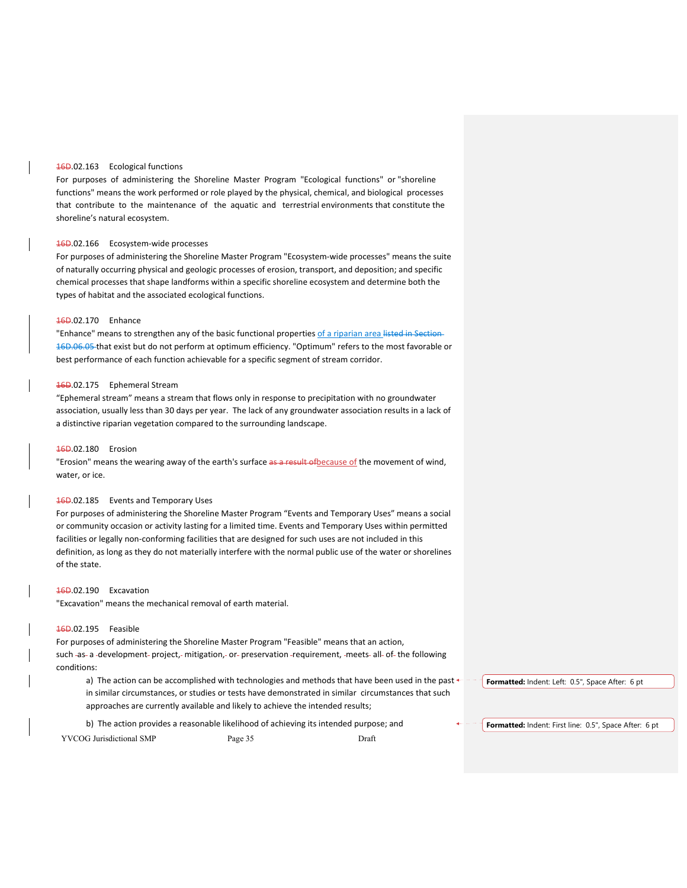# 16D.02.163 Ecological functions

For purposes of administering the Shoreline Master Program "Ecological functions" or "shoreline functions" means the work performed or role played by the physical, chemical, and biological processes that contribute to the maintenance of the aquatic and terrestrial environments that constitute the shoreline's natural ecosystem.

#### 16D.02.166 Ecosystem‐wide processes

For purposes of administering the Shoreline Master Program "Ecosystem‐wide processes" means the suite of naturally occurring physical and geologic processes of erosion, transport, and deposition; and specific chemical processes that shape landforms within a specific shoreline ecosystem and determine both the types of habitat and the associated ecological functions.

## 16D.02.170 Enhance

"Enhance" means to strengthen any of the basic functional properties of a riparian area listed in Section 16D.06.05 that exist but do not perform at optimum efficiency. "Optimum" refers to the most favorable or best performance of each function achievable for a specific segment of stream corridor.

## 16D.02.175 Ephemeral Stream

"Ephemeral stream" means a stream that flows only in response to precipitation with no groundwater association, usually less than 30 days per year. The lack of any groundwater association results in a lack of a distinctive riparian vegetation compared to the surrounding landscape.

## 16D.02.180 Erosion

"Erosion" means the wearing away of the earth's surface as a result of because of the movement of wind, water, or ice.

# 16D.02.185 Events and Temporary Uses

For purposes of administering the Shoreline Master Program "Events and Temporary Uses" means a social or community occasion or activity lasting for a limited time. Events and Temporary Uses within permitted facilities or legally non-conforming facilities that are designed for such uses are not included in this definition, as long as they do not materially interfere with the normal public use of the water or shorelines of the state.

## 16D.02.190 Excavation

"Excavation" means the mechanical removal of earth material.

# 16D.02.195 Feasible

For purposes of administering the Shoreline Master Program "Feasible" means that an action, such -as- a -development- project,- mitigation,- or- preservation -requirement, -meets- all- of- the following conditions:

a) The action can be accomplished with technologies and methods that have been used in the past  $\leftarrow$ in similar circumstances, or studies or tests have demonstrated in similar circumstances that such approaches are currently available and likely to achieve the intended results;

b) The action provides a reasonable likelihood of achieving its intended purpose; and

YVCOG Jurisdictional SMP Page 35 Draft

**Formatted:** Indent: Left: 0.5", Space After: 6 pt

**Formatted:** Indent: First line: 0.5", Space After: 6 pt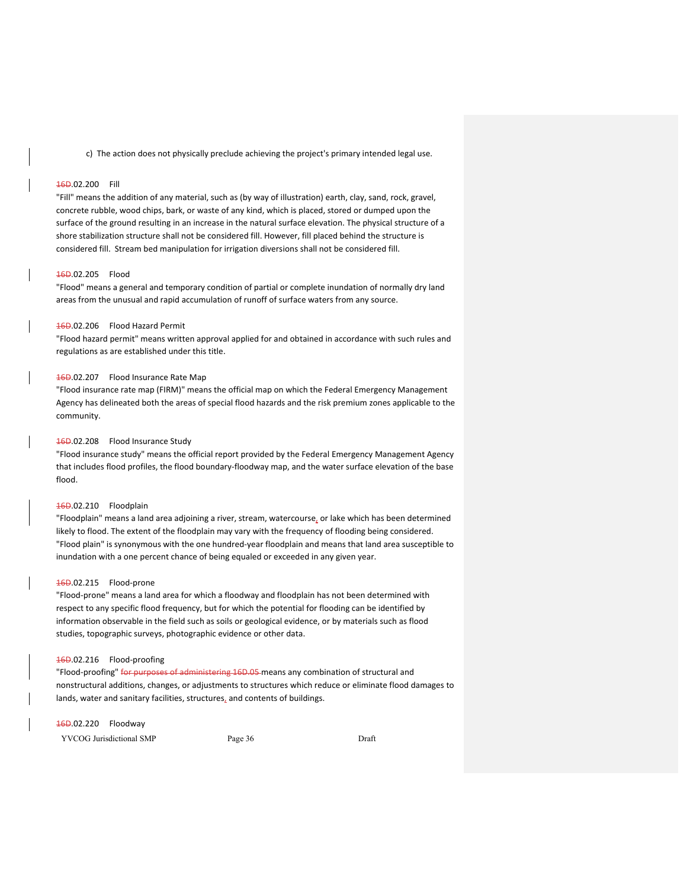c) The action does not physically preclude achieving the project's primary intended legal use.

# 16D.02.200 Fill

"Fill" means the addition of any material, such as (by way of illustration) earth, clay, sand, rock, gravel, concrete rubble, wood chips, bark, or waste of any kind, which is placed, stored or dumped upon the surface of the ground resulting in an increase in the natural surface elevation. The physical structure of a shore stabilization structure shall not be considered fill. However, fill placed behind the structure is considered fill. Stream bed manipulation for irrigation diversions shall not be considered fill.

#### 16D.02.205 Flood

"Flood" means a general and temporary condition of partial or complete inundation of normally dry land areas from the unusual and rapid accumulation of runoff of surface waters from any source.

# 16D.02.206 Flood Hazard Permit

"Flood hazard permit" means written approval applied for and obtained in accordance with such rules and regulations as are established under this title.

# 16D.02.207 Flood Insurance Rate Map

"Flood insurance rate map (FIRM)" means the official map on which the Federal Emergency Management Agency has delineated both the areas of special flood hazards and the risk premium zones applicable to the community.

# 16D.02.208 Flood Insurance Study

"Flood insurance study" means the official report provided by the Federal Emergency Management Agency that includes flood profiles, the flood boundary‐floodway map, and the water surface elevation of the base flood.

# 16D.02.210 Floodplain

"Floodplain" means a land area adjoining a river, stream, watercourse, or lake which has been determined likely to flood. The extent of the floodplain may vary with the frequency of flooding being considered. "Flood plain" is synonymous with the one hundred‐year floodplain and means that land area susceptible to inundation with a one percent chance of being equaled or exceeded in any given year.

#### 16D.02.215 Flood‐prone

"Flood‐prone" means a land area for which a floodway and floodplain has not been determined with respect to any specific flood frequency, but for which the potential for flooding can be identified by information observable in the field such as soils or geological evidence, or by materials such as flood studies, topographic surveys, photographic evidence or other data.

# 16D.02.216 Flood-proofing

"Flood-proofing" for purposes of administering 16D.05 means any combination of structural and nonstructural additions, changes, or adjustments to structures which reduce or eliminate flood damages to lands, water and sanitary facilities, structures, and contents of buildings.

#### 16D.02.220 Floodway

YVCOG Jurisdictional SMP Page 36 Draft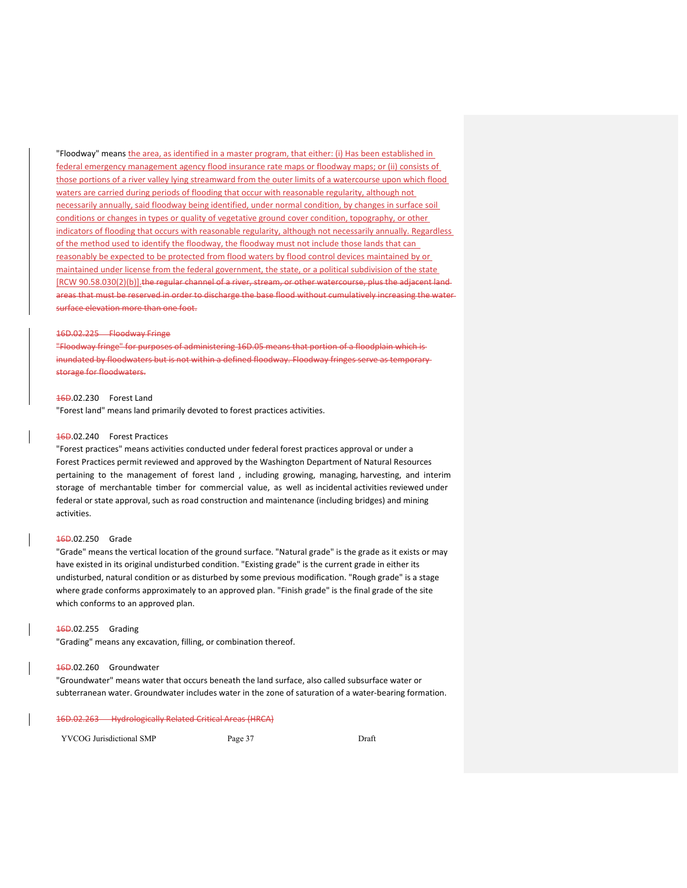"Floodway" means the area, as identified in a master program, that either: (i) Has been established in federal emergency management agency flood insurance rate maps or floodway maps; or (ii) consists of those portions of a river valley lying streamward from the outer limits of a watercourse upon which flood waters are carried during periods of flooding that occur with reasonable regularity, although not necessarily annually, said floodway being identified, under normal condition, by changes in surface soil conditions or changes in types or quality of vegetative ground cover condition, topography, or other indicators of flooding that occurs with reasonable regularity, although not necessarily annually. Regardless of the method used to identify the floodway, the floodway must not include those lands that can reasonably be expected to be protected from flood waters by flood control devices maintained by or maintained under license from the federal government, the state, or a political subdivision of the state [RCW 90.58.030(2)(b)].the regular channel of a river, stream, or other watercourse, plus the adjacent landareas that must be reserved in order to discharge the base flood without cumulatively increasing the water surface elevation more than one foot.

#### 16D.02.225 Floodway Fringe

"Floodway fringe" for purposes of administering 16D.05 means that portion of a floodplain which is inundated by floodwaters but is not within a defined floodway. Floodway fringes serve as temporary storage for floodwaters.

## 16D.02.230 Forest Land

"Forest land" means land primarily devoted to forest practices activities.

## 16D.02.240 Forest Practices

"Forest practices" means activities conducted under federal forest practices approval or under a Forest Practices permit reviewed and approved by the Washington Department of Natural Resources pertaining to the management of forest land , including growing, managing, harvesting, and interim storage of merchantable timber for commercial value, as well as incidental activities reviewed under federal or state approval, such as road construction and maintenance (including bridges) and mining activities.

## 16D.02.250 Grade

"Grade" means the vertical location of the ground surface. "Natural grade" is the grade as it exists or may have existed in its original undisturbed condition. "Existing grade" is the current grade in either its undisturbed, natural condition or as disturbed by some previous modification. "Rough grade" is a stage where grade conforms approximately to an approved plan. "Finish grade" is the final grade of the site which conforms to an approved plan.

#### 16D.02.255 Grading

"Grading" means any excavation, filling, or combination thereof.

## 16D.02.260 Groundwater

"Groundwater" means water that occurs beneath the land surface, also called subsurface water or subterranean water. Groundwater includes water in the zone of saturation of a water‐bearing formation.

#### 16D.02.263 Hydrologically Related Critical Areas (HRCA)

YVCOG Jurisdictional SMP Page 37 Draft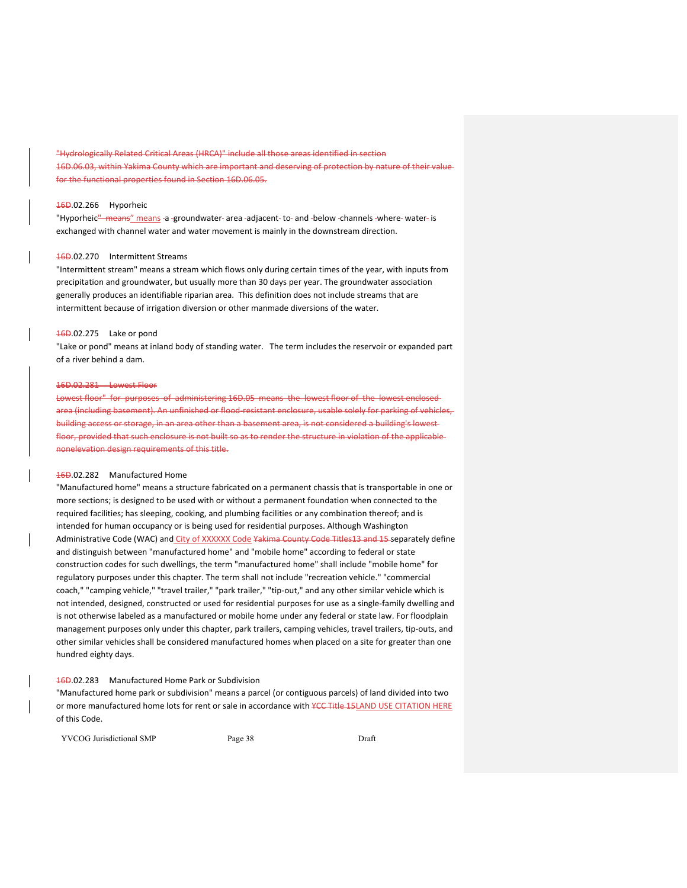drologically Related Critical Areas (HRCA)" include all those areas identified in section 16D.06.03, within Yakima County which are important and deserving of protection by nature of their value for the functional properties found in Section 16D.06.05.

## 16D.02.266 Hyporheic

"Hyporheic" means" means -a -groundwater- area -adjacent- to- and -below -channels -where- water- is exchanged with channel water and water movement is mainly in the downstream direction.

## 16D.02.270 Intermittent Streams

"Intermittent stream" means a stream which flows only during certain times of the year, with inputs from precipitation and groundwater, but usually more than 30 days per year. The groundwater association generally produces an identifiable riparian area. This definition does not include streams that are intermittent because of irrigation diversion or other manmade diversions of the water.

#### 16D.02.275 Lake or pond

"Lake or pond" means at inland body of standing water. The term includes the reservoir or expanded part of a river behind a dam.

#### 16D.02.281 Lowest Floor

Lowest floor" for purposes of administering 16D.05 means the lowest floor of the lowest enclosed area (including basement). An unfinished or flood resistant enclosure, usable solely for parking of vehicles, building access or storage, in an area other than a basement area, is not considered a building's lowest floor, provided that such enclosure is not built so as to render the structure in violation of the applicable nonelevation design requirements of this title.

## 16D.02.282 Manufactured Home

"Manufactured home" means a structure fabricated on a permanent chassis that is transportable in one or more sections; is designed to be used with or without a permanent foundation when connected to the required facilities; has sleeping, cooking, and plumbing facilities or any combination thereof; and is intended for human occupancy or is being used for residential purposes. Although Washington Administrative Code (WAC) and City of XXXXXX Code Yakima County Code Titles13 and 15 separately define and distinguish between "manufactured home" and "mobile home" according to federal or state construction codes for such dwellings, the term "manufactured home" shall include "mobile home" for regulatory purposes under this chapter. The term shall not include "recreation vehicle." "commercial coach," "camping vehicle," "travel trailer," "park trailer," "tip-out," and any other similar vehicle which is not intended, designed, constructed or used for residential purposes for use as a single‐family dwelling and is not otherwise labeled as a manufactured or mobile home under any federal or state law. For floodplain management purposes only under this chapter, park trailers, camping vehicles, travel trailers, tip‐outs, and other similar vehicles shall be considered manufactured homes when placed on a site for greater than one hundred eighty days.

## 16D.02.283 Manufactured Home Park or Subdivision

"Manufactured home park or subdivision" means a parcel (or contiguous parcels) of land divided into two or more manufactured home lots for rent or sale in accordance with YCC Title 15LAND USE CITATION HERE of this Code.

YVCOG Jurisdictional SMP Page 38 Draft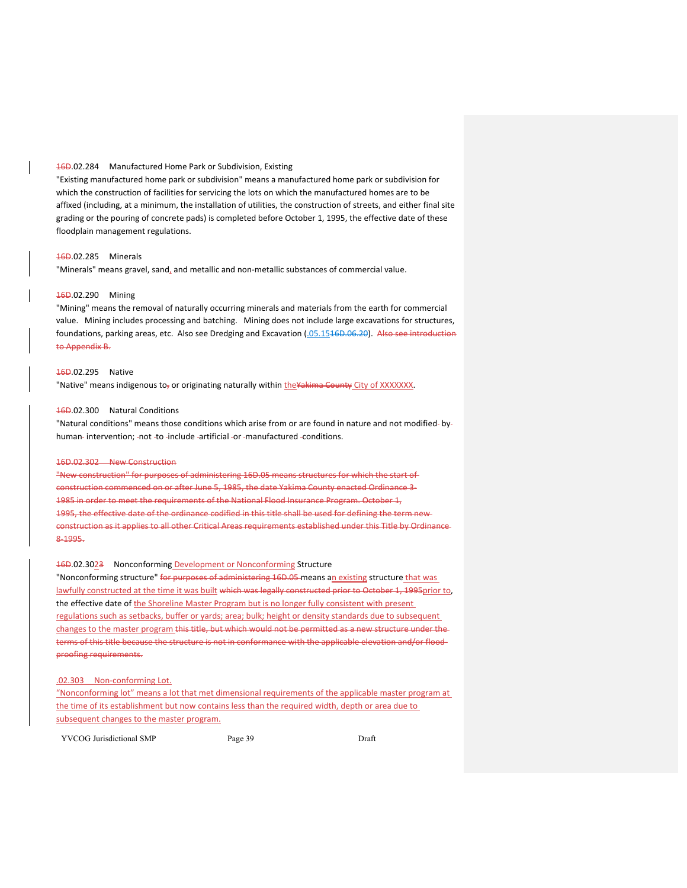## 16D.02.284 Manufactured Home Park or Subdivision, Existing

"Existing manufactured home park or subdivision" means a manufactured home park or subdivision for which the construction of facilities for servicing the lots on which the manufactured homes are to be affixed (including, at a minimum, the installation of utilities, the construction of streets, and either final site grading or the pouring of concrete pads) is completed before October 1, 1995, the effective date of these floodplain management regulations.

## 16D.02.285 Minerals

"Minerals" means gravel, sand, and metallic and non‐metallic substances of commercial value.

## 16D.02.290 Mining

"Mining" means the removal of naturally occurring minerals and materials from the earth for commercial value. Mining includes processing and batching. Mining does not include large excavations for structures, foundations, parking areas, etc. Also see Dredging and Excavation (.05.1546D.06.20). Also see introduction to Appendix B.

#### 16D.02.295 Native

"Native" means indigenous to<sub>r</sub> or originating naturally within the Yakima County City of XXXXXXX.

## 16D.02.300 Natural Conditions

"Natural conditions" means those conditions which arise from or are found in nature and not modified-byhuman-intervention; -not -to -include -artificial -or -manufactured -conditions.

#### 16D.02.302 New Construction

"New construction" for purposes of administering 16D.05 means structures for which the start of construction commenced on or after June 5, 1985, the date Yakima County enacted Ordinance 3‐ 1985 in order to meet the requirements of the National Flood Insurance Program. October 1, 1995, the effective date of the ordinance codified in this title shall be used for defining the term newconstruction as it applies to all other Critical Areas requirements established under this Title by Ordinance 8‐1995.

#### 16D.02.3023 Nonconforming Development or Nonconforming Structure

"Nonconforming structure" for purposes of administering 16D.05 means an existing structure that was lawfully constructed at the time it was built which was legally constructed prior to October 1, 1995prior to, the effective date of the Shoreline Master Program but is no longer fully consistent with present regulations such as setbacks, buffer or yards; area; bulk; height or density standards due to subsequent changes to the master program this title, but which would not be permitted as a new structure under the terms of this title because the structure is not in conformance with the applicable elevation and/or floodproofing requirements.

### .02.303 Non-conforming Lot.

"Nonconforming lot" means a lot that met dimensional requirements of the applicable master program at the time of its establishment but now contains less than the required width, depth or area due to subsequent changes to the master program.

YVCOG Jurisdictional SMP Page 39 Draft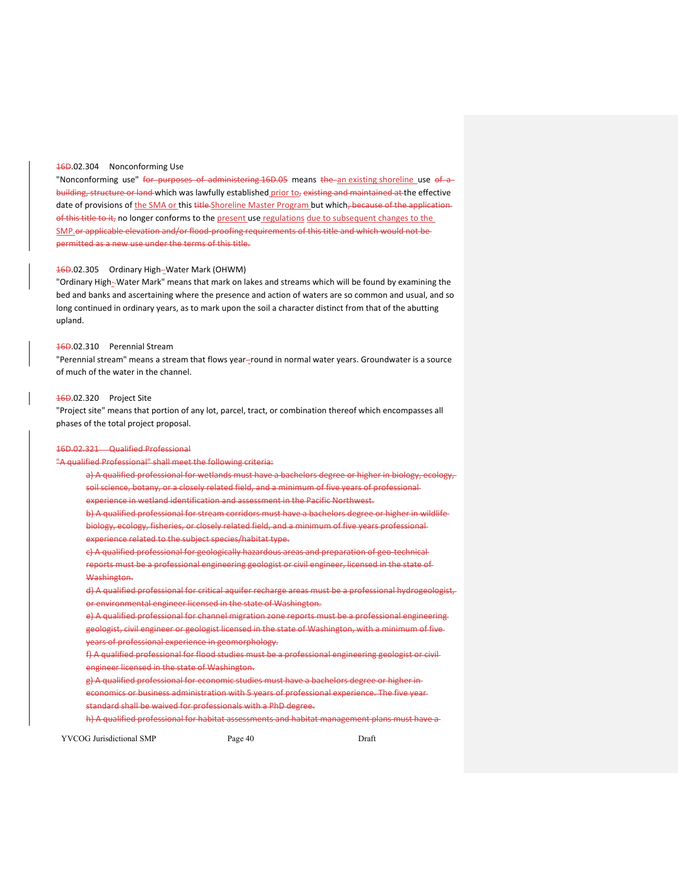## 16D.02.304 Nonconforming Use

"Nonconforming use" for purposes of administering 16D.05 means the an existing shoreline use of a building, structure or land which was lawfully established prior to, existing and maintained at the effective date of provisions of the SMA or this title Shoreline Master Program but which, because of the applicationof this title to it, no longer conforms to the present use regulations due to subsequent changes to the SMP.or applicable elevation and/or flood-proofing requirements of this title and which would not bepermitted as a new use under the terms of this title.

## 16D.02.305 Ordinary High--Water Mark (OHWM)

"Ordinary High‐ Water Mark" means that mark on lakes and streams which will be found by examining the bed and banks and ascertaining where the presence and action of waters are so common and usual, and so long continued in ordinary years, as to mark upon the soil a character distinct from that of the abutting upland.

## 16D.02.310 Perennial Stream

"Perennial stream" means a stream that flows year--round in normal water years. Groundwater is a source of much of the water in the channel.

#### 16D.02.320 Project Site

"Project site" means that portion of any lot, parcel, tract, or combination thereof which encompasses all phases of the total project proposal.

### 16D.02.321 Qualified Professional

## "A qualified Professional" shall meet the following criteria:

a) A qualified professional for wetlands must have a bachelors degree or higher in biology, ecology, soil science, botany, or a closely related field, and a minimum of five years of professional experience in wetland identification and assessment in the Pacific Northwest. b) A qualified professional for stream corridors must have a bachelors degree or higher in wildlife biology, ecology, fisheries, or closely related field, and a minimum of five years professional experience related to the subject species/habitat type. c) A qualified professional for geologically hazardous areas and preparation of geo-technicalreports must be a professional engineering geologist or civil engineer, licensed in the state of Washington. d) A qualified professional for critical aquifer recharge areas must be a professional hydrogeologist, or environmental engineer licensed in the state of Washington. e) A qualified professional for channel migration zone reports must be a professional engineering geologist, civil engineer or geologist licensed in the state of Washington, with a minimum of five years of professional experience in geomorphology. f) A qualified professional for flood studies must be a professional engineering geologist or civil

engineer licensed in the state of Washington.

g) A qualified professional for economic studies must have a bachelors degree or higher in

economics or business administration with 5 years of professional experience. The five year standard shall be waived for professionals with a PhD degree.

h) A qualified professional for habitat assessments and habitat management plans must have a

YVCOG Jurisdictional SMP Page 40 Page 40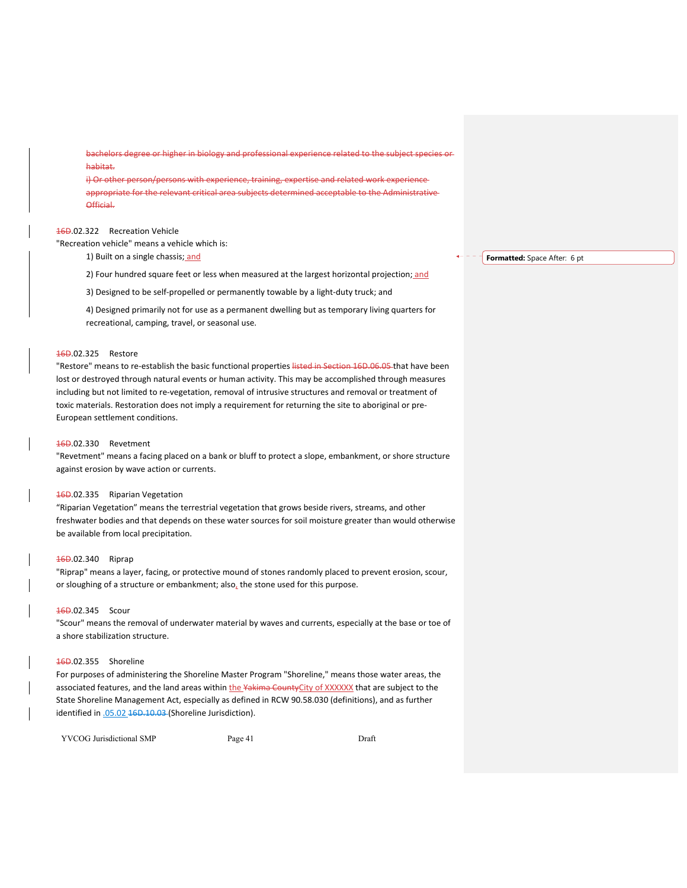bachelors degree or higher in biology and professional experience related to the subject species or habitat.

i) Or other person/persons with experience, training, expertise and related work experience appropriate for the relevant critical area subjects determined acceptable to the Administrative Official.

## 16D.02.322 Recreation Vehicle

"Recreation vehicle" means a vehicle which is:

1) Built on a single chassis; and

2) Four hundred square feet or less when measured at the largest horizontal projection; and

3) Designed to be self‐propelled or permanently towable by a light‐duty truck; and

4) Designed primarily not for use as a permanent dwelling but as temporary living quarters for recreational, camping, travel, or seasonal use.

## 16D.02.325 Restore

"Restore" means to re-establish the basic functional properties listed in Section 16D.06.05 that have been lost or destroyed through natural events or human activity. This may be accomplished through measures including but not limited to re‐vegetation, removal of intrusive structures and removal or treatment of toxic materials. Restoration does not imply a requirement for returning the site to aboriginal or pre-European settlement conditions.

## 16D.02.330 Revetment

"Revetment" means a facing placed on a bank or bluff to protect a slope, embankment, or shore structure against erosion by wave action or currents.

## 16D.02.335 Riparian Vegetation

"Riparian Vegetation" means the terrestrial vegetation that grows beside rivers, streams, and other freshwater bodies and that depends on these water sources for soil moisture greater than would otherwise be available from local precipitation.

## 16D.02.340 Riprap

"Riprap" means a layer, facing, or protective mound of stones randomly placed to prevent erosion, scour, or sloughing of a structure or embankment; also, the stone used for this purpose.

## 16D.02.345 Scour

"Scour" means the removal of underwater material by waves and currents, especially at the base or toe of a shore stabilization structure.

#### 16D.02.355 Shoreline

For purposes of administering the Shoreline Master Program "Shoreline," means those water areas, the associated features, and the land areas within the Yakima CountyCity of XXXXXX that are subject to the State Shoreline Management Act, especially as defined in RCW 90.58.030 (definitions), and as further identified in .05.02 16D.10.03 (Shoreline Jurisdiction).

YVCOG Jurisdictional SMP Page 41 Draft

**Formatted:** Space After: 6 pt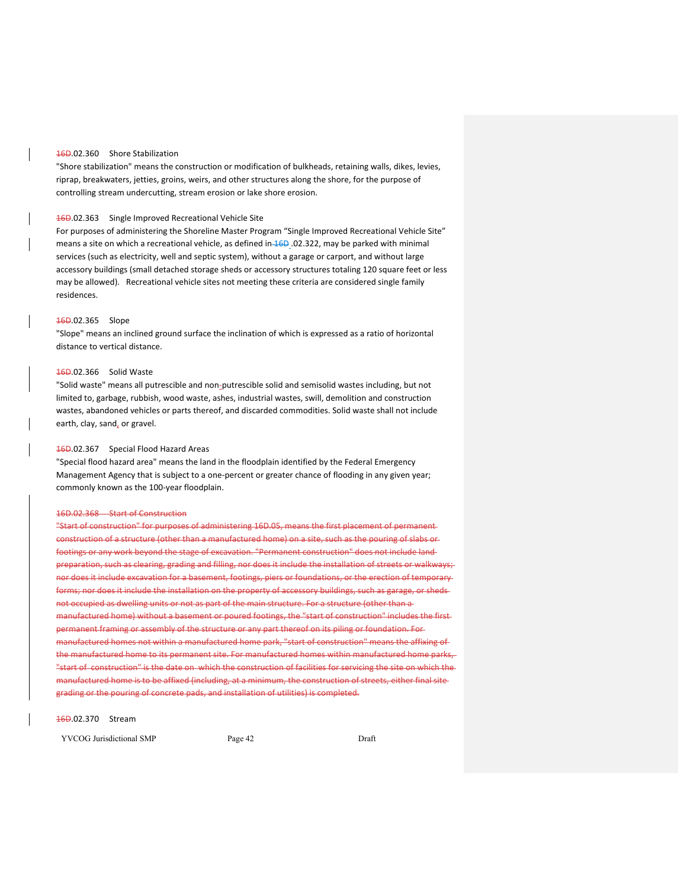## 16D.02.360 Shore Stabilization

"Shore stabilization" means the construction or modification of bulkheads, retaining walls, dikes, levies, riprap, breakwaters, jetties, groins, weirs, and other structures along the shore, for the purpose of controlling stream undercutting, stream erosion or lake shore erosion.

#### 16D.02.363 Single Improved Recreational Vehicle Site

For purposes of administering the Shoreline Master Program "Single Improved Recreational Vehicle Site" means a site on which a recreational vehicle, as defined in 16D .02.322, may be parked with minimal services (such as electricity, well and septic system), without a garage or carport, and without large accessory buildings (small detached storage sheds or accessory structures totaling 120 square feet or less may be allowed). Recreational vehicle sites not meeting these criteria are considered single family residences.

## 16D.02.365 Slope

"Slope" means an inclined ground surface the inclination of which is expressed as a ratio of horizontal distance to vertical distance.

## 16D.02.366 Solid Waste

"Solid waste" means all putrescible and non‐putrescible solid and semisolid wastes including, but not limited to, garbage, rubbish, wood waste, ashes, industrial wastes, swill, demolition and construction wastes, abandoned vehicles or parts thereof, and discarded commodities. Solid waste shall not include earth, clay, sand, or gravel.

### 16D.02.367 Special Flood Hazard Areas

"Special flood hazard area" means the land in the floodplain identified by the Federal Emergency Management Agency that is subject to a one‐percent or greater chance of flooding in any given year; commonly known as the 100‐year floodplain.

### 16D.02.368 Start of Construction

"Start of construction" for purposes of administering 16D.05, means the first placement of permanent construction of a structure (other than a manufactured home) on a site, such as the pouring of slabs or footings or any work beyond the stage of excavation. "Permanent construction" does not include land preparation, such as clearing, grading and filling, nor does it include the installation of streets or walkways; nor does it include excavation for a basement, footings, piers or foundations, or the erection of temporary  $\mathbf{s};$  nor does it include the installation on the property of accessory buildings, such as garage, or shedsnot occupied as dwelling units or not as part of the main structure. For a structure (other than a nufactured home) without a basement or poured footings, the "start of construction" includes the firstanent framing or assembly of the structure or any part thereof on its piling or foundation. Formanufactured homes not within a manufactured home park, "start of construction" means the affixing of the manufactured home to its permanent site. For manufactured homes within manufactured home parks, "start of construction" is the date on which the construction of facilities for servicing the site on which the manufactured home is to be affixed (including, at a minimum, the construction of streets, either final site grading or the pouring of concrete pads, and installation of utilities) is completed.

#### 16D.02.370 Stream

YVCOG Jurisdictional SMP Page 42 Draft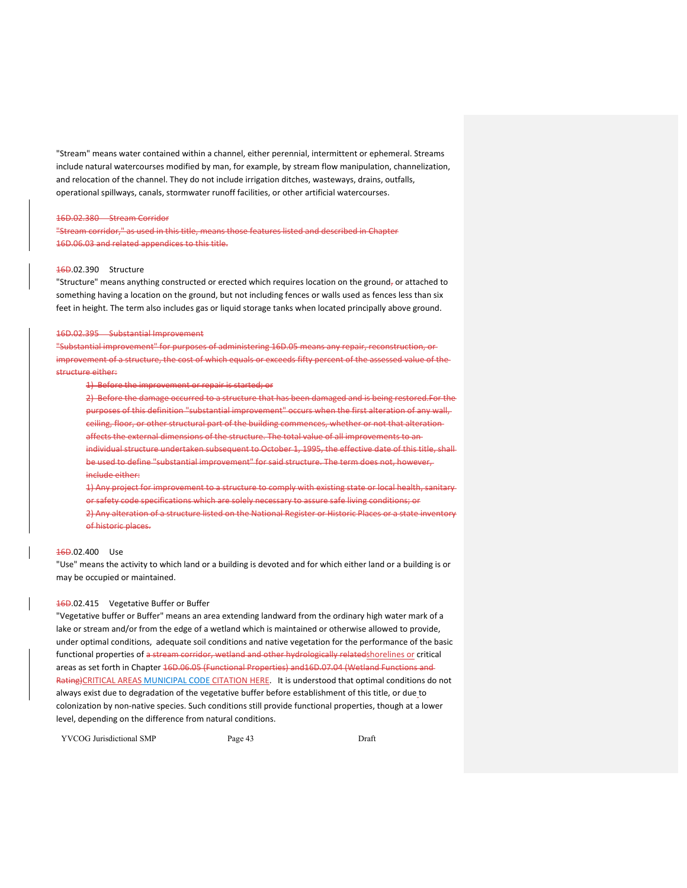"Stream" means water contained within a channel, either perennial, intermittent or ephemeral. Streams include natural watercourses modified by man, for example, by stream flow manipulation, channelization, and relocation of the channel. They do not include irrigation ditches, wasteways, drains, outfalls, operational spillways, canals, stormwater runoff facilities, or other artificial watercourses.

#### 16D.02.380 Stream Corridor

"Stream corridor," as used in this title, means those features listed and described in Chapter 16D.06.03 and related appendices to this title.

## 16D.02.390 Structure

"Structure" means anything constructed or erected which requires location on the ground, or attached to something having a location on the ground, but not including fences or walls used as fences less than six feet in height. The term also includes gas or liquid storage tanks when located principally above ground.

#### 16D.02.395 Substantial Improvement

"Substantial improvement" for purposes of administering 16D.05 means any repair, reconstruction, or improvement of a structure, the cost of which equals or exceeds fifty percent of the assessed value of the structure either:

1) Before the improvement or repair is started; or

2) Before the damage occurred to a structure that has been damaged and is being restored.For the purposes of this definition "substantial improvement" occurs when the first alteration of any wall, ceiling, floor, or other structural part of the building commences, whether or not that alteration affects the external dimensions of the structure. The total value of all improvements to an individual structure undertaken subsequent to October 1, 1995, the effective date of this title, shall be used to define "substantial improvement" for said structure. The term does not, however, include either:

1) Any project for improvement to a structure to comply with existing state or local health, sanitary or safety code specifications which are solely necessary to assure safe living conditions; or 2) Any alteration of a structure listed on the National Register or Historic Places or a state inventory of historic places.

#### 16D.02.400 Use

"Use" means the activity to which land or a building is devoted and for which either land or a building is or may be occupied or maintained.

## 16D.02.415 Vegetative Buffer or Buffer

"Vegetative buffer or Buffer" means an area extending landward from the ordinary high water mark of a lake or stream and/or from the edge of a wetland which is maintained or otherwise allowed to provide, under optimal conditions, adequate soil conditions and native vegetation for the performance of the basic functional properties of a stream corridor, wetland and other hydrologically relatedshorelines or critical areas as set forth in Chapter 16D.06.05 (Functional Properties) and16D.07.04 (Wetland Functions and Rating)CRITICAL AREAS MUNICIPAL CODE CITATION HERE. It is understood that optimal conditions do not always exist due to degradation of the vegetative buffer before establishment of this title, or due to colonization by non‐native species. Such conditions still provide functional properties, though at a lower level, depending on the difference from natural conditions.

YVCOG Jurisdictional SMP Page 43 Draft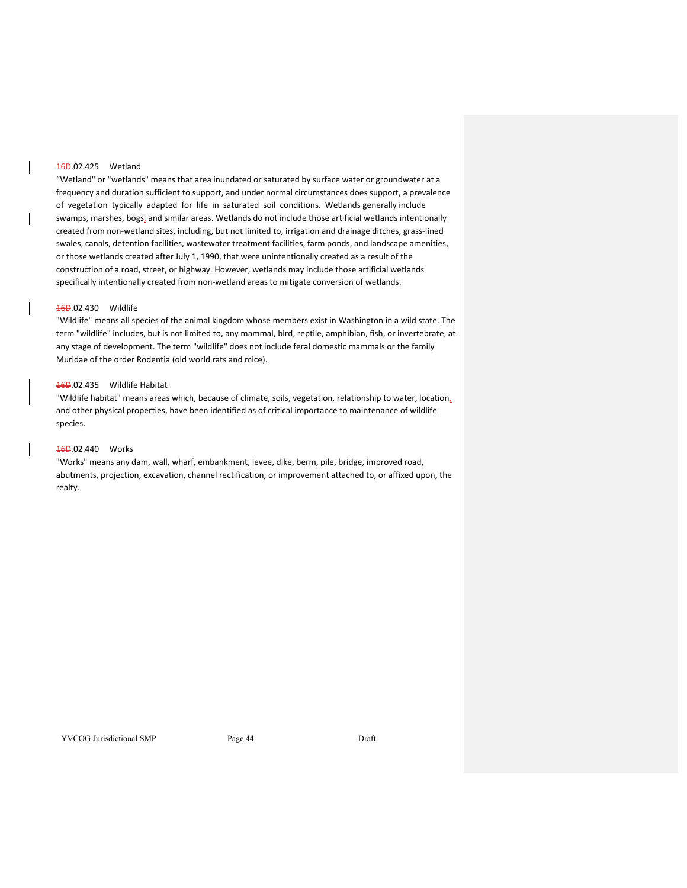## 16D.02.425 Wetland

"Wetland" or "wetlands" means that area inundated or saturated by surface water or groundwater at a frequency and duration sufficient to support, and under normal circumstances does support, a prevalence of vegetation typically adapted for life in saturated soil conditions. Wetlands generally include swamps, marshes, bogs, and similar areas. Wetlands do not include those artificial wetlands intentionally created from non‐wetland sites, including, but not limited to, irrigation and drainage ditches, grass‐lined swales, canals, detention facilities, wastewater treatment facilities, farm ponds, and landscape amenities, or those wetlands created after July 1, 1990, that were unintentionally created as a result of the construction of a road, street, or highway. However, wetlands may include those artificial wetlands specifically intentionally created from non‐wetland areas to mitigate conversion of wetlands.

### 16D.02.430 Wildlife

"Wildlife" means all species of the animal kingdom whose members exist in Washington in a wild state. The term "wildlife" includes, but is not limited to, any mammal, bird, reptile, amphibian, fish, or invertebrate, at any stage of development. The term "wildlife" does not include feral domestic mammals or the family Muridae of the order Rodentia (old world rats and mice).

## 16D.02.435 Wildlife Habitat

"Wildlife habitat" means areas which, because of climate, soils, vegetation, relationship to water, location, and other physical properties, have been identified as of critical importance to maintenance of wildlife species.

## 16D.02.440 Works

"Works" means any dam, wall, wharf, embankment, levee, dike, berm, pile, bridge, improved road, abutments, projection, excavation, channel rectification, or improvement attached to, or affixed upon, the realty.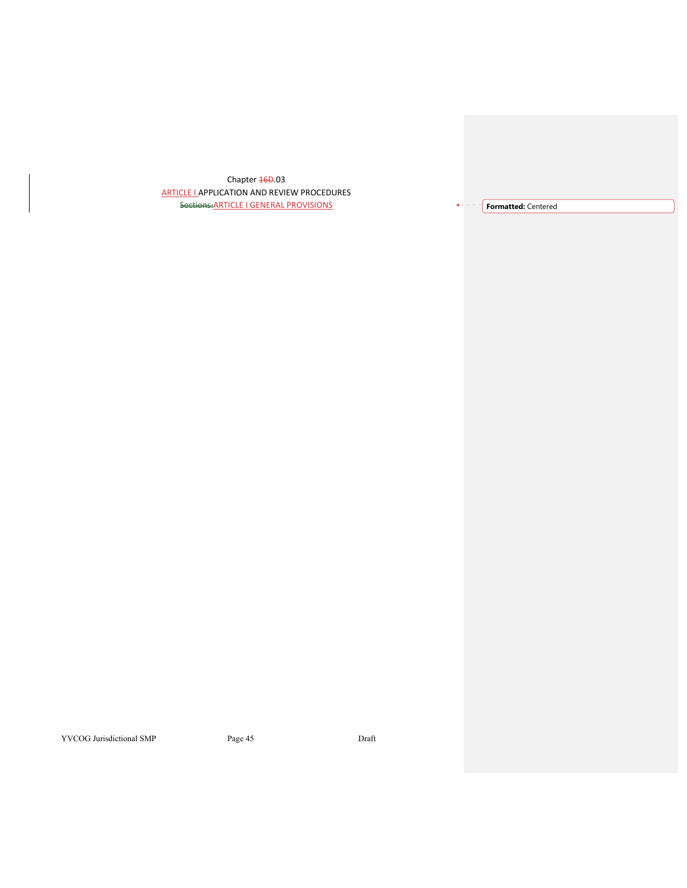Chapter 46D.03 ARTICLE I APPLICATION AND REVIEW PROCEDURES Sections:ARTICLE I GENERAL PROVISIONS **Formatted:** Centered

YVCOG Jurisdictional SMP Page 45 Draft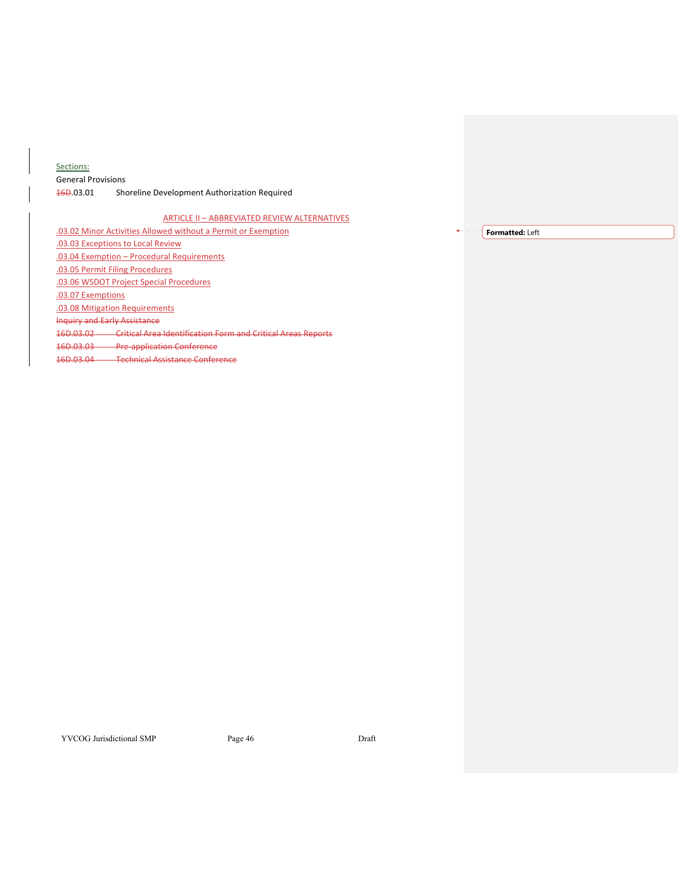## Sections:

General Provisions 16D.03.01 Shoreline Development Authorization Required

## ARTICLE II – ABBREVIATED REVIEW ALTERNATIVES

.03.02 Minor Activities Allowed without a Permit or Exemption

.03.03 Exceptions to Local Review

.03.04 Exemption – Procedural Requirements

.03.05 Permit Filing Procedures

.03.06 WSDOT Project Special Procedures

.03.07 Exemptions

.03.08 Mitigation Requirements

Inquiry and Early Assistance

16D.03.02 Critical Area Identification Form and Critical Areas Reports

16D.03.03 Pre‐application Conference

16D.03.04 Technical Assistance Conference

**Formatted:** Left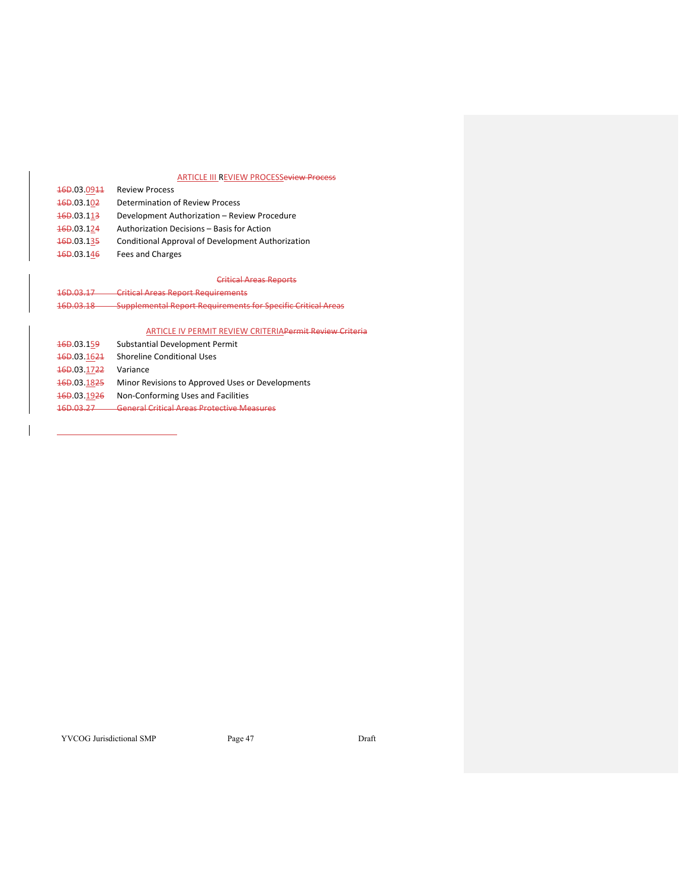## ARTICLE III REVIEW PROCESSeview Process

| 16D.03.0911 | <b>Review Process</b>                             |
|-------------|---------------------------------------------------|
| 16D.03.102  | <b>Determination of Review Process</b>            |
| 460.03.113  | Development Authorization - Review Procedure      |
| 460.03.124  | Authorization Decisions - Basis for Action        |
| 460.03.135  | Conditional Approval of Development Authorization |
| 16D.03.146  | Fees and Charges                                  |

# Critical Areas Reports

16D.03.17 Critical Areas Report Requirements 16D.03.18 Supplemental Report Requirements for Specific Critical Areas

## ARTICLE IV PERMIT REVIEW CRITERIAPermit Review Criteria

| 16D.03.159  | Substantial Development Permit                   |
|-------------|--------------------------------------------------|
| 460.03.1624 | <b>Shoreline Conditional Uses</b>                |
| 16D.03.1722 | Variance                                         |
| 460.03.1825 | Minor Revisions to Approved Uses or Developments |
| 16D.03.1926 | Non-Conforming Uses and Facilities               |
| 1.6D 02.27  | Conoral Critical Arose Protoctivo Moscuros       |

<u> 1989 - Johann Barn, mars eta bainar e</u>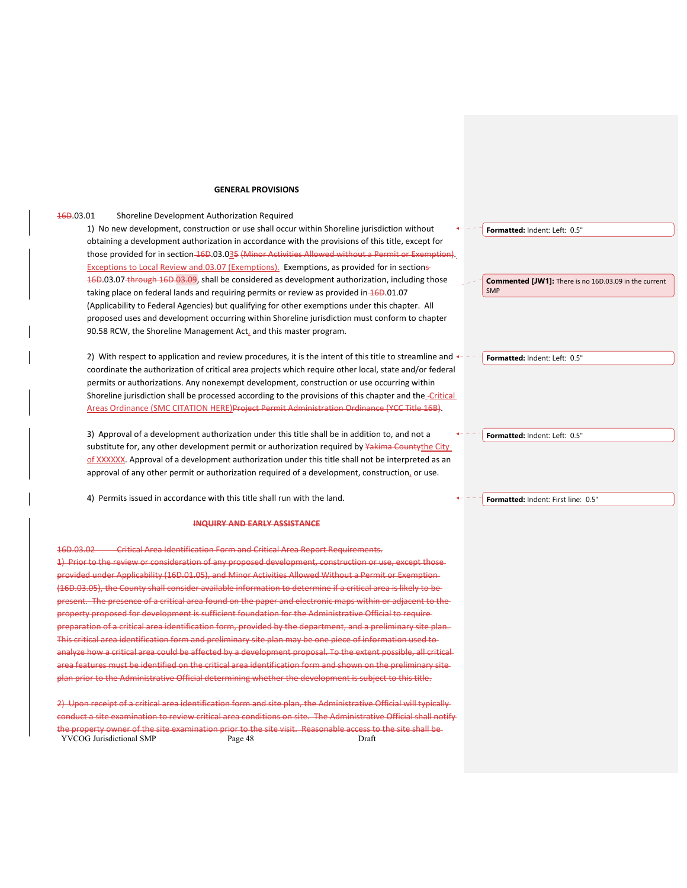### **GENERAL PROVISIONS**

## **16D.03.01** Shoreline Development Authorization Required

1) No new development, construction or use shall occur within Shoreline jurisdiction without obtaining a development authorization in accordance with the provisions of this title, except for those provided for in section 16D.03.035 (Minor Activities Allowed without a Permit or Exemption). Exceptions to Local Review and.03.07 (Exemptions). Exemptions, as provided for in sections 16D.03.07 through 16D.03.09, shall be considered as development authorization, including those taking place on federal lands and requiring permits or review as provided in  $46D.01.07$ (Applicability to Federal Agencies) but qualifying for other exemptions under this chapter. All proposed uses and development occurring within Shoreline jurisdiction must conform to chapter 90.58 RCW, the Shoreline Management Act, and this master program.

2) With respect to application and review procedures, it is the intent of this title to streamline and  $\leftarrow$ coordinate the authorization of critical area projects which require other local, state and/or federal permits or authorizations. Any nonexempt development, construction or use occurring within Shoreline jurisdiction shall be processed according to the provisions of this chapter and the *-Critical* Areas Ordinance (SMC CITATION HERE)Project Permit Administration Ordinance (YCC Title 16B).

3) Approval of a development authorization under this title shall be in addition to, and not a substitute for, any other development permit or authorization required by Yakima County the City of XXXXXX. Approval of a development authorization under this title shall not be interpreted as an approval of any other permit or authorization required of a development, construction, or use.

4) Permits issued in accordance with this title shall run with the land.

### **INQUIRY AND EARLY ASSISTANCE**

16D.03.02 Critical Area Identification Form and Critical Area Report Requirements. 1) Prior to the review or consideration of any proposed development, construction or use, except those provided under Applicability (16D.01.05), and Minor Activities Allowed Without a Permit or Exemption (16D.03.05), the County shall consider available information to determine if a critical area is likely to be sent. The presence of a critical area found on the paper and electronic maps within or adjacent to the property proposed for development is sufficient foundation for the Administrative Official to require paration of a critical area identification form, provided by the department, and a preliminary site plan. critical area identification form and preliminary site plan may be one piece of information used to analyze how a critical area could be affected by a development proposal. To the extent possible, all critical area features must be identified on the critical area identification form and shown on the preliminary site **p** prior to the Administrative Official determining whether the development is subject to this title.

YVCOG Jurisdictional SMP Page 48 Draft 2) Upon receipt of a critical area identification form and site plan, the Administrative Official will typically conduct a site examination to review critical area conditions on site. The Administrative Official shall notify property owner of the site examination prior to the site visit. Reasonable access to the site shall be**Formatted:** Indent: Left: 0.5"

**Commented [JW1]:** There is no 16D.03.09 in the current SMP

**Formatted:** Indent: Left: 0.5"

**Formatted:** Indent: Left: 0.5"

**Formatted:** Indent: First line: 0.5"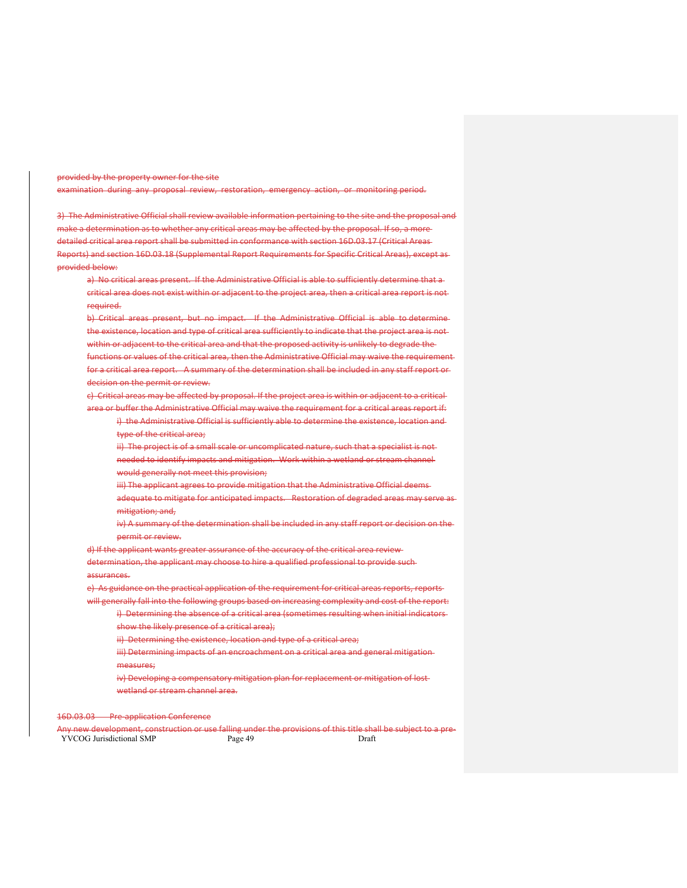provided by the property owner for the site

examination during any proposal review, restoration, emergency action, or monitoring period.

3) The Administrative Official shall review available information pertaining to the site and the proposal and make a determination as to whether any critical areas may be affected by the proposal. If so, a more detailed critical area report shall be submitted in conformance with section 16D.03.17 (Critical Areas Reports) and section 16D.03.18 (Supplemental Report Requirements for Specific Critical Areas), except as provided below:

a) No critical areas present. If the Administrative Official is able to sufficiently determine that a critical area does not exist within or adjacent to the project area, then a critical area report is not required.

- b) Critical areas present, but no impact. If the Administrative Official is able to determine the existence, location and type of critical area sufficiently to indicate that the project area is not within or adjacent to the critical area and that the proposed activity is unlikely to degrade the functions or values of the critical area, then the Administrative Official may waive the requirement
- for a critical area report. A summary of the determination shall be included in any staff report or decision on the permit or review.
- c) Critical areas may be affected by proposal. If the project area is within or adjacent to a critical area or buffer the Administrative Official may waive the requirement for a critical areas report if:
	- i) the Administrative Official is sufficiently able to determine the existence, location and type of the critical area;
		- ii) The project is of a small scale or uncomplicated nature, such that a specialist is not-
		- needed to identify impacts and mitigation. Work within a wetland or stream channel would generally not meet this provision;
		- iii) The applicant agrees to provide mitigation that the Administrative Official deems-
		- adequate to mitigate for anticipated impacts. Restoration of degraded areas may serve asmitigation; and,
		- iv) A summary of the determination shall be included in any staff report or decision on the permit or review.
- d) If the applicant wants greater assurance of the accuracy of the critical area review determination, the applicant may choose to hire a qualified professional to provide such
- assurances.
- e) As guidance on the practical application of the requirement for critical areas reports, reports will generally fall into the following groups based on increasing complexity and cost of the report:
	- i) Determining the absence of a critical area (sometimes resulting when initial indicatorsshow the likely presence of a critical area);
		-
		- ii) Determining the existence, location and type of a critical area;
		- iii) Determining impacts of an encroachment on a critical area and general mitigation measures;
		-
		- iv) Developing a compensatory mitigation plan for replacement or mitigation of lostwetland or stream channel area.

16D.03.03 Pre‐application Conference

YVCOG Jurisdictional SMP Page 49 Page 49 Any new development, construction or use falling under the provisions of this title shall be subject to a pre‐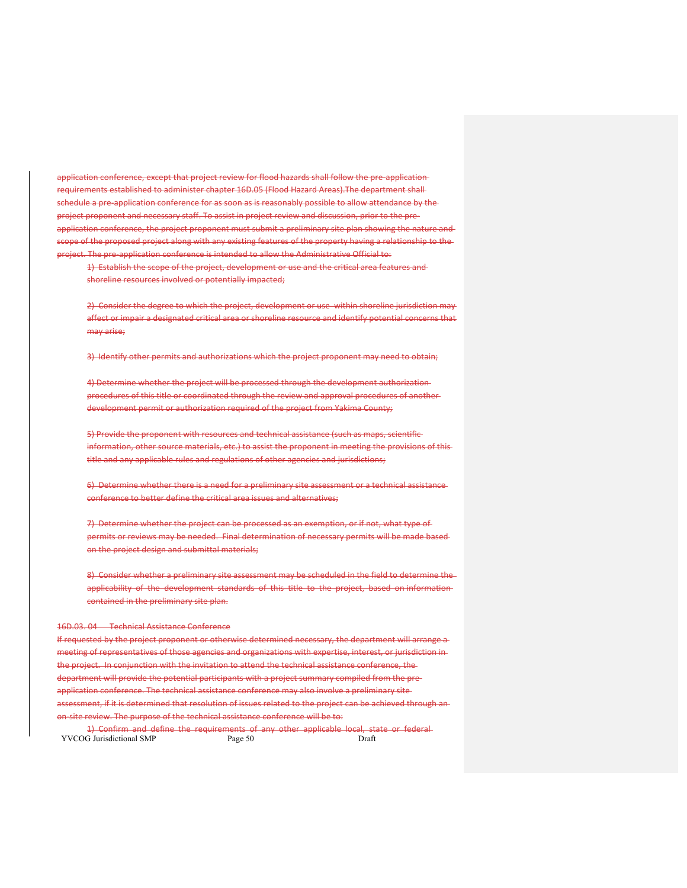application conference, except that project review for flood hazards shall follow the pre-applicationrequirements established to administer chapter 16D.05 (Flood Hazard Areas).The department shall schedule a pre-application conference for as soon as is reasonably possible to allow attendance by the project proponent and necessary staff. To assist in project review and discussion, prior to the preapplication conference, the project proponent must submit a preliminary site plan showing the nature and scope of the proposed project along with any existing features of the property having a relationship to the project. The pre‐application conference is intended to allow the Administrative Official to:

1) Establish the scope of the project, development or use and the critical area features and shoreline resources involved or potentially impacted;

2) Consider the degree to which the project, development or use within shoreline jurisdiction may affect or impair a designated critical area or shoreline resource and identify potential concerns that may arise;

3) Identify other permits and authorizations which the project proponent may need to obtain;

4) Determine whether the project will be processed through the development authorizationprocedures of this title or coordinated through the review and approval procedures of another development permit or authorization required of the project from Yakima County;

5) Provide the proponent with resources and technical assistance (such as maps, scientific information, other source materials, etc.) to assist the proponent in meeting the provisions of thistitle and any applicable rules and regulations of other agencies and jurisdictions;

6) Determine whether there is a need for a preliminary site assessment or a technical assistance conference to better define the critical area issues and alternatives;

7) Determine whether the project can be processed as an exemption, or if not, what type of permits or reviews may be needed. Final determination of necessary permits will be made based on the project design and submittal materials;

8) Consider whether a preliminary site assessment may be scheduled in the field to determine theapplicability of the development standards of this title to the project, based on information contained in the preliminary site plan.

## 16D.03. 04 Technical Assistance Conference

If requested by the project proponent or otherwise determined necessary, the department will arrange a meeting of representatives of those agencies and organizations with expertise, interest, or jurisdiction in the project. In conjunction with the invitation to attend the technical assistance conference, the department will provide the potential participants with a project summary compiled from the preapplication conference. The technical assistance conference may also involve a preliminary siteassessment, if it is determined that resolution of issues related to the project can be achieved through an on-site review. The purpose of the technical assistance conference will be to:

YVCOG Jurisdictional SMP Page 50 Draft 1) Confirm and define the requirements of any other applicable local, state or federal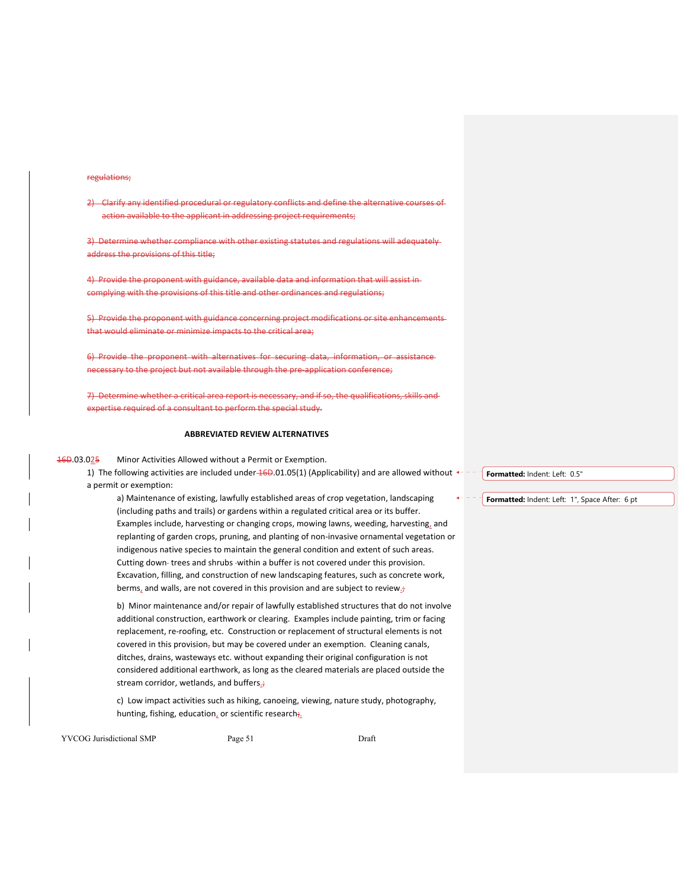## regulations;

2) Clarify any identified procedural or regulatory conflicts and define the alternative courses action available to the applicant in addressing project requirements;

3) Determine whether compliance with other existing statutes and regulations will adequatelyaddress the provisions of this title;

4) Provide the proponent with guidance, available data and information that will assist in complying with the provisions of this title and other ordinances and regulations;

5) Provide the proponent with guidance concerning project modifications or site enhancements that would eliminate or minimize impacts to the critical area;

6) Provide the proponent with alternatives for securing data, information, or necessary to the project but not available through the pre-application conference;

7) Determine whether a critical area report is necessary, and if so, the qualifications, skills andexpertise required of a consultant to perform the special study.

#### **ABBREVIATED REVIEW ALTERNATIVES**

16D.03.025 Minor Activities Allowed without a Permit or Exemption.

1) The following activities are included under  $46D.01.05(1)$  (Applicability) and are allowed without  $\leftarrow$  a permit or exemption:

a) Maintenance of existing, lawfully established areas of crop vegetation, landscaping (including paths and trails) or gardens within a regulated critical area or its buffer. Examples include, harvesting or changing crops, mowing lawns, weeding, harvesting, and replanting of garden crops, pruning, and planting of non‐invasive ornamental vegetation or indigenous native species to maintain the general condition and extent of such areas. Cutting down-trees and shrubs -within a buffer is not covered under this provision. Excavation, filling, and construction of new landscaping features, such as concrete work, berms, and walls, are not covered in this provision and are subject to review.

b) Minor maintenance and/or repair of lawfully established structures that do not involve additional construction, earthwork or clearing. Examples include painting, trim or facing replacement, re-roofing, etc. Construction or replacement of structural elements is not covered in this provision, but may be covered under an exemption. Cleaning canals, ditches, drains, wasteways etc. without expanding their original configuration is not considered additional earthwork, as long as the cleared materials are placed outside the stream corridor, wetlands, and buffers.;

c) Low impact activities such as hiking, canoeing, viewing, nature study, photography, hunting, fishing, education, or scientific research;

YVCOG Jurisdictional SMP Page 51 Draft

**Formatted:** Indent: Left: 0.5"

**Formatted:** Indent: Left: 1", Space After: 6 pt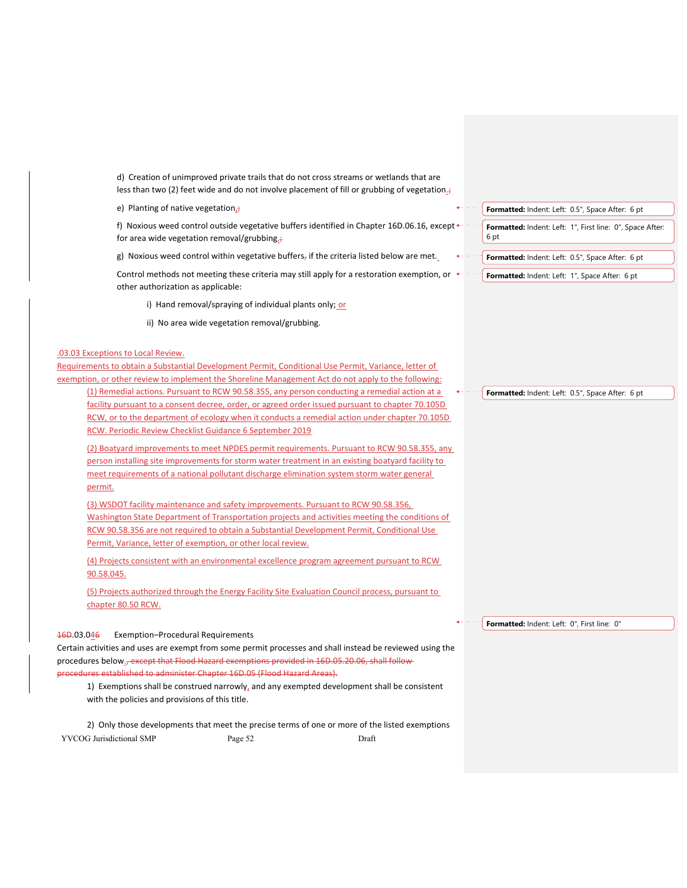d) Creation of unimproved private trails that do not cross streams or wetlands that are less than two (2) feet wide and do not involve placement of fill or grubbing of vegetation.

e) Planting of native vegetation $_{2}$ ;

f) Noxious weed control outside vegetative buffers identified in Chapter 16D.06.16, except  $\triangleleft$ for area wide vegetation removal/grubbing $_{2}$ ;

g) Noxious weed control within vegetative buffers, if the criteria listed below are met.

Control methods not meeting these criteria may still apply for a restoration exemption, or  $\leftarrow$  other authorization as applicable:

i) Hand removal/spraying of individual plants only; or

ii) No area wide vegetation removal/grubbing.

#### .03.03 Exceptions to Local Review.

Requirements to obtain a Substantial Development Permit, Conditional Use Permit, Variance, letter of exemption, or other review to implement the Shoreline Management Act do not apply to the following: (1) Remedial actions. Pursuant to RCW 90.58.355, any person conducting a remedial action at a facility pursuant to a consent decree, order, or agreed order issued pursuant to chapter 70.105D RCW, or to the department of ecology when it conducts a remedial action under chapter 70.105D

RCW. Periodic Review Checklist Guidance 6 September 2019

(2) Boatyard improvements to meet NPDES permit requirements. Pursuant to RCW 90.58.355, any person installing site improvements for storm water treatment in an existing boatyard facility to meet requirements of a national pollutant discharge elimination system storm water general permit.

(3) WSDOT facility maintenance and safety improvements. Pursuant to RCW 90.58.356, Washington State Department of Transportation projects and activities meeting the conditions of RCW 90.58.356 are not required to obtain a Substantial Development Permit, Conditional Use Permit, Variance, letter of exemption, or other local review.

(4) Projects consistent with an environmental excellence program agreement pursuant to RCW 90.58.045.

(5) Projects authorized through the Energy Facility Site Evaluation Council process, pursuant to chapter 80.50 RCW.

## 16D.03.046 Exemption–Procedural Requirements

Certain activities and uses are exempt from some permit processes and shall instead be reviewed using the procedures below.<del>, except that Flood Hazard exemptions provided in 16D.05.20.06, shall follow</del> edures established to administer Chapter 16D.05 (Flood Hazard Areas).

1) Exemptions shall be construed narrowly, and any exempted development shall be consistent with the policies and provisions of this title.

YVCOG Jurisdictional SMP Page 52 Draft 2) Only those developments that meet the precise terms of one or more of the listed exemptions **Formatted:** Indent: Left: 0.5", Space After: 6 pt **Formatted:** Indent: Left: 1", First line: 0", Space After: 6 pt **Formatted:** Indent: Left: 0.5", Space After: 6 pt

Formatted: Indent: Left: 1", Space After: 6 pt

**Formatted:** Indent: Left: 0.5", Space After: 6 pt

**Formatted:** Indent: Left: 0", First line: 0"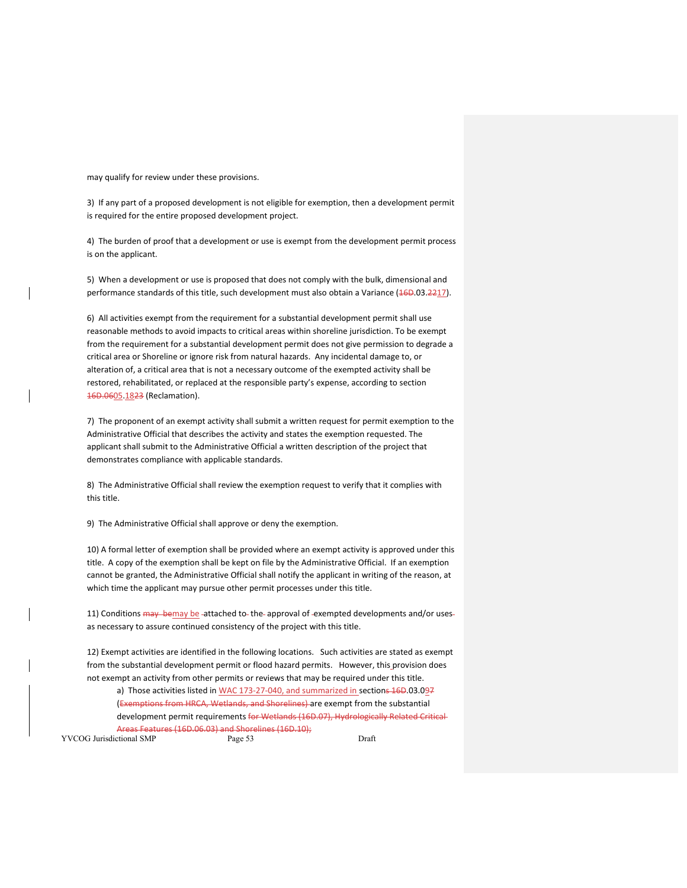may qualify for review under these provisions.

3) If any part of a proposed development is not eligible for exemption, then a development permit is required for the entire proposed development project.

4) The burden of proof that a development or use is exempt from the development permit process is on the applicant.

5) When a development or use is proposed that does not comply with the bulk, dimensional and performance standards of this title, such development must also obtain a Variance (46D.03.2217).

6) All activities exempt from the requirement for a substantial development permit shall use reasonable methods to avoid impacts to critical areas within shoreline jurisdiction. To be exempt from the requirement for a substantial development permit does not give permission to degrade a critical area or Shoreline or ignore risk from natural hazards. Any incidental damage to, or alteration of, a critical area that is not a necessary outcome of the exempted activity shall be restored, rehabilitated, or replaced at the responsible party's expense, according to section 16D.0605.1823 (Reclamation).

7) The proponent of an exempt activity shall submit a written request for permit exemption to the Administrative Official that describes the activity and states the exemption requested. The applicant shall submit to the Administrative Official a written description of the project that demonstrates compliance with applicable standards.

8) The Administrative Official shall review the exemption request to verify that it complies with this title.

9) The Administrative Official shall approve or deny the exemption.

10) A formal letter of exemption shall be provided where an exempt activity is approved under this title. A copy of the exemption shall be kept on file by the Administrative Official. If an exemption cannot be granted, the Administrative Official shall notify the applicant in writing of the reason, at which time the applicant may pursue other permit processes under this title.

11) Conditions may bemay be attached to the approval of exempted developments and/or usesas necessary to assure continued consistency of the project with this title.

12) Exempt activities are identified in the following locations. Such activities are stated as exempt from the substantial development permit or flood hazard permits. However, this provision does not exempt an activity from other permits or reviews that may be required under this title.

a) Those activities listed in WAC 173-27-040, and summarized in sections 16D.03.097 (Exemptions from HRCA, Wetlands, and Shorelines) are exempt from the substantial development permit requirements for Wetlands (16D.07), Hydrologically Related Critical-Areas Features (16D.06.03) and Shorelines (16D.10);

YVCOG Jurisdictional SMP Page 53 Draft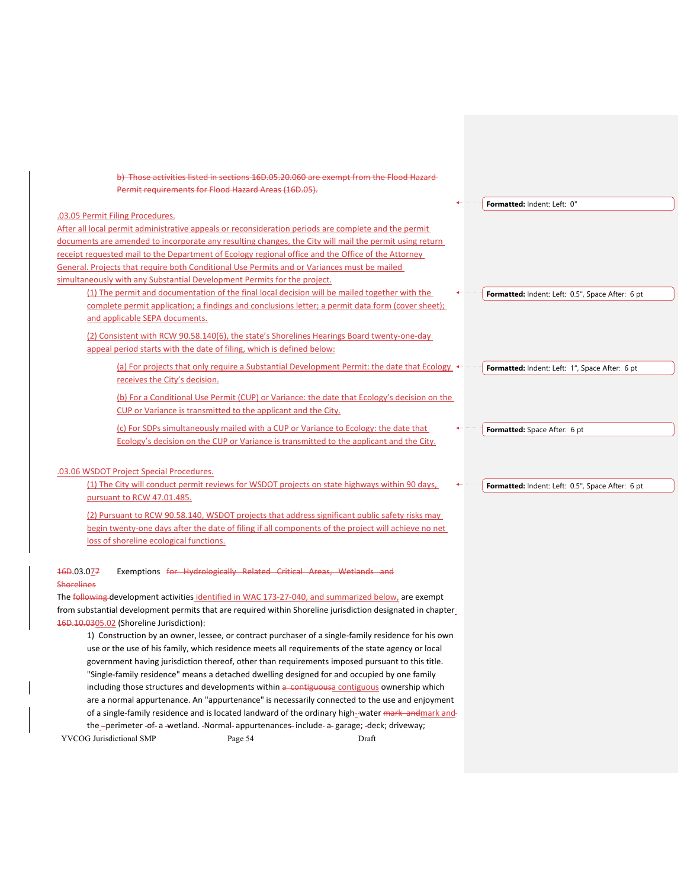| b) Those activities listed in sections 16D.05.20.060 are exempt from the Flood Hazard-                                                                                                                   |                                                  |
|----------------------------------------------------------------------------------------------------------------------------------------------------------------------------------------------------------|--------------------------------------------------|
| Permit requirements for Flood Hazard Areas (16D.05).                                                                                                                                                     |                                                  |
|                                                                                                                                                                                                          | Formatted: Indent: Left: 0"                      |
| .03.05 Permit Filing Procedures.                                                                                                                                                                         |                                                  |
| After all local permit administrative appeals or reconsideration periods are complete and the permit                                                                                                     |                                                  |
| documents are amended to incorporate any resulting changes, the City will mail the permit using return                                                                                                   |                                                  |
| receipt requested mail to the Department of Ecology regional office and the Office of the Attorney                                                                                                       |                                                  |
| General. Projects that require both Conditional Use Permits and or Variances must be mailed                                                                                                              |                                                  |
| simultaneously with any Substantial Development Permits for the project.                                                                                                                                 |                                                  |
| (1) The permit and documentation of the final local decision will be mailed together with the                                                                                                            | Formatted: Indent: Left: 0.5", Space After: 6 pt |
| complete permit application; a findings and conclusions letter; a permit data form (cover sheet);                                                                                                        |                                                  |
| and applicable SEPA documents.                                                                                                                                                                           |                                                  |
| (2) Consistent with RCW 90.58.140(6), the state's Shorelines Hearings Board twenty-one-day                                                                                                               |                                                  |
| appeal period starts with the date of filing, which is defined below:                                                                                                                                    |                                                  |
| (a) For projects that only require a Substantial Development Permit: the date that Ecology                                                                                                               | Formatted: Indent: Left: 1", Space After: 6 pt   |
| receives the City's decision.                                                                                                                                                                            |                                                  |
| (b) For a Conditional Use Permit (CUP) or Variance: the date that Ecology's decision on the                                                                                                              |                                                  |
| CUP or Variance is transmitted to the applicant and the City.                                                                                                                                            |                                                  |
|                                                                                                                                                                                                          |                                                  |
| (c) For SDPs simultaneously mailed with a CUP or Variance to Ecology: the date that                                                                                                                      | Formatted: Space After: 6 pt                     |
| <b>Ecology's decision on the CUP or Variance is transmitted to the applicant and the City.</b>                                                                                                           |                                                  |
|                                                                                                                                                                                                          |                                                  |
| .03.06 WSDOT Project Special Procedures.                                                                                                                                                                 |                                                  |
| (1) The City will conduct permit reviews for WSDOT projects on state highways within 90 days,                                                                                                            | Formatted: Indent: Left: 0.5", Space After: 6 pt |
| pursuant to RCW 47.01.485.                                                                                                                                                                               |                                                  |
| (2) Pursuant to RCW 90.58.140, WSDOT projects that address significant public safety risks may                                                                                                           |                                                  |
| begin twenty-one days after the date of filing if all components of the project will achieve no net                                                                                                      |                                                  |
| loss of shoreline ecological functions.                                                                                                                                                                  |                                                  |
|                                                                                                                                                                                                          |                                                  |
| Exemptions for Hydrologically Related Critical Areas, Wetlands and<br>469.03.077                                                                                                                         |                                                  |
| <b>Shorelines</b>                                                                                                                                                                                        |                                                  |
| The following development activities identified in WAC 173-27-040, and summarized below, are exempt                                                                                                      |                                                  |
| from substantial development permits that are required within Shoreline jurisdiction designated in chapter                                                                                               |                                                  |
| 46D 10.0305.02 (Shoreline Jurisdiction):                                                                                                                                                                 |                                                  |
| 1) Construction by an owner, lessee, or contract purchaser of a single-family residence for his own<br>use or the use of his family, which residence meets all requirements of the state agency or local |                                                  |
| government having jurisdiction thereof, other than requirements imposed pursuant to this title.                                                                                                          |                                                  |
| "Single-family residence" means a detached dwelling designed for and occupied by one family                                                                                                              |                                                  |
| including those structures and developments within a contiguousa contiguous ownership which                                                                                                              |                                                  |
| are a normal appurtenance. An "appurtenance" is necessarily connected to the use and enjoyment                                                                                                           |                                                  |
| of a single-family residence and is located landward of the ordinary high--water mark and and                                                                                                            |                                                  |
| the_-perimeter -of- a -wetland. -Normal- appurtenances- include- a- garage; -deck; driveway;                                                                                                             |                                                  |
| YVCOG Jurisdictional SMP<br>Page 54<br>Draft                                                                                                                                                             |                                                  |
|                                                                                                                                                                                                          |                                                  |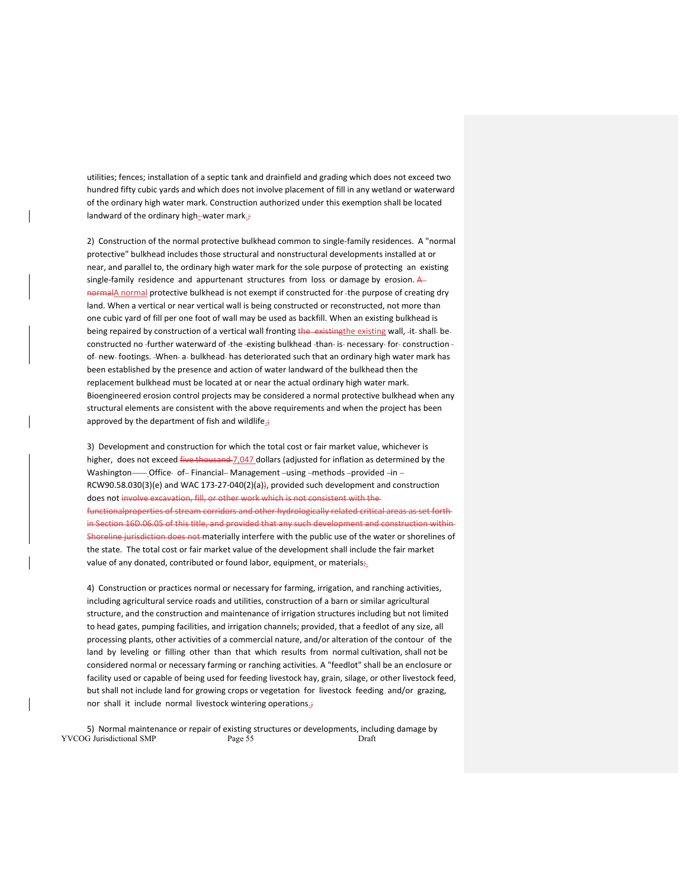utilities; fences; installation of a septic tank and drainfield and grading which does not exceed two hundred fifty cubic yards and which does not involve placement of fill in any wetland or waterward of the ordinary high water mark. Construction authorized under this exemption shall be located landward of the ordinary high--water mark.;

2) Construction of the normal protective bulkhead common to single‐family residences. A "normal protective" bulkhead includes those structural and nonstructural developments installed at or near, and parallel to, the ordinary high water mark for the sole purpose of protecting an existing single-family residence and appurtenant structures from loss or damage by erosion. A normalA normal protective bulkhead is not exempt if constructed for -the purpose of creating dry land. When a vertical or near vertical wall is being constructed or reconstructed, not more than one cubic yard of fill per one foot of wall may be used as backfill. When an existing bulkhead is being repaired by construction of a vertical wall fronting the existing the existing wall, -it- shall- beconstructed no -further waterward of -the -existing bulkhead -than- is- necessary- for- construction of- new- footings. -When- a- bulkhead- has deteriorated such that an ordinary high water mark has been established by the presence and action of water landward of the bulkhead then the replacement bulkhead must be located at or near the actual ordinary high water mark. Bioengineered erosion control projects may be considered a normal protective bulkhead when any structural elements are consistent with the above requirements and when the project has been approved by the department of fish and wildlife $\cdot$ 

3) Development and construction for which the total cost or fair market value, whichever is higher, does not exceed five thousand 7,047 dollars (adjusted for inflation as determined by the Washington- Office- of-Financial-Management-using-methods-provided-in-RCW90.58.030(3)(e) and WAC 173‐27‐040(2)(a)), provided such development and construction does not involve excavation, fill, or other work which is not consistent with the tionalproperties of stream corridors and other hydrologically related critical areas as set forthin Section 16D.06.05 of this title, and provided that any such development and construction within Shoreline jurisdiction does not materially interfere with the public use of the water or shorelines of the state. The total cost or fair market value of the development shall include the fair market value of any donated, contributed or found labor, equipment, or materials $\frac{1}{2}$ .

4) Construction or practices normal or necessary for farming, irrigation, and ranching activities, including agricultural service roads and utilities, construction of a barn or similar agricultural structure, and the construction and maintenance of irrigation structures including but not limited to head gates, pumping facilities, and irrigation channels; provided, that a feedlot of any size, all processing plants, other activities of a commercial nature, and/or alteration of the contour of the land by leveling or filling other than that which results from normal cultivation, shall not be considered normal or necessary farming or ranching activities. A "feedlot" shall be an enclosure or facility used or capable of being used for feeding livestock hay, grain, silage, or other livestock feed, but shall not include land for growing crops or vegetation for livestock feeding and/or grazing, nor shall it include normal livestock wintering operations.

YVCOG Jurisdictional SMP Page 55 Draft 5) Normal maintenance or repair of existing structures or developments, including damage by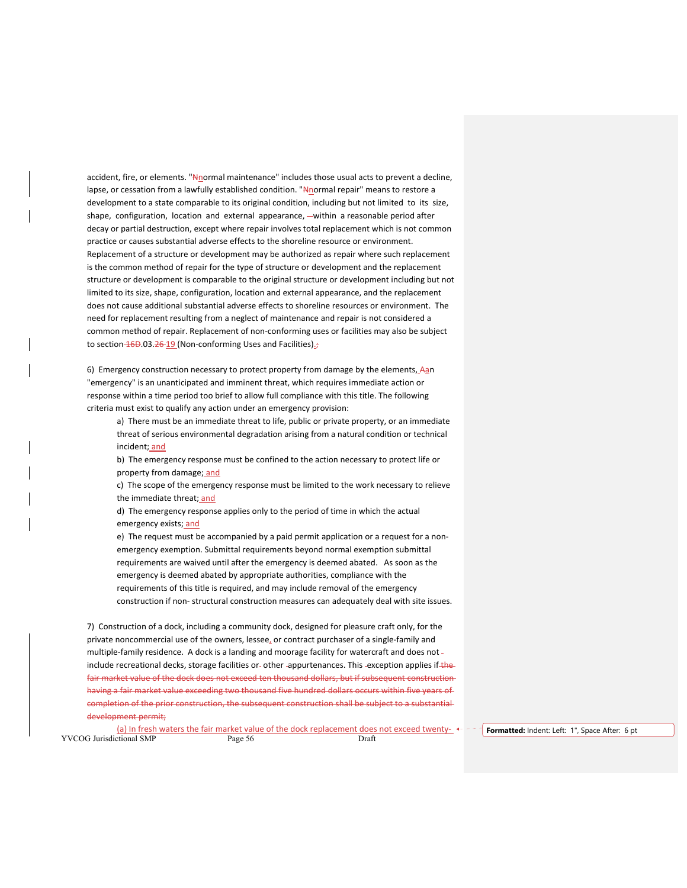accident, fire, or elements. "Nnormal maintenance" includes those usual acts to prevent a decline, lapse, or cessation from a lawfully established condition. "Nenormal repair" means to restore a development to a state comparable to its original condition, including but not limited to its size, shape, configuration, location and external appearance, -within a reasonable period after decay or partial destruction, except where repair involves total replacement which is not common practice or causes substantial adverse effects to the shoreline resource or environment. Replacement of a structure or development may be authorized as repair where such replacement is the common method of repair for the type of structure or development and the replacement structure or development is comparable to the original structure or development including but not limited to its size, shape, configuration, location and external appearance, and the replacement does not cause additional substantial adverse effects to shoreline resources or environment. The need for replacement resulting from a neglect of maintenance and repair is not considered a common method of repair. Replacement of non-conforming uses or facilities may also be subject to section  $46D.03.26-19$  (Non-conforming Uses and Facilities).;

6) Emergency construction necessary to protect property from damage by the elements, Aan "emergency" is an unanticipated and imminent threat, which requires immediate action or response within a time period too brief to allow full compliance with this title. The following criteria must exist to qualify any action under an emergency provision:

a) There must be an immediate threat to life, public or private property, or an immediate threat of serious environmental degradation arising from a natural condition or technical incident; and

b) The emergency response must be confined to the action necessary to protect life or property from damage; and

c) The scope of the emergency response must be limited to the work necessary to relieve the immediate threat; and

d) The emergency response applies only to the period of time in which the actual emergency exists; and

e) The request must be accompanied by a paid permit application or a request for a non‐ emergency exemption. Submittal requirements beyond normal exemption submittal requirements are waived until after the emergency is deemed abated. As soon as the emergency is deemed abated by appropriate authorities, compliance with the requirements of this title is required, and may include removal of the emergency construction if non‐ structural construction measures can adequately deal with site issues.

7) Construction of a dock, including a community dock, designed for pleasure craft only, for the private noncommercial use of the owners, lessee, or contract purchaser of a single‐family and multiple-family residence. A dock is a landing and moorage facility for watercraft and does not include recreational decks, storage facilities or-other -appurtenances. This -exception applies if-thefair market value of the dock does not exceed ten thousand dollars, but if subsequent construction having a fair market value exceeding two thousand five hundred dollars occurs within five years of completion of the prior construction, the subsequent construction shall be subject to a substantial development permit;

YVCOG Jurisdictional SMP Page 56 Draft (a) In fresh waters the fair market value of the dock replacement does not exceed twenty- ← - - Formatted: Indent: Left: 1", Space After: 6 pt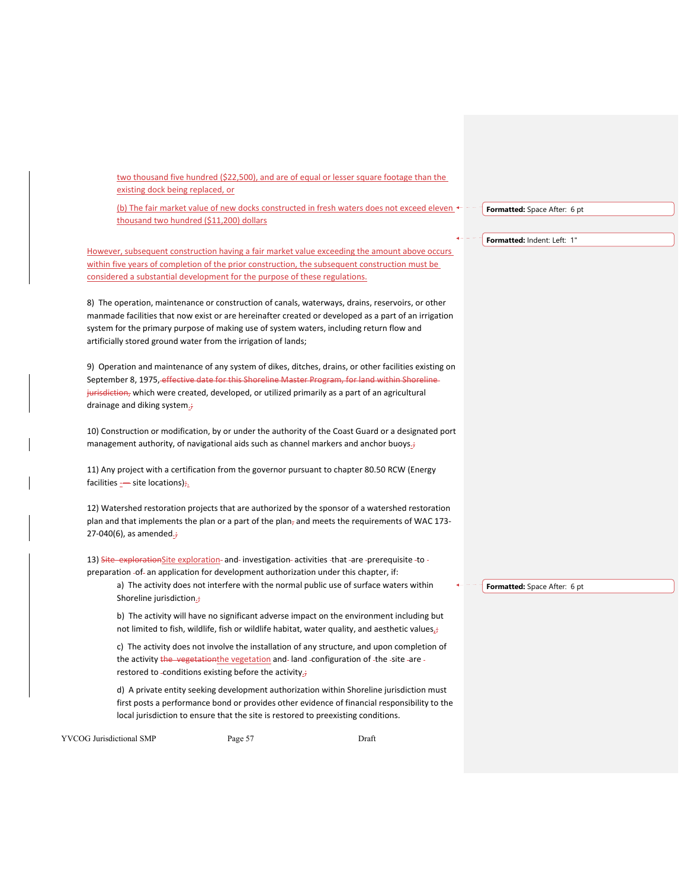YVCOG Jurisdictional SMP Page 57 Draft two thousand five hundred (\$22,500), and are of equal or lesser square footage than the existing dock being replaced, or (b) The fair market value of new docks constructed in fresh waters does not exceed eleven  $\leftarrow$  thousand two hundred (\$11,200) dollars However, subsequent construction having a fair market value exceeding the amount above occurs within five years of completion of the prior construction, the subsequent construction must be considered a substantial development for the purpose of these regulations. 8) The operation, maintenance or construction of canals, waterways, drains, reservoirs, or other manmade facilities that now exist or are hereinafter created or developed as a part of an irrigation system for the primary purpose of making use of system waters, including return flow and artificially stored ground water from the irrigation of lands; 9) Operation and maintenance of any system of dikes, ditches, drains, or other facilities existing on September 8, 1975, effective date for this Shoreline Master Program, for land within Shoreline jurisdiction, which were created, developed, or utilized primarily as a part of an agricultural drainage and diking system.; 10) Construction or modification, by or under the authority of the Coast Guard or a designated port management authority, of navigational aids such as channel markers and anchor buoys.<sup>+</sup> 11) Any project with a certification from the governor pursuant to chapter 80.50 RCW (Energy facilities  $\underline{\cdot}$  site locations) $\frac{1}{r}$ . 12) Watershed restoration projects that are authorized by the sponsor of a watershed restoration plan and that implements the plan or a part of the plan, and meets the requirements of WAC 173-27-040(6), as amended. $\div$ 13) Site explorationSite exploration and investigation activities that are -prerequisite -to preparation -of- an application for development authorization under this chapter, if: a) The activity does not interfere with the normal public use of surface waters within Shoreline jurisdiction.; b) The activity will have no significant adverse impact on the environment including but not limited to fish, wildlife, fish or wildlife habitat, water quality, and aesthetic values $j$ c) The activity does not involve the installation of any structure, and upon completion of the activity the vegetationthe vegetation and land -configuration of -the -site -are restored to -conditions existing before the activity.<sup>;</sup> d) A private entity seeking development authorization within Shoreline jurisdiction must first posts a performance bond or provides other evidence of financial responsibility to the local jurisdiction to ensure that the site is restored to preexisting conditions. **Formatted:** Space After: 6 pt **Formatted:** Indent: Left: 1" **Formatted:** Space After: 6 pt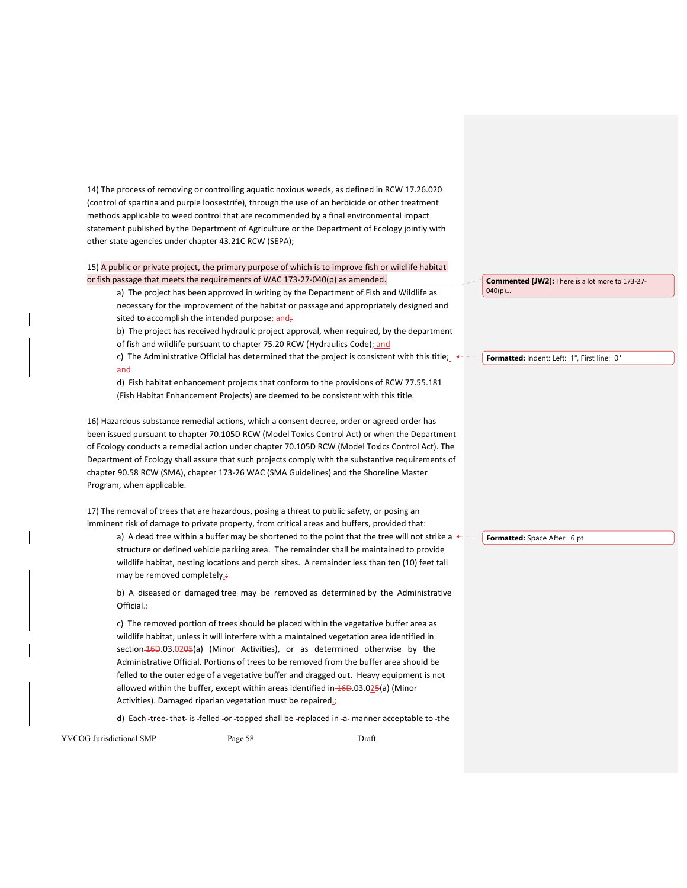14) The process of removing or controlling aquatic noxious weeds, as defined in RCW 17.26.020 (control of spartina and purple loosestrife), through the use of an herbicide or other treatment methods applicable to weed control that are recommended by a final environmental impact statement published by the Department of Agriculture or the Department of Ecology jointly with other state agencies under chapter 43.21C RCW (SEPA);

15) A public or private project, the primary purpose of which is to improve fish or wildlife habitat or fish passage that meets the requirements of WAC 173‐27‐040(p) as amended.

a) The project has been approved in writing by the Department of Fish and Wildlife as necessary for the improvement of the habitat or passage and appropriately designed and sited to accomplish the intended purpose; and;

b) The project has received hydraulic project approval, when required, by the department of fish and wildlife pursuant to chapter 75.20 RCW (Hydraulics Code); and

c) The Administrative Official has determined that the project is consistent with this title;  $\leftarrow$ and

d) Fish habitat enhancement projects that conform to the provisions of RCW 77.55.181 (Fish Habitat Enhancement Projects) are deemed to be consistent with this title.

16) Hazardous substance remedial actions, which a consent decree, order or agreed order has been issued pursuant to chapter 70.105D RCW (Model Toxics Control Act) or when the Department of Ecology conducts a remedial action under chapter 70.105D RCW (Model Toxics Control Act). The Department of Ecology shall assure that such projects comply with the substantive requirements of chapter 90.58 RCW (SMA), chapter 173‐26 WAC (SMA Guidelines) and the Shoreline Master Program, when applicable.

17) The removal of trees that are hazardous, posing a threat to public safety, or posing an imminent risk of damage to private property, from critical areas and buffers, provided that:

a) A dead tree within a buffer may be shortened to the point that the tree will not strike a  $\leftarrow$ structure or defined vehicle parking area. The remainder shall be maintained to provide wildlife habitat, nesting locations and perch sites. A remainder less than ten (10) feet tall may be removed completely.;

b) A -diseased or- damaged tree -may -be- removed as -determined by -the -Administrative Official.;

c) The removed portion of trees should be placed within the vegetative buffer area as wildlife habitat, unless it will interfere with a maintained vegetation area identified in section-16D.03.0205(a) (Minor Activities), or as determined otherwise by the Administrative Official. Portions of trees to be removed from the buffer area should be felled to the outer edge of a vegetative buffer and dragged out. Heavy equipment is not allowed within the buffer, except within areas identified in 46D.03.025(a) (Minor Activities). Damaged riparian vegetation must be repaired<sub>=</sub>;

d) Each -tree- that- is -felled -or -topped shall be -replaced in -a- manner acceptable to -the

YVCOG Jurisdictional SMP Page 58 Draft

**Commented [JW2]:** There is a lot more to 173‐27‐ 040(p)…

**Formatted:** Indent: Left: 1", First line: 0"

**Formatted:** Space After: 6 pt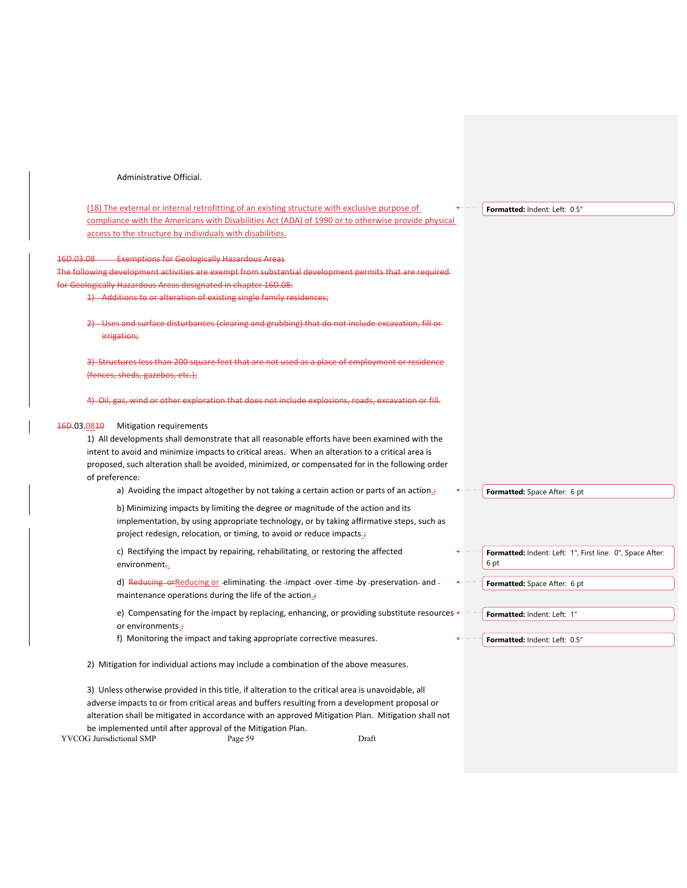## Administrative Official.

(18) The external or internal retrofitting of an existing structure with exclusive purpose of compliance with the Americans with Disabilities Act (ADA) of 1990 or to otherwise provide physical access to the structure by individuals with disabilities.

#### 16D.03.08 Exemptions for Geologically Hazardous Areas

The following development activities are exempt from substantial development permits that are required for Geologically Hazardous Areas designated in chapter 16D.08:

1) Additions to or alteration of existing single family residences;

Uses and surface disturbances (clearing and grubbing) that do not include excavation, fill or irrigation;

3) Structures less than 200 square feet that are not used as a place of employment or residence (fences, sheds, gazebos, etc.);

4) Oil, gas, wind or other exploration that does not include explosions, roads, excavation or fill.

## 16D.03.0810 Mitigation requirements

1) All developments shall demonstrate that all reasonable efforts have been examined with the intent to avoid and minimize impacts to critical areas. When an alteration to a critical area is proposed, such alteration shall be avoided, minimized, or compensated for in the following order of preference:

a) Avoiding the impact altogether by not taking a certain action or parts of an action.

b) Minimizing impacts by limiting the degree or magnitude of the action and its implementation, by using appropriate technology, or by taking affirmative steps, such as project redesign, relocation, or timing, to avoid or reduce impacts.;

c) Rectifying the impact by repairing, rehabilitating, or restoring the affected environment;

d) Reducing orReducing or -eliminating the -impact -over -time -by -preservation- and maintenance operations during the life of the action.;

e) Compensating for the impact by replacing, enhancing, or providing substitute resources  $\leftarrow$  or environments.;

f) Monitoring the impact and taking appropriate corrective measures.

2) Mitigation for individual actions may include a combination of the above measures.

YVCOG Jurisdictional SMP Page 59 Draft 3) Unless otherwise provided in this title, if alteration to the critical area is unavoidable, all adverse impacts to or from critical areas and buffers resulting from a development proposal or alteration shall be mitigated in accordance with an approved Mitigation Plan. Mitigation shall not be implemented until after approval of the Mitigation Plan.

**Formatted:** Indent: Left: 0.5"

**Formatted:** Space After: 6 pt

| 6 pt                         | Formatted: Indent: Left: 1", First line: 0", Space After: |  |
|------------------------------|-----------------------------------------------------------|--|
| Formatted: Space After: 6 pt |                                                           |  |

**Formatted:** Indent: Left: 1"

**Formatted:** Indent: Left: 0.5"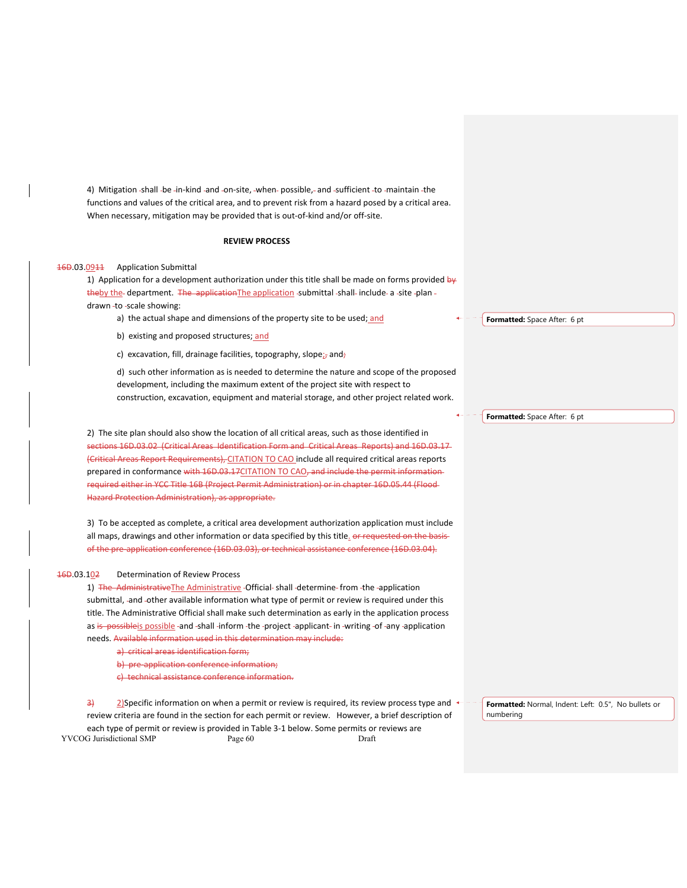4) Mitigation -shall -be -in-kind -and -on-site, -when- possible, - and -sufficient -to -maintain -the functions and values of the critical area, and to prevent risk from a hazard posed by a critical area. When necessary, mitigation may be provided that is out-of-kind and/or off-site.

## **REVIEW PROCESS**

## 16D.03.0911 Application Submittal

1) Application for a development authorization under this title shall be made on forms provided by theby the department. The applicationThe application submittal shall include a site -plan drawn -to -scale showing:

- a) the actual shape and dimensions of the property site to be used; and
- b) existing and proposed structures; and
- c) excavation, fill, drainage facilities, topography, slope<sub>ir</sub> and;

d) such other information as is needed to determine the nature and scope of the proposed development, including the maximum extent of the project site with respect to construction, excavation, equipment and material storage, and other project related work.

2) The site plan should also show the location of all critical areas, such as those identified in sections 16D.03.02 (Critical Areas Identification Form and Critical Areas Reports) and 16D.03.17 (Critical Areas Report Requirements), CITATION TO CAO include all required critical areas reports prepared in conformance with 16D.03.17CITATION TO CAO, and include the permit information required either in YCC Title 16B (Project Permit Administration) or in chapter 16D.05.44 (Flood Hazard Protection Administration), as appropriate.

3) To be accepted as complete, a critical area development authorization application must include all maps, drawings and other information or data specified by this title. or requested on the basisof the pre‐application conference (16D.03.03), or technical assistance conference (16D.03.04).

## 16D.03.102 Determination of Review Process

1) The AdministrativeThe Administrative -Official- shall -determine- from -the -application submittal, -and -other available information what type of permit or review is required under this title. The Administrative Official shall make such determination as early in the application process as is possible is possible -and -shall -inform -the -project -applicant- in -writing -of -any -application needs. Available information used in this determination may include:

- a) critical areas identification form;
- b) pre-application conference information;

c) technical assistance conference information.

YVCOG Jurisdictional SMP Page 60 Draft  $\frac{3}{2}$  2)Specific information on when a permit or review is required, its review process type and  $\leftarrow$ review criteria are found in the section for each permit or review. However, a brief description of each type of permit or review is provided in Table 3‐1 below. Some permits or reviews are

**Formatted:** Space After: 6 pt

**Formatted:** Space After: 6 pt

**Formatted:** Normal, Indent: Left: 0.5", No bullets or numbering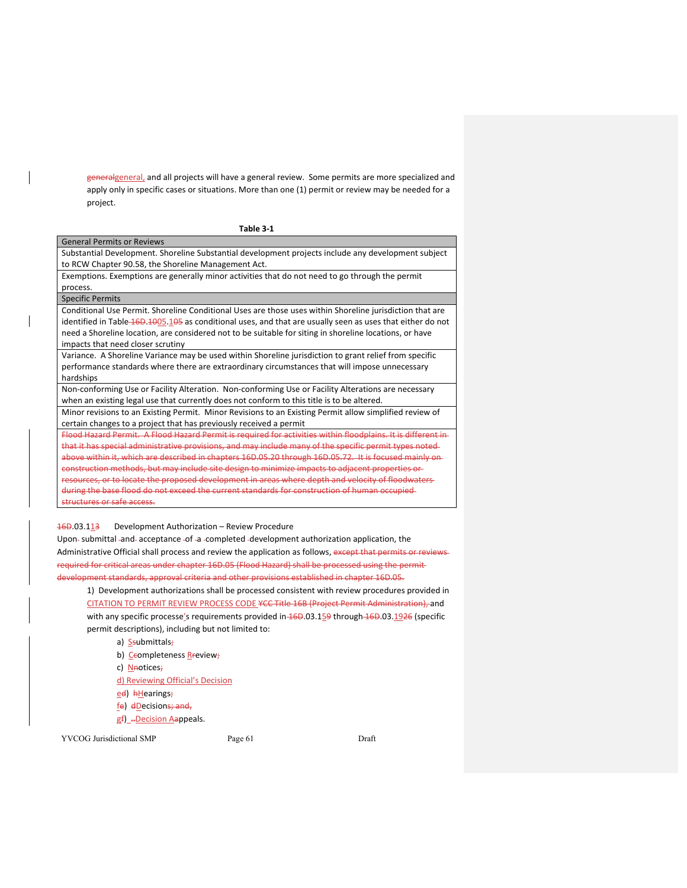generalgeneral, and all projects will have a general review. Some permits are more specialized and apply only in specific cases or situations. More than one (1) permit or review may be needed for a project.

| Table 3-1                                                                                                                                                                                                                                                  |
|------------------------------------------------------------------------------------------------------------------------------------------------------------------------------------------------------------------------------------------------------------|
| <b>General Permits or Reviews</b>                                                                                                                                                                                                                          |
| Substantial Development. Shoreline Substantial development projects include any development subject<br>to RCW Chapter 90.58, the Shoreline Management Act.                                                                                                 |
| Exemptions. Exemptions are generally minor activities that do not need to go through the permit<br>process.                                                                                                                                                |
| <b>Specific Permits</b>                                                                                                                                                                                                                                    |
| Conditional Use Permit. Shoreline Conditional Uses are those uses within Shoreline jurisdiction that are                                                                                                                                                   |
| identified in Table 16D 1005.105 as conditional uses, and that are usually seen as uses that either do not<br>need a Shoreline location, are considered not to be suitable for siting in shoreline locations, or have<br>impacts that need closer scrutiny |
| Variance. A Shoreline Variance may be used within Shoreline jurisdiction to grant relief from specific<br>performance standards where there are extraordinary circumstances that will impose unnecessary<br>hardships                                      |
| Non-conforming Use or Facility Alteration. Non-conforming Use or Facility Alterations are necessary                                                                                                                                                        |
| when an existing legal use that currently does not conform to this title is to be altered.                                                                                                                                                                 |
| Minor revisions to an Existing Permit. Minor Revisions to an Existing Permit allow simplified review of<br>certain changes to a project that has previously received a permit                                                                              |
| Flood Hazard Permit. A Flood Hazard Permit is required for activities within floodplains. It is different in                                                                                                                                               |
| that it has special administrative provisions, and may include many of the specific permit types noted-                                                                                                                                                    |
| above within it, which are described in chapters 16D.05.20 through 16D.05.72. It is focused mainly on-                                                                                                                                                     |
| construction methods, but may include site design to minimize impacts to adjacent properties or                                                                                                                                                            |
| resources, or to locate the proposed development in areas where depth and velocity of floodwaters-                                                                                                                                                         |
| during the base flood do not exceed the current standards for construction of human occupied                                                                                                                                                               |
| structures or safe access.                                                                                                                                                                                                                                 |
|                                                                                                                                                                                                                                                            |

## 16D.03.113 Development Authorization – Review Procedure

Upon- submittal -and- acceptance -of -a -completed -development authorization application, the Administrative Official shall process and review the application as follows, except that permits or reviewsrequired for critical areas under chapter 16D.05 (Flood Hazard) shall be processed using the permit development standards, approval criteria and other provisions established in chapter 16D.05.

1) Development authorizations shall be processed consistent with review procedures provided in CITATION TO PERMIT REVIEW PROCESS CODE YCC Title 16B (Project Permit Administration), and with any specific processe's requirements provided in  $46D.03.159$  through  $46D.03.1926$  (specific permit descriptions), including but not limited to:

a) **Ssubmittals**;

b) Ccompleteness Rreview;

c) Neotices;

d) Reviewing Official's Decision

ed) **hHearings**;

- fe) dDecisions; and,
- gf) -Decision Aappeals.

YVCOG Jurisdictional SMP Page 61 Draft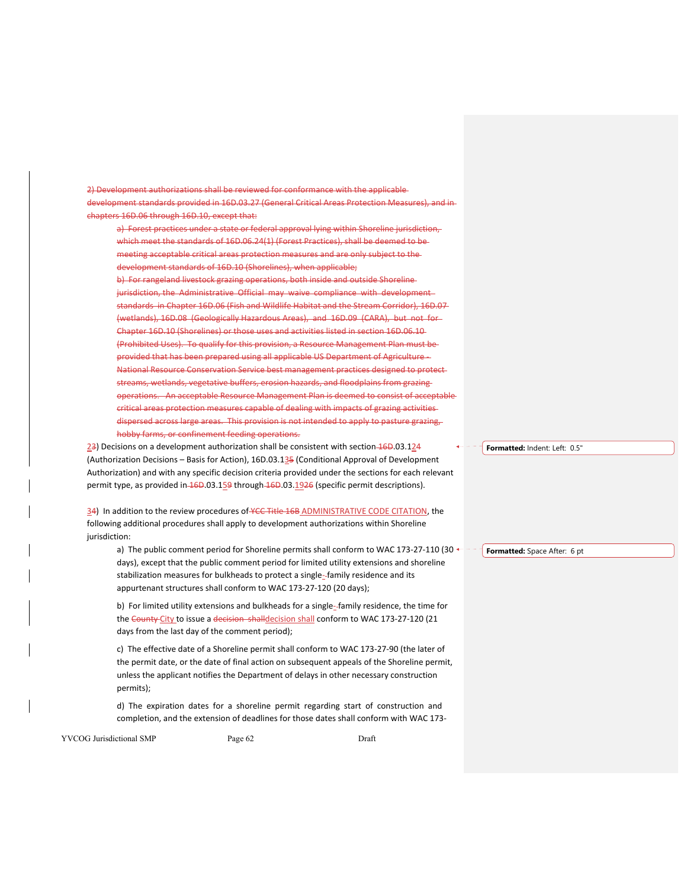2) Development authorizations shall be reviewed for conformance with the applicable development standards provided in 16D.03.27 (General Critical Areas Protection Measures) chapters 16D.06 through 16D.10, except that:

a) Forest practices under a state or federal approval lying within Shoreline jurisdiction, which meet the standards of 16D.06.24(1) (Forest Practices), shall be deemed to be meeting acceptable critical areas protection measures and are only subject to the development standards of 16D.10 (Shorelines), when applicable; b) For rangeland livestock grazing operations, both inside and outside Shorelinejurisdiction, the Administrative Official may waive compliance with developmentstandards in Chapter 16D.06 (Fish and Wildlife Habitat and the Stream Corridor), 16D.07 (wetlands), 16D.08 (Geologically Hazardous Areas), and 16D.09 (CARA), but not for Chapter 16D.10 (Shorelines) or those uses and activities listed in section 16D.06.10 (Prohibited Uses). To qualify for this provision, a Resource Management Plan must be vided that has been prepared using all applicable US Department of Agriculture  $+$ National Resource Conservation Service best management practices designed to protect streams, wetlands, vegetative buffers, erosion hazards, and floodplains from grazing operations. An acceptable Resource Management Plan is deemed to consist of acceptable critical areas protection measures capable of dealing with impacts of grazing activities dispersed across large areas. This provision is not intended to apply to pasture grazing, hobby farms, or confinement feeding operations.

23) Decisions on a development authorization shall be consistent with section-16D.03.124 (Authorization Decisions – Basis for Action), 16D.03.135 (Conditional Approval of Development Authorization) and with any specific decision criteria provided under the sections for each relevant permit type, as provided in 16D.03.159 through 16D.03.1926 (specific permit descriptions).

34) In addition to the review procedures of YCC Title 16B ADMINISTRATIVE CODE CITATION, the following additional procedures shall apply to development authorizations within Shoreline jurisdiction:

a) The public comment period for Shoreline permits shall conform to WAC 173-27-110 (30 ← <sup>-</sup> - <mark>Formatted:</mark> Space After: 6 pt days), except that the public comment period for limited utility extensions and shoreline stabilization measures for bulkheads to protect a single-family residence and its appurtenant structures shall conform to WAC 173‐27‐120 (20 days);

b) For limited utility extensions and bulkheads for a single-family residence, the time for the County City to issue a decision shalldecision shall conform to WAC 173-27-120 (21 days from the last day of the comment period);

c) The effective date of a Shoreline permit shall conform to WAC 173‐27‐90 (the later of the permit date, or the date of final action on subsequent appeals of the Shoreline permit, unless the applicant notifies the Department of delays in other necessary construction permits);

d) The expiration dates for a shoreline permit regarding start of construction and completion, and the extension of deadlines for those dates shall conform with WAC 173‐

YVCOG Jurisdictional SMP Page 62 Draft

**Formatted:** Indent: Left: 0.5"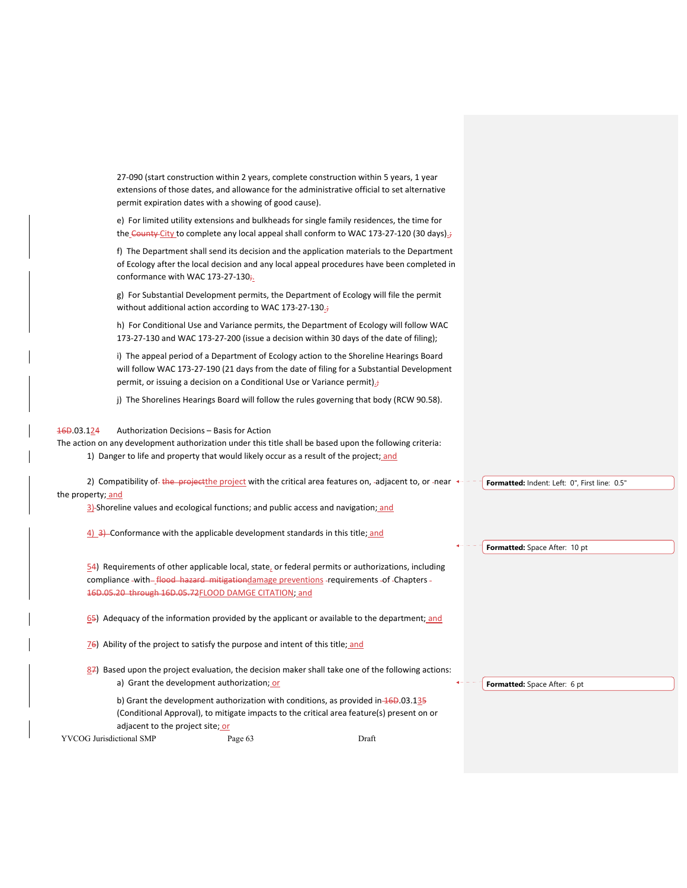27‐090 (start construction within 2 years, complete construction within 5 years, 1 year extensions of those dates, and allowance for the administrative official to set alternative permit expiration dates with a showing of good cause).

e) For limited utility extensions and bulkheads for single family residences, the time for the County City to complete any local appeal shall conform to WAC 173-27-120 (30 days).

f) The Department shall send its decision and the application materials to the Department of Ecology after the local decision and any local appeal procedures have been completed in conformance with WAC 173-27-130;

g) For Substantial Development permits, the Department of Ecology will file the permit without additional action according to WAC 173-27-130.;

h) For Conditional Use and Variance permits, the Department of Ecology will follow WAC 173‐27‐130 and WAC 173‐27‐200 (issue a decision within 30 days of the date of filing);

i) The appeal period of a Department of Ecology action to the Shoreline Hearings Board will follow WAC 173-27-190 (21 days from the date of filing for a Substantial Development permit, or issuing a decision on a Conditional Use or Variance permit).

j) The Shorelines Hearings Board will follow the rules governing that body (RCW 90.58).

## 16D.03.124 Authorization Decisions – Basis for Action

The action on any development authorization under this title shall be based upon the following criteria: 1) Danger to life and property that would likely occur as a result of the project; and

| 2) Compatibility of the project the project with the critical area features on, -adjacent to, or -near $\leftarrow$ | <sup>-</sup> T Formatted: Indent: Left: 0". First line: 0.5" |  |
|---------------------------------------------------------------------------------------------------------------------|--------------------------------------------------------------|--|
| the property; and                                                                                                   |                                                              |  |

3) Shoreline values and ecological functions; and public access and navigation; and

4) 3) Conformance with the applicable development standards in this title; and

 $54$ ) Requirements of other applicable local, state, or federal permits or authorizations, including compliance -with-*flood hazard mitigationdamage preventions* -requirements -of -Chapters -16D.05.20 through 16D.05.72FLOOD DAMGE CITATION; and

65) Adequacy of the information provided by the applicant or available to the department; and

76) Ability of the project to satisfy the purpose and intent of this title; and

 $87$ ) Based upon the project evaluation, the decision maker shall take one of the following actions: a) Grant the development authorization; or

b) Grant the development authorization with conditions, as provided in  $46D.03.135$ (Conditional Approval), to mitigate impacts to the critical area feature(s) present on or adjacent to the project site; or

YVCOG Jurisdictional SMP Page 63 Draft

**Formatted:** Space After: 10 pt

**Formatted:** Space After: 6 pt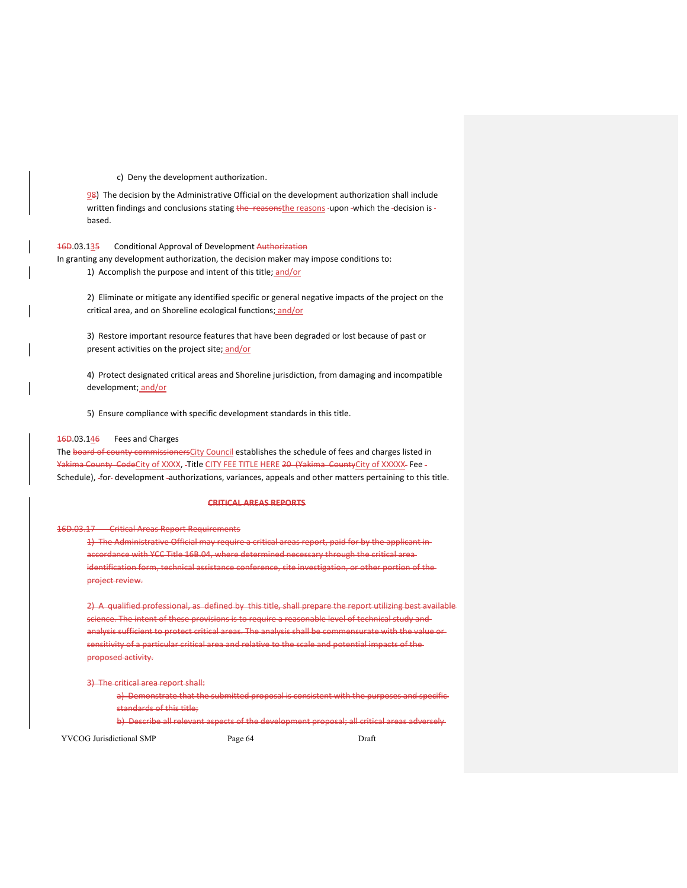c) Deny the development authorization.

98) The decision by the Administrative Official on the development authorization shall include written findings and conclusions stating the reasonsthe reasons -upon -which the -decision is based.

## 16D.03.135 Conditional Approval of Development Authorization

In granting any development authorization, the decision maker may impose conditions to: 1) Accomplish the purpose and intent of this title; and/or

2) Eliminate or mitigate any identified specific or general negative impacts of the project on the critical area, and on Shoreline ecological functions; and/or

3) Restore important resource features that have been degraded or lost because of past or present activities on the project site; and/or

4) Protect designated critical areas and Shoreline jurisdiction, from damaging and incompatible development; and/or

5) Ensure compliance with specific development standards in this title.

### $\frac{16D.03.146}{160}$  Fees and Charges

The board of county commissionersCity Council establishes the schedule of fees and charges listed in Yakima County CodeCity of XXXX, -Title CITY FEE TITLE HERE 20 (Yakima CountyCity of XXXXX-Fee -Schedule), -for- development -authorizations, variances, appeals and other matters pertaining to this title.

#### **CRITICAL AREAS REPORTS**

### 16D.03.17 Critical Areas Report Requirements

1) The Administrative Official may require a critical areas report, paid for by the applicant in accordance with YCC Title 16B.04, where determined necessary through the critical area identification form, technical assistance conference, site investigation, or other portion of the project review.

2) A qualified professional, as defined by this title, shall prepare the report utilizing best available science. The intent of these provisions is to require a reasonable level of technical study and analysis sufficient to protect critical areas. The analysis shall be commensurate with the value or sensitivity of a particular critical area and relative to the scale and potential impacts of the proposed activity.

3) The critical area report shall:

a) Demonstrate that the submitted proposal is consistent with the purposes and specificstandards of this title;

b) Describe all relevant aspects of the development proposal; all critical areas adversely-

YVCOG Jurisdictional SMP Page 64 Draft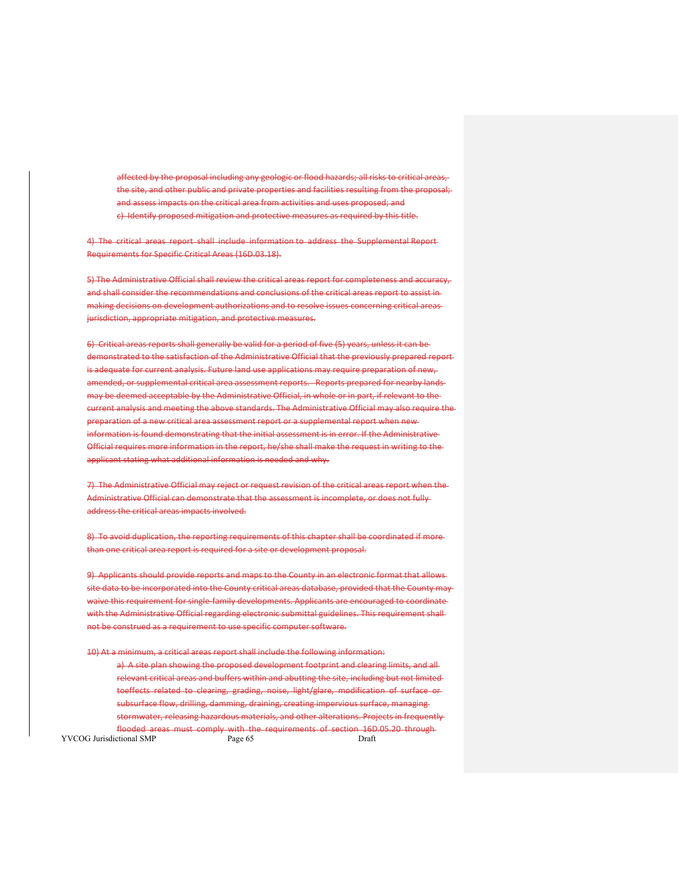affected by the proposal including any geologic or flood hazards; all risks to critical areas, the site, and other public and private properties and facilities resulting from the proposal; and assess impacts on the critical area from activities and uses proposed; and c) Identify proposed mitigation and protective measures as required by this title.

4) The critical areas report shall include information to address the Supplemental Report-Requirements for Specific Critical Areas (16D.03.18).

5) The Administrative Official shall review the critical areas report for completeness and accuracy, and shall consider the recommendations and conclusions of the critical areas report to assist in making decisions on development authorizations and to resolve issues concerning critical areas jurisdiction, appropriate mitigation, and protective measures.

6) Critical areas reports shall generally be valid for a period of five (5) years, unless it can be demonstrated to the satisfaction of the Administrative Official that the previously prepared report is adequate for current analysis. Future land use applications may require preparation of new, amended, or supplemental critical area assessment reports. Reports prepared for nearby lands may be deemed acceptable by the Administrative Official, in whole or in part, if relevant to the current analysis and meeting the above standards. The Administrative Official may also require the preparation of a new critical area assessment report or a supplemental report when new information is found demonstrating that the initial assessment is in error. If the Administrative Official requires more information in the report, he/she shall make the request in writing to the applicant stating what additional information is needed and why.

7) The Administrative Official may reject or request revision of the critical areas report when the Administrative Official can demonstrate that the assessment is incomplete, or does not fullyaddress the critical areas impacts involved.

8) To avoid duplication, the reporting requirements of this chapter shall be coordinated if morethan one critical area report is required for a site or development proposal.

9) Applicants should provide reports and maps to the County in an electronic format that allowssite data to be incorporated into the County critical areas database, provided that the County may waive this requirement for single family developments. Applicants are encouraged to coordinate with the Administrative Official regarding electronic submittal guidelines. This requirement shall not be construed as a requirement to use specific computer software.

10) At a minimum, a critical areas report shall include the following information:

YVCOG Jurisdictional SMP Page 65 Draft a) A site plan showing the proposed development footprint and clearing limits, and allrelevant critical areas and buffers within and abutting the site, including but not limited toeffects related to clearing, grading, noise, light/glare, modification of surface or subsurface flow, drilling, damming, draining, creating impervious surface, managing stormwater, releasing hazardous materials, and other alterations. Projects in frequently flooded areas must comply with the requirements of section 16D.05.20 through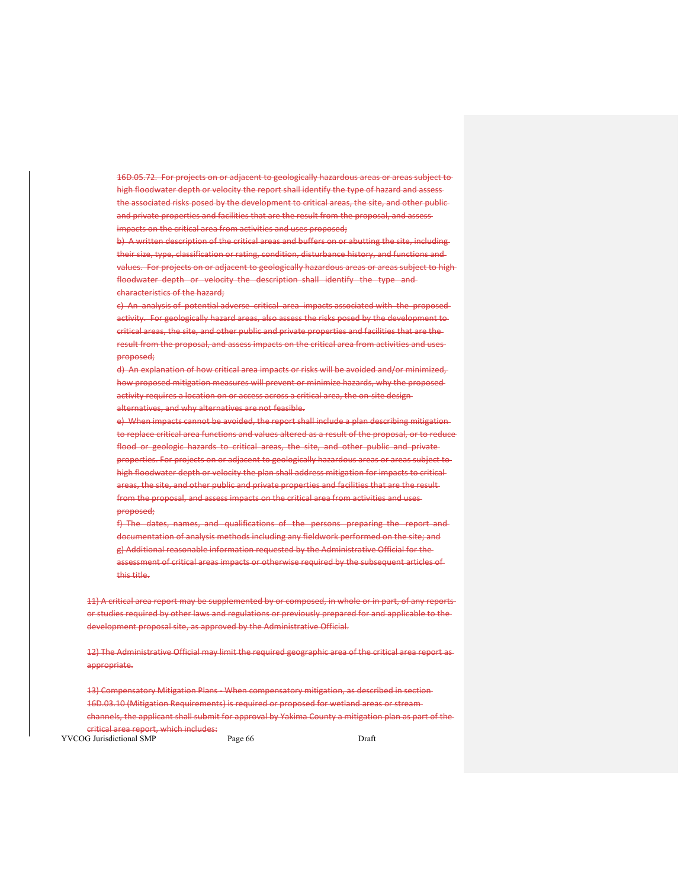16D.05.72. For projects on or adjacent to geologically hazardous areas or areas subject to high floodwater depth or velocity the report shall identify the type of hazard and assess the associated risks posed by the development to critical areas, the site, and other publicand private properties and facilities that are the result from the proposal, and assess impacts on the critical area from activities and uses proposed;

b) A written description of the critical areas and buffers on or abutting the site, includingtheir size, type, classification or rating, condition, disturbance history, and functions and values. For projects on or adjacent to geologically hazardous areas or areas subject to high floodwater depth or velocity the description shall identify the type and characteristics of the hazard;

c) An analysis of potential adverse critical area impacts associated with the proposedactivity. For geologically hazard areas, also assess the risks posed by the development to critical areas, the site, and other public and private properties and facilities that are the result from the proposal, and assess impacts on the critical area from activities and uses proposed;

d) An explanation of how critical area impacts or risks will be avoided and/or minimized, how proposed mitigation measures will prevent or minimize hazards, why the proposed activity requires a location on or access across a critical area, the on-site designalternatives, and why alternatives are not feasible.

e) When impacts cannot be avoided, the report shall include a plan describing mitigation to replace critical area functions and values altered as a result of the proposal, or to reduce flood or geologic hazards to critical areas, the site, and other public and privateproperties. For projects on or adjacent to geologically hazardous areas or areas subject to high floodwater depth or velocity the plan shall address mitigation for impacts to critical areas, the site, and other public and private properties and facilities that are the result from the proposal, and assess impacts on the critical area from activities and uses proposed;

f) The dates, names, and qualifications of the persons preparing the report and documentation of analysis methods including any fieldwork performed on the site; and g) Additional reasonable information requested by the Administrative Official for the assessment of critical areas impacts or otherwise required by the subsequent articles of this title.

11) A critical area report may be supplemented by or composed, in whole or in part, of any reportsor studies required by other laws and regulations or previously prepared for and applicable to the development proposal site, as approved by the Administrative Official.

12) The Administrative Official may limit the required geographic area of the critical area report as appropriate.

13) Compensatory Mitigation Plans – When compensatory mitigation, as described in section-16D.03.10 (Mitigation Requirements) is required or proposed for wetland areas or stream channels, the applicant shall submit for approval by Yakima County a mitigation plan as part of the critical area report, which includes:

YVCOG Jurisdictional SMP Page 66 Draft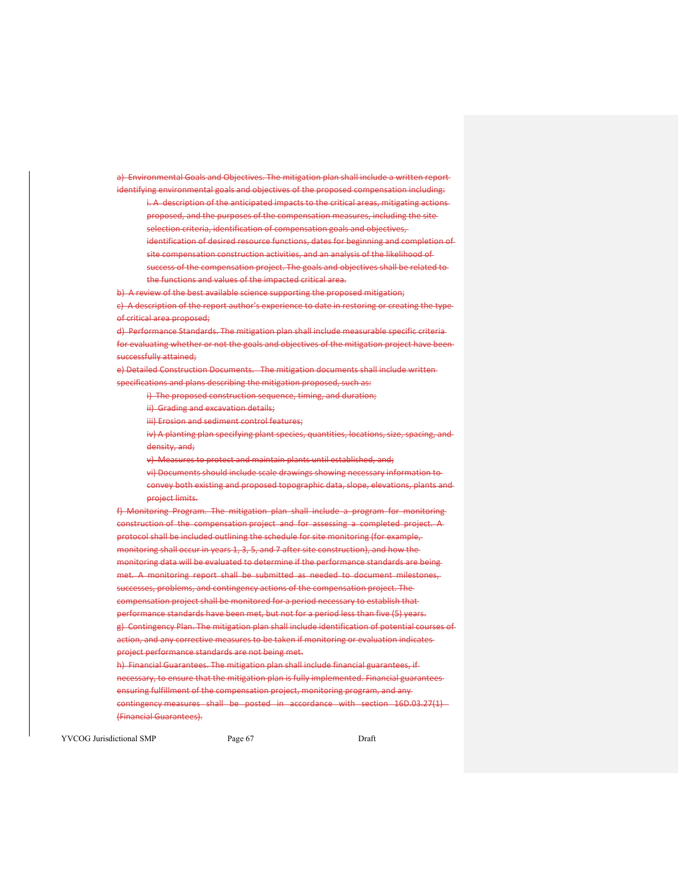a) Environmental Goals and Objectives. The mitigation plan shall include a written report identifying environmental goals and objectives of the proposed compensation including:

i. A description of the anticipated impacts to the critical areas, mitigating actionsproposed, and the purposes of the compensation measures, including the site selection criteria, identification of compensation goals and objectives, identification of desired resource functions, dates for beginning and completion of

site compensation construction activities, and an analysis of the likelihood of success of the compensation project. The goals and objectives shall be related to the functions and values of the impacted critical area.

b) A review of the best available science supporting the proposed mitigation;

c) A description of the report author's experience to date in restoring or creating the typeof critical area proposed;

d) Performance Standards. The mitigation plan shall include measurable specific criteria for evaluating whether or not the goals and objectives of the mitigation project have been successfully attained;

e) Detailed Construction Documents. The mitigation documents shall include writtenspecifications and plans describing the mitigation proposed, such as:

i) The proposed construction sequence, timing, and duration;

ii) Grading and excavation details;

iii) Erosion and sediment control features;

iv) A planting plan specifying plant species, quantities, locations, size, spacing, and density, and;

v) Measures to protect and maintain plants until established, and;

vi) Documents should include scale drawings showing necessary information to convey both existing and proposed topographic data, slope, elevations, plants and project limits.

f) Monitoring Program. The mitigation plan shall include a program for monitoring construction of the compensation project and for assessing a completed project. A protocol shall be included outlining the schedule for site monitoring (for example, monitoring shall occur in years 1, 3, 5, and 7 after site construction), and how the monitoring data will be evaluated to determine if the performance standards are being met. A monitoring report shall be submitted as needed to document milestones, successes, problems, and contingency actions of the compensation project. The compensation project shall be monitored for a period necessary to establish that performance standards have been met, but not for a period less than five (5) years. g) Contingency Plan. The mitigation plan shall include identification of potential courses of action, and any corrective measures to be taken if monitoring or evaluation indicates project performance standards are not being met.

h) Financial Guarantees. The mitigation plan shall include financial guarantees, if necessary, to ensure that the mitigation plan is fully implemented. Financial guarantees ensuring fulfillment of the compensation project, monitoring program, and any contingency measures shall be posted in accordance with section 16D.03.27(1) -(Financial Guarantees).

YVCOG Jurisdictional SMP Page 67 Draft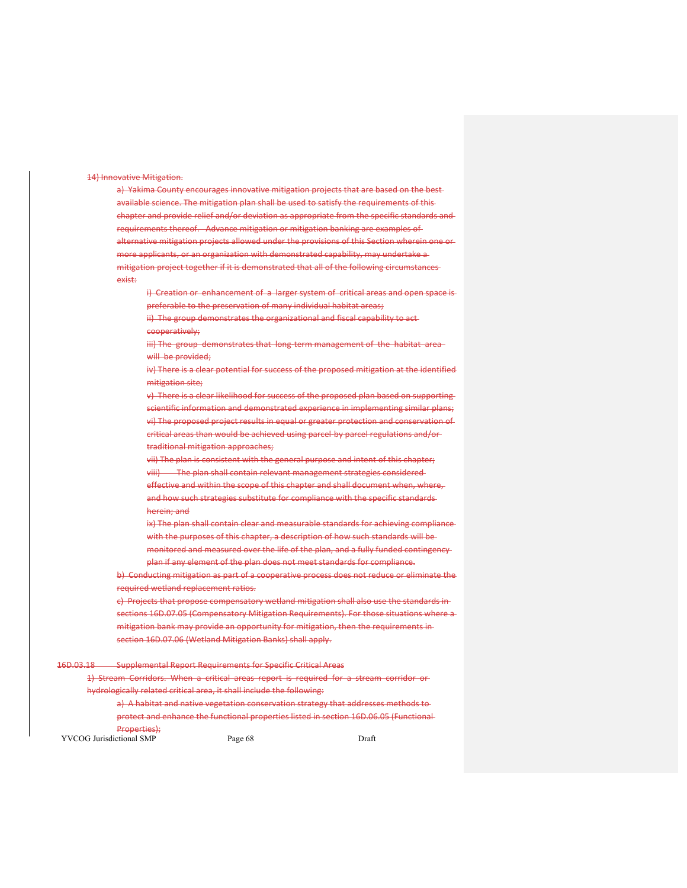### 14) Innovative Mitigation.

a) Yakima County encourages innovative mitigation projects that are based on the bestavailable science. The mitigation plan shall be used to satisfy the requirements of this chapter and provide relief and/or deviation as appropriate from the specific standards and requirements thereof. Advance mitigation or mitigation banking are examples of alternative mitigation projects allowed under the provisions of this Section wherein one or more applicants, or an organization with demonstrated capability, may undertake a mitigation project together if it is demonstrated that all of the following circumstances exist:

i) Creation or enhancement of a larger system of critical areas and open space is preferable to the preservation of many individual habitat areas;

ii) The group demonstrates the organizational and fiscal capability to actcooperatively;

iii) The group demonstrates that long-term management of the habitat areawill be provided:

iv) There is a clear potential for success of the proposed mitigation at the identified mitigation site;

v) There is a clear likelihood for success of the proposed plan based on supporting scientific information and demonstrated experience in implementing similar plans; vi) The proposed project results in equal or greater protection and conservation of critical areas than would be achieved using parcel by parcel regulations and/ortraditional mitigation approaches;

vii) The plan is consistent with the general purpose and intent of this chapter; viii) The plan shall contain relevant management strategies considered effective and within the scope of this chapter and shall document when, where, and how such strategies substitute for compliance with the specific standards herein; and

ix) The plan shall contain clear and measurable standards for achieving compliance with the purposes of this chapter, a description of how such standards will be monitored and measured over the life of the plan, and a fully funded contingency plan if any element of the plan does not meet standards for compliance.

b) Conducting mitigation as part of a cooperative process does not reduce or eliminate the required wetland replacement ratios.

c) Projects that propose compensatory wetland mitigation shall also use the standards in sections 16D.07.05 (Compensatory Mitigation Requirements). For those situations where a mitigation bank may provide an opportunity for mitigation, then the requirements in section 16D.07.06 (Wetland Mitigation Banks) shall apply.

## 16D.03.18 Supplemental Report Requirements for Specific Critical Areas

1) Stream Corridors. When a critical areas report is required for a stream corridor hydrologically related critical area, it shall include the following:

a) A habitat and native vegetation conservation strategy that addresses methods toprotect and enhance the functional properties listed in section 16D.06.05 (Functional Properties);

YVCOG Jurisdictional SMP Page 68 Draft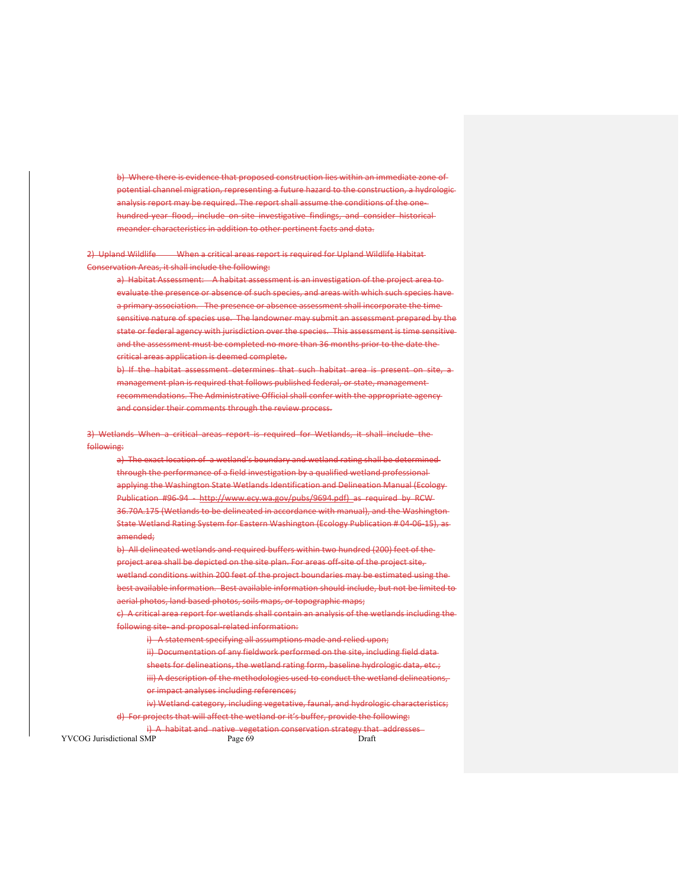b) Where there is evidence that proposed construction lies within an immediate zone of potential channel migration, representing a future hazard to the construction, a hydrologic analysis report may be required. The report shall assume the conditions of the one‐ hundred-year flood, include on-site investigative findings, and consider historicalmeander characteristics in addition to other pertinent facts and data.

2) Upland Wildlife When a critical areas report is required for Upland Wildlife Habitat-Conservation Areas, it shall include the following:

a) Habitat Assessment: A habitat assessment is an investigation of the project area toevaluate the presence or absence of such species, and areas with which such species have a primary association. The presence or absence assessment shall incorporate the time sensitive nature of species use. The landowner may submit an assessment prepared by the state or federal agency with jurisdiction over the species. This assessment is time sensitive and the assessment must be completed no more than 36 months prior to the date the critical areas application is deemed complete.

b) If the habitat assessment determines that such habitat area is present on site, a management plan is required that follows published federal, or state, management recommendations. The Administrative Official shall confer with the appropriate agency and consider their comments through the review process.

3) Wetlands When a critical areas report is required for Wetlands, it shall include the following:

a) The exact location of a wetland's boundary and wetland rating shall be determinedthrough the performance of a field investigation by a qualified wetland professional applying the Washington State Wetlands Identification and Delineation Manual (Ecology Publication #96-94 – http://www.ecy.wa.gov/pubs/9694.pdf) as required by RCW-36.70A.175 (Wetlands to be delineated in accordance with manual), and the Washington State Wetland Rating System for Eastern Washington (Ecology Publication # 04‐06‐15), as amended;

b) All delineated wetlands and required buffers within two hundred (200) feet of the project area shall be depicted on the site plan. For areas off-site of the project site, wetland conditions within 200 feet of the project boundaries may be estimated using the best available information. Best available information should include, but not be limited to aerial photos, land based photos, soils maps, or topographic maps;

c) A critical area report for wetlands shall contain an analysis of the wetlands including the following site‐ and proposal‐related information:

i) A statement specifying all assumptions made and relied upon;

ii) Documentation of any fieldwork performed on the site, including field data

sheets for delineations, the wetland rating form, baseline hydrologic data, etc.;

iii) A description of the methodologies used to conduct the wetland delineations, or impact analyses including references;

iv) Wetland category, including vegetative, faunal, and hydrologic characteristics; d) For projects that will affect the wetland or it's buffer, provide the following:

YVCOG Jurisdictional SMP Page 69 Draft i) A habitat and native vegetation conservation strategy that addresses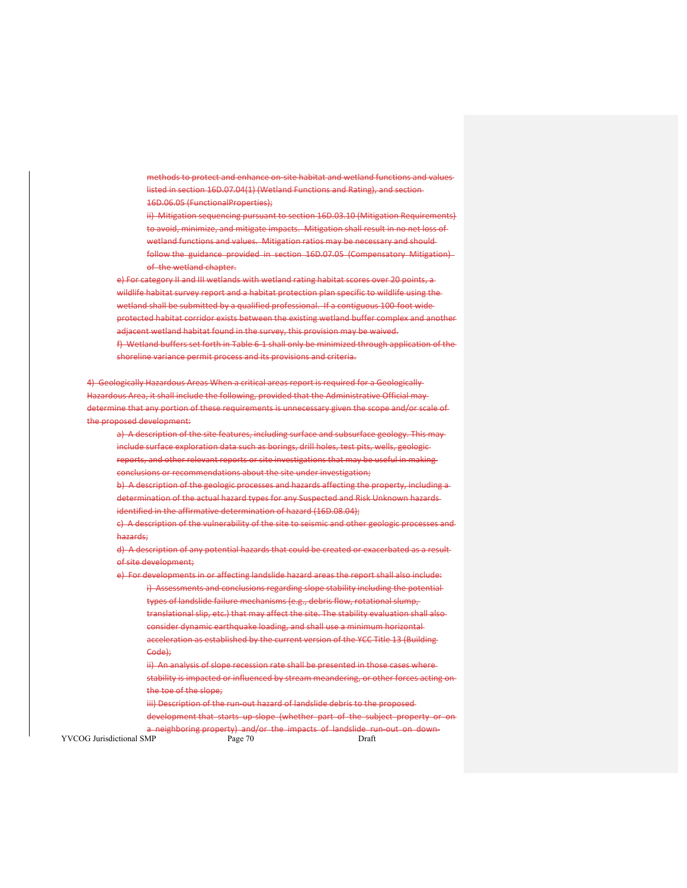methods to protect and enhance on‐site habitat and wetland functions and values listed in section 16D.07.04(1) (Wetland Functions and Rating), and section 16D.06.05 (FunctionalProperties);

ii) Mitigation sequencing pursuant to section 16D.03.10 (Mitigation Requirements) to avoid, minimize, and mitigate impacts. Mitigation shall result in no net loss of wetland functions and values. Mitigation ratios may be necessary and should follow the guidance provided in section 16D.07.05 (Compensatory Mitigation) of the wetland chapter.

e) For category II and III wetlands with wetland rating habitat scores over 20 points, a wildlife habitat survey report and a habitat protection plan specific to wildlife using the wetland shall be submitted by a qualified professional. If a contiguous 100-foot wideprotected habitat corridor exists between the existing wetland buffer complex and another adjacent wetland habitat found in the survey, this provision may be waived. f) Wetland buffers set forth in Table 6‐1 shall only be minimized through application of the shoreline variance permit process and its provisions and criteria.

4) Geologically Hazardous Areas When a critical areas report is required for a Geologically ardous Area, it shall include the following, provided that the Administrative Official maydetermine that any portion of these requirements is unnecessary given the scope and/or scale of the proposed development:

a) A description of the site features, including surface and subsurface geology. This may include surface exploration data such as borings, drill holes, test pits, wells, geologic reports, and other relevant reports or site investigations that may be useful in making conclusions or recommendations about the site under investigation;

b) A description of the geologic processes and hazards affecting the property, including adetermination of the actual hazard types for any Suspected and Risk Unknown hazards identified in the affirmative determination of hazard (16D.08.04);

c) A description of the vulnerability of the site to seismic and other geologic processes and hazards;

d) A description of any potential hazards that could be created or exacerbated as a result of site development;

e) For developments in or affecting landslide hazard areas the report shall also include: i) Assessments and conclusions regarding slope stability including the potentialtypes of landslide failure mechanisms (e.g., debris flow, rotational slump, translational slip, etc.) that may affect the site. The stability evaluation shall also consider dynamic earthquake loading, and shall use a minimum horizontal acceleration as established by the current version of the YCC Title 13 (Building Code);

ii) An analysis of slope recession rate shall be presented in those cases where stability is impacted or influenced by stream meandering, or other forces acting on the toe of the slope;

iii) Description of the run-out hazard of landslide debris to the proposed development that starts up slope (whether part of the subject property or on

YVCOG Jurisdictional SMP Page 70 Draft a neighboring property) and/or the impacts of landslide run-out on down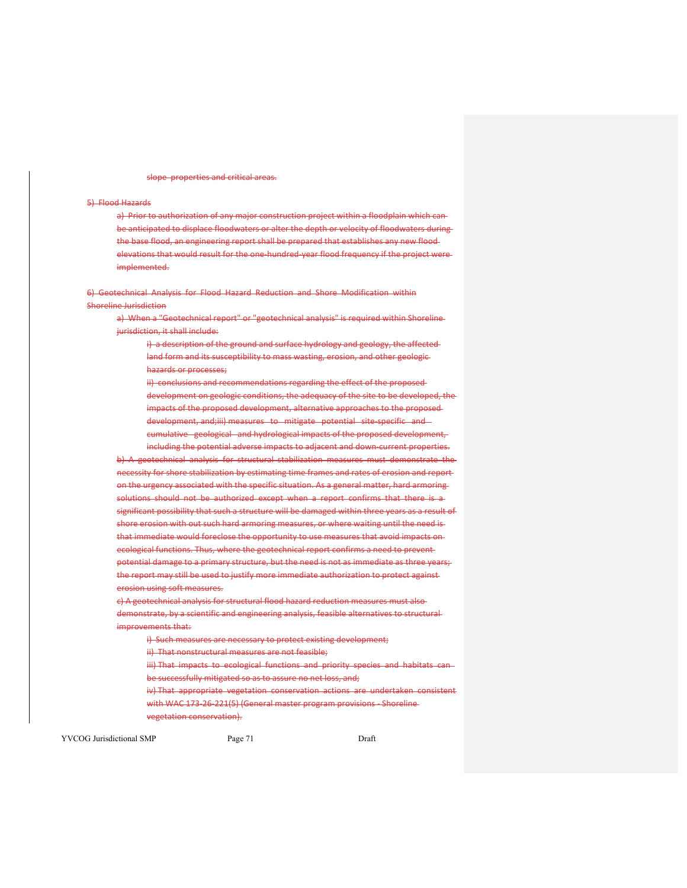slope properties and critical areas.

### 5) Flood Hazards

a) Prior to authorization of any major construction project within a floodplain which canbe anticipated to displace floodwaters or alter the depth or velocity of floodwaters during the base flood, an engineering report shall be prepared that establishes any new flood elevations that would result for the one-hundred year flood frequency if the project wereimplemented.

6) Geotechnical Analysis for Flood Hazard Reduction and Shore Modification within Shoreline Jurisdiction

a) When a "Geotechnical report" or "geotechnical analysis" is required within Shorelinejurisdiction, it shall include:

i) a description of the ground and surface hydrology and geology, the affectedland form and its susceptibility to mass wasting, erosion, and other geologichazards or processes;

ii) conclusions and recommendations regarding the effect of the proposeddevelopment on geologic conditions, the adequacy of the site to be developed, the impacts of the proposed development, alternative approaches to the proposed development, and;iii) measures to mitigate potential site-specific and cumulative geological and hydrological impacts of the proposed development,

including the potential adverse impacts to adjacent and down-current properties. b) A geotechnical analysis for structural stabilization measures must demonstrate the necessity for shore stabilization by estimating time frames and rates of erosion and report on the urgency associated with the specific situation. As a general matter, hard armoring solutions should not be authorized except when a report confirms that there is a significant possibility that such a structure will be damaged within three years as a result of shore erosion with out such hard armoring measures, or where waiting until the need is that immediate would foreclose the opportunity to use measures that avoid impacts on ecological functions. Thus, where the geotechnical report confirms a need to prevent potential damage to a primary structure, but the need is not as immediate as three years; the report may still be used to justify more immediate authorization to protect againsterosion using soft measures.

c) A geotechnical analysis for structural flood hazard reduction measures must also demonstrate, by a scientific and engineering analysis, feasible alternatives to structural improvements that:

i) Such measures are necessary to protect existing development;

ii) That nonstructural measures are not feasible;

iii) That impacts to ecological functions and priority species and habitats canbe successfully mitigated so as to assure no net loss, and;

iv) That appropriate vegetation conservation actions are undertaken consistent with WAC 173‐26‐221(5) (General master program provisions ‐ Shoreline vegetation conservation).

YVCOG Jurisdictional SMP Page 71 Draft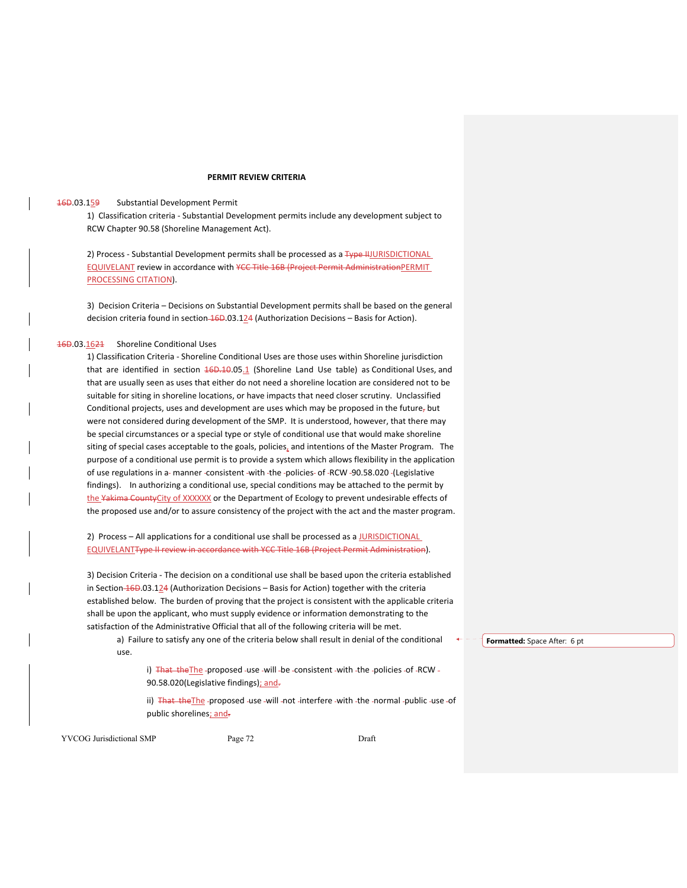## **PERMIT REVIEW CRITERIA**

### 16D.03.159 Substantial Development Permit

1) Classification criteria ‐ Substantial Development permits include any development subject to RCW Chapter 90.58 (Shoreline Management Act).

2) Process - Substantial Development permits shall be processed as a Type HJURISDICTIONAL EQUIVELANT review in accordance with ¥CC Title 16B (Project Permit AdministrationPERMIT PROCESSING CITATION).

3) Decision Criteria – Decisions on Substantial Development permits shall be based on the general decision criteria found in section  $\frac{46D.03.124}{4}$  (Authorization Decisions – Basis for Action).

## 16D.03.1621 Shoreline Conditional Uses

1) Classification Criteria ‐ Shoreline Conditional Uses are those uses within Shoreline jurisdiction that are identified in section  $16D.105.1$  (Shoreline Land Use table) as Conditional Uses, and that are usually seen as uses that either do not need a shoreline location are considered not to be suitable for siting in shoreline locations, or have impacts that need closer scrutiny. Unclassified Conditional projects, uses and development are uses which may be proposed in the future, but were not considered during development of the SMP. It is understood, however, that there may be special circumstances or a special type or style of conditional use that would make shoreline siting of special cases acceptable to the goals, policies, and intentions of the Master Program. The purpose of a conditional use permit is to provide a system which allows flexibility in the application of use regulations in a- manner -consistent -with -the -policies- of -RCW -90.58.020 -(Legislative findings). In authorizing a conditional use, special conditions may be attached to the permit by the Yakima County City of XXXXXX or the Department of Ecology to prevent undesirable effects of the proposed use and/or to assure consistency of the project with the act and the master program.

2) Process - All applications for a conditional use shall be processed as a JURISDICTIONAL EQUIVELANTType II review in accordance with YCC Title 16B (Project Permit Administration).

3) Decision Criteria ‐ The decision on a conditional use shall be based upon the criteria established in Section  $-46D.03.124$  (Authorization Decisions – Basis for Action) together with the criteria established below. The burden of proving that the project is consistent with the applicable criteria shall be upon the applicant, who must supply evidence or information demonstrating to the satisfaction of the Administrative Official that all of the following criteria will be met.

a) Failure to satisfy any one of the criteria below shall result in denial of the conditional use.

i) That the The -proposed -use -will -be -consistent -with -the -policies -of -RCW -90.58.020(Legislative findings); and-

ii) That the The -proposed -use -will -not -interfere -with -the -normal -public -use -of public shorelines; and-

YVCOG Jurisdictional SMP Page 72 Draft

**Formatted:** Space After: 6 pt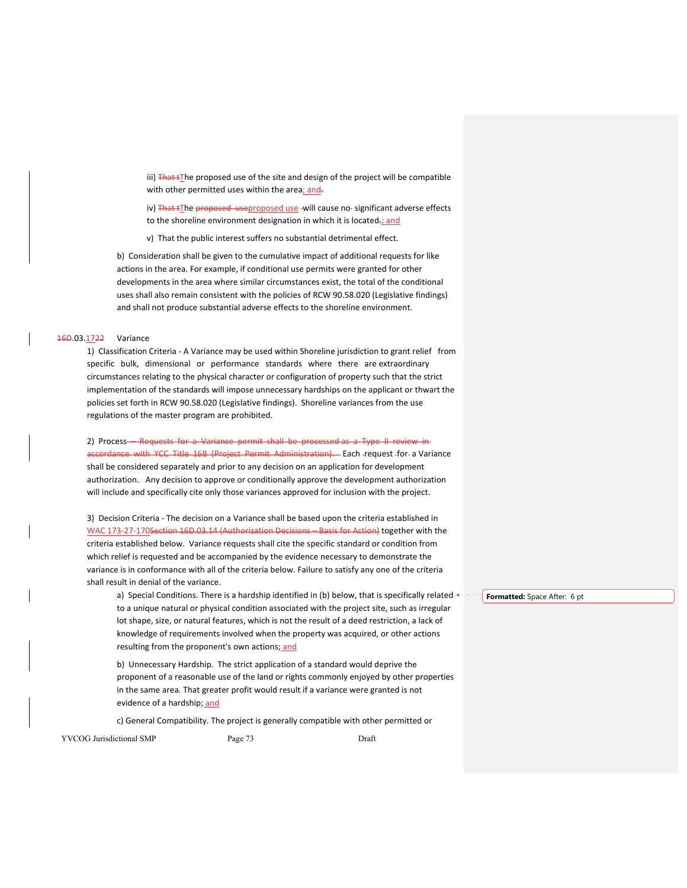iii) That tThe proposed use of the site and design of the project will be compatible with other permitted uses within the area; and-

iv) That tThe proposed useproposed use -will cause no- significant adverse effects to the shoreline environment designation in which it is located-; and

v) That the public interest suffers no substantial detrimental effect.

b) Consideration shall be given to the cumulative impact of additional requests for like actions in the area. For example, if conditional use permits were granted for other developments in the area where similar circumstances exist, the total of the conditional uses shall also remain consistent with the policies of RCW 90.58.020 (Legislative findings) and shall not produce substantial adverse effects to the shoreline environment.

## 16D.03.1722 Variance

1) Classification Criteria ‐ A Variance may be used within Shoreline jurisdiction to grant relief from specific bulk, dimensional or performance standards where there are extraordinary circumstances relating to the physical character or configuration of property such that the strict implementation of the standards will impose unnecessary hardships on the applicant or thwart the policies set forth in RCW 90.58.020 (Legislative findings). Shoreline variances from the use regulations of the master program are prohibited.

# 2) Process – Requests for a Variance permit shall be processed as a Type II review in

accordance with YCC Title 16B (Project Permit Administration). Each -request -for- a Variance shall be considered separately and prior to any decision on an application for development authorization. Any decision to approve or conditionally approve the development authorization will include and specifically cite only those variances approved for inclusion with the project.

3) Decision Criteria ‐ The decision on a Variance shall be based upon the criteria established in WAC 173-27-170Section 16D.03.14 (Authorization Decisions – Basis for Action) together with the criteria established below. Variance requests shall cite the specific standard or condition from which relief is requested and be accompanied by the evidence necessary to demonstrate the variance is in conformance with all of the criteria below. Failure to satisfy any one of the criteria shall result in denial of the variance.

a) Special Conditions. There is a hardship identified in (b) below, that is specifically related  $\leftarrow$ to a unique natural or physical condition associated with the project site, such as irregular lot shape, size, or natural features, which is not the result of a deed restriction, a lack of knowledge of requirements involved when the property was acquired, or other actions resulting from the proponent's own actions; and

b) Unnecessary Hardship. The strict application of a standard would deprive the proponent of a reasonable use of the land or rights commonly enjoyed by other properties in the same area. That greater profit would result if a variance were granted is not evidence of a hardship; and

c) General Compatibility. The project is generally compatible with other permitted or

YVCOG Jurisdictional SMP Page 73 Draft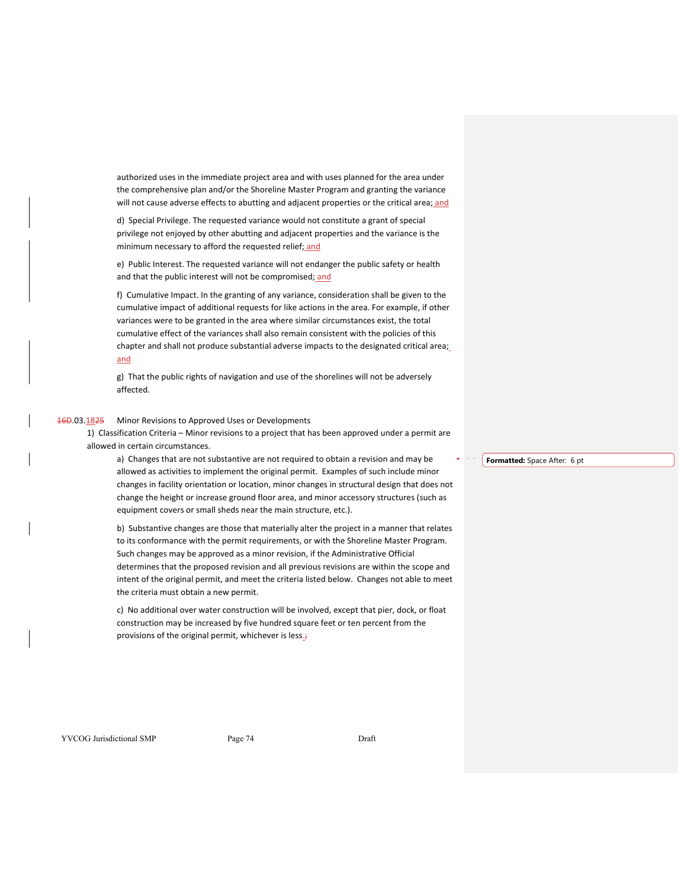authorized uses in the immediate project area and with uses planned for the area under the comprehensive plan and/or the Shoreline Master Program and granting the variance will not cause adverse effects to abutting and adjacent properties or the critical area; and

d) Special Privilege. The requested variance would not constitute a grant of special privilege not enjoyed by other abutting and adjacent properties and the variance is the minimum necessary to afford the requested relief; and

e) Public Interest. The requested variance will not endanger the public safety or health and that the public interest will not be compromised; and

f) Cumulative Impact. In the granting of any variance, consideration shall be given to the cumulative impact of additional requests for like actions in the area. For example, if other variances were to be granted in the area where similar circumstances exist, the total cumulative effect of the variances shall also remain consistent with the policies of this chapter and shall not produce substantial adverse impacts to the designated critical area; and

g) That the public rights of navigation and use of the shorelines will not be adversely affected.

# 16D.03.1825 Minor Revisions to Approved Uses or Developments

1) Classification Criteria – Minor revisions to a project that has been approved under a permit are allowed in certain circumstances.

a) Changes that are not substantive are not required to obtain a revision and may be allowed as activities to implement the original permit. Examples of such include minor changes in facility orientation or location, minor changes in structural design that does not change the height or increase ground floor area, and minor accessory structures (such as equipment covers or small sheds near the main structure, etc.).

b) Substantive changes are those that materially alter the project in a manner that relates to its conformance with the permit requirements, or with the Shoreline Master Program. Such changes may be approved as a minor revision, if the Administrative Official determines that the proposed revision and all previous revisions are within the scope and intent of the original permit, and meet the criteria listed below. Changes not able to meet the criteria must obtain a new permit.

c) No additional over water construction will be involved, except that pier, dock, or float construction may be increased by five hundred square feet or ten percent from the provisions of the original permit, whichever is less<sub>i</sub>;

**Formatted:** Space After: 6 pt

YVCOG Jurisdictional SMP Page 74 Draft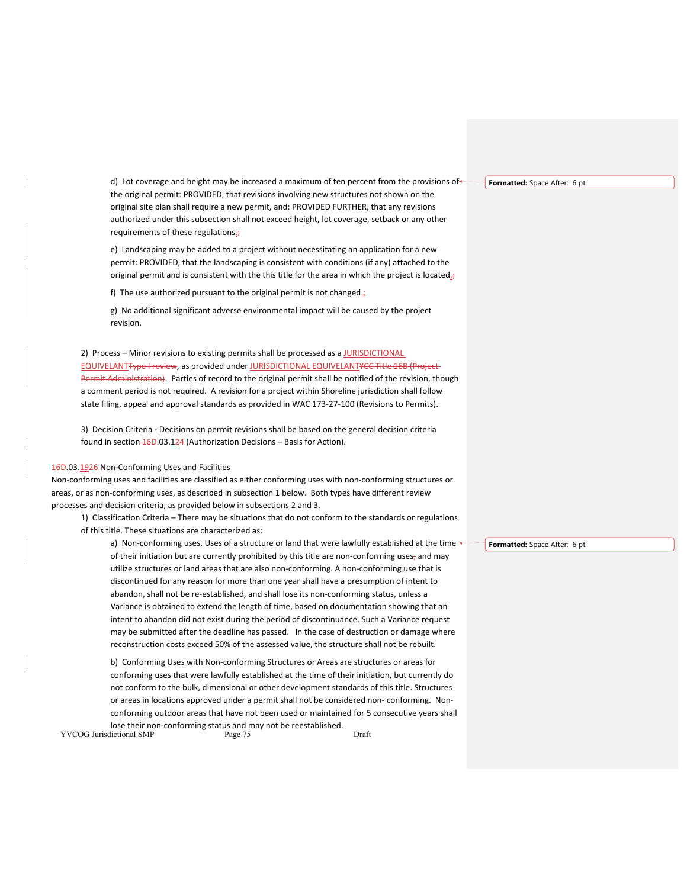d) Lot coverage and height may be increased a maximum of ten percent from the provisions of  $\leftarrow$  the original permit: PROVIDED, that revisions involving new structures not shown on the original site plan shall require a new permit, and: PROVIDED FURTHER, that any revisions authorized under this subsection shall not exceed height, lot coverage, setback or any other requirements of these regulations.

e) Landscaping may be added to a project without necessitating an application for a new permit: PROVIDED, that the landscaping is consistent with conditions (if any) attached to the original permit and is consistent with the this title for the area in which the project is located. $\dot{\tau}$ 

f) The use authorized pursuant to the original permit is not changed $\dot{\vec{r}}$ 

g) No additional significant adverse environmental impact will be caused by the project revision.

2) Process – Minor revisions to existing permits shall be processed as a JURISDICTIONAL EQUIVELANTType I review, as provided under JURISDICTIONAL EQUIVELANTYCC Title 16B (Project Permit Administration). Parties of record to the original permit shall be notified of the revision, though a comment period is not required. A revision for a project within Shoreline jurisdiction shall follow state filing, appeal and approval standards as provided in WAC 173‐27‐100 (Revisions to Permits).

3) Decision Criteria ‐ Decisions on permit revisions shall be based on the general decision criteria found in section 16D.03.124 (Authorization Decisions - Basis for Action).

#### 16D.03.1926 Non‐Conforming Uses and Facilities

Non‐conforming uses and facilities are classified as either conforming uses with non‐conforming structures or areas, or as non-conforming uses, as described in subsection 1 below. Both types have different review processes and decision criteria, as provided below in subsections 2 and 3.

1) Classification Criteria – There may be situations that do not conform to the standards or regulations of this title. These situations are characterized as:

a) Non-conforming uses. Uses of a structure or land that were lawfully established at the time  $\leftarrow$ of their initiation but are currently prohibited by this title are non-conforming uses, and may utilize structures or land areas that are also non‐conforming. A non‐conforming use that is discontinued for any reason for more than one year shall have a presumption of intent to abandon, shall not be re‐established, and shall lose its non‐conforming status, unless a Variance is obtained to extend the length of time, based on documentation showing that an intent to abandon did not exist during the period of discontinuance. Such a Variance request may be submitted after the deadline has passed. In the case of destruction or damage where reconstruction costs exceed 50% of the assessed value, the structure shall not be rebuilt.

b) Conforming Uses with Non‐conforming Structures or Areas are structures or areas for conforming uses that were lawfully established at the time of their initiation, but currently do not conform to the bulk, dimensional or other development standards of this title. Structures or areas in locations approved under a permit shall not be considered non‐ conforming. Non‐ conforming outdoor areas that have not been used or maintained for 5 consecutive years shall lose their non-conforming status and may not be reestablished.

YVCOG Jurisdictional SMP Page 75 Page 75

**Formatted:** Space After: 6 pt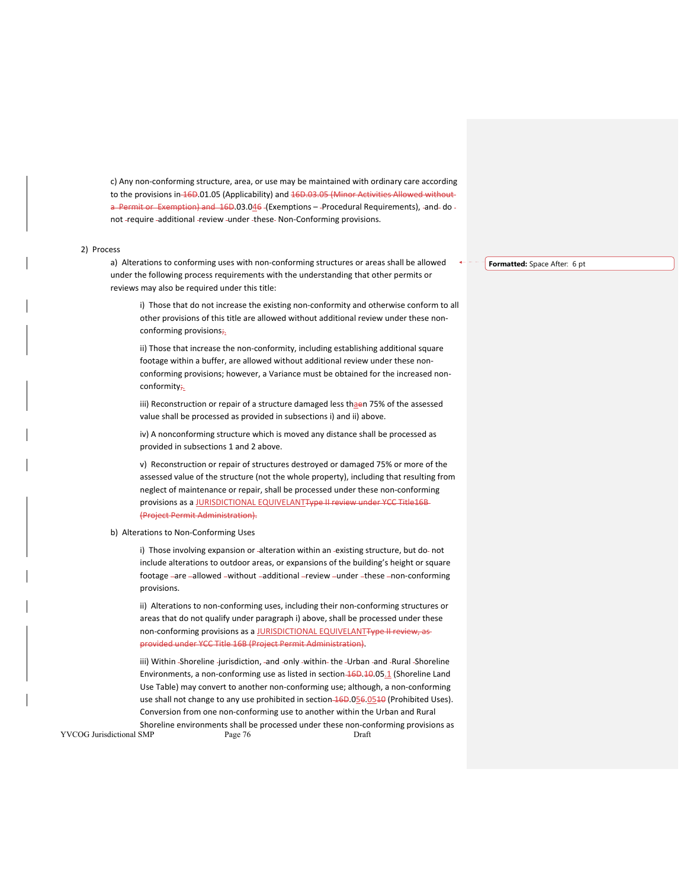c) Any non‐conforming structure, area, or use may be maintained with ordinary care according to the provisions in 16D.01.05 (Applicability) and 16D.03.05 (Minor Activities Allowed without a Permit or Exemption) and 16D.03.046 (Exemptions – Procedural Requirements), -and-do not -require -additional -review -under -these Non-Conforming provisions.

#### 2) Process

a) Alterations to conforming uses with non‐conforming structures or areas shall be allowed under the following process requirements with the understanding that other permits or reviews may also be required under this title:

i) Those that do not increase the existing non-conformity and otherwise conform to all other provisions of this title are allowed without additional review under these non‐ conforming provisions;

ii) Those that increase the non‐conformity, including establishing additional square footage within a buffer, are allowed without additional review under these non‐ conforming provisions; however, a Variance must be obtained for the increased non‐ conformity;

iii) Reconstruction or repair of a structure damaged less thaen 75% of the assessed value shall be processed as provided in subsections i) and ii) above.

iv) A nonconforming structure which is moved any distance shall be processed as provided in subsections 1 and 2 above.

v) Reconstruction or repair of structures destroyed or damaged 75% or more of the assessed value of the structure (not the whole property), including that resulting from neglect of maintenance or repair, shall be processed under these non‐conforming provisions as a JURISDICTIONAL EQUIVELANTType II review under YCC Title16B (Project Permit Administration).

#### b) Alterations to Non‐Conforming Uses

i) Those involving expansion or -alteration within an -existing structure, but do- not include alterations to outdoor areas, or expansions of the building's height or square footage -are -allowed -without -additional -review -under -these -non-conforming provisions.

ii) Alterations to non-conforming uses, including their non-conforming structures or areas that do not qualify under paragraph i) above, shall be processed under these non-conforming provisions as a JURISDICTIONAL EQUIVELANTType II review, asprovided under YCC Title 16B (Project Permit Administration).

iii) Within Shoreline -jurisdiction, -and -only -within- the -Urban -and -Rural -Shoreline Environments, a non-conforming use as listed in section 16D.10.05.1 (Shoreline Land Use Table) may convert to another non‐conforming use; although, a non‐conforming use shall not change to any use prohibited in section 16D.056.0510 (Prohibited Uses). Conversion from one non‐conforming use to another within the Urban and Rural Shoreline environments shall be processed under these non-conforming provisions as

YVCOG Jurisdictional SMP Page 76 Page 76 Draft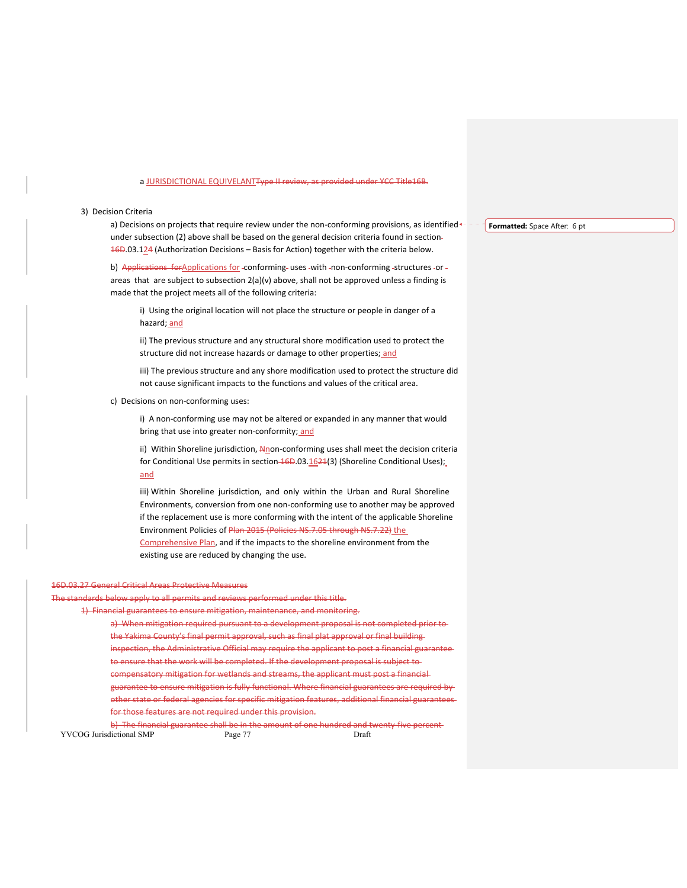#### a JURISDICTIONAL EQUIVELANT<del>Type II review, as provided under YCC Title16B.</del>

#### 3) Decision Criteria

a) Decisions on projects that require review under the non-conforming provisions, as identified  $\leftarrow$  under subsection (2) above shall be based on the general decision criteria found in section 16D.03.124 (Authorization Decisions – Basis for Action) together with the criteria below.

b) Applications for Applications for -conforming- uses -with -non-conforming -structures -or areas that are subject to subsection 2(a)(v) above, shall not be approved unless a finding is made that the project meets all of the following criteria:

i) Using the original location will not place the structure or people in danger of a hazard; and

ii) The previous structure and any structural shore modification used to protect the structure did not increase hazards or damage to other properties; and

iii) The previous structure and any shore modification used to protect the structure did not cause significant impacts to the functions and values of the critical area.

c) Decisions on non-conforming uses:

i) A non-conforming use may not be altered or expanded in any manner that would bring that use into greater non-conformity; and

ii) Within Shoreline jurisdiction, Nnon-conforming uses shall meet the decision criteria for Conditional Use permits in section  $\frac{46D.03.1624}{3}$  (Shoreline Conditional Uses); and

iii) Within Shoreline jurisdiction, and only within the Urban and Rural Shoreline Environments, conversion from one non‐conforming use to another may be approved if the replacement use is more conforming with the intent of the applicable Shoreline Environment Policies of Plan 2015 (Policies NS.7.05 through NS.7.22) the Comprehensive Plan, and if the impacts to the shoreline environment from the existing use are reduced by changing the use.

#### 16D.03.27 General Critical Areas Protective Measures

The standards below apply to all permits and reviews performed under this title.

1) Financial guarantees to ensure mitigation, maintenance, and monitoring.

a) When mitigation required pursuant to a development proposal is not completed prior to the Yakima County's final permit approval, such as final plat approval or final building inspection, the Administrative Official may require the applicant to post a financial guarantee to ensure that the work will be completed. If the development proposal is subject to compensatory mitigation for wetlands and streams, the applicant must post a financial guarantee to ensure mitigation is fully functional. Where financial guarantees are required by other state or federal agencies for specific mitigation features, additional financial guarantees for those features are not required under this provision.

YVCOG Jurisdictional SMP Page 77 Draft b) The financial guarantee shall be in the amount of one hundred and twenty five percent-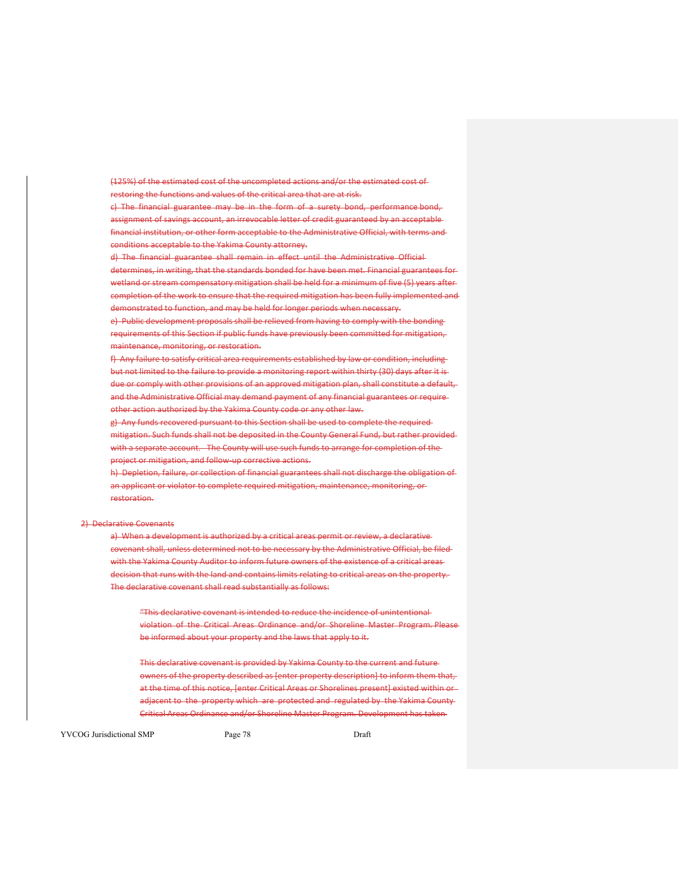(125%) of the estimated cost of the uncompleted actions and/or the estimated cost of restoring the functions and values of the critical area that are at risk.

c) The financial guarantee may be in the form of a surety bond, performance bond, assignment of savings account, an irrevocable letter of credit guaranteed by an acceptable financial institution, or other form acceptable to the Administrative Official, with terms and conditions acceptable to the Yakima County attorney.

d) The financial guarantee shall remain in effect until the Administrative Official determines, in writing, that the standards bonded for have been met. Financial guarantees for wetland or stream compensatory mitigation shall be held for a minimum of five (5) years after completion of the work to ensure that the required mitigation has been fully implemented and demonstrated to function, and may be held for longer periods when necessary.

e) Public development proposals shall be relieved from having to comply with the bonding requirements of this Section if public funds have previously been committed for mitigation, maintenance, monitoring, or restoration.

f) Any failure to satisfy critical area requirements established by law or condition, including but not limited to the failure to provide a monitoring report within thirty (30) days after it is due or comply with other provisions of an approved mitigation plan, shall constitute a default, and the Administrative Official may demand payment of any financial guarantees or require other action authorized by the Yakima County code or any other law.

g) Any funds recovered pursuant to this Section shall be used to complete the required

mitigation. Such funds shall not be deposited in the County General Fund, but rather provided with a separate account. The County will use such funds to arrange for completion of theproject or mitigation, and follow-up corrective actions.

h) Depletion, failure, or collection of financial guarantees shall not discharge the obligation of an applicant or violator to complete required mitigation, maintenance, monitoring, or restoration.

#### 2) Declarative Covenants

a) When a development is authorized by a critical areas permit or review, a declarative covenant shall, unless determined not to be necessary by the Administrative Official, be filed with the Yakima County Auditor to inform future owners of the existence of a critical areas decision that runs with the land and contains limits relating to critical areas on the property. The declarative covenant shall read substantially as follows:

"This declarative covenant is intended to reduce the incidence of unintentional violation of the Critical Areas Ordinance and/or Shoreline Master Program. Please be informed about your property and the laws that apply to it.

This declarative covenant is provided by Yakima County to the current and future owners of the property described as [enter property description] to inform them that, at the time of this notice, [enter Critical Areas or Shorelines present] existed within or adjacent to the property which are protected and regulated by the Yakima County-Critical Areas Ordinance and/or Shoreline Master Program. Development has taken

YVCOG Jurisdictional SMP Page 78 Draft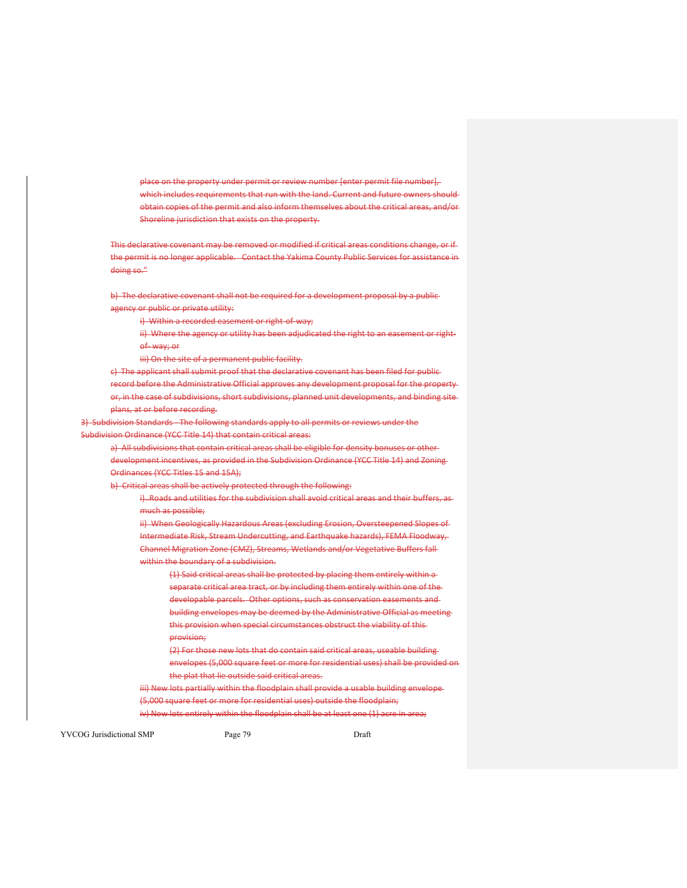place on the property under permit or review number [enter permit file number], which includes requirements that run with the land. Current and future owners should obtain copies of the permit and also inform themselves about the critical areas, and/or Shoreline jurisdiction that exists on the property.

This declarative covenant may be removed or modified if critical areas conditions change, or if the permit is no longer applicable. Contact the Yakima County Public Services for assistance in doing so."

b) The declarative covenant shall not be required for a development proposal by a publicagency or public or private utility:

i) Within a recorded easement or right-of-way;

ii) Where the agency or utility has been adjudicated the right to an easement or rightof‐ way; or

iii) On the site of a permanent public facility.

c) The applicant shall submit proof that the declarative covenant has been filed for public record before the Administrative Official approves any development proposal for the property or, in the case of subdivisions, short subdivisions, planned unit developments, and binding site plans, at or before recording.

3) Subdivision Standards - The following standards apply to all permits or reviews under the Subdivision Ordinance (YCC Title 14) that contain critical areas:

a) All subdivisions that contain critical areas shall be eligible for density bonuses or other development incentives, as provided in the Subdivision Ordinance (YCC Title 14) and Zoning Ordinances (YCC Titles 15 and 15A);

b) Critical areas shall be actively protected through the following:

i)..Roads and utilities for the subdivision shall avoid critical areas and their buffers, as much as possible;

ii) When Geologically Hazardous Areas (excluding Erosion, Oversteepened Slopes of Intermediate Risk, Stream Undercutting, and Earthquake hazards), FEMA Floodway, Channel Migration Zone (CMZ), Streams, Wetlands and/or Vegetative Buffers fall within the boundary of a subdivision.

(1) Said critical areas shall be protected by placing them entirely within a separate critical area tract, or by including them entirely within one of the developable parcels. Other options, such as conservation easements and building envelopes may be deemed by the Administrative Official as meeting this provision when special circumstances obstruct the viability of this provision;

(2) For those new lots that do contain said critical areas, useable building envelopes (5,000 square feet or more for residential uses) shall be provided on the plat that lie outside said critical areas.

iii) New lots partially within the floodplain shall provide a usable building envelope-(5,000 square feet or more for residential uses) outside the floodplain; iv) New lots entirely within the floodplain shall be at least one (1) acre in area;

YVCOG Jurisdictional SMP Page 79 Draft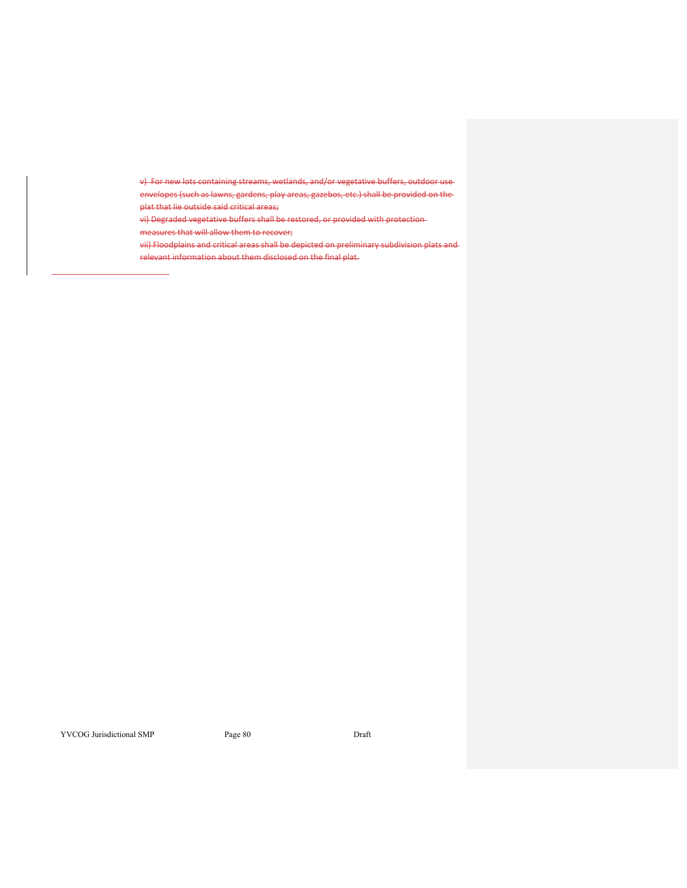v) For new lots containing streams, wetlands, and/or vegetative buffers, outdoor use

envelopes (such as lawns, gardens, play areas, gazebos, etc.) shall be provided on the plat that lie outside said critical areas;

vi) Degraded vegetative buffers shall be restored, or provided with protection

measures that will allow them to recover;

vii) Floodplains and critical areas shall be depicted on preliminary subdivision plats and relevant information about them disclosed on the final plat.

YVCOG Jurisdictional SMP Page 80 Draft

<u> 1989 - Johann Barbara, martxa eta politikar</u>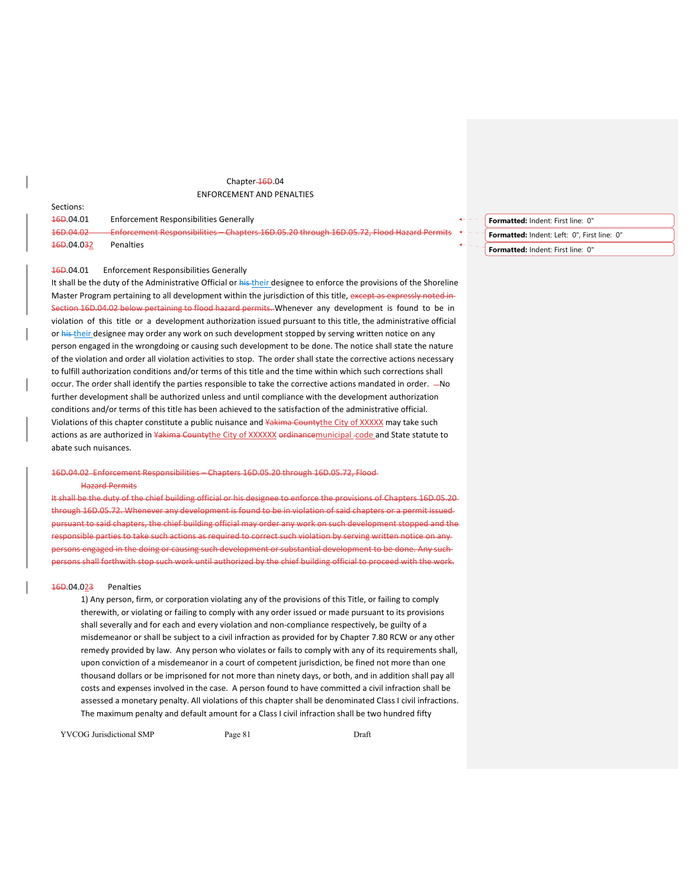# Chapter-16D.04 ENFORCEMENT AND PENALTIES

| JELIUIIJ.                           |                                                                                                   |                            |  |
|-------------------------------------|---------------------------------------------------------------------------------------------------|----------------------------|--|
| <del>16D</del> .04.01               | Enforcement Responsibilities Generally                                                            |                            |  |
| 16D.04.02                           | - Enforcement Responsibilities – Chapters 16D.05.20 through 16D.05.72, Flood Hazard Permits + + - |                            |  |
| <del>16D</del> .04.0 <del>3</del> 2 | Penalties                                                                                         | $\leftarrow$ $\sim$ $\sim$ |  |

# 16D.04.01 Enforcement Responsibilities Generally

Sections:

It shall be the duty of the Administrative Official or his their designee to enforce the provisions of the Shoreline Master Program pertaining to all development within the jurisdiction of this title, except as expressly noted in Section 16D.04.02 below pertaining to flood hazard permits. Whenever any development is found to be in violation of this title or a development authorization issued pursuant to this title, the administrative official or his their designee may order any work on such development stopped by serving written notice on any person engaged in the wrongdoing or causing such development to be done. The notice shall state the nature of the violation and order all violation activities to stop. The order shall state the corrective actions necessary to fulfill authorization conditions and/or terms of this title and the time within which such corrections shall occur. The order shall identify the parties responsible to take the corrective actions mandated in order. - No further development shall be authorized unless and until compliance with the development authorization conditions and/or terms of this title has been achieved to the satisfaction of the administrative official. Violations of this chapter constitute a public nuisance and Yakima County the City of XXXXX may take such actions as are authorized in Yakima Countythe City of XXXXXX ordinancemunicipal -code and State statute to abate such nuisances.

# 16D.04.02 Enforcement Responsibilities – Chapters 16D.05.20 through 16D.05.72, Flood Hazard Permits

It shall be the duty of the chief building official or his designee to enforce the provisions of Chapters 16D.05.20 through 16D.05.72. Whenever any development is found to be in violation of said chapters or a permit issued pursuant to said chapters, the chief building official may order any work on such development stopped and the responsible parties to take such actions as required to correct such violation by serving written notice on any persons engaged in the doing or causing such development or substantial development to be done. Any such persons shall forthwith stop such work until authorized by the chief building official to proceed with the work.

#### 16D.04.023 Penalties

1) Any person, firm, or corporation violating any of the provisions of this Title, or failing to comply therewith, or violating or failing to comply with any order issued or made pursuant to its provisions shall severally and for each and every violation and non‐compliance respectively, be guilty of a misdemeanor or shall be subject to a civil infraction as provided for by Chapter 7.80 RCW or any other remedy provided by law. Any person who violates or fails to comply with any of its requirements shall, upon conviction of a misdemeanor in a court of competent jurisdiction, be fined not more than one thousand dollars or be imprisoned for not more than ninety days, or both, and in addition shall pay all costs and expenses involved in the case. A person found to have committed a civil infraction shall be assessed a monetary penalty. All violations of this chapter shall be denominated Class I civil infractions. The maximum penalty and default amount for a Class I civil infraction shall be two hundred fifty

YVCOG Jurisdictional SMP Page 81 Draft

- **Formatted:** Indent: First line: 0" **Formatted:** Indent: Left: 0", First line: 0"
	- **Formatted:** Indent: First line: 0"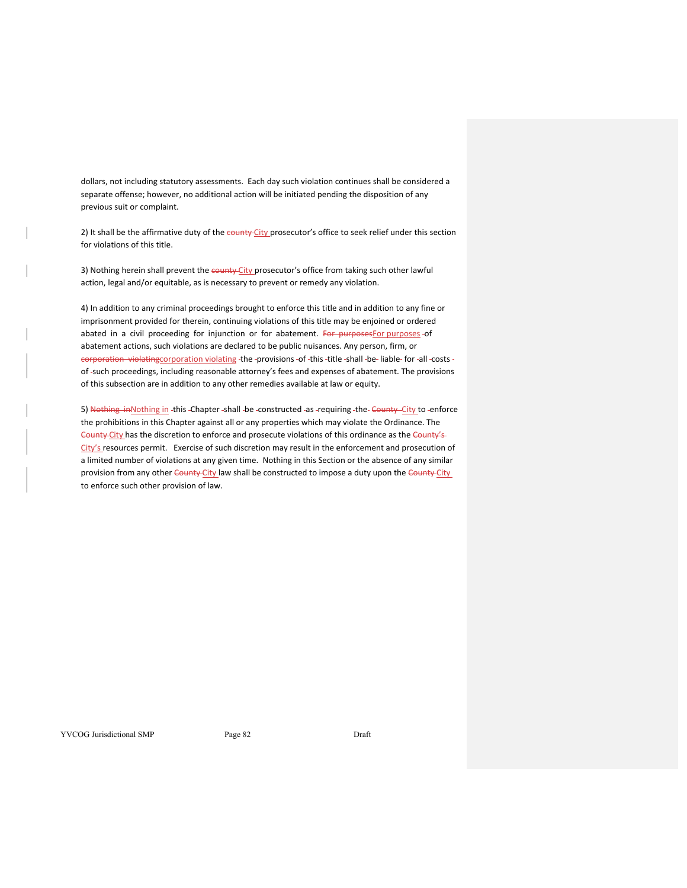dollars, not including statutory assessments. Each day such violation continues shall be considered a separate offense; however, no additional action will be initiated pending the disposition of any previous suit or complaint.

2) It shall be the affirmative duty of the county City prosecutor's office to seek relief under this section for violations of this title.

3) Nothing herein shall prevent the county City prosecutor's office from taking such other lawful action, legal and/or equitable, as is necessary to prevent or remedy any violation.

4) In addition to any criminal proceedings brought to enforce this title and in addition to any fine or imprisonment provided for therein, continuing violations of this title may be enjoined or ordered abated in a civil proceeding for injunction or for abatement. For purposes For purposes -of abatement actions, such violations are declared to be public nuisances. Any person, firm, or corporation violatingcorporation violating the -provisions -of -this -title -shall -be- liable- for -all -costs of such proceedings, including reasonable attorney's fees and expenses of abatement. The provisions of this subsection are in addition to any other remedies available at law or equity.

5) Nothing in Nothing in this -Chapter -shall -be -constructed -as -requiring -the-County City to -enforce the prohibitions in this Chapter against all or any properties which may violate the Ordinance. The County City has the discretion to enforce and prosecute violations of this ordinance as the County's-City's resources permit. Exercise of such discretion may result in the enforcement and prosecution of a limited number of violations at any given time. Nothing in this Section or the absence of any similar provision from any other County City law shall be constructed to impose a duty upon the County City to enforce such other provision of law.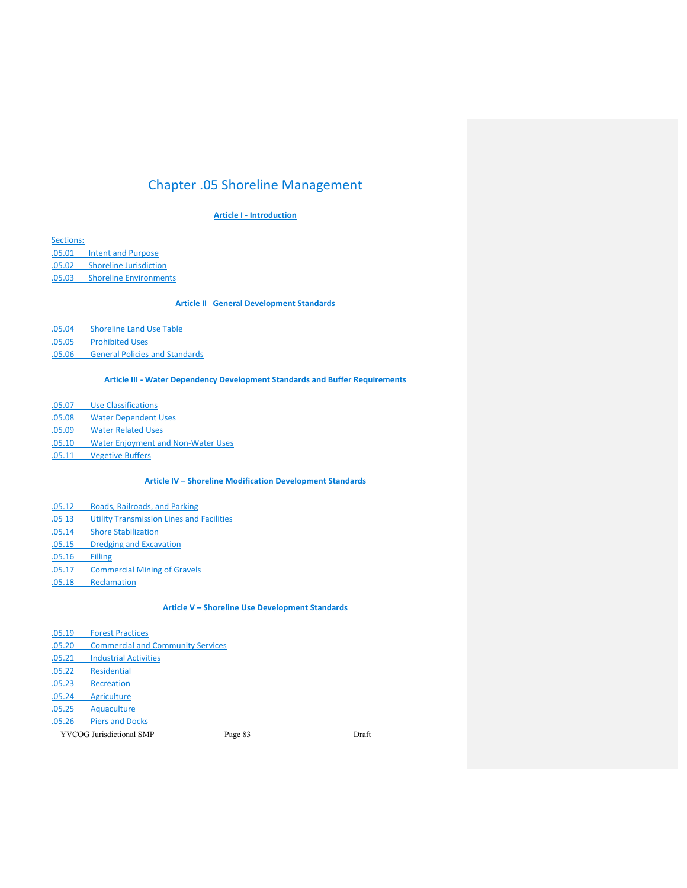# Chapter .05 Shoreline Management

# **Article I ‐ Introduction**

Sections: .05.01 Intent and Purpose .05.02 Shoreline Jurisdiction

.05.03 Shoreline Environments

# **Article II General Development Standards**

.05.04 Shoreline Land Use Table

.05.05 Prohibited Uses

.05.06 General Policies and Standards

# **Article III ‐ Water Dependency Development Standards and Buffer Requirements**

.05.07 Use Classifications

.05.08 Water Dependent Uses

.05.09 Water Related Uses

- .05.10 Water Enjoyment and Non‐Water Uses
- .05.11 Vegetive Buffers

# **Article IV – Shoreline Modification Development Standards**

- .05.12 Roads, Railroads, and Parking
- .05 13 Utility Transmission Lines and Facilities
- .05.14 Shore Stabilization
- .05.15 Dredging and Excavation
- .05.16 Filling
- .05.17 Commercial Mining of Gravels
- .05.18 Reclamation

# **Article V – Shoreline Use Development Standards**

.05.19 Forest Practices .05.20 Commercial and Community Services .05.21 Industrial Activities .05.22 Residential .05.23 Recreation .05.24 Agriculture .05.25 Aquaculture .05.26 Piers and Docks

YVCOG Jurisdictional SMP Page 83 Draft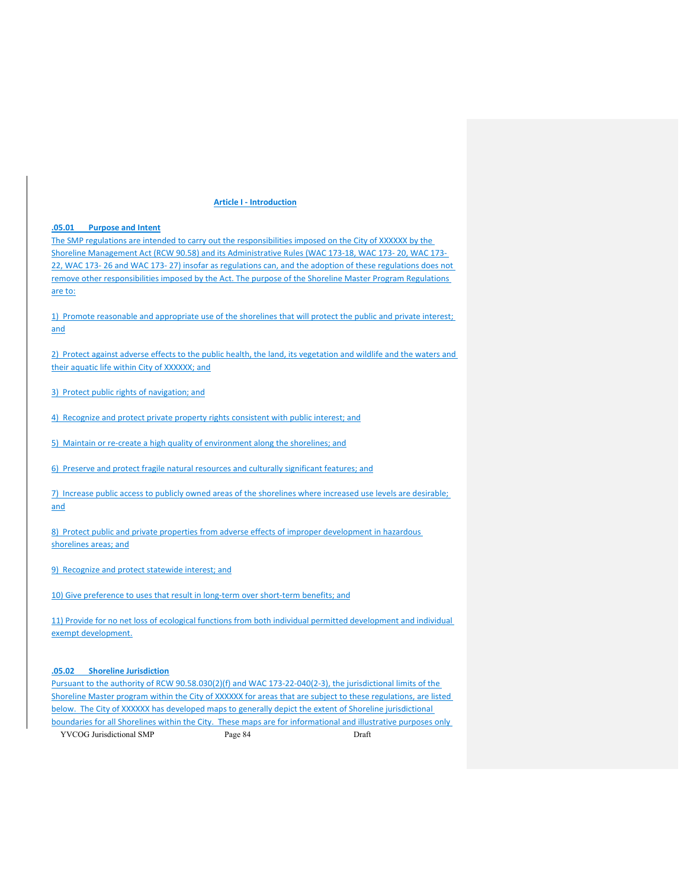#### **Article I ‐ Introduction**

## **.05.01 Purpose and Intent**

The SMP regulations are intended to carry out the responsibilities imposed on the City of XXXXXX by the Shoreline Management Act (RCW 90.58) and its Administrative Rules (WAC 173‐18, WAC 173‐ 20, WAC 173‐ 22, WAC 173‐ 26 and WAC 173‐ 27) insofar as regulations can, and the adoption of these regulations does not remove other responsibilities imposed by the Act. The purpose of the Shoreline Master Program Regulations are to:

1) Promote reasonable and appropriate use of the shorelines that will protect the public and private interest; and

2) Protect against adverse effects to the public health, the land, its vegetation and wildlife and the waters and their aquatic life within City of XXXXXX; and

3) Protect public rights of navigation; and

4) Recognize and protect private property rights consistent with public interest; and

5) Maintain or re-create a high quality of environment along the shorelines; and

6) Preserve and protect fragile natural resources and culturally significant features; and

7) Increase public access to publicly owned areas of the shorelines where increased use levels are desirable; and

8) Protect public and private properties from adverse effects of improper development in hazardous shorelines areas; and

9) Recognize and protect statewide interest; and

10) Give preference to uses that result in long-term over short-term benefits; and

11) Provide for no net loss of ecological functions from both individual permitted development and individual exempt development.

#### **.05.02 Shoreline Jurisdiction**

Pursuant to the authority of RCW 90.58.030(2)(f) and WAC 173‐22‐040(2‐3), the jurisdictional limits of the Shoreline Master program within the City of XXXXXX for areas that are subject to these regulations, are listed below. The City of XXXXXX has developed maps to generally depict the extent of Shoreline jurisdictional boundaries for all Shorelines within the City. These maps are for informational and illustrative purposes only

YVCOG Jurisdictional SMP Page 84 Draft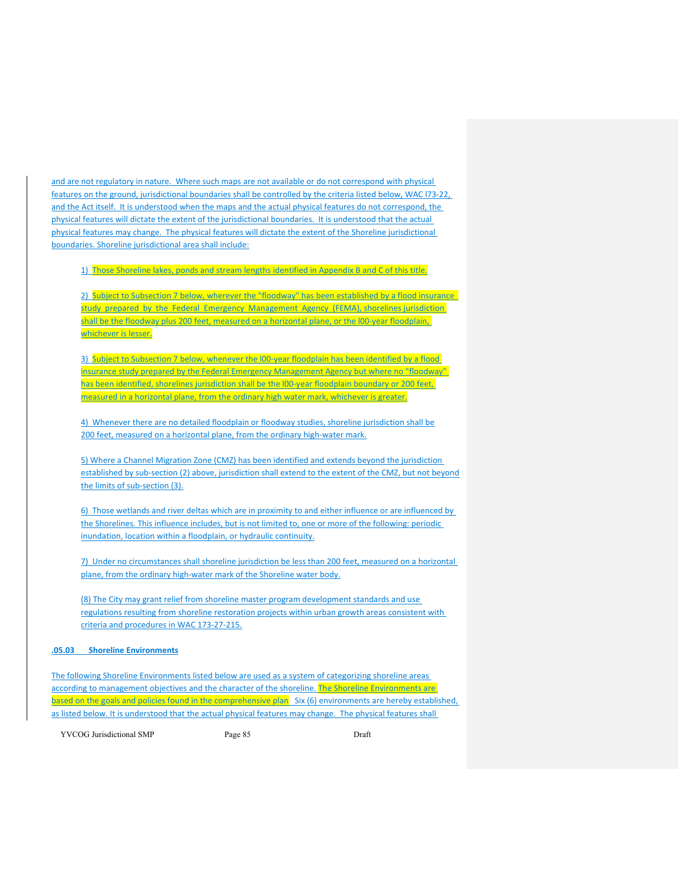and are not regulatory in nature. Where such maps are not available or do not correspond with physical features on the ground, jurisdictional boundaries shall be controlled by the criteria listed below, WAC l73‐22, and the Act itself. It is understood when the maps and the actual physical features do not correspond, the physical features will dictate the extent of the jurisdictional boundaries. It is understood that the actual physical features may change. The physical features will dictate the extent of the Shoreline jurisdictional boundaries. Shoreline jurisdictional area shall include:

1) Those Shoreline lakes, ponds and stream lengths identified in Appendix B and C of this title.

2) Subject to Subsection 7 below, wherever the "floodway" has been established by a flood insurance study prepared by the Federal Emergency Management Agency (FEMA), shorelines jurisdiction shall be the floodway plus 200 feet, measured on a horizontal plane, or the I00-year floodplain, whichever is lesser.

3) Subject to Subsection 7 below, whenever the I00-year floodplain has been identified by a flood insurance study prepared by the Federal Emergency Management Agency but where no "floodway" has been identified, shorelines jurisdiction shall be the I00-year floodplain boundary or 200 feet, measured in a horizontal plane, from the ordinary high water mark, whichever is greater.

4) Whenever there are no detailed floodplain or floodway studies, shoreline jurisdiction shall be 200 feet, measured on a horizontal plane, from the ordinary high-water mark.

5) Where a Channel Migration Zone (CMZ) has been identified and extends beyond the jurisdiction established by sub-section (2) above, jurisdiction shall extend to the extent of the CMZ, but not beyond the limits of sub‐section (3).

6) Those wetlands and river deltas which are in proximity to and either influence or are influenced by the Shorelines. This influence includes, but is not limited to, one or more of the following: periodic inundation, location within a floodplain, or hydraulic continuity.

7) Under no circumstances shall shoreline jurisdiction be less than 200 feet, measured on a horizontal plane, from the ordinary high-water mark of the Shoreline water body.

(8) The City may grant relief from shoreline master program development standards and use regulations resulting from shoreline restoration projects within urban growth areas consistent with criteria and procedures in WAC 173‐27‐215.

#### **.05.03 Shoreline Environments**

The following Shoreline Environments listed below are used as a system of categorizing shoreline areas according to management objectives and the character of the shoreline. The Shoreline Environments are based on the goals and policies found in the comprehensive plan Six (6) environments are hereby established, as listed below. It is understood that the actual physical features may change. The physical features shall

YVCOG Jurisdictional SMP Page 85 Draft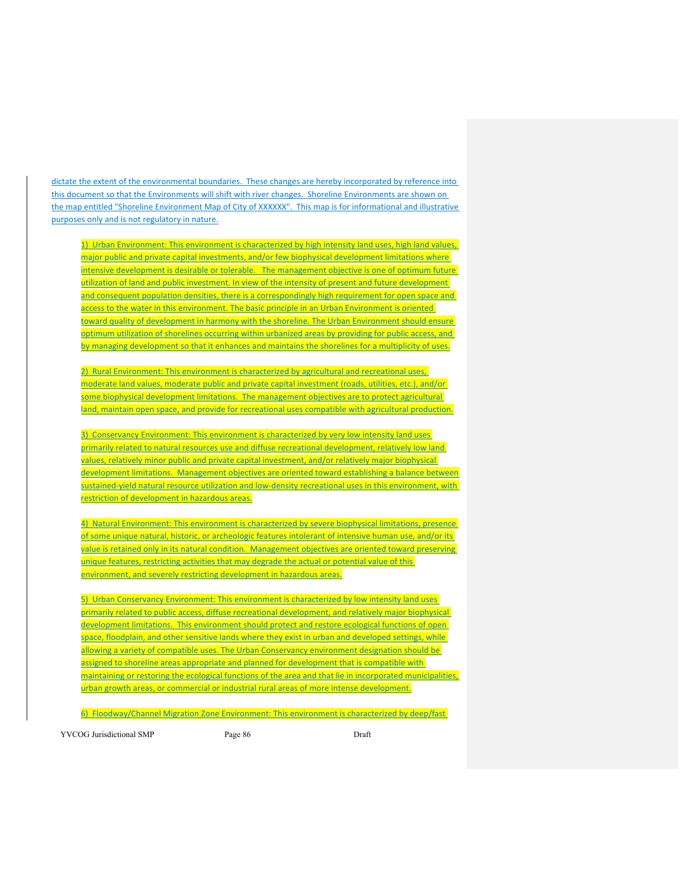dictate the extent of the environmental boundaries. These changes are hereby incorporated by reference into this document so that the Environments will shift with river changes. Shoreline Environments are shown on the map entitled "Shoreline Environment Map of City of XXXXXX". This map is for informational and illustrative purposes only and is not regulatory in nature.

1) Urban Environment: This environment is characterized by high intensity land uses, high land values, major public and private capital investments, and/or few biophysical development limitations where intensive development is desirable or tolerable. The management objective is one of optimum future utilization of land and public investment. In view of the intensity of present and future development and consequent population densities, there is a correspondingly high requirement for open space and access to the water in this environment. The basic principle in an Urban Environment is oriented toward quality of development in harmony with the shoreline. The Urban Environment should ensure optimum utilization of shorelines occurring within urbanized areas by providing for public access, and by managing development so that it enhances and maintains the shorelines for a multiplicity of uses.

2) Rural Environment: This environment is characterized by agricultural and recreational uses, moderate land values, moderate public and private capital investment (roads, utilities, etc.), and/or some biophysical development limitations. The management objectives are to protect agricultural land, maintain open space, and provide for recreational uses compatible with agricultural production.

3) Conservancy Environment: This environment is characterized by very low intensity land uses primarily related to natural resources use and diffuse recreational development, relatively low land values, relatively minor public and private capital investment, and/or relatively major biophysical development limitations. Management objectives are oriented toward establishing a balance between sustained-yield natural resource utilization and low-density recreational uses in this environment, with restriction of development in hazardous areas.

4) Natural Environment: This environment is characterized by severe biophysical limitations, presence of some unique natural, historic, or archeologic features intolerant of intensive human use, and/or its value is retained only in its natural condition. Management objectives are oriented toward preserving unique features, restricting activities that may degrade the actual or potential value of this environment, and severely restricting development in hazardous areas.

5) Urban Conservancy Environment: This environment is characterized by low intensity land uses primarily related to public access, diffuse recreational development, and relatively major biophysical development limitations. This environment should protect and restore ecological functions of open space, floodplain, and other sensitive lands where they exist in urban and developed settings, while allowing a variety of compatible uses. The Urban Conservancy environment designation should be assigned to shoreline areas appropriate and planned for development that is compatible with maintaining or restoring the ecological functions of the area and that lie in incorporated municipalities, urban growth areas, or commercial or industrial rural areas of more intense development.

6) Floodway/Channel Migration Zone Environment: This environment is characterized by deep/fast

YVCOG Jurisdictional SMP Page 86 Draft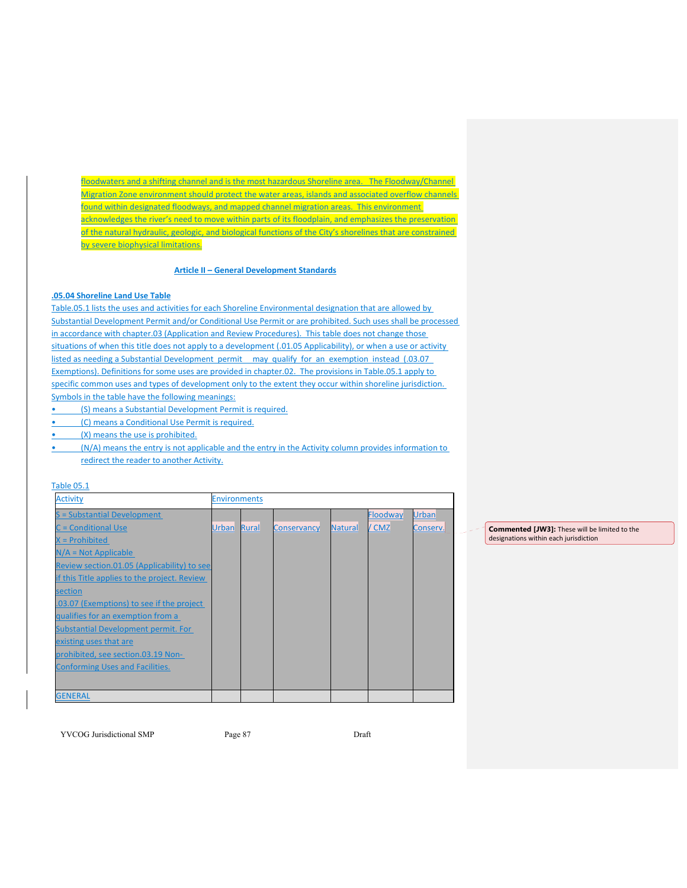floodwaters and a shifting channel and is the most hazardous Shoreline area. The Floodway/Channel Migration Zone environment should protect the water areas, islands and associated overflow channels found within designated floodways, and mapped channel migration areas. This environment acknowledges the river's need to move within parts of its floodplain, and emphasizes the preservation of the natural hydraulic, geologic, and biological functions of the City's shorelines that are constrained by severe biophysical limitations.

# **Article II – General Development Standards**

## **.05.04 Shoreline Land Use Table**

Table.05.1 lists the uses and activities for each Shoreline Environmental designation that are allowed by Substantial Development Permit and/or Conditional Use Permit or are prohibited. Such uses shall be processed in accordance with chapter.03 (Application and Review Procedures). This table does not change those situations of when this title does not apply to a development (.01.05 Applicability), or when a use or activity listed as needing a Substantial Development permit may qualify for an exemption instead (.03.07 Exemptions). Definitions for some uses are provided in chapter.02. The provisions in Table.05.1 apply to specific common uses and types of development only to the extent they occur within shoreline jurisdiction. Symbols in the table have the following meanings:

- (S) means a Substantial Development Permit is required.
- (C) means a Conditional Use Permit is required.
- (X) means the use is prohibited.
- (N/A) means the entry is not applicable and the entry in the Activity column provides information to redirect the reader to another Activity.

#### Table 05.1

| <b>Activity</b>                              | <b>Environments</b> |       |                    |         |          |              |  |  |
|----------------------------------------------|---------------------|-------|--------------------|---------|----------|--------------|--|--|
| S = Substantial Development                  |                     |       |                    |         | Floodway | <b>Urban</b> |  |  |
| <b>C</b> = Conditional Use                   | <b>Urban</b>        | Rural | <b>Conservancy</b> | Natural | / CMZ    | Conserv.     |  |  |
| $X =$ Prohibited                             |                     |       |                    |         |          |              |  |  |
| $N/A = Not Applicable$                       |                     |       |                    |         |          |              |  |  |
| Review section.01.05 (Applicability) to see  |                     |       |                    |         |          |              |  |  |
| if this Title applies to the project. Review |                     |       |                    |         |          |              |  |  |
| section                                      |                     |       |                    |         |          |              |  |  |
| .03.07 (Exemptions) to see if the project    |                     |       |                    |         |          |              |  |  |
| qualifies for an exemption from a            |                     |       |                    |         |          |              |  |  |
| <b>Substantial Development permit. For</b>   |                     |       |                    |         |          |              |  |  |
| existing uses that are                       |                     |       |                    |         |          |              |  |  |
| prohibited, see section.03.19 Non-           |                     |       |                    |         |          |              |  |  |
| <b>Conforming Uses and Facilities.</b>       |                     |       |                    |         |          |              |  |  |
|                                              |                     |       |                    |         |          |              |  |  |
| <b>GENERAL</b>                               |                     |       |                    |         |          |              |  |  |

**Commented [JW3]:** These will be limited to the designations within each jurisdiction

YVCOG Jurisdictional SMP Page 87 Draft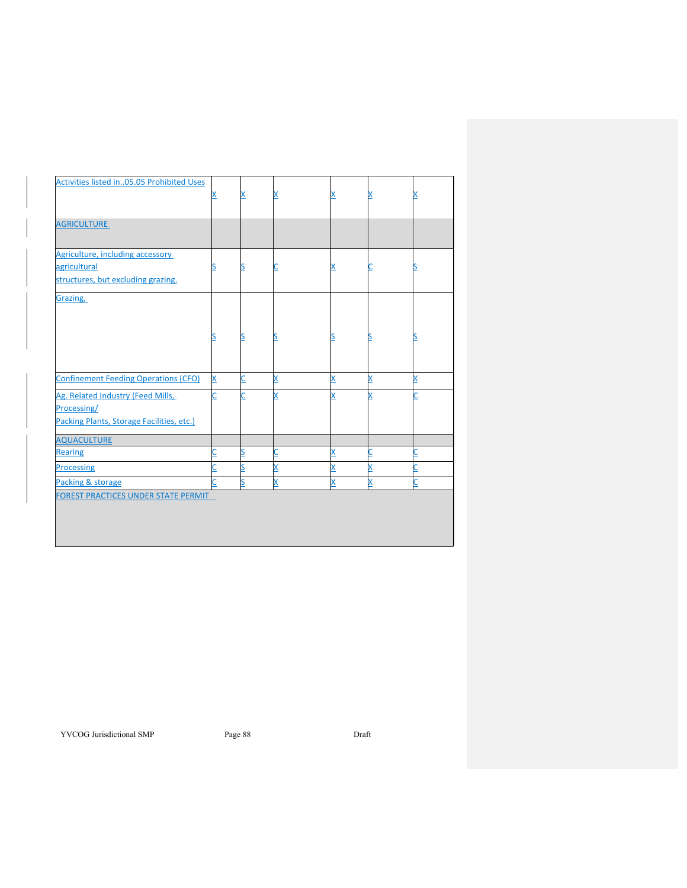| Activities listed in05.05 Prohibited Uses                                                     | х | x |   |   |   | x                       |
|-----------------------------------------------------------------------------------------------|---|---|---|---|---|-------------------------|
| <b>AGRICULTURE</b>                                                                            |   |   |   |   |   |                         |
| Agriculture, including accessory<br>agricultural<br>structures, but excluding grazing.        | S | S |   | х |   |                         |
| Grazing,                                                                                      |   |   |   |   |   |                         |
|                                                                                               |   | S |   |   |   |                         |
| <b>Confinement Feeding Operations (CFO)</b>                                                   | X | Ċ | X | X | X | X                       |
| Ag. Related Industry (Feed Mills,<br>Processing/<br>Packing Plants, Storage Facilities, etc.) | С | C | X | X | X | Ċ                       |
| <b>AQUACULTURE</b>                                                                            |   |   |   |   |   |                         |
| <b>Rearing</b>                                                                                | С | s | U | X | С | С                       |
| <b>Processing</b>                                                                             | C | S | x | X | X | Ċ                       |
| Packing & storage                                                                             |   | S | X | x | X | $\overline{\mathsf{C}}$ |
| FOREST PRACTICES UNDER STATE PERMIT                                                           |   |   |   |   |   |                         |

YVCOG Jurisdictional SMP Page 88 Draft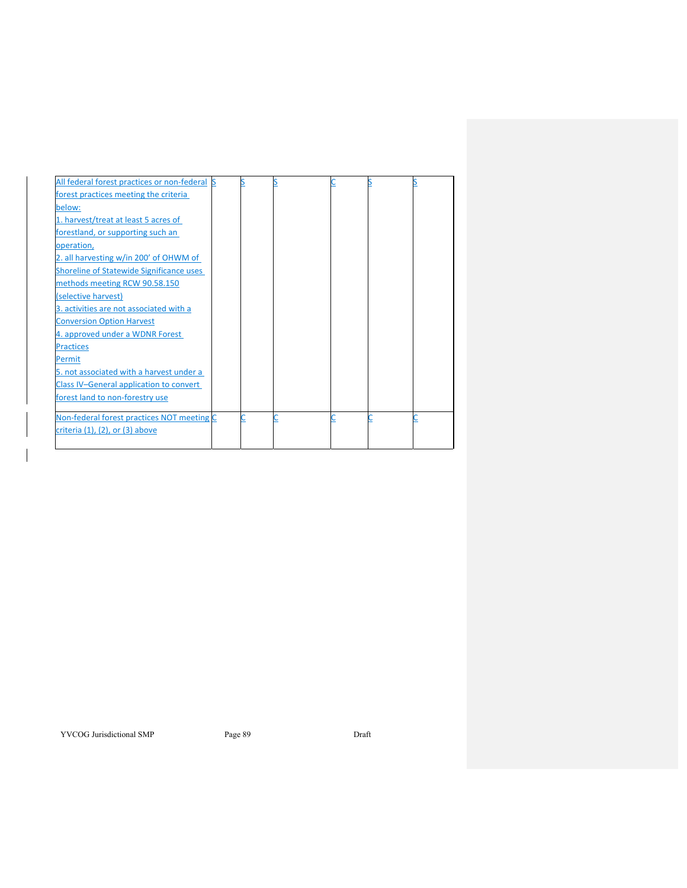| All federal forest practices or non-federal |  |  |  |
|---------------------------------------------|--|--|--|
| forest practices meeting the criteria       |  |  |  |
| below:                                      |  |  |  |
| 1. harvest/treat at least 5 acres of        |  |  |  |
| forestland, or supporting such an           |  |  |  |
| operation,                                  |  |  |  |
| 2. all harvesting w/in 200' of OHWM of      |  |  |  |
| Shoreline of Statewide Significance uses    |  |  |  |
| methods meeting RCW 90.58.150               |  |  |  |
| (selective harvest)                         |  |  |  |
| 3. activities are not associated with a     |  |  |  |
| <b>Conversion Option Harvest</b>            |  |  |  |
| 4. approved under a WDNR Forest             |  |  |  |
| <b>Practices</b>                            |  |  |  |
| Permit                                      |  |  |  |
| 5. not associated with a harvest under a    |  |  |  |
| Class IV-General application to convert     |  |  |  |
| forest land to non-forestry use             |  |  |  |
| Non-federal forest practices NOT meeting C  |  |  |  |
| criteria (1), (2), or (3) above             |  |  |  |

YVCOG Jurisdictional SMP Page 89 Draft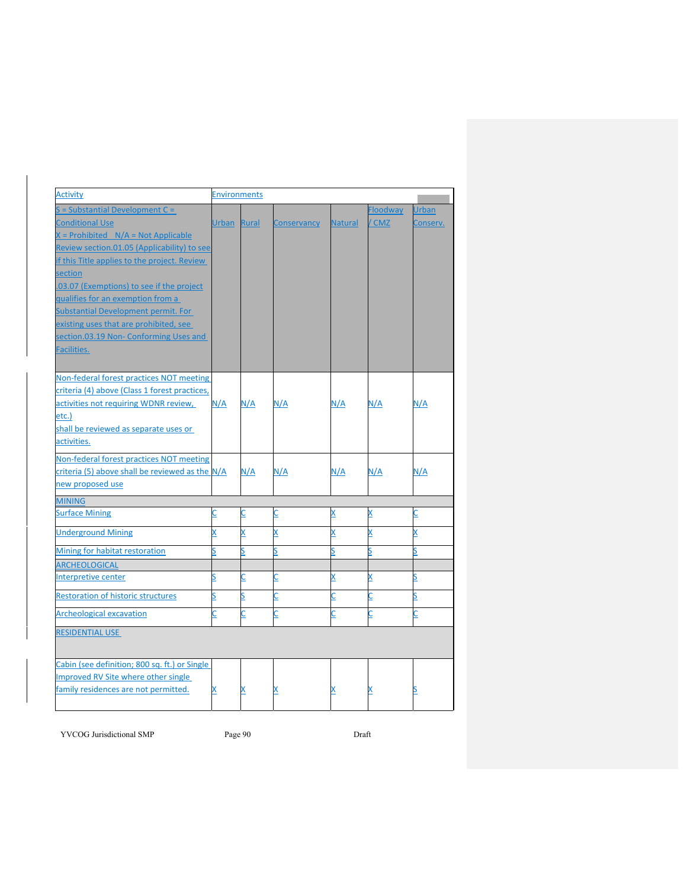| <b>Activity</b>                                 | <b>Environments</b>     |          |                         |                         |                 |              |
|-------------------------------------------------|-------------------------|----------|-------------------------|-------------------------|-----------------|--------------|
| $S =$ Substantial Development $C =$             |                         |          |                         |                         | <b>Floodway</b> | <b>Urban</b> |
| <b>Conditional Use</b>                          | Urban Rural             |          | <b>Conservancy</b>      | <b>Natural</b>          | / CMZ           | Conserv.     |
| $X =$ Prohibited $N/A = Not Applicable$         |                         |          |                         |                         |                 |              |
| Review section.01.05 (Applicability) to see     |                         |          |                         |                         |                 |              |
| if this Title applies to the project. Review    |                         |          |                         |                         |                 |              |
| section                                         |                         |          |                         |                         |                 |              |
| .03.07 (Exemptions) to see if the project       |                         |          |                         |                         |                 |              |
| qualifies for an exemption from a               |                         |          |                         |                         |                 |              |
| Substantial Development permit. For             |                         |          |                         |                         |                 |              |
| existing uses that are prohibited, see          |                         |          |                         |                         |                 |              |
| section.03.19 Non- Conforming Uses and          |                         |          |                         |                         |                 |              |
| <b>Facilities.</b>                              |                         |          |                         |                         |                 |              |
|                                                 |                         |          |                         |                         |                 |              |
| Non-federal forest practices NOT meeting        |                         |          |                         |                         |                 |              |
| criteria (4) above (Class 1 forest practices,   |                         |          |                         |                         |                 |              |
| activities not requiring WDNR review,           | N/A                     | N/A      | N/A                     | N/A                     | N/A             | N/A          |
| etc.)                                           |                         |          |                         |                         |                 |              |
| shall be reviewed as separate uses or           |                         |          |                         |                         |                 |              |
| activities.                                     |                         |          |                         |                         |                 |              |
| Non-federal forest practices NOT meeting        |                         |          |                         |                         |                 |              |
| criteria (5) above shall be reviewed as the N/A |                         | N/A      | N/A                     | N/A                     | N/A             | N/A          |
| new proposed use                                |                         |          |                         |                         |                 |              |
|                                                 |                         |          |                         |                         |                 |              |
| <b>MINING</b>                                   |                         |          |                         |                         |                 |              |
| <b>Surface Mining</b>                           | C                       | C        | $\overline{\mathsf{C}}$ | $\overline{\mathsf{x}}$ | X               | C            |
| <b>Underground Mining</b>                       | X                       | X        | X                       | X                       | X               | X            |
| Mining for habitat restoration                  | Ś                       | S        | S                       | $\overline{\mathsf{S}}$ | s               | S            |
| ARCHEOLOGICAL                                   |                         |          |                         |                         |                 |              |
| Interpretive center                             | <u>s</u>                | ⊆        | ⊆                       | X                       | X               | <u>s</u>     |
| <b>Restoration of historic structures</b>       | $\overline{\mathsf{S}}$ | <u>s</u> | C                       | $\overline{\mathsf{C}}$ | C               | S            |
| <b>Archeological excavation</b>                 | Ċ                       | C        | C                       | C                       | C               | C            |
|                                                 |                         |          |                         |                         |                 |              |
| <b>RESIDENTIAL USE</b>                          |                         |          |                         |                         |                 |              |
| Cabin (see definition; 800 sq. ft.) or Single   |                         |          |                         |                         |                 |              |
| Improved RV Site where other single             |                         |          |                         |                         |                 |              |
| family residences are not permitted.            | X                       | X        |                         |                         |                 |              |
|                                                 |                         |          |                         |                         |                 |              |

YVCOG Jurisdictional SMP Page 90 Draft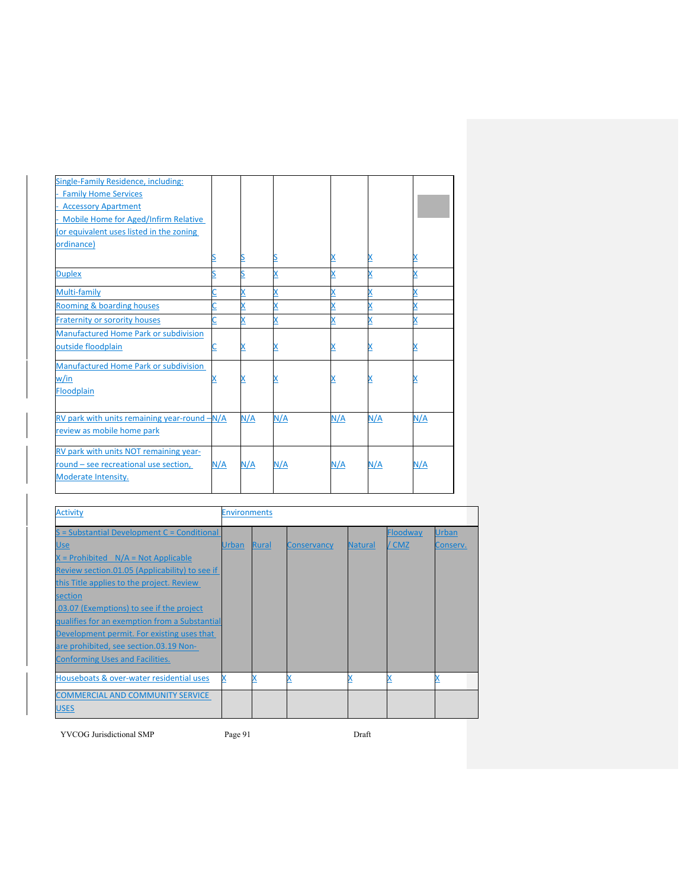| Single-Family Residence, including:<br><b>Family Home Services</b><br><b>Accessory Apartment</b><br>- Mobile Home for Aged/Infirm Relative |     |     |     |          |     |     |
|--------------------------------------------------------------------------------------------------------------------------------------------|-----|-----|-----|----------|-----|-----|
| (or equivalent uses listed in the zoning                                                                                                   |     |     |     |          |     |     |
| ordinance)                                                                                                                                 |     |     |     |          |     |     |
|                                                                                                                                            |     |     |     | <u>x</u> | х   |     |
| <b>Duplex</b>                                                                                                                              |     |     |     | X        |     |     |
| Multi-family                                                                                                                               |     |     |     | X        | X   |     |
| Rooming & boarding houses                                                                                                                  |     |     |     | X        |     |     |
| <b>Fraternity or sorority houses</b>                                                                                                       |     |     |     | X        |     |     |
| <b>Manufactured Home Park or subdivision</b>                                                                                               |     |     |     |          |     |     |
| outside floodplain                                                                                                                         |     |     |     | x        |     |     |
| <b>Manufactured Home Park or subdivision</b>                                                                                               |     |     |     |          |     |     |
| w/in                                                                                                                                       |     |     |     |          |     |     |
| Floodplain                                                                                                                                 |     |     |     |          |     |     |
| RV park with units remaining year-round -N/A                                                                                               |     | N/A | N/A | N/A      | N/A | N/A |
| review as mobile home park                                                                                                                 |     |     |     |          |     |     |
| RV park with units NOT remaining year-                                                                                                     |     |     |     |          |     |     |
| round - see recreational use section,                                                                                                      | N/A | N/A | N/A | N/A      | N/A | N/A |
| Moderate Intensity.                                                                                                                        |     |     |     |          |     |     |

| <b>Activity</b>                                | <b>Environments</b> |              |             |         |          |          |  |  |  |
|------------------------------------------------|---------------------|--------------|-------------|---------|----------|----------|--|--|--|
| S = Substantial Development C = Conditional    |                     |              |             |         | Floodway | Urban    |  |  |  |
| <u>Use</u>                                     | <b>Urban</b>        | <b>Rural</b> | Conservancy | Natural | / CMZ    | Conserv. |  |  |  |
| $X =$ Prohibited $N/A = Not$ Applicable        |                     |              |             |         |          |          |  |  |  |
| Review section.01.05 (Applicability) to see if |                     |              |             |         |          |          |  |  |  |
| this Title applies to the project. Review      |                     |              |             |         |          |          |  |  |  |
| section                                        |                     |              |             |         |          |          |  |  |  |
| .03.07 (Exemptions) to see if the project      |                     |              |             |         |          |          |  |  |  |
| qualifies for an exemption from a Substantial  |                     |              |             |         |          |          |  |  |  |
| Development permit. For existing uses that     |                     |              |             |         |          |          |  |  |  |
| are prohibited, see section.03.19 Non-         |                     |              |             |         |          |          |  |  |  |
| <b>Conforming Uses and Facilities.</b>         |                     |              |             |         |          |          |  |  |  |
| Houseboats & over-water residential uses       |                     |              |             |         |          |          |  |  |  |
| <b>COMMERCIAL AND COMMUNITY SERVICE</b>        |                     |              |             |         |          |          |  |  |  |
| <b>USES</b>                                    |                     |              |             |         |          |          |  |  |  |

YVCOG Jurisdictional SMP Page 91 Draft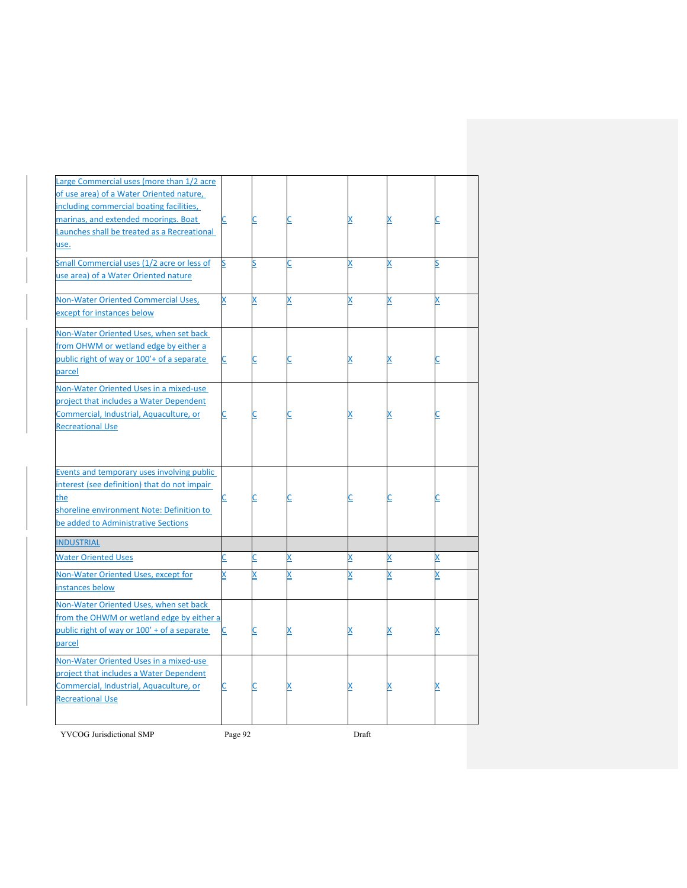| Large Commercial uses (more than 1/2 acre    |          |          |   |   |   |          |
|----------------------------------------------|----------|----------|---|---|---|----------|
| of use area) of a Water Oriented nature,     |          |          |   |   |   |          |
| including commercial boating facilities,     |          |          |   |   |   |          |
| marinas, and extended moorings. Boat         |          |          |   |   |   | C        |
| Launches shall be treated as a Recreational  |          |          |   |   |   |          |
| use.                                         |          |          |   |   |   |          |
| Small Commercial uses (1/2 acre or less of   | S        | S        | C | X | X | S        |
| use area) of a Water Oriented nature         |          |          |   |   |   |          |
|                                              |          |          |   |   |   |          |
| Non-Water Oriented Commercial Uses,          | X        | X        | X | X | X | X        |
| except for instances below                   |          |          |   |   |   |          |
|                                              |          |          |   |   |   |          |
| Non-Water Oriented Uses, when set back       |          |          |   |   |   |          |
| from OHWM or wetland edge by either a        |          |          |   |   |   |          |
| public right of way or 100'+ of a separate   | C        |          |   |   |   | С        |
| parcel                                       |          |          |   |   |   |          |
| Non-Water Oriented Uses in a mixed-use       |          |          |   |   |   |          |
| project that includes a Water Dependent      |          |          |   |   |   |          |
| Commercial, Industrial, Aquaculture, or      | <u>C</u> | <u>C</u> |   |   |   | <u>C</u> |
| <b>Recreational Use</b>                      |          |          |   |   |   |          |
|                                              |          |          |   |   |   |          |
|                                              |          |          |   |   |   |          |
|                                              |          |          |   |   |   |          |
| Events and temporary uses involving public   |          |          |   |   |   |          |
| interest (see definition) that do not impair |          |          |   |   |   |          |
| the                                          |          | C        | C | С |   | <u>C</u> |
| shoreline environment Note: Definition to    |          |          |   |   |   |          |
| be added to Administrative Sections          |          |          |   |   |   |          |
| <b>INDUSTRIAL</b>                            |          |          |   |   |   |          |
| <b>Water Oriented Uses</b>                   |          | C        | X | X | X | X        |
| Non-Water Oriented Uses, except for          | X        | X        | x | X |   | X        |
| instances below                              |          |          |   |   |   |          |
| Non-Water Oriented Uses, when set back       |          |          |   |   |   |          |
| from the OHWM or wetland edge by either a    |          |          |   |   |   |          |
| public right of way or 100' + of a separate  | C        | ⊆        | х | X |   | X        |
| parcel                                       |          |          |   |   |   |          |
|                                              |          |          |   |   |   |          |
| Non-Water Oriented Uses in a mixed-use       |          |          |   |   |   |          |
| project that includes a Water Dependent      |          |          |   |   |   |          |
| Commercial, Industrial, Aquaculture, or      | C        | <u>C</u> |   | x |   | <u>x</u> |
| <b>Recreational Use</b>                      |          |          |   |   |   |          |
|                                              |          |          |   |   |   |          |
|                                              |          |          |   |   |   |          |

YVCOG Jurisdictional SMP Page 92 Draft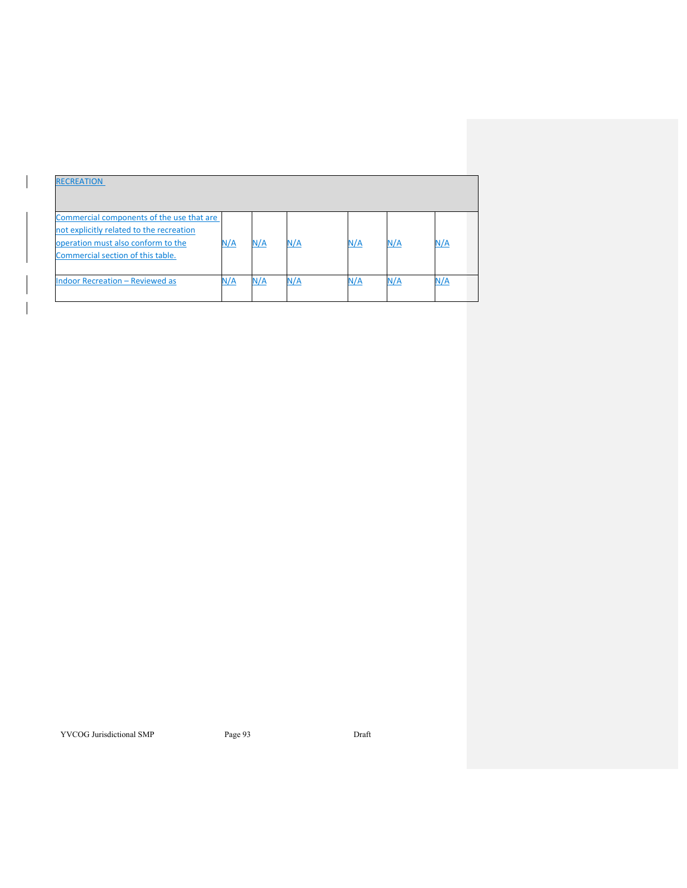| <b>RECREATION</b>                         |     |     |     |     |     |     |
|-------------------------------------------|-----|-----|-----|-----|-----|-----|
| Commercial components of the use that are |     |     |     |     |     |     |
| not explicitly related to the recreation  |     |     |     |     |     |     |
| operation must also conform to the        | N/A | N/A | N/A | N/A | N/A | N/A |
| Commercial section of this table.         |     |     |     |     |     |     |
|                                           |     |     |     |     |     |     |
| <b>Indoor Recreation - Reviewed as</b>    | N/A | N/A | N/A | N/A | N/A | N/A |
|                                           |     |     |     |     |     |     |

YVCOG Jurisdictional SMP Page 93 Draft

 $\overline{\phantom{a}}$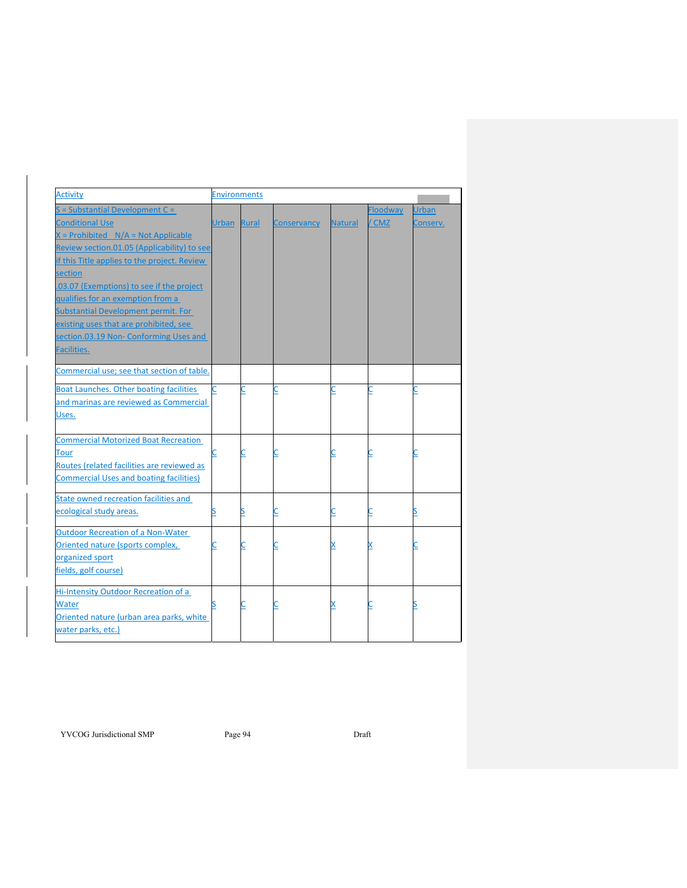| <b>Activity</b>                                | <b>Environments</b> |       |             |                |                 |              |
|------------------------------------------------|---------------------|-------|-------------|----------------|-----------------|--------------|
| $S =$ Substantial Development $C =$            |                     |       |             |                | <b>Floodway</b> | <b>Urban</b> |
| <b>Conditional Use</b>                         | <b>Urban</b>        | Rural | Conservancy | <b>Natural</b> | / CMZ           | Conserv.     |
| $X =$ Prohibited $N/A = Not$ Applicable        |                     |       |             |                |                 |              |
| Review section.01.05 (Applicability) to see    |                     |       |             |                |                 |              |
| if this Title applies to the project. Review   |                     |       |             |                |                 |              |
| section                                        |                     |       |             |                |                 |              |
| .03.07 (Exemptions) to see if the project      |                     |       |             |                |                 |              |
| qualifies for an exemption from a              |                     |       |             |                |                 |              |
| Substantial Development permit. For            |                     |       |             |                |                 |              |
| existing uses that are prohibited, see         |                     |       |             |                |                 |              |
| section.03.19 Non- Conforming Uses and         |                     |       |             |                |                 |              |
| Facilities.                                    |                     |       |             |                |                 |              |
| Commercial use; see that section of table.     |                     |       |             |                |                 |              |
| Boat Launches. Other boating facilities        | C                   |       |             | С              |                 | С            |
| and marinas are reviewed as Commercial         |                     |       |             |                |                 |              |
| Uses.                                          |                     |       |             |                |                 |              |
| <b>Commercial Motorized Boat Recreation</b>    |                     |       |             |                |                 |              |
| Tour                                           | С                   |       |             |                |                 | C            |
| Routes (related facilities are reviewed as     |                     |       |             |                |                 |              |
| <b>Commercial Uses and boating facilities)</b> |                     |       |             |                |                 |              |
| State owned recreation facilities and          |                     |       |             |                |                 |              |
| ecological study areas.                        | S                   |       |             | <u>C</u>       | ⊆               | <u>s</u>     |
| <b>Outdoor Recreation of a Non-Water</b>       |                     |       |             |                |                 |              |
| Oriented nature (sports complex,               | <u>C</u>            |       |             |                |                 | C            |
| organized sport                                |                     |       |             |                |                 |              |
| fields, golf course)                           |                     |       |             |                |                 |              |
| Hi-Intensity Outdoor Recreation of a           |                     |       |             |                |                 |              |
| Water                                          |                     |       |             |                |                 |              |
| Oriented nature (urban area parks, white       |                     |       |             |                |                 |              |
| water parks, etc.)                             |                     |       |             |                |                 |              |

YVCOG Jurisdictional SMP Page 94 Draft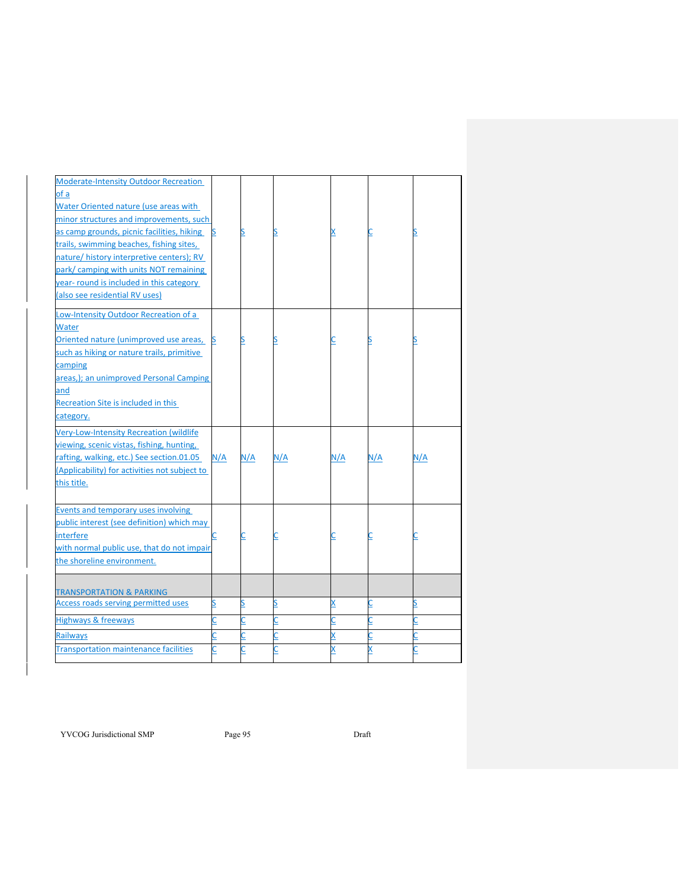| <b>Moderate-Intensity Outdoor Recreation</b><br>of a<br>Water Oriented nature (use areas with<br>minor structures and improvements, such<br>as camp grounds, picnic facilities, hiking<br>trails, swimming beaches, fishing sites,<br>nature/ history interpretive centers); RV | S        | S        |          | x        |        | <u>s</u>                |
|---------------------------------------------------------------------------------------------------------------------------------------------------------------------------------------------------------------------------------------------------------------------------------|----------|----------|----------|----------|--------|-------------------------|
| park/camping with units NOT remaining<br>year- round is included in this category<br>(also see residential RV uses)                                                                                                                                                             |          |          |          |          |        |                         |
| Low-Intensity Outdoor Recreation of a<br>Water                                                                                                                                                                                                                                  |          |          |          |          |        |                         |
| Oriented nature (unimproved use areas,<br>such as hiking or nature trails, primitive                                                                                                                                                                                            | ß        | S        |          |          |        | S                       |
| camping<br>areas,); an unimproved Personal Camping                                                                                                                                                                                                                              |          |          |          |          |        |                         |
| and                                                                                                                                                                                                                                                                             |          |          |          |          |        |                         |
| Recreation Site is included in this                                                                                                                                                                                                                                             |          |          |          |          |        |                         |
| category.                                                                                                                                                                                                                                                                       |          |          |          |          |        |                         |
| Very-Low-Intensity Recreation (wildlife                                                                                                                                                                                                                                         |          |          |          |          |        |                         |
| viewing, scenic vistas, fishing, hunting,                                                                                                                                                                                                                                       |          |          |          |          |        |                         |
|                                                                                                                                                                                                                                                                                 |          |          |          |          |        |                         |
| rafting, walking, etc.) See section.01.05                                                                                                                                                                                                                                       | N/A      | N/A      | N/A      | N/A      | N/A    | N/A                     |
| (Applicability) for activities not subject to                                                                                                                                                                                                                                   |          |          |          |          |        |                         |
| this title.                                                                                                                                                                                                                                                                     |          |          |          |          |        |                         |
| Events and temporary uses involving                                                                                                                                                                                                                                             |          |          |          |          |        |                         |
| public interest (see definition) which may                                                                                                                                                                                                                                      |          |          |          |          |        |                         |
| interfere                                                                                                                                                                                                                                                                       | С        | <u>C</u> |          |          |        | $\overline{\mathsf{C}}$ |
| with normal public use, that do not impair                                                                                                                                                                                                                                      |          |          |          |          |        |                         |
| the shoreline environment.                                                                                                                                                                                                                                                      |          |          |          |          |        |                         |
|                                                                                                                                                                                                                                                                                 |          |          |          |          |        |                         |
| <b>TRANSPORTATION &amp; PARKING</b>                                                                                                                                                                                                                                             |          |          |          |          |        |                         |
| <b>Access roads serving permitted uses</b>                                                                                                                                                                                                                                      | S        | S        | <u>s</u> | X        |        | S                       |
| <b>Highways &amp; freeways</b>                                                                                                                                                                                                                                                  | <u>C</u> | C        |          | <u>C</u> | C      | C                       |
| <b>Railways</b><br><b>Transportation maintenance facilities</b>                                                                                                                                                                                                                 | С<br>C   | ς        |          | X<br>X   | C<br>X | Ċ<br>Ċ                  |

YVCOG Jurisdictional SMP Page 95 Draft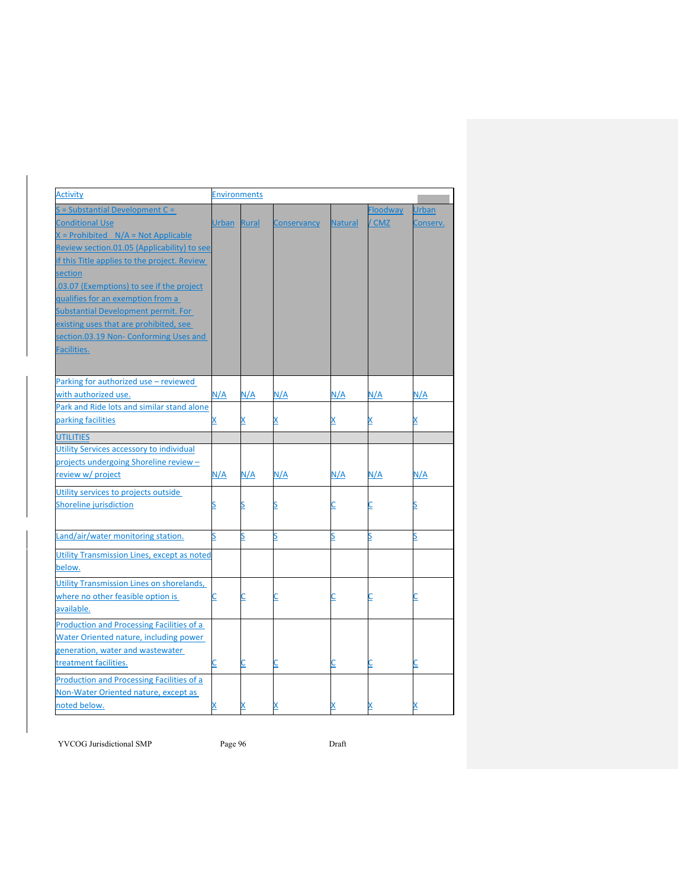| <b>Activity</b>                                  | <b>Environments</b> |            |                    |                         |                 |              |  |  |
|--------------------------------------------------|---------------------|------------|--------------------|-------------------------|-----------------|--------------|--|--|
| $S =$ Substantial Development C =                |                     |            |                    |                         | <b>Floodway</b> | <b>Urban</b> |  |  |
| <b>Conditional Use</b>                           | Urban Rural         |            | <b>Conservancy</b> | <b>Natural</b>          | / CMZ           | Conserv.     |  |  |
| $X =$ Prohibited $N/A = Not$ Applicable          |                     |            |                    |                         |                 |              |  |  |
| Review section.01.05 (Applicability) to see      |                     |            |                    |                         |                 |              |  |  |
| if this Title applies to the project. Review     |                     |            |                    |                         |                 |              |  |  |
| section                                          |                     |            |                    |                         |                 |              |  |  |
| .03.07 (Exemptions) to see if the project        |                     |            |                    |                         |                 |              |  |  |
| qualifies for an exemption from a                |                     |            |                    |                         |                 |              |  |  |
| Substantial Development permit. For              |                     |            |                    |                         |                 |              |  |  |
| existing uses that are prohibited, see           |                     |            |                    |                         |                 |              |  |  |
| section.03.19 Non- Conforming Uses and           |                     |            |                    |                         |                 |              |  |  |
| Facilities.                                      |                     |            |                    |                         |                 |              |  |  |
|                                                  |                     |            |                    |                         |                 |              |  |  |
| Parking for authorized use - reviewed            |                     |            |                    |                         |                 |              |  |  |
| with authorized use.                             | <u>N/A</u>          | <u>N/A</u> | N/A                | <u>N/A</u>              | N/A             | N/A          |  |  |
| Park and Ride lots and similar stand alone       |                     |            |                    |                         |                 |              |  |  |
| parking facilities                               | X,                  |            |                    | X                       | X               | x            |  |  |
| <b>UTILITIES</b>                                 |                     |            |                    |                         |                 |              |  |  |
| Utility Services accessory to individual         |                     |            |                    |                         |                 |              |  |  |
| projects undergoing Shoreline review -           |                     |            |                    |                         |                 |              |  |  |
| review w/ project                                | N/A                 | N/A        | N/A                | N/A                     | N/A             | N/A          |  |  |
| Utility services to projects outside             |                     |            |                    |                         |                 |              |  |  |
| Shoreline jurisdiction                           |                     |            |                    | <u>c</u>                |                 |              |  |  |
|                                                  |                     |            |                    |                         |                 |              |  |  |
| Land/air/water monitoring station.               | Ś                   | S          |                    | S                       | S               | S            |  |  |
|                                                  |                     |            |                    |                         |                 |              |  |  |
| Utility Transmission Lines, except as noted      |                     |            |                    |                         |                 |              |  |  |
| below.                                           |                     |            |                    |                         |                 |              |  |  |
| Utility Transmission Lines on shorelands,        |                     |            |                    |                         |                 |              |  |  |
| where no other feasible option is                | С                   |            |                    | $\overline{\mathsf{C}}$ |                 |              |  |  |
| available.                                       |                     |            |                    |                         |                 |              |  |  |
| <b>Production and Processing Facilities of a</b> |                     |            |                    |                         |                 |              |  |  |
| Water Oriented nature, including power           |                     |            |                    |                         |                 |              |  |  |
| generation, water and wastewater                 |                     |            |                    |                         |                 |              |  |  |
| treatment facilities.                            |                     | C          |                    | $\overline{\mathsf{C}}$ | C               | <u>C</u>     |  |  |
| <b>Production and Processing Facilities of a</b> |                     |            |                    |                         |                 |              |  |  |
| Non-Water Oriented nature, except as             |                     |            |                    |                         |                 |              |  |  |
| noted below.                                     |                     |            |                    | X                       |                 |              |  |  |

YVCOG Jurisdictional SMP Page 96 Draft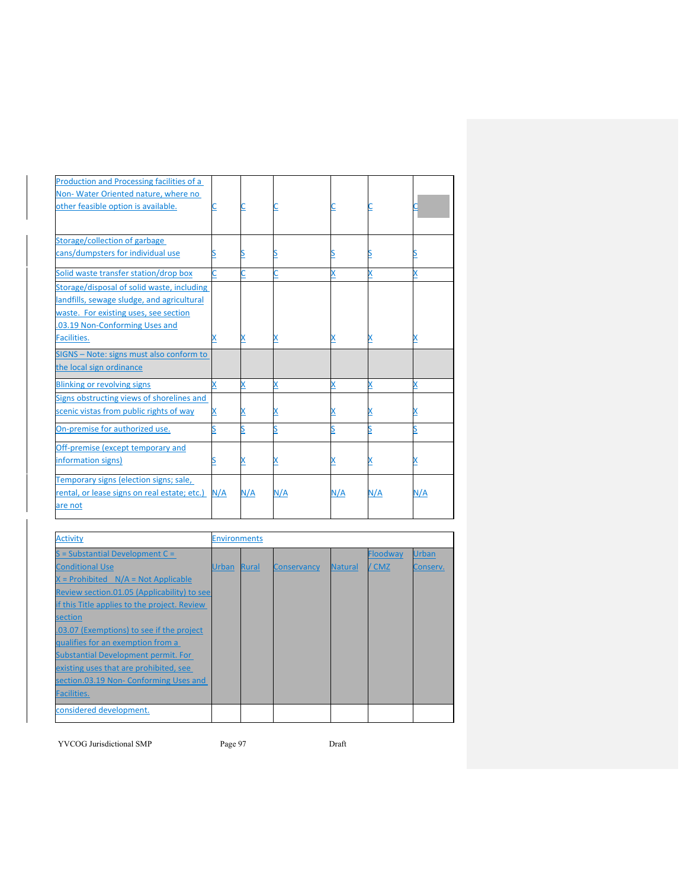| Production and Processing facilities of a    |     |     |     |     |     |     |
|----------------------------------------------|-----|-----|-----|-----|-----|-----|
| Non-Water Oriented nature, where no          |     |     |     |     |     |     |
| other feasible option is available.          |     |     |     |     |     |     |
|                                              |     |     |     |     |     |     |
|                                              |     |     |     |     |     |     |
| Storage/collection of garbage                |     |     |     |     |     |     |
| cans/dumpsters for individual use            |     |     |     |     |     |     |
| Solid waste transfer station/drop box        |     |     |     | x   |     |     |
| Storage/disposal of solid waste, including   |     |     |     |     |     |     |
| landfills, sewage sludge, and agricultural   |     |     |     |     |     |     |
| waste. For existing uses, see section        |     |     |     |     |     |     |
| .03.19 Non-Conforming Uses and               |     |     |     |     |     |     |
| Facilities.                                  |     |     |     | х   | X   | х   |
| SIGNS - Note: signs must also conform to     |     |     |     |     |     |     |
| the local sign ordinance                     |     |     |     |     |     |     |
| <b>Blinking or revolving signs</b>           | x   |     |     | X   |     |     |
| Signs obstructing views of shorelines and    |     |     |     |     |     |     |
| scenic vistas from public rights of way      | x   |     |     | Х   |     |     |
| On-premise for authorized use.               | Ś   |     |     |     |     |     |
| Off-premise (except temporary and            |     |     |     |     |     |     |
| information signs)                           |     |     |     | x   | х   |     |
| Temporary signs (election signs; sale,       |     |     |     |     |     |     |
| rental, or lease signs on real estate; etc.) | N/A | N/A | N/A | N/A | N/A | N/A |
| are not                                      |     |     |     |     |     |     |
|                                              |     |     |     |     |     |     |

| <b>Activity</b>                              | <b>Environments</b> |              |                    |                |          |              |
|----------------------------------------------|---------------------|--------------|--------------------|----------------|----------|--------------|
| $S =$ Substantial Development C =            |                     |              |                    |                | Floodway | <b>Urban</b> |
| <b>Conditional Use</b>                       | Urban               | <b>Rural</b> | <b>Conservancy</b> | <b>Natural</b> | / CMZ    | Conserv.     |
| $X =$ Prohibited $N/A = Not$ Applicable      |                     |              |                    |                |          |              |
| Review section.01.05 (Applicability) to see  |                     |              |                    |                |          |              |
| if this Title applies to the project. Review |                     |              |                    |                |          |              |
| section                                      |                     |              |                    |                |          |              |
| .03.07 (Exemptions) to see if the project    |                     |              |                    |                |          |              |
| qualifies for an exemption from a            |                     |              |                    |                |          |              |
| <b>Substantial Development permit. For</b>   |                     |              |                    |                |          |              |
| existing uses that are prohibited, see       |                     |              |                    |                |          |              |
| section.03.19 Non- Conforming Uses and       |                     |              |                    |                |          |              |
| <b>Facilities.</b>                           |                     |              |                    |                |          |              |
| considered development.                      |                     |              |                    |                |          |              |

YVCOG Jurisdictional SMP Page 97 Draft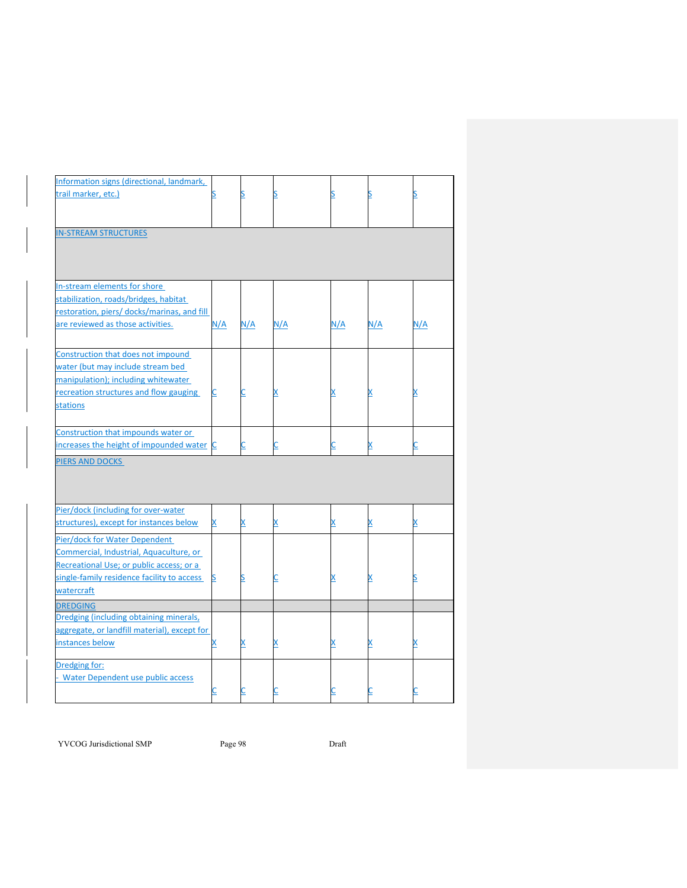| Information signs (directional, landmark,    |          |     |     |          |     |     |
|----------------------------------------------|----------|-----|-----|----------|-----|-----|
| trail marker, etc.)                          |          |     |     |          |     |     |
|                                              |          |     |     |          |     |     |
|                                              |          |     |     |          |     |     |
| <b>IN-STREAM STRUCTURES</b>                  |          |     |     |          |     |     |
|                                              |          |     |     |          |     |     |
|                                              |          |     |     |          |     |     |
|                                              |          |     |     |          |     |     |
| In-stream elements for shore                 |          |     |     |          |     |     |
| stabilization, roads/bridges, habitat        |          |     |     |          |     |     |
| restoration, piers/ docks/marinas, and fill  |          |     |     |          |     |     |
| are reviewed as those activities.            | N/A      | N/A | N/A | N/A      | N/A | N/A |
|                                              |          |     |     |          |     |     |
|                                              |          |     |     |          |     |     |
| Construction that does not impound           |          |     |     |          |     |     |
| water (but may include stream bed            |          |     |     |          |     |     |
| manipulation); including whitewater          |          |     |     |          |     |     |
| recreation structures and flow gauging       | <u>C</u> |     |     |          | X   |     |
| <b>stations</b>                              |          |     |     |          |     |     |
|                                              |          |     |     |          |     |     |
| Construction that impounds water or          |          |     |     |          |     |     |
| increases the height of impounded water C    |          |     |     | С        | X   |     |
| <b>PIERS AND DOCKS</b>                       |          |     |     |          |     |     |
|                                              |          |     |     |          |     |     |
|                                              |          |     |     |          |     |     |
|                                              |          |     |     |          |     |     |
| Pier/dock (including for over-water          |          |     |     |          |     |     |
| structures), except for instances below      | X        |     |     | X        | X   |     |
|                                              |          |     |     |          |     |     |
| Pier/dock for Water Dependent                |          |     |     |          |     |     |
| Commercial, Industrial, Aquaculture, or      |          |     |     |          |     |     |
| Recreational Use; or public access; or a     |          |     |     |          |     |     |
| single-family residence facility to access   | <u>s</u> |     |     | <u>x</u> |     |     |
| watercraft                                   |          |     |     |          |     |     |
| <b>DREDGING</b>                              |          |     |     |          |     |     |
| Dredging (including obtaining minerals,      |          |     |     |          |     |     |
| aggregate, or landfill material), except for |          |     |     |          |     |     |
| instances below                              | х        |     |     | х        | х   |     |
|                                              |          |     |     |          |     |     |
| Dredging for:                                |          |     |     |          |     |     |
| Water Dependent use public access            |          |     |     |          |     |     |
|                                              |          |     |     |          |     |     |

YVCOG Jurisdictional SMP Page 98 Draft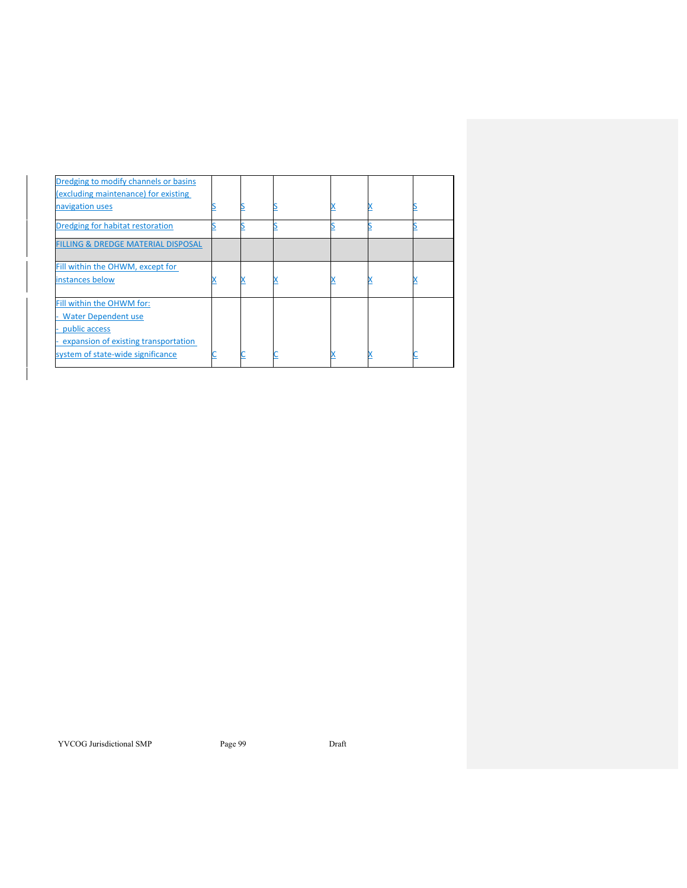| Dredging to modify channels or basins         |  |  |  |
|-----------------------------------------------|--|--|--|
| (excluding maintenance) for existing          |  |  |  |
| navigation uses                               |  |  |  |
| Dredging for habitat restoration              |  |  |  |
| <b>FILLING &amp; DREDGE MATERIAL DISPOSAL</b> |  |  |  |
| Fill within the OHWM, except for              |  |  |  |
| instances below                               |  |  |  |
| Fill within the OHWM for:                     |  |  |  |
| <b>Water Dependent use</b>                    |  |  |  |
| public access                                 |  |  |  |
| expansion of existing transportation          |  |  |  |
| system of state-wide significance             |  |  |  |

YVCOG Jurisdictional SMP Page 99 Draft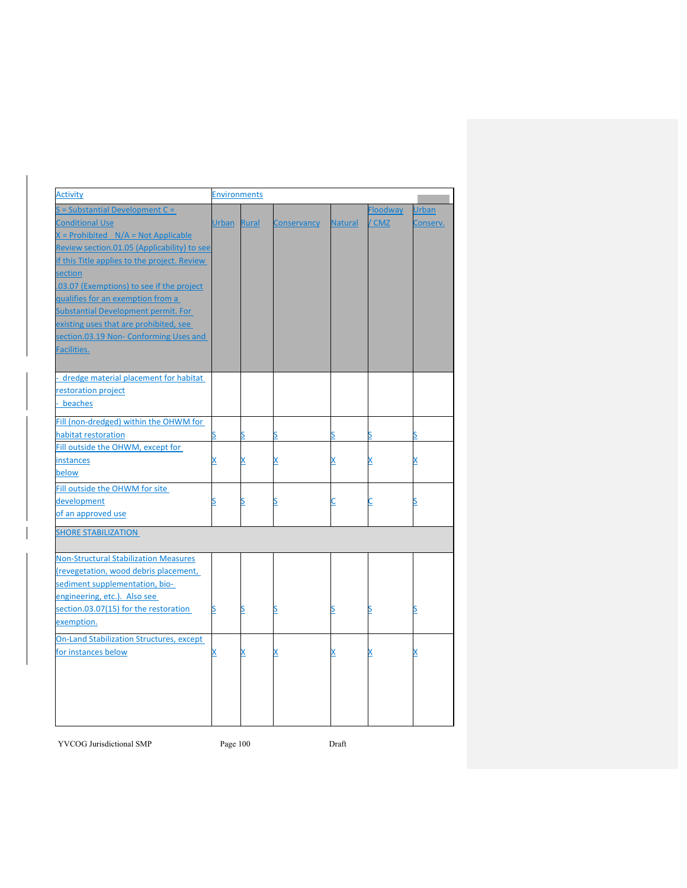| <b>Activity</b>                                 | <b>Environments</b> |          |                    |                |                 |              |
|-------------------------------------------------|---------------------|----------|--------------------|----------------|-----------------|--------------|
| $S =$ Substantial Development $C =$             |                     |          |                    |                | <b>Floodway</b> | <b>Urban</b> |
| <b>Conditional Use</b>                          | Urban Rural         |          | <b>Conservancy</b> | <b>Natural</b> | / CMZ           | Conserv.     |
| $X =$ Prohibited $N/A = Not$ Applicable         |                     |          |                    |                |                 |              |
| Review section.01.05 (Applicability) to see     |                     |          |                    |                |                 |              |
| if this Title applies to the project. Review    |                     |          |                    |                |                 |              |
| section                                         |                     |          |                    |                |                 |              |
| .03.07 (Exemptions) to see if the project       |                     |          |                    |                |                 |              |
| qualifies for an exemption from a               |                     |          |                    |                |                 |              |
| Substantial Development permit. For             |                     |          |                    |                |                 |              |
| existing uses that are prohibited, see          |                     |          |                    |                |                 |              |
| section.03.19 Non- Conforming Uses and          |                     |          |                    |                |                 |              |
| Facilities.                                     |                     |          |                    |                |                 |              |
|                                                 |                     |          |                    |                |                 |              |
|                                                 |                     |          |                    |                |                 |              |
| dredge material placement for habitat           |                     |          |                    |                |                 |              |
| restoration project                             |                     |          |                    |                |                 |              |
| beaches                                         |                     |          |                    |                |                 |              |
| Fill (non-dredged) within the OHWM for          |                     |          |                    |                |                 |              |
| habitat restoration                             |                     |          |                    |                |                 |              |
| Fill outside the OHWM, except for               |                     |          |                    |                |                 |              |
| instances                                       | x                   | X        | x                  | X              | X               | x            |
| below                                           |                     |          |                    |                |                 |              |
| Fill outside the OHWM for site                  |                     |          |                    |                |                 |              |
| development                                     | S                   | <u>s</u> | <u>s</u>           | <u>c</u>       |                 | S            |
| of an approved use                              |                     |          |                    |                |                 |              |
| <b>SHORE STABILIZATION</b>                      |                     |          |                    |                |                 |              |
|                                                 |                     |          |                    |                |                 |              |
| <b>Non-Structural Stabilization Measures</b>    |                     |          |                    |                |                 |              |
| (revegetation, wood debris placement,           |                     |          |                    |                |                 |              |
| sediment supplementation, bio-                  |                     |          |                    |                |                 |              |
| engineering, etc.). Also see                    |                     |          |                    |                |                 |              |
| section.03.07(15) for the restoration           | S                   | <u>s</u> | S                  | <u>s</u>       | S               | S            |
| exemption.                                      |                     |          |                    |                |                 |              |
|                                                 |                     |          |                    |                |                 |              |
| <b>On-Land Stabilization Structures, except</b> |                     |          |                    |                |                 |              |
| for instances below                             |                     | X        |                    | <u>x</u>       |                 |              |
|                                                 |                     |          |                    |                |                 |              |
|                                                 |                     |          |                    |                |                 |              |
|                                                 |                     |          |                    |                |                 |              |
|                                                 |                     |          |                    |                |                 |              |
|                                                 |                     |          |                    |                |                 |              |

YVCOG Jurisdictional SMP Page 100 Draft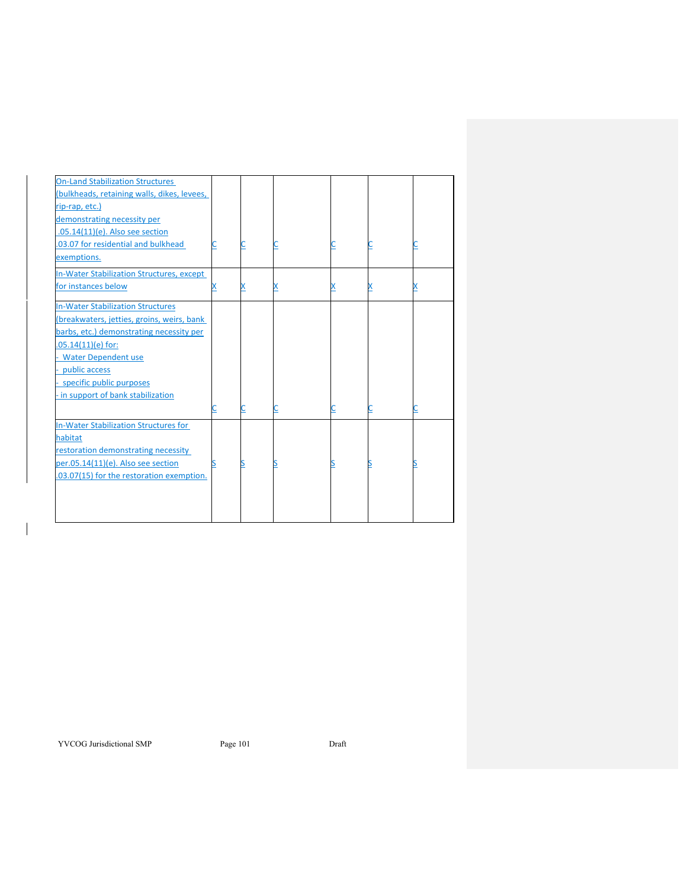| <b>On-Land Stabilization Structures</b>          |  |  |  |
|--------------------------------------------------|--|--|--|
| (bulkheads, retaining walls, dikes, levees,      |  |  |  |
| rip-rap, etc.)                                   |  |  |  |
| demonstrating necessity per                      |  |  |  |
| $.05.14(11)(e)$ . Also see section               |  |  |  |
| .03.07 for residential and bulkhead              |  |  |  |
| exemptions.                                      |  |  |  |
| <b>In-Water Stabilization Structures, except</b> |  |  |  |
| for instances below                              |  |  |  |
|                                                  |  |  |  |
| <b>In-Water Stabilization Structures</b>         |  |  |  |
| (breakwaters, jetties, groins, weirs, bank       |  |  |  |
| barbs, etc.) demonstrating necessity per         |  |  |  |
| $.05.14(11)(e)$ for:                             |  |  |  |
| - Water Dependent use                            |  |  |  |
| public access                                    |  |  |  |
| specific public purposes                         |  |  |  |
| - in support of bank stabilization               |  |  |  |
|                                                  |  |  |  |
| <b>In-Water Stabilization Structures for</b>     |  |  |  |
| habitat                                          |  |  |  |
| restoration demonstrating necessity              |  |  |  |
| per.05.14(11)(e). Also see section               |  |  |  |
| .03.07(15) for the restoration exemption.        |  |  |  |
|                                                  |  |  |  |
|                                                  |  |  |  |
|                                                  |  |  |  |
|                                                  |  |  |  |

YVCOG Jurisdictional SMP Page 101 Draft

 $\overline{\phantom{a}}$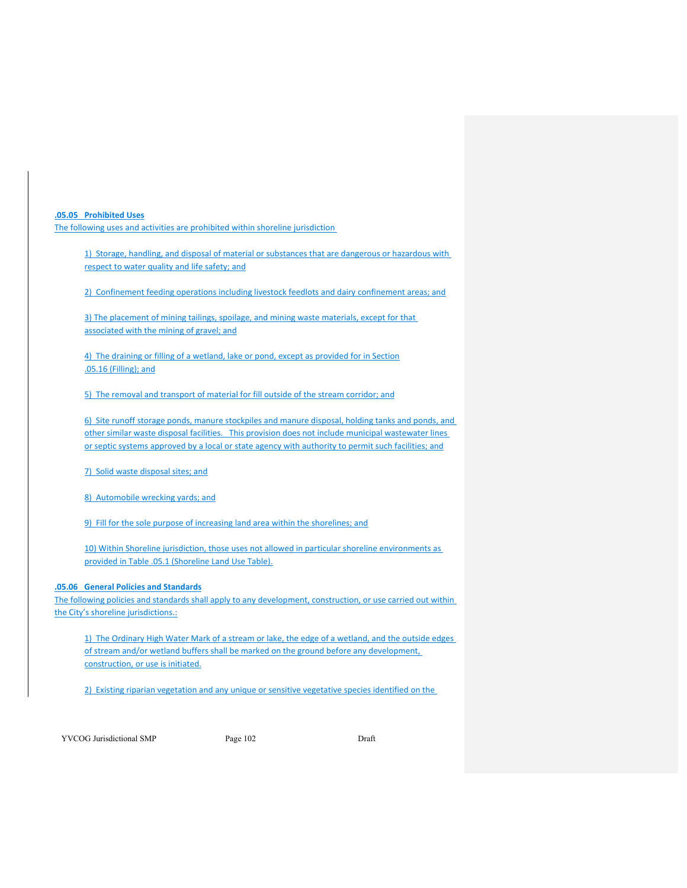**.05.05 Prohibited Uses** 

The following uses and activities are prohibited within shoreline jurisdiction

1) Storage, handling, and disposal of material or substances that are dangerous or hazardous with respect to water quality and life safety; and

2) Confinement feeding operations including livestock feedlots and dairy confinement areas; and

3) The placement of mining tailings, spoilage, and mining waste materials, except for that associated with the mining of gravel; and

4) The draining or filling of a wetland, lake or pond, except as provided for in Section .05.16 (Filling); and

5) The removal and transport of material for fill outside of the stream corridor; and

6) Site runoff storage ponds, manure stockpiles and manure disposal, holding tanks and ponds, and other similar waste disposal facilities. This provision does not include municipal wastewater lines or septic systems approved by a local or state agency with authority to permit such facilities; and

7) Solid waste disposal sites; and

8) Automobile wrecking yards; and

9) Fill for the sole purpose of increasing land area within the shorelines; and

10) Within Shoreline jurisdiction, those uses not allowed in particular shoreline environments as provided in Table .05.1 (Shoreline Land Use Table).

#### **.05.06 General Policies and Standards**

The following policies and standards shall apply to any development, construction, or use carried out within the City's shoreline jurisdictions.:

1) The Ordinary High Water Mark of a stream or lake, the edge of a wetland, and the outside edges of stream and/or wetland buffers shall be marked on the ground before any development, construction, or use is initiated.

2) Existing riparian vegetation and any unique or sensitive vegetative species identified on the

YVCOG Jurisdictional SMP Page 102 Draft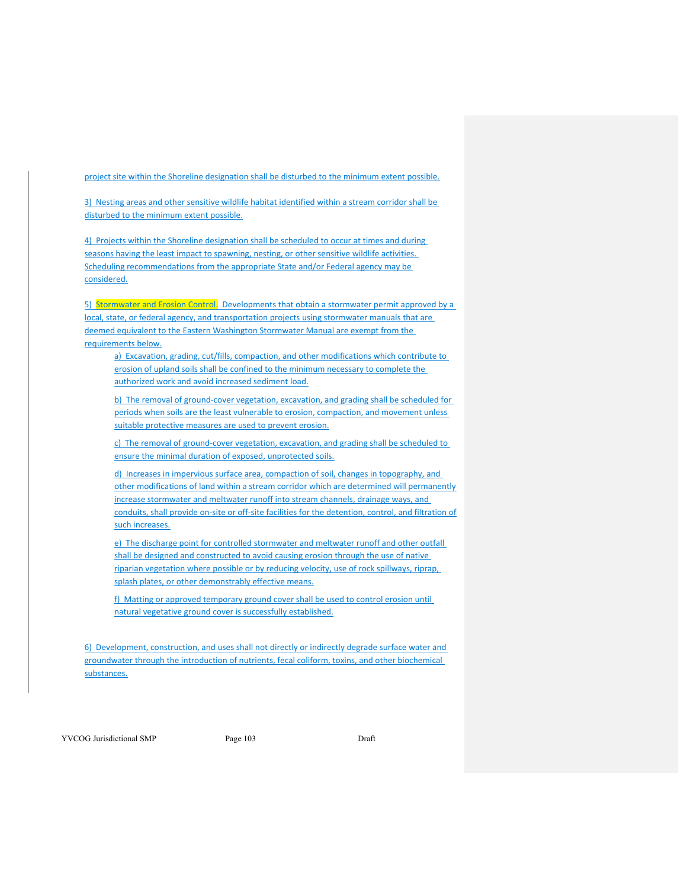project site within the Shoreline designation shall be disturbed to the minimum extent possible.

3) Nesting areas and other sensitive wildlife habitat identified within a stream corridor shall be disturbed to the minimum extent possible.

4) Projects within the Shoreline designation shall be scheduled to occur at times and during seasons having the least impact to spawning, nesting, or other sensitive wildlife activities. Scheduling recommendations from the appropriate State and/or Federal agency may be considered.

5) Stormwater and Erosion Control. Developments that obtain a stormwater permit approved by a local, state, or federal agency, and transportation projects using stormwater manuals that are deemed equivalent to the Eastern Washington Stormwater Manual are exempt from the requirements below.

a) Excavation, grading, cut/fills, compaction, and other modifications which contribute to erosion of upland soils shall be confined to the minimum necessary to complete the authorized work and avoid increased sediment load.

b) The removal of ground-cover vegetation, excavation, and grading shall be scheduled for periods when soils are the least vulnerable to erosion, compaction, and movement unless suitable protective measures are used to prevent erosion.

c) The removal of ground-cover vegetation, excavation, and grading shall be scheduled to ensure the minimal duration of exposed, unprotected soils.

d) Increases in impervious surface area, compaction of soil, changes in topography, and other modifications of land within a stream corridor which are determined will permanently increase stormwater and meltwater runoff into stream channels, drainage ways, and conduits, shall provide on-site or off-site facilities for the detention, control, and filtration of such increases.

e) The discharge point for controlled stormwater and meltwater runoff and other outfall shall be designed and constructed to avoid causing erosion through the use of native riparian vegetation where possible or by reducing velocity, use of rock spillways, riprap, splash plates, or other demonstrably effective means.

f) Matting or approved temporary ground cover shall be used to control erosion until natural vegetative ground cover is successfully established.

6) Development, construction, and uses shall not directly or indirectly degrade surface water and groundwater through the introduction of nutrients, fecal coliform, toxins, and other biochemical substances.

YVCOG Jurisdictional SMP Page 103 Draft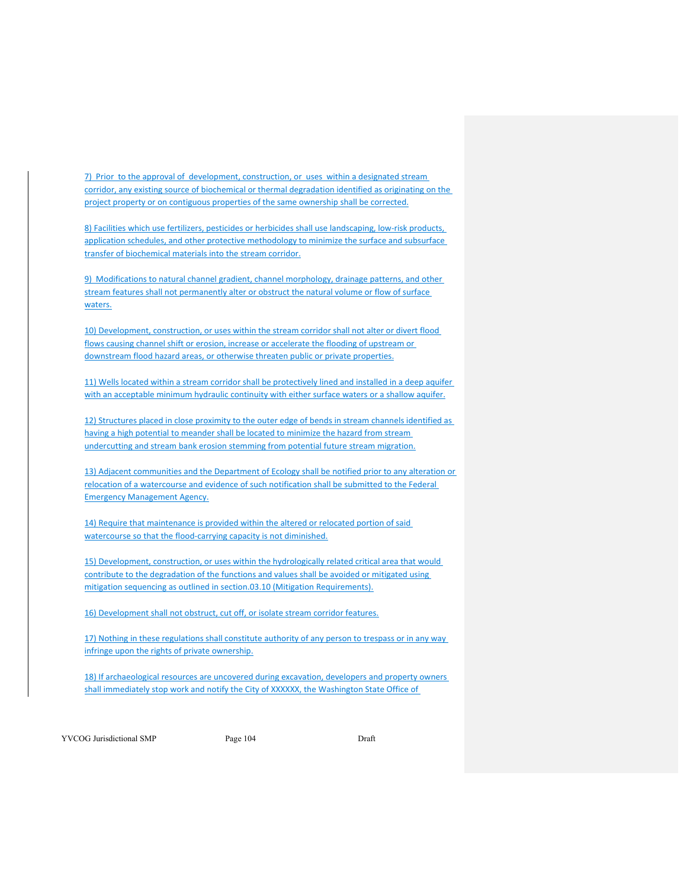7) Prior to the approval of development, construction, or uses within a designated stream corridor, any existing source of biochemical or thermal degradation identified as originating on the project property or on contiguous properties of the same ownership shall be corrected.

8) Facilities which use fertilizers, pesticides or herbicides shall use landscaping, low-risk products, application schedules, and other protective methodology to minimize the surface and subsurface transfer of biochemical materials into the stream corridor.

9) Modifications to natural channel gradient, channel morphology, drainage patterns, and other stream features shall not permanently alter or obstruct the natural volume or flow of surface waters.

10) Development, construction, or uses within the stream corridor shall not alter or divert flood flows causing channel shift or erosion, increase or accelerate the flooding of upstream or downstream flood hazard areas, or otherwise threaten public or private properties.

11) Wells located within a stream corridor shall be protectively lined and installed in a deep aquifer with an acceptable minimum hydraulic continuity with either surface waters or a shallow aquifer.

12) Structures placed in close proximity to the outer edge of bends in stream channels identified as having a high potential to meander shall be located to minimize the hazard from stream undercutting and stream bank erosion stemming from potential future stream migration.

13) Adjacent communities and the Department of Ecology shall be notified prior to any alteration or relocation of a watercourse and evidence of such notification shall be submitted to the Federal Emergency Management Agency.

14) Require that maintenance is provided within the altered or relocated portion of said watercourse so that the flood-carrying capacity is not diminished.

15) Development, construction, or uses within the hydrologically related critical area that would contribute to the degradation of the functions and values shall be avoided or mitigated using mitigation sequencing as outlined in section.03.10 (Mitigation Requirements).

16) Development shall not obstruct, cut off, or isolate stream corridor features.

17) Nothing in these regulations shall constitute authority of any person to trespass or in any way infringe upon the rights of private ownership.

18) If archaeological resources are uncovered during excavation, developers and property owners shall immediately stop work and notify the City of XXXXXX, the Washington State Office of

YVCOG Jurisdictional SMP Page 104 Draft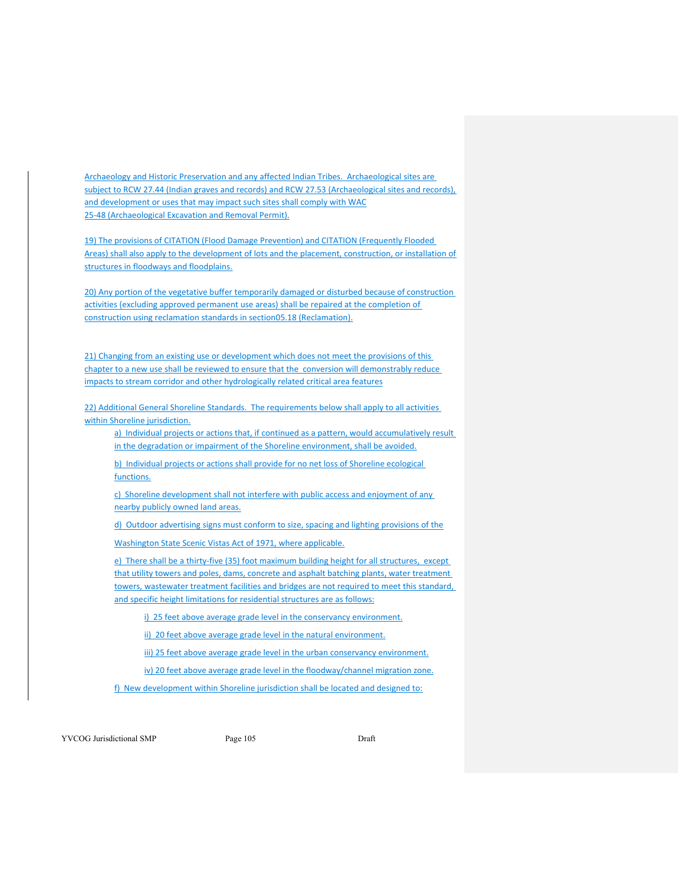Archaeology and Historic Preservation and any affected Indian Tribes. Archaeological sites are subject to RCW 27.44 (Indian graves and records) and RCW 27.53 (Archaeological sites and records), and development or uses that may impact such sites shall comply with WAC 25-48 (Archaeological Excavation and Removal Permit).

19) The provisions of CITATION (Flood Damage Prevention) and CITATION (Frequently Flooded Areas) shall also apply to the development of lots and the placement, construction, or installation of structures in floodways and floodplains.

20) Any portion of the vegetative buffer temporarily damaged or disturbed because of construction activities (excluding approved permanent use areas) shall be repaired at the completion of construction using reclamation standards in section05.18 (Reclamation).

21) Changing from an existing use or development which does not meet the provisions of this chapter to a new use shall be reviewed to ensure that the conversion will demonstrably reduce impacts to stream corridor and other hydrologically related critical area features

22) Additional General Shoreline Standards. The requirements below shall apply to all activities within Shoreline jurisdiction.

a) Individual projects or actions that, if continued as a pattern, would accumulatively result in the degradation or impairment of the Shoreline environment, shall be avoided.

b) Individual projects or actions shall provide for no net loss of Shoreline ecological functions.

c) Shoreline development shall not interfere with public access and enjoyment of any nearby publicly owned land areas.

d) Outdoor advertising signs must conform to size, spacing and lighting provisions of the

Washington State Scenic Vistas Act of 1971, where applicable.

e) There shall be a thirty-five (35) foot maximum building height for all structures, except that utility towers and poles, dams, concrete and asphalt batching plants, water treatment towers, wastewater treatment facilities and bridges are not required to meet this standard, and specific height limitations for residential structures are as follows:

i) 25 feet above average grade level in the conservancy environment.

ii) 20 feet above average grade level in the natural environment.

iii) 25 feet above average grade level in the urban conservancy environment.

iv) 20 feet above average grade level in the floodway/channel migration zone.

f) New development within Shoreline jurisdiction shall be located and designed to:

YVCOG Jurisdictional SMP Page 105 Draft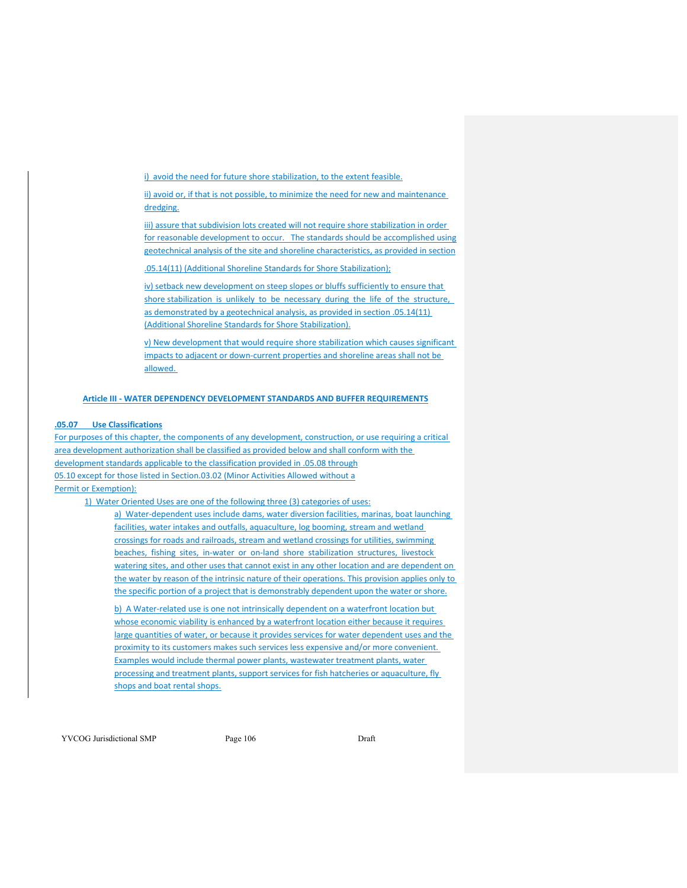i) avoid the need for future shore stabilization, to the extent feasible.

ii) avoid or, if that is not possible, to minimize the need for new and maintenance dredging.

iii) assure that subdivision lots created will not require shore stabilization in order for reasonable development to occur. The standards should be accomplished using geotechnical analysis of the site and shoreline characteristics, as provided in section

.05.14(11) (Additional Shoreline Standards for Shore Stabilization);

iv) setback new development on steep slopes or bluffs sufficiently to ensure that shore stabilization is unlikely to be necessary during the life of the structure, as demonstrated by a geotechnical analysis, as provided in section .05.14(11) (Additional Shoreline Standards for Shore Stabilization).

v) New development that would require shore stabilization which causes significant impacts to adjacent or down‐current properties and shoreline areas shall not be allowed.

#### **Article III ‐ WATER DEPENDENCY DEVELOPMENT STANDARDS AND BUFFER REQUIREMENTS**

# **.05.07 Use Classifications**

For purposes of this chapter, the components of any development, construction, or use requiring a critical area development authorization shall be classified as provided below and shall conform with the development standards applicable to the classification provided in .05.08 through 05.10 except for those listed in Section.03.02 (Minor Activities Allowed without a Permit or Exemption):

1) Water Oriented Uses are one of the following three (3) categories of uses:

a) Water-dependent uses include dams, water diversion facilities, marinas, boat launching facilities, water intakes and outfalls, aquaculture, log booming, stream and wetland crossings for roads and railroads, stream and wetland crossings for utilities, swimming beaches, fishing sites, in-water or on-land shore stabilization structures, livestock watering sites, and other uses that cannot exist in any other location and are dependent on the water by reason of the intrinsic nature of their operations. This provision applies only to the specific portion of a project that is demonstrably dependent upon the water or shore.

b) A Water-related use is one not intrinsically dependent on a waterfront location but whose economic viability is enhanced by a waterfront location either because it requires large quantities of water, or because it provides services for water dependent uses and the proximity to its customers makes such services less expensive and/or more convenient. Examples would include thermal power plants, wastewater treatment plants, water processing and treatment plants, support services for fish hatcheries or aquaculture, fly shops and boat rental shops.

YVCOG Jurisdictional SMP Page 106 Draft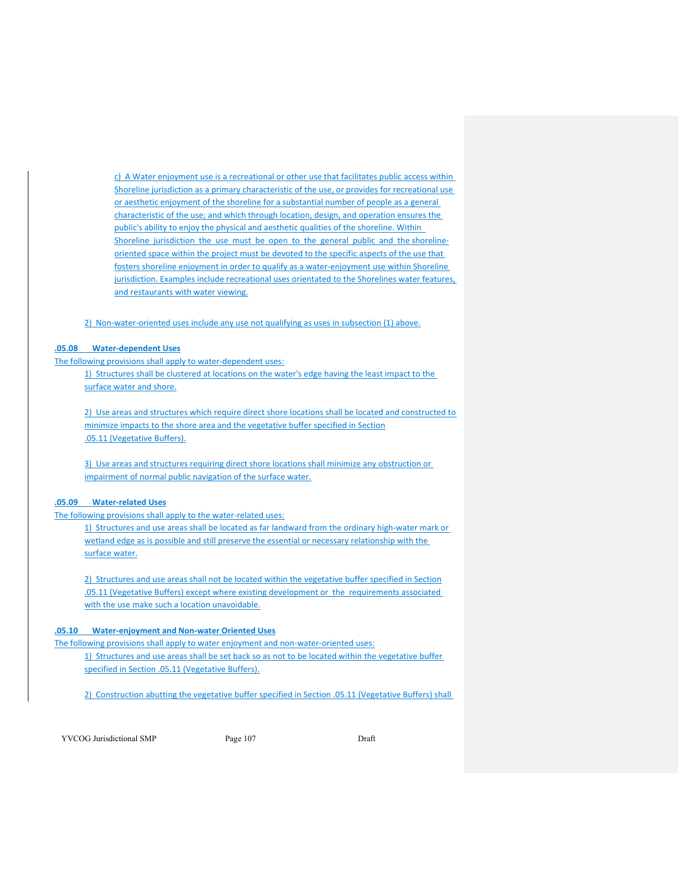c) A Water enjoyment use is a recreational or other use that facilitates public access within Shoreline jurisdiction as a primary characteristic of the use, or provides for recreational use or aesthetic enjoyment of the shoreline for a substantial number of people as a general characteristic of the use; and which through location, design, and operation ensures the public's ability to enjoy the physical and aesthetic qualities of the shoreline. Within Shoreline jurisdiction the use must be open to the general public and the shorelineoriented space within the project must be devoted to the specific aspects of the use that fosters shoreline enjoyment in order to qualify as a water-enjoyment use within Shoreline jurisdiction. Examples include recreational uses orientated to the Shorelines water features, and restaurants with water viewing.

2) Non-water-oriented uses include any use not qualifying as uses in subsection (1) above.

#### **.05.08 Water‐dependent Uses**

The following provisions shall apply to water‐dependent uses:

1) Structures shall be clustered at locations on the water's edge having the least impact to the surface water and shore.

2) Use areas and structures which require direct shore locations shall be located and constructed to minimize impacts to the shore area and the vegetative buffer specified in Section .05.11 (Vegetative Buffers).

3) Use areas and structures requiring direct shore locations shall minimize any obstruction or impairment of normal public navigation of the surface water.

#### **.05.09 Water‐related Uses**

The following provisions shall apply to the water-related uses:

1) Structures and use areas shall be located as far landward from the ordinary high-water mark or wetland edge as is possible and still preserve the essential or necessary relationship with the surface water.

2) Structures and use areas shall not be located within the vegetative buffer specified in Section .05.11 (Vegetative Buffers) except where existing development or the requirements associated with the use make such a location unavoidable.

## **.05.10 Water‐enjoyment and Non‐water Oriented Uses**

The following provisions shall apply to water enjoyment and non-water-oriented uses: 1) Structures and use areas shall be set back so as not to be located within the vegetative buffer specified in Section .05.11 (Vegetative Buffers).

2) Construction abutting the vegetative buffer specified in Section .05.11 (Vegetative Buffers) shall

YVCOG Jurisdictional SMP Page 107 Page 107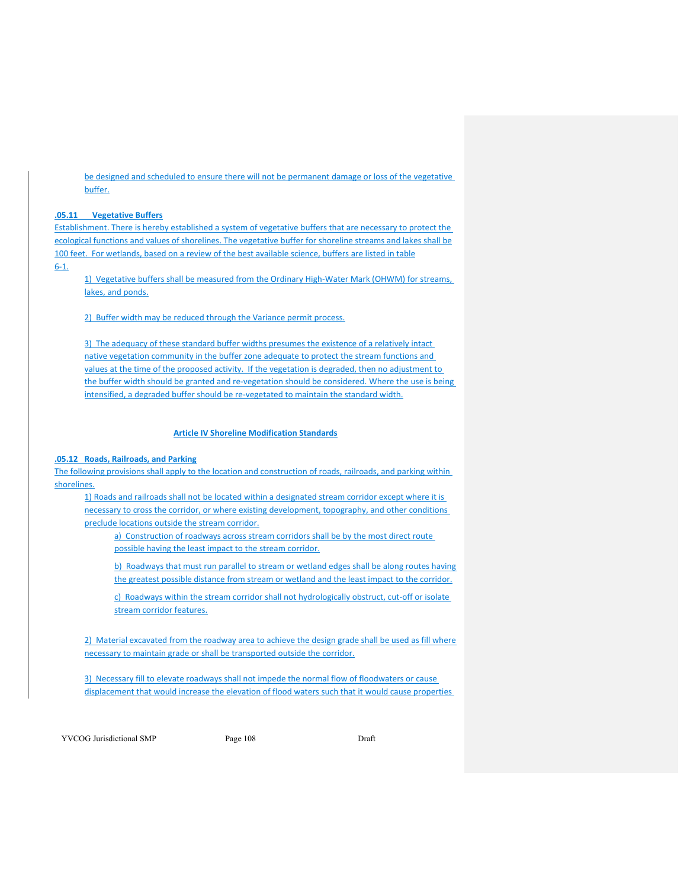be designed and scheduled to ensure there will not be permanent damage or loss of the vegetative buffer.

# **.05.11 Vegetative Buffers**

Establishment. There is hereby established a system of vegetative buffers that are necessary to protect the ecological functions and values of shorelines. The vegetative buffer for shoreline streams and lakes shall be 100 feet. For wetlands, based on a review of the best available science, buffers are listed in table  $6 - 1.$ 

1) Vegetative buffers shall be measured from the Ordinary High-Water Mark (OHWM) for streams, lakes, and ponds.

2) Buffer width may be reduced through the Variance permit process.

3) The adequacy of these standard buffer widths presumes the existence of a relatively intact native vegetation community in the buffer zone adequate to protect the stream functions and values at the time of the proposed activity. If the vegetation is degraded, then no adjustment to the buffer width should be granted and re-vegetation should be considered. Where the use is being intensified, a degraded buffer should be re-vegetated to maintain the standard width.

## **Article IV Shoreline Modification Standards**

#### **.05.12 Roads, Railroads, and Parking**

The following provisions shall apply to the location and construction of roads, railroads, and parking within shorelines.

1) Roads and railroads shall not be located within a designated stream corridor except where it is necessary to cross the corridor, or where existing development, topography, and other conditions preclude locations outside the stream corridor.

a) Construction of roadways across stream corridors shall be by the most direct route possible having the least impact to the stream corridor.

b) Roadways that must run parallel to stream or wetland edges shall be along routes having the greatest possible distance from stream or wetland and the least impact to the corridor.

c) Roadways within the stream corridor shall not hydrologically obstruct, cut-off or isolate stream corridor features.

2) Material excavated from the roadway area to achieve the design grade shall be used as fill where necessary to maintain grade or shall be transported outside the corridor.

3) Necessary fill to elevate roadways shall not impede the normal flow of floodwaters or cause displacement that would increase the elevation of flood waters such that it would cause properties

YVCOG Jurisdictional SMP Page 108 Page 108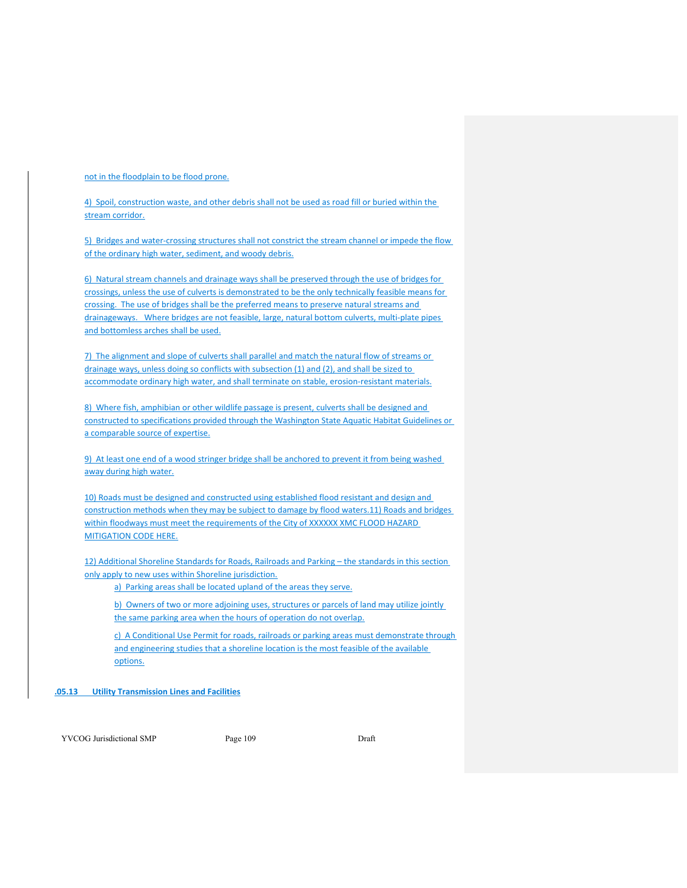not in the floodplain to be flood prone.

4) Spoil, construction waste, and other debris shall not be used as road fill or buried within the stream corridor.

5) Bridges and water-crossing structures shall not constrict the stream channel or impede the flow of the ordinary high water, sediment, and woody debris.

6) Natural stream channels and drainage ways shall be preserved through the use of bridges for crossings, unless the use of culverts is demonstrated to be the only technically feasible means for crossing. The use of bridges shall be the preferred means to preserve natural streams and drainageways. Where bridges are not feasible, large, natural bottom culverts, multi-plate pipes and bottomless arches shall be used.

7) The alignment and slope of culverts shall parallel and match the natural flow of streams or drainage ways, unless doing so conflicts with subsection (1) and (2), and shall be sized to accommodate ordinary high water, and shall terminate on stable, erosion-resistant materials.

8) Where fish, amphibian or other wildlife passage is present, culverts shall be designed and constructed to specifications provided through the Washington State Aquatic Habitat Guidelines or a comparable source of expertise.

9) At least one end of a wood stringer bridge shall be anchored to prevent it from being washed away during high water.

10) Roads must be designed and constructed using established flood resistant and design and construction methods when they may be subject to damage by flood waters.11) Roads and bridges within floodways must meet the requirements of the City of XXXXXX XMC FLOOD HAZARD MITIGATION CODE HERE.

12) Additional Shoreline Standards for Roads, Railroads and Parking – the standards in this section only apply to new uses within Shoreline jurisdiction.

a) Parking areas shall be located upland of the areas they serve.

b) Owners of two or more adjoining uses, structures or parcels of land may utilize jointly the same parking area when the hours of operation do not overlap.

c) A Conditional Use Permit for roads, railroads or parking areas must demonstrate through and engineering studies that a shoreline location is the most feasible of the available options.

**.05.13 Utility Transmission Lines and Facilities** 

YVCOG Jurisdictional SMP Page 109 Draft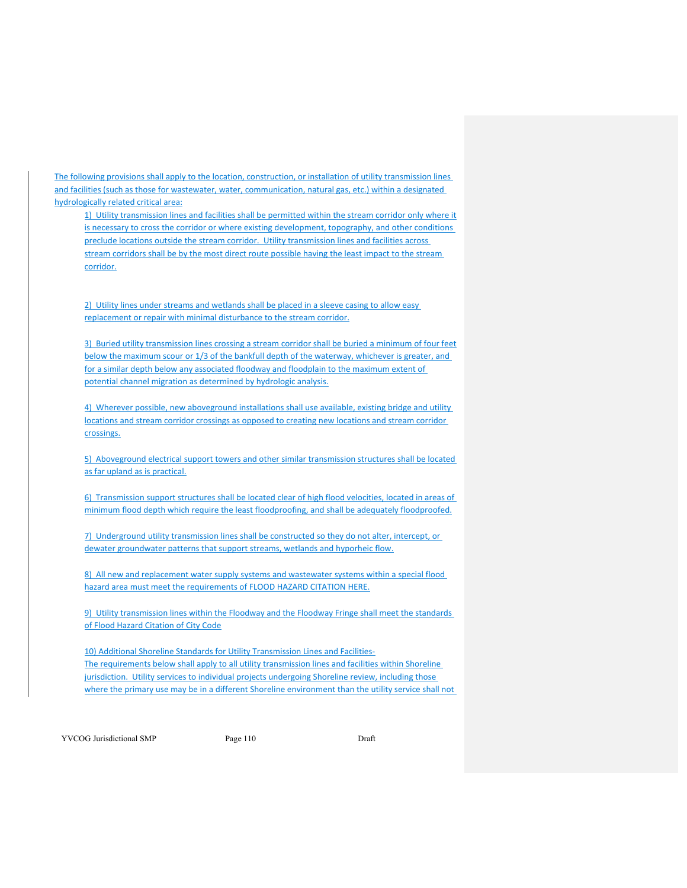The following provisions shall apply to the location, construction, or installation of utility transmission lines and facilities (such as those for wastewater, water, communication, natural gas, etc.) within a designated hydrologically related critical area:

1) Utility transmission lines and facilities shall be permitted within the stream corridor only where it is necessary to cross the corridor or where existing development, topography, and other conditions preclude locations outside the stream corridor. Utility transmission lines and facilities across stream corridors shall be by the most direct route possible having the least impact to the stream corridor.

2) Utility lines under streams and wetlands shall be placed in a sleeve casing to allow easy replacement or repair with minimal disturbance to the stream corridor.

3) Buried utility transmission lines crossing a stream corridor shall be buried a minimum of four feet below the maximum scour or 1/3 of the bankfull depth of the waterway, whichever is greater, and for a similar depth below any associated floodway and floodplain to the maximum extent of potential channel migration as determined by hydrologic analysis.

4) Wherever possible, new aboveground installations shall use available, existing bridge and utility locations and stream corridor crossings as opposed to creating new locations and stream corridor crossings.

5) Aboveground electrical support towers and other similar transmission structures shall be located as far upland as is practical.

6) Transmission support structures shall be located clear of high flood velocities, located in areas of minimum flood depth which require the least floodproofing, and shall be adequately floodproofed.

7) Underground utility transmission lines shall be constructed so they do not alter, intercept, or dewater groundwater patterns that support streams, wetlands and hyporheic flow.

8) All new and replacement water supply systems and wastewater systems within a special flood hazard area must meet the requirements of FLOOD HAZARD CITATION HERE.

9) Utility transmission lines within the Floodway and the Floodway Fringe shall meet the standards of Flood Hazard Citation of City Code

10) Additional Shoreline Standards for Utility Transmission Lines and Facilities‐ The requirements below shall apply to all utility transmission lines and facilities within Shoreline jurisdiction. Utility services to individual projects undergoing Shoreline review, including those where the primary use may be in a different Shoreline environment than the utility service shall not

YVCOG Jurisdictional SMP Page 110 Draft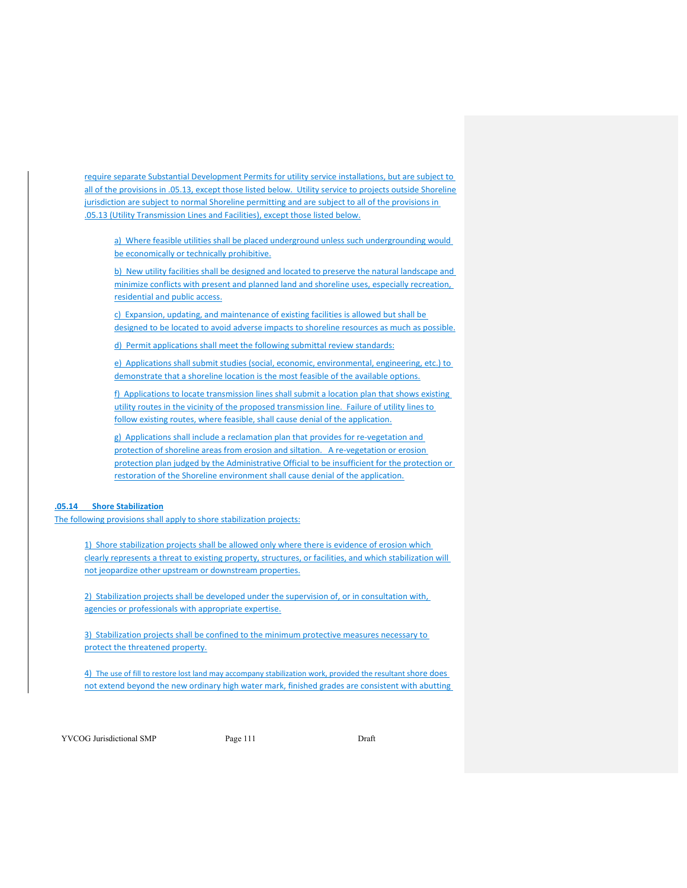require separate Substantial Development Permits for utility service installations, but are subject to all of the provisions in .05.13, except those listed below. Utility service to projects outside Shoreline jurisdiction are subject to normal Shoreline permitting and are subject to all of the provisions in .05.13 (Utility Transmission Lines and Facilities), except those listed below.

a) Where feasible utilities shall be placed underground unless such undergrounding would be economically or technically prohibitive.

b) New utility facilities shall be designed and located to preserve the natural landscape and minimize conflicts with present and planned land and shoreline uses, especially recreation, residential and public access.

c) Expansion, updating, and maintenance of existing facilities is allowed but shall be designed to be located to avoid adverse impacts to shoreline resources as much as possible.

d) Permit applications shall meet the following submittal review standards:

e) Applications shall submit studies (social, economic, environmental, engineering, etc.) to demonstrate that a shoreline location is the most feasible of the available options.

f) Applications to locate transmission lines shall submit a location plan that shows existing utility routes in the vicinity of the proposed transmission line. Failure of utility lines to follow existing routes, where feasible, shall cause denial of the application.

g) Applications shall include a reclamation plan that provides for re-vegetation and protection of shoreline areas from erosion and siltation. A re-vegetation or erosion protection plan judged by the Administrative Official to be insufficient for the protection or restoration of the Shoreline environment shall cause denial of the application.

# **.05.14 Shore Stabilization**

The following provisions shall apply to shore stabilization projects:

1) Shore stabilization projects shall be allowed only where there is evidence of erosion which clearly represents a threat to existing property, structures, or facilities, and which stabilization will not jeopardize other upstream or downstream properties.

2) Stabilization projects shall be developed under the supervision of, or in consultation with, agencies or professionals with appropriate expertise.

3) Stabilization projects shall be confined to the minimum protective measures necessary to protect the threatened property.

4) The use of fill to restore lost land may accompany stabilization work, provided the resultant shore does not extend beyond the new ordinary high water mark, finished grades are consistent with abutting

YVCOG Jurisdictional SMP Page 111 Draft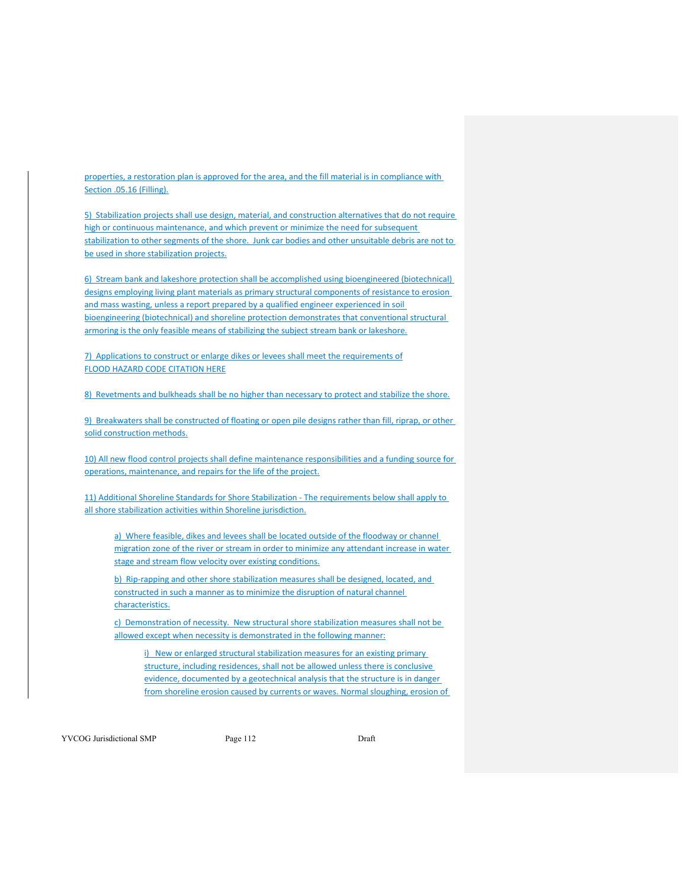properties, a restoration plan is approved for the area, and the fill material is in compliance with Section .05.16 (Filling).

5) Stabilization projects shall use design, material, and construction alternatives that do not require high or continuous maintenance, and which prevent or minimize the need for subsequent stabilization to other segments of the shore. Junk car bodies and other unsuitable debris are not to be used in shore stabilization projects.

6) Stream bank and lakeshore protection shall be accomplished using bioengineered (biotechnical) designs employing living plant materials as primary structural components of resistance to erosion and mass wasting, unless a report prepared by a qualified engineer experienced in soil bioengineering (biotechnical) and shoreline protection demonstrates that conventional structural armoring is the only feasible means of stabilizing the subject stream bank or lakeshore.

7) Applications to construct or enlarge dikes or levees shall meet the requirements of FLOOD HAZARD CODE CITATION HERE

8) Revetments and bulkheads shall be no higher than necessary to protect and stabilize the shore.

9) Breakwaters shall be constructed of floating or open pile designs rather than fill, riprap, or other solid construction methods.

10) All new flood control projects shall define maintenance responsibilities and a funding source for operations, maintenance, and repairs for the life of the project.

11) Additional Shoreline Standards for Shore Stabilization ‐ The requirements below shall apply to all shore stabilization activities within Shoreline jurisdiction.

a) Where feasible, dikes and levees shall be located outside of the floodway or channel migration zone of the river or stream in order to minimize any attendant increase in water stage and stream flow velocity over existing conditions.

b) Rip-rapping and other shore stabilization measures shall be designed, located, and constructed in such a manner as to minimize the disruption of natural channel characteristics.

c) Demonstration of necessity. New structural shore stabilization measures shall not be allowed except when necessity is demonstrated in the following manner:

i) New or enlarged structural stabilization measures for an existing primary structure, including residences, shall not be allowed unless there is conclusive evidence, documented by a geotechnical analysis that the structure is in danger from shoreline erosion caused by currents or waves. Normal sloughing, erosion of

YVCOG Jurisdictional SMP Page 112 Draft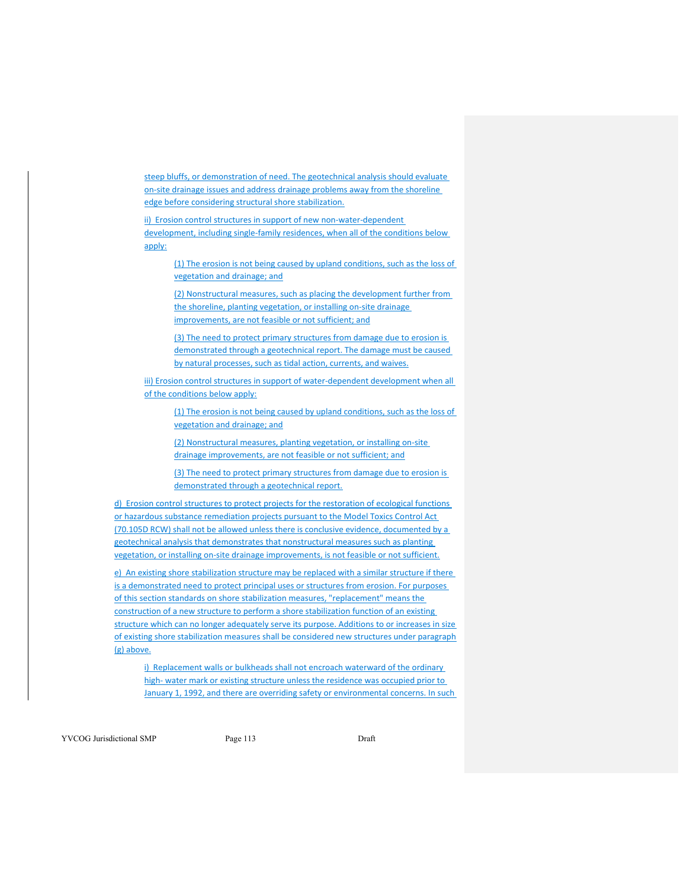steep bluffs, or demonstration of need. The geotechnical analysis should evaluate on‐site drainage issues and address drainage problems away from the shoreline edge before considering structural shore stabilization.

ii) Erosion control structures in support of new non-water-dependent development, including single-family residences, when all of the conditions below apply:

(1) The erosion is not being caused by upland conditions, such as the loss of vegetation and drainage; and

(2) Nonstructural measures, such as placing the development further from the shoreline, planting vegetation, or installing on-site drainage improvements, are not feasible or not sufficient; and

(3) The need to protect primary structures from damage due to erosion is demonstrated through a geotechnical report. The damage must be caused by natural processes, such as tidal action, currents, and waives.

iii) Erosion control structures in support of water-dependent development when all of the conditions below apply:

> (1) The erosion is not being caused by upland conditions, such as the loss of vegetation and drainage; and

(2) Nonstructural measures, planting vegetation, or installing on-site drainage improvements, are not feasible or not sufficient; and

(3) The need to protect primary structures from damage due to erosion is demonstrated through a geotechnical report.

d) Erosion control structures to protect projects for the restoration of ecological functions or hazardous substance remediation projects pursuant to the Model Toxics Control Act (70.105D RCW) shall not be allowed unless there is conclusive evidence, documented by a geotechnical analysis that demonstrates that nonstructural measures such as planting vegetation, or installing on-site drainage improvements, is not feasible or not sufficient.

e) An existing shore stabilization structure may be replaced with a similar structure if there is a demonstrated need to protect principal uses or structures from erosion. For purposes of this section standards on shore stabilization measures, "replacement" means the construction of a new structure to perform a shore stabilization function of an existing structure which can no longer adequately serve its purpose. Additions to or increases in size of existing shore stabilization measures shall be considered new structures under paragraph (g) above.

i) Replacement walls or bulkheads shall not encroach waterward of the ordinary high- water mark or existing structure unless the residence was occupied prior to January 1, 1992, and there are overriding safety or environmental concerns. In such

YVCOG Jurisdictional SMP Page 113 Draft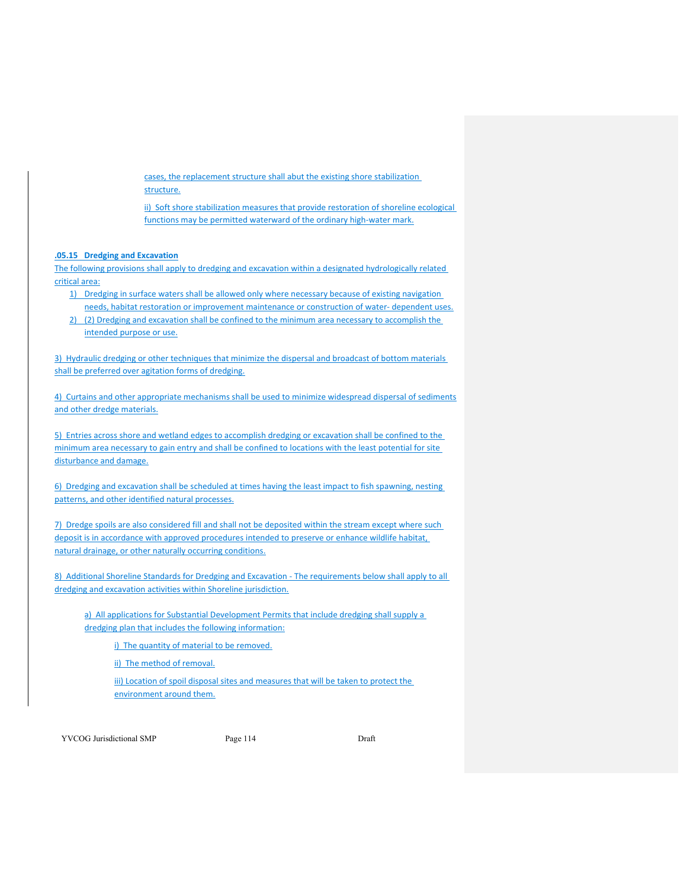cases, the replacement structure shall abut the existing shore stabilization structure.

ii) Soft shore stabilization measures that provide restoration of shoreline ecological functions may be permitted waterward of the ordinary high-water mark.

#### **.05.15 Dredging and Excavation**

The following provisions shall apply to dredging and excavation within a designated hydrologically related critical area:

- 1) Dredging in surface waters shall be allowed only where necessary because of existing navigation needs, habitat restoration or improvement maintenance or construction of water-dependent uses.
- 2) (2) Dredging and excavation shall be confined to the minimum area necessary to accomplish the intended purpose or use.

3) Hydraulic dredging or other techniques that minimize the dispersal and broadcast of bottom materials shall be preferred over agitation forms of dredging.

4) Curtains and other appropriate mechanisms shall be used to minimize widespread dispersal of sediments and other dredge materials.

5) Entries across shore and wetland edges to accomplish dredging or excavation shall be confined to the minimum area necessary to gain entry and shall be confined to locations with the least potential for site disturbance and damage.

6) Dredging and excavation shall be scheduled at times having the least impact to fish spawning, nesting patterns, and other identified natural processes.

7) Dredge spoils are also considered fill and shall not be deposited within the stream except where such deposit is in accordance with approved procedures intended to preserve or enhance wildlife habitat, natural drainage, or other naturally occurring conditions.

8) Additional Shoreline Standards for Dredging and Excavation - The requirements below shall apply to all dredging and excavation activities within Shoreline jurisdiction.

a) All applications for Substantial Development Permits that include dredging shall supply a dredging plan that includes the following information:

i) The quantity of material to be removed.

ii) The method of removal.

iii) Location of spoil disposal sites and measures that will be taken to protect the environment around them.

YVCOG Jurisdictional SMP Page 114 Draft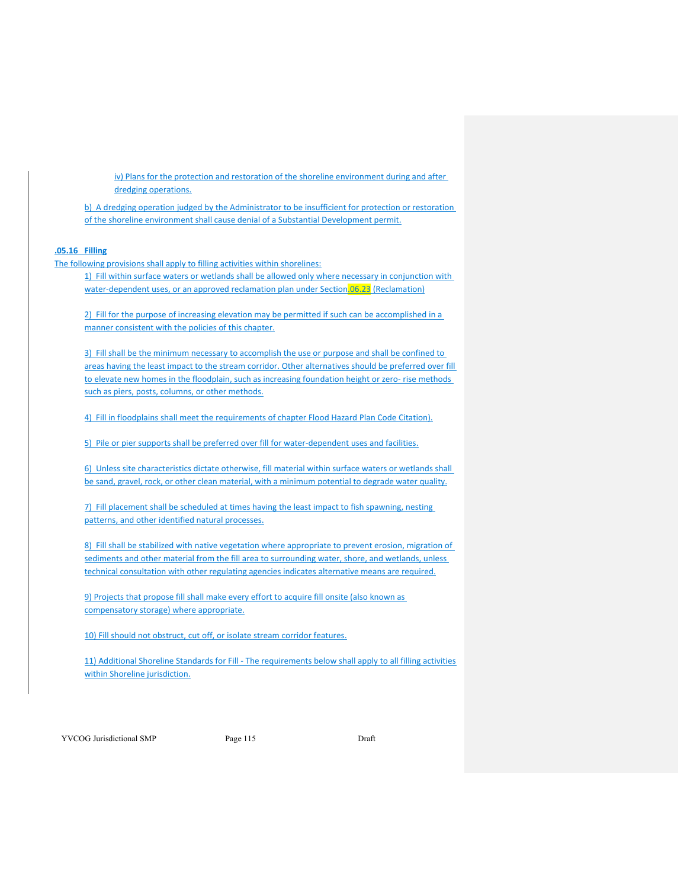iv) Plans for the protection and restoration of the shoreline environment during and after dredging operations.

b) A dredging operation judged by the Administrator to be insufficient for protection or restoration of the shoreline environment shall cause denial of a Substantial Development permit.

## **.05.16 Filling**

The following provisions shall apply to filling activities within shorelines:

1) Fill within surface waters or wetlands shall be allowed only where necessary in conjunction with water-dependent uses, or an approved reclamation plan under Section.06.23 (Reclamation)

2) Fill for the purpose of increasing elevation may be permitted if such can be accomplished in a manner consistent with the policies of this chapter.

3) Fill shall be the minimum necessary to accomplish the use or purpose and shall be confined to areas having the least impact to the stream corridor. Other alternatives should be preferred over fill to elevate new homes in the floodplain, such as increasing foundation height or zero- rise methods such as piers, posts, columns, or other methods.

4) Fill in floodplains shall meet the requirements of chapter Flood Hazard Plan Code Citation).

5) Pile or pier supports shall be preferred over fill for water-dependent uses and facilities.

6) Unless site characteristics dictate otherwise, fill material within surface waters or wetlands shall be sand, gravel, rock, or other clean material, with a minimum potential to degrade water quality.

7) Fill placement shall be scheduled at times having the least impact to fish spawning, nesting patterns, and other identified natural processes.

8) Fill shall be stabilized with native vegetation where appropriate to prevent erosion, migration of sediments and other material from the fill area to surrounding water, shore, and wetlands, unless technical consultation with other regulating agencies indicates alternative means are required.

9) Projects that propose fill shall make every effort to acquire fill onsite (also known as compensatory storage) where appropriate.

10) Fill should not obstruct, cut off, or isolate stream corridor features.

11) Additional Shoreline Standards for Fill - The requirements below shall apply to all filling activities within Shoreline jurisdiction.

YVCOG Jurisdictional SMP Page 115 Draft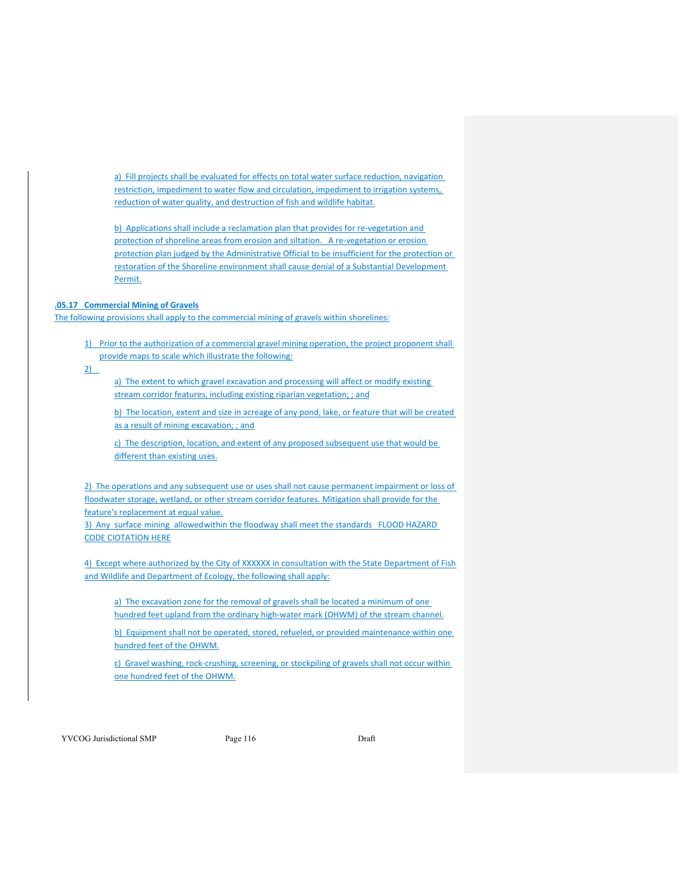a) Fill projects shall be evaluated for effects on total water surface reduction, navigation restriction, impediment to water flow and circulation, impediment to irrigation systems, reduction of water quality, and destruction of fish and wildlife habitat.

b) Applications shall include a reclamation plan that provides for re-vegetation and protection of shoreline areas from erosion and siltation. A re‐vegetation or erosion protection plan judged by the Administrative Official to be insufficient for the protection or restoration of the Shoreline environment shall cause denial of a Substantial Development Permit.

### **.05.17 Commercial Mining of Gravels**

The following provisions shall apply to the commercial mining of gravels within shorelines:

1) Prior to the authorization of a commercial gravel mining operation, the project proponent shall provide maps to scale which illustrate the following:

 $2)$ 

a) The extent to which gravel excavation and processing will affect or modify existing stream corridor features, including existing riparian vegetation; ; and

b) The location, extent and size in acreage of any pond, lake, or feature that will be created as a result of mining excavation; ; and

c) The description, location, and extent of any proposed subsequent use that would be different than existing uses.

2) The operations and any subsequent use or uses shall not cause permanent impairment or loss of floodwater storage, wetland, or other stream corridor features. Mitigation shall provide for the feature's replacement at equal value.

3) Any surface mining allowed within the floodway shall meet the standards FLOOD HAZARD CODE CIOTATION HERE

4) Except where authorized by the City of XXXXXX in consultation with the State Department of Fish and Wildlife and Department of Ecology, the following shall apply:

a) The excavation zone for the removal of gravels shall be located a minimum of one hundred feet upland from the ordinary high-water mark (OHWM) of the stream channel.

b) Equipment shall not be operated, stored, refueled, or provided maintenance within one hundred feet of the OHWM.

c) Gravel washing, rock‐crushing, screening, or stockpiling of gravels shall not occur within one hundred feet of the OHWM.

YVCOG Jurisdictional SMP Page 116 Draft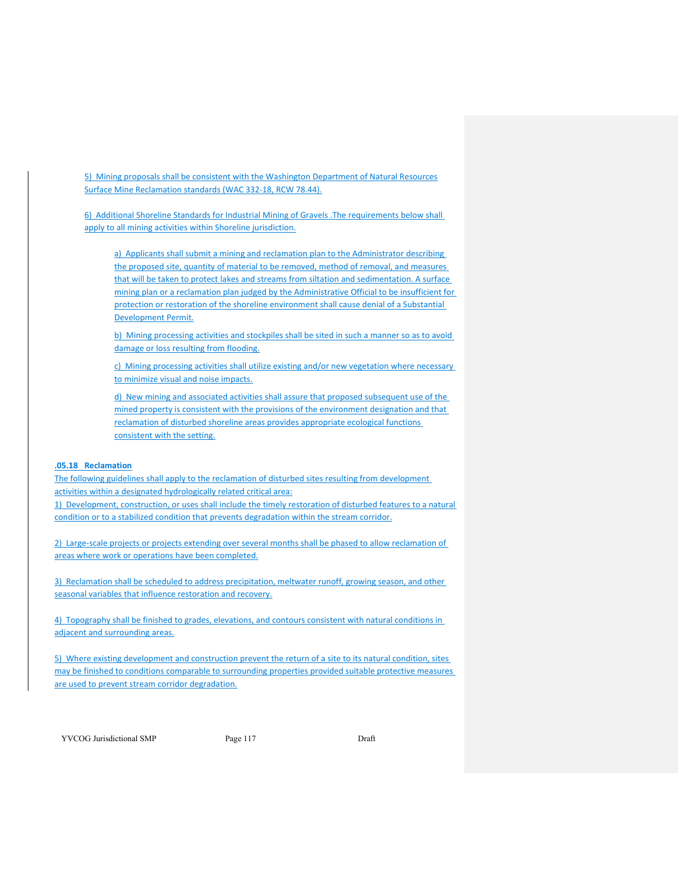5) Mining proposals shall be consistent with the Washington Department of Natural Resources Surface Mine Reclamation standards (WAC 332‐18, RCW 78.44).

6) Additional Shoreline Standards for Industrial Mining of Gravels .The requirements below shall apply to all mining activities within Shoreline jurisdiction.

a) Applicants shall submit a mining and reclamation plan to the Administrator describing the proposed site, quantity of material to be removed, method of removal, and measures that will be taken to protect lakes and streams from siltation and sedimentation. A surface mining plan or a reclamation plan judged by the Administrative Official to be insufficient for protection or restoration of the shoreline environment shall cause denial of a Substantial Development Permit.

b) Mining processing activities and stockpiles shall be sited in such a manner so as to avoid damage or loss resulting from flooding.

c) Mining processing activities shall utilize existing and/or new vegetation where necessary to minimize visual and noise impacts.

d) New mining and associated activities shall assure that proposed subsequent use of the mined property is consistent with the provisions of the environment designation and that reclamation of disturbed shoreline areas provides appropriate ecological functions consistent with the setting.

#### **.05.18 Reclamation**

The following guidelines shall apply to the reclamation of disturbed sites resulting from development activities within a designated hydrologically related critical area:

1) Development, construction, or uses shall include the timely restoration of disturbed features to a natural condition or to a stabilized condition that prevents degradation within the stream corridor.

2) Large-scale projects or projects extending over several months shall be phased to allow reclamation of areas where work or operations have been completed.

3) Reclamation shall be scheduled to address precipitation, meltwater runoff, growing season, and other seasonal variables that influence restoration and recovery.

4) Topography shall be finished to grades, elevations, and contours consistent with natural conditions in adjacent and surrounding areas.

5) Where existing development and construction prevent the return of a site to its natural condition, sites may be finished to conditions comparable to surrounding properties provided suitable protective measures are used to prevent stream corridor degradation.

YVCOG Jurisdictional SMP Page 117 Page 117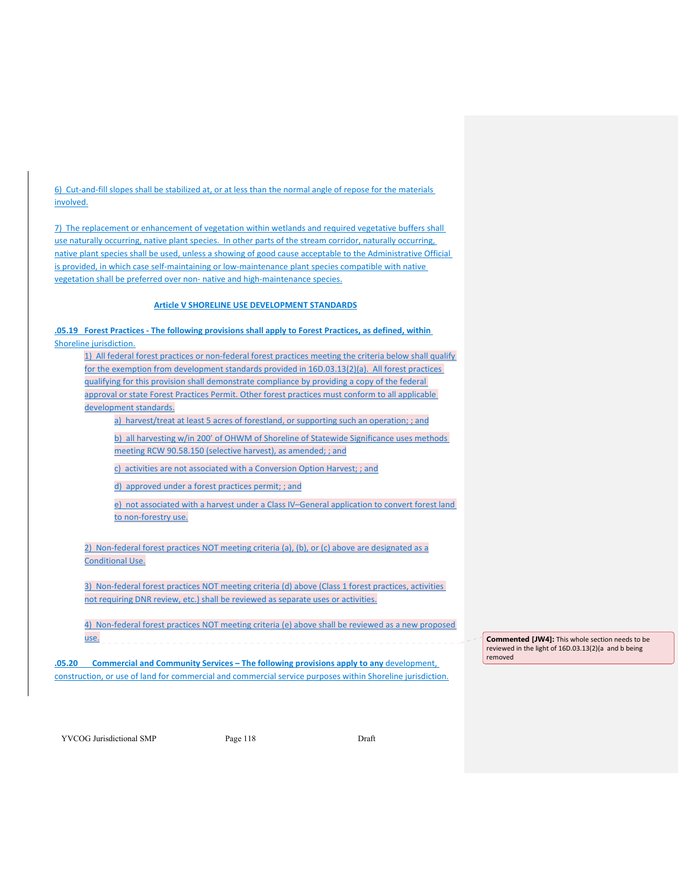6) Cut‐and‐fill slopes shall be stabilized at, or at less than the normal angle of repose for the materials involved.

7) The replacement or enhancement of vegetation within wetlands and required vegetative buffers shall use naturally occurring, native plant species. In other parts of the stream corridor, naturally occurring, native plant species shall be used, unless a showing of good cause acceptable to the Administrative Official is provided, in which case self-maintaining or low-maintenance plant species compatible with native vegetation shall be preferred over non- native and high-maintenance species.

### **Article V SHORELINE USE DEVELOPMENT STANDARDS**

**.05.19 Forest Practices ‐ The following provisions shall apply to Forest Practices, as defined, within** Shoreline jurisdiction.

1) All federal forest practices or non-federal forest practices meeting the criteria below shall qualify for the exemption from development standards provided in 16D.03.13(2)(a). All forest practices qualifying for this provision shall demonstrate compliance by providing a copy of the federal approval or state Forest Practices Permit. Other forest practices must conform to all applicable development standards.

a) harvest/treat at least 5 acres of forestland, or supporting such an operation; ; and

b) all harvesting w/in 200' of OHWM of Shoreline of Statewide Significance uses methods meeting RCW 90.58.150 (selective harvest), as amended; ; and

c) activities are not associated with a Conversion Option Harvest; ; and

d) approved under a forest practices permit; ; and

e) not associated with a harvest under a Class IV–General application to convert forest land to non-forestry use.

2) Non-federal forest practices NOT meeting criteria (a), (b), or (c) above are designated as a Conditional Use.

3) Non-federal forest practices NOT meeting criteria (d) above (Class 1 forest practices, activities not requiring DNR review, etc.) shall be reviewed as separate uses or activities.

4) Non-federal forest practices NOT meeting criteria (e) above shall be reviewed as a new proposed use.

**.05.20 Commercial and Community Services – The following provisions apply to any** development, construction, or use of land for commercial and commercial service purposes within Shoreline jurisdiction. **Commented [JW4]:** This whole section needs to be reviewed in the light of 16D.03.13(2)(a and b being removed

YVCOG Jurisdictional SMP Page 118 Draft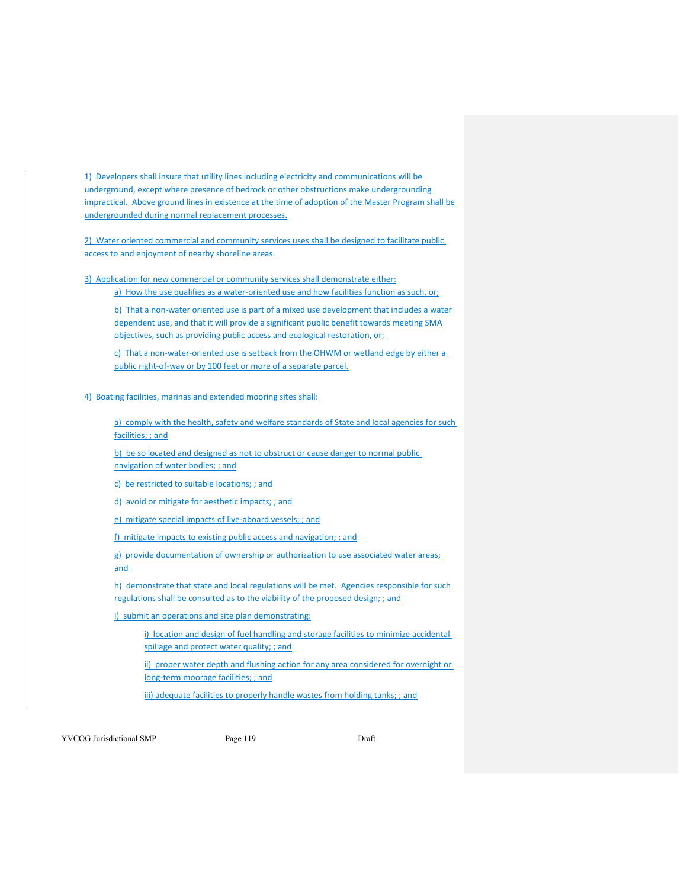1) Developers shall insure that utility lines including electricity and communications will be underground, except where presence of bedrock or other obstructions make undergrounding impractical. Above ground lines in existence at the time of adoption of the Master Program shall be undergrounded during normal replacement processes.

2) Water oriented commercial and community services uses shall be designed to facilitate public access to and enjoyment of nearby shoreline areas.

3) Application for new commercial or community services shall demonstrate either: a) How the use qualifies as a water-oriented use and how facilities function as such, or;

b) That a non-water oriented use is part of a mixed use development that includes a water dependent use, and that it will provide a significant public benefit towards meeting SMA objectives, such as providing public access and ecological restoration, or;

c) That a non-water-oriented use is setback from the OHWM or wetland edge by either a public right-of-way or by 100 feet or more of a separate parcel.

4) Boating facilities, marinas and extended mooring sites shall:

a) comply with the health, safety and welfare standards of State and local agencies for such facilities; ; and

b) be so located and designed as not to obstruct or cause danger to normal public navigation of water bodies; ; and

c) be restricted to suitable locations; ; and

d) avoid or mitigate for aesthetic impacts; ; and

e) mitigate special impacts of live-aboard vessels; ; and

f) mitigate impacts to existing public access and navigation; ; and

g) provide documentation of ownership or authorization to use associated water areas; and

h) demonstrate that state and local regulations will be met. Agencies responsible for such regulations shall be consulted as to the viability of the proposed design; ; and

i) submit an operations and site plan demonstrating:

i) location and design of fuel handling and storage facilities to minimize accidental spillage and protect water quality; ; and

ii) proper water depth and flushing action for any area considered for overnight or long-term moorage facilities; ; and

iii) adequate facilities to properly handle wastes from holding tanks; ; and

YVCOG Jurisdictional SMP Page 119 Page 119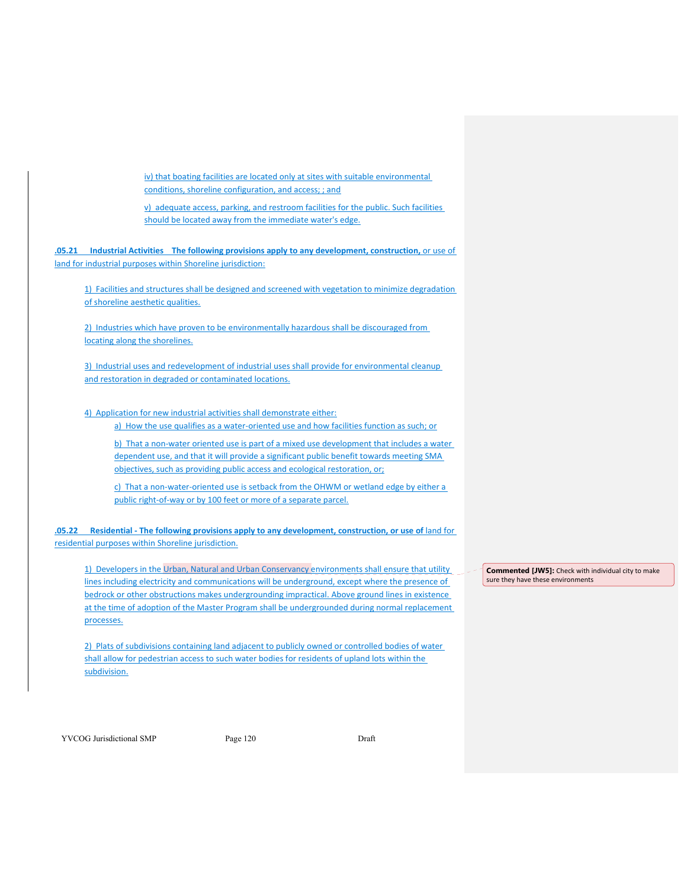iv) that boating facilities are located only at sites with suitable environmental conditions, shoreline configuration, and access; ; and

v) adequate access, parking, and restroom facilities for the public. Such facilities should be located away from the immediate water's edge.

**.05.21 Industrial Activities The following provisions apply to any development, construction,** or use of land for industrial purposes within Shoreline jurisdiction:

1) Facilities and structures shall be designed and screened with vegetation to minimize degradation of shoreline aesthetic qualities.

2) Industries which have proven to be environmentally hazardous shall be discouraged from locating along the shorelines.

3) Industrial uses and redevelopment of industrial uses shall provide for environmental cleanup and restoration in degraded or contaminated locations.

4) Application for new industrial activities shall demonstrate either: a) How the use qualifies as a water-oriented use and how facilities function as such; or

b) That a non-water oriented use is part of a mixed use development that includes a water dependent use, and that it will provide a significant public benefit towards meeting SMA objectives, such as providing public access and ecological restoration, or;

c) That a non-water-oriented use is setback from the OHWM or wetland edge by either a public right-of-way or by 100 feet or more of a separate parcel.

**.05.22 Residential ‐ The following provisions apply to any development, construction, or use of** land for residential purposes within Shoreline jurisdiction.

1) Developers in the Urban, Natural and Urban Conservancy environments shall ensure that utility lines including electricity and communications will be underground, except where the presence of bedrock or other obstructions makes undergrounding impractical. Above ground lines in existence at the time of adoption of the Master Program shall be undergrounded during normal replacement processes.

2) Plats of subdivisions containing land adjacent to publicly owned or controlled bodies of water shall allow for pedestrian access to such water bodies for residents of upland lots within the subdivision.

**Commented [JW5]:** Check with individual city to make sure they have these environments

YVCOG Jurisdictional SMP Page 120 Draft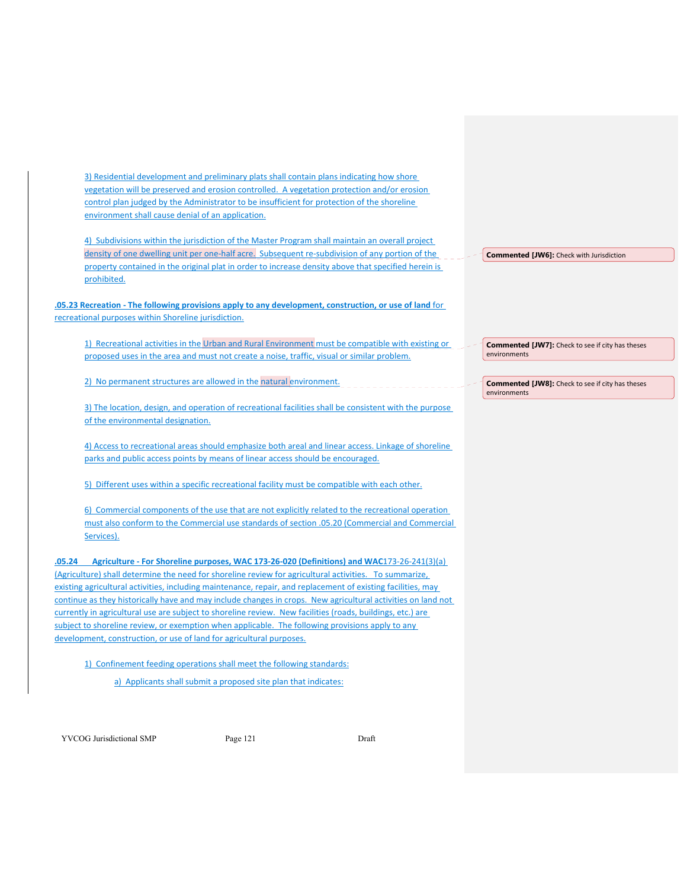3) Residential development and preliminary plats shall contain plans indicating how shore vegetation will be preserved and erosion controlled. A vegetation protection and/or erosion control plan judged by the Administrator to be insufficient for protection of the shoreline environment shall cause denial of an application.

4) Subdivisions within the jurisdiction of the Master Program shall maintain an overall project density of one dwelling unit per one-half acre. Subsequent re-subdivision of any portion of the property contained in the original plat in order to increase density above that specified herein is prohibited.

**.05.23 Recreation ‐ The following provisions apply to any development, construction, or use of land** for recreational purposes within Shoreline jurisdiction.

1) Recreational activities in the Urban and Rural Environment must be compatible with existing or proposed uses in the area and must not create a noise, traffic, visual or similar problem.

2) No permanent structures are allowed in the natural environment.

3) The location, design, and operation of recreational facilities shall be consistent with the purpose of the environmental designation.

4) Access to recreational areas should emphasize both areal and linear access. Linkage of shoreline parks and public access points by means of linear access should be encouraged.

5) Different uses within a specific recreational facility must be compatible with each other.

6) Commercial components of the use that are not explicitly related to the recreational operation must also conform to the Commercial use standards of section .05.20 (Commercial and Commercial Services).

**.05.24 Agriculture ‐ For Shoreline purposes, WAC 173‐26‐020 (Definitions) and WAC**173‐26‐241(3)(a) (Agriculture) shall determine the need for shoreline review for agricultural activities. To summarize, existing agricultural activities, including maintenance, repair, and replacement of existing facilities, may continue as they historically have and may include changes in crops. New agricultural activities on land not currently in agricultural use are subject to shoreline review. New facilities (roads, buildings, etc.) are subject to shoreline review, or exemption when applicable. The following provisions apply to any development, construction, or use of land for agricultural purposes.

1) Confinement feeding operations shall meet the following standards: a) Applicants shall submit a proposed site plan that indicates:

YVCOG Jurisdictional SMP Page 121 Draft

**Commented [JW6]:** Check with Jurisdiction

**Commented [JW7]:** Check to see if city has theses environments

**Commented [JW8]:** Check to see if city has theses environments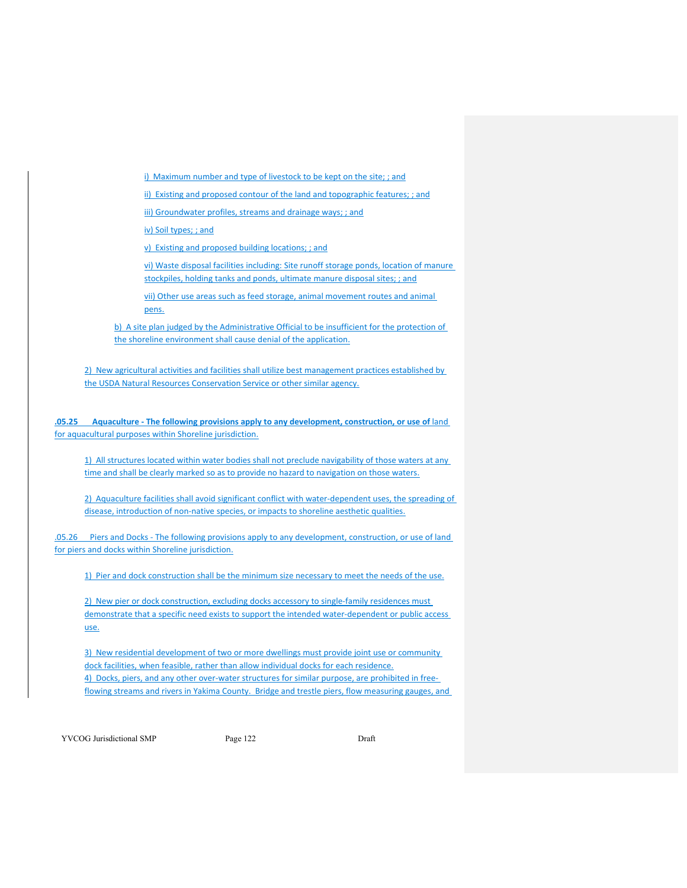i) Maximum number and type of livestock to be kept on the site; ; and

ii) Existing and proposed contour of the land and topographic features; ; and

iii) Groundwater profiles, streams and drainage ways; ; and

iv) Soil types; ; and

v) Existing and proposed building locations; ; and

vi) Waste disposal facilities including: Site runoff storage ponds, location of manure stockpiles, holding tanks and ponds, ultimate manure disposal sites; ; and

vii) Other use areas such as feed storage, animal movement routes and animal pens.

b) A site plan judged by the Administrative Official to be insufficient for the protection of the shoreline environment shall cause denial of the application.

2) New agricultural activities and facilities shall utilize best management practices established by the USDA Natural Resources Conservation Service or other similar agency.

**.05.25 Aquaculture ‐ The following provisions apply to any development, construction, or use of** land for aquacultural purposes within Shoreline jurisdiction.

1) All structures located within water bodies shall not preclude navigability of those waters at any time and shall be clearly marked so as to provide no hazard to navigation on those waters.

2) Aquaculture facilities shall avoid significant conflict with water-dependent uses, the spreading of disease, introduction of non-native species, or impacts to shoreline aesthetic qualities.

.05.26 Piers and Docks ‐ The following provisions apply to any development, construction, or use of land for piers and docks within Shoreline jurisdiction.

1) Pier and dock construction shall be the minimum size necessary to meet the needs of the use.

2) New pier or dock construction, excluding docks accessory to single-family residences must demonstrate that a specific need exists to support the intended water‐dependent or public access use.

3) New residential development of two or more dwellings must provide joint use or community dock facilities, when feasible, rather than allow individual docks for each residence. 4) Docks, piers, and any other over-water structures for similar purpose, are prohibited in freeflowing streams and rivers in Yakima County. Bridge and trestle piers, flow measuring gauges, and

YVCOG Jurisdictional SMP Page 122 Draft